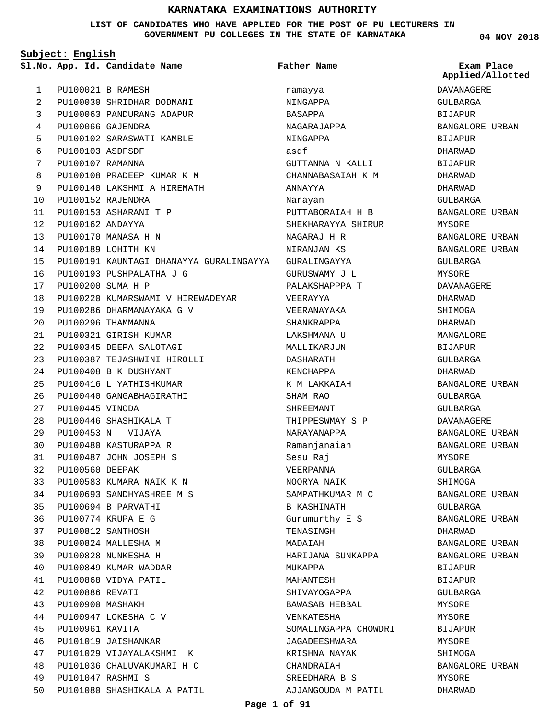## **LIST OF CANDIDATES WHO HAVE APPLIED FOR THE POST OF PU LECTURERS IN GOVERNMENT PU COLLEGES IN THE STATE OF KARNATAKA**

**Father Name**

**Subject: English**

PU100021 B RAMESH PU100030 SHRIDHAR DODMANI PU100063 PANDURANG ADAPUR PU100066 GAJENDRA PU100102 SARASWATI KAMBLE PU100103 ASDFSDF PU100107 RAMANNA PU100108 PRADEEP KUMAR K M PU100140 LAKSHMI A HIREMATH PU100152 RAJENDRA PU100153 ASHARANI T P PU100162 ANDAYYA PU100170 MANASA H N PU100189 LOHITH KN PU100191 KAUNTAGI DHANAYYA GURALINGAYYA PU100193 PUSHPALATHA J G PU100200 SUMA H P PU100220 KUMARSWAMI V HIREWADEYAR PU100286 DHARMANAYAKA G V PU100296 THAMMANNA PU100321 GIRISH KUMAR PU100345 DEEPA SALOTAGI PU100387 TEJASHWINI HIROLLI PU100408 B K DUSHYANT PU100416 L YATHISHKUMAR PU100440 GANGABHAGIRATHI PU100445 VINODA PU100446 SHASHIKALA T PU100453 N VIJAYA PU100480 KASTURAPPA R PU100487 JOHN JOSEPH S PU100560 DEEPAK PU100583 KUMARA NAIK K N PU100693 SANDHYASHREE M S PU100694 B PARVATHI PU100774 KRUPA E G PU100812 SANTHOSH PU100824 MALLESHA M PU100828 NUNKESHA H PU100849 KUMAR WADDAR PU100868 VIDYA PATIL PU100886 REVATI PU100900 MASHAKH PU100947 LOKESHA C V PU100961 KAVITA PU101019 JAISHANKAR PU101029 VIJAYALAKSHMI K PU101036 CHALUVAKUMARI H C PU101047 RASHMI S **App. Id. Candidate Name Sl.No. Exam Place** 1  $\overline{2}$ 3 4 5 6 7 8 9  $1<sub>0</sub>$ 11 12 13 14 15 16 17 18 19  $20$ 21 22 23 24  $25$ 26  $27$  $28$  $29$ 30 31 32 33 34 35 36 37 38 39 40 41  $42$ 43 44 45 46 47 48 49

PU101080 SHASHIKALA A PATIL

50

ramayya NINGAPPA BASAPPA NAGARAJAPPA NINGAPPA asdf GUTTANNA N KALLI CHANNABASAIAH K M ANNAYYA Narayan PUTTABORAIAH H B SHEKHARAYYA SHIRUR NAGARAJ H R NIRANJAN KS GURALINGAYYA GURUSWAMY J L PALAKSHAPPPA T VEERAYYA VEERANAYAKA SHANKRAPPA LAKSHMANA U MALLIKARJUN DASHARATH KENCHAPPA K M LAKKAIAH SHAM RAO SHREEMANT THIPPESWMAY S P NARAYANAPPA Ramanjanaiah Sesu Raj VEERPANNA NOORYA NAIK SAMPATHKUMAR M C B KASHINATH Gurumurthy E S TENASINGH MADAIAH HARIJANA SUNKAPPA MUKAPPA MAHANTESH SHIVAYOGAPPA BAWASAB HEBBAL VENKATESHA SOMALINGAPPA CHOWDRI JAGADEESHWARA KRISHNA NAYAK CHANDRAIAH SREEDHARA B S

AJJANGOUDA M PATIL

**04 NOV 2018**

DAVANAGERE GULBARGA BIJAPUR BANGALORE URBAN BIJAPUR DHARWAD BIJAPUR DHARWAD DHARWAD GULBARGA BANGALORE URBAN MYSORE BANGALORE URBAN BANGALORE URBAN GULBARGA MYSORE DAVANAGERE DHARWAD SHIMOGA DHARWAD MANGALORE BIJAPUR GULBARGA DHARWAD BANGALORE URBAN GULBARGA GULBARGA DAVANAGERE BANGALORE URBAN BANGALORE URBAN MYSORE GULBARGA SHIMOGA BANGALORE URBAN GULBARGA BANGALORE URBAN DHARWAD BANGALORE URBAN BANGALORE URBAN BIJAPUR BIJAPUR GULBARGA MYSORE MYSORE. BIJAPUR **MYSORE** SHIMOGA BANGALORE URBAN MYSORE DHARWAD **Applied/Allotted**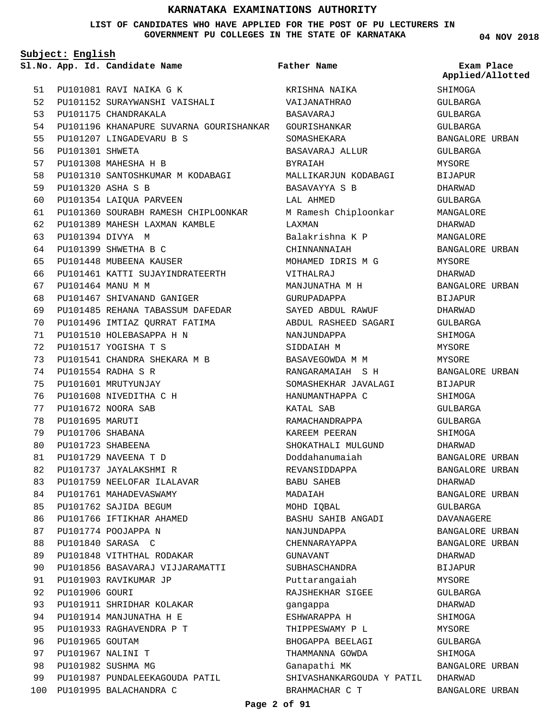## **LIST OF CANDIDATES WHO HAVE APPLIED FOR THE POST OF PU LECTURERS IN GOVERNMENT PU COLLEGES IN THE STATE OF KARNATAKA**

**Subject: English**

**App. Id. Candidate Name Sl.No. Exam Place**

PU101081 RAVI NAIKA G K PU101152 SURAYWANSHI VAISHALI 52 PU101175 CHANDRAKALA 53 PU101196 KHANAPURE SUVARNA GOURISHANKAR GOURISHANKAR PU101207 LINGADEVARU B S PU101301 SHWETA PU101308 MAHESHA H B PU101310 SANTOSHKUMAR M KODABAGI PU101320 ASHA S B PU101354 LAIQUA PARVEEN PU101360 SOURABH RAMESH CHIPLOONKAR PU101389 MAHESH LAXMAN KAMBLE PU101394 DIVYA M PU101399 SHWETHA B C PU101448 MUBEENA KAUSER PU101461 KATTI SUJAYINDRATEERTH PU101464 MANU M M PU101467 SHIVANAND GANIGER PU101485 REHANA TABASSUM DAFEDAR PU101496 IMTIAZ QURRAT FATIMA PU101510 HOLEBASAPPA H N PU101517 YOGISHA T S PU101541 CHANDRA SHEKARA M B PU101554 RADHA S R PU101601 MRUTYUNJAY PU101608 NIVEDITHA C H PU101672 NOORA SAB PU101695 MARUTI PU101706 SHABANA PU101723 SHABEENA PU101729 NAVEENA T D PU101737 JAYALAKSHMI R PU101759 NEELOFAR ILALAVAR PU101761 MAHADEVASWAMY PU101762 SAJIDA BEGUM PU101766 IFTIKHAR AHAMED PU101774 POOJAPPA N PU101840 SARASA C PU101848 VITHTHAL RODAKAR PU101856 BASAVARAJ VIJJARAMATTI PU101903 RAVIKUMAR JP PU101906 GOURI PU101911 SHRIDHAR KOLAKAR PU101914 MANJUNATHA H E PU101933 RAGHAVENDRA P T PU101965 GOUTAM PU101967 NALINI T PU101982 SUSHMA MG PU101987 PUNDALEEKAGOUDA PATIL 100 PU101995 BALACHANDRA C 51 54 55 56 57 58 59 60 61 62 63 64 65 66 67 68 69 70 71 72 73 74 75 76 77 78 79 80 81 82 83 84 85  $86$ 87 88 89 90 91  $92$ 93 94  $95$ 96 97 98 99

KRISHNA NAIKA VAIJANATHRAO BASAVARAJ SOMASHEKARA BASAVARAJ ALLUR BYRAIAH MALLIKARJUN KODABAGI BASAVAYYA S B LAL AHMED M Ramesh Chiploonkar LAXMAN Balakrishna K P CHINNANNAIAH MOHAMED IDRIS M G VITHALRAJ MANJUNATHA M H GURUPADAPPA SAYED ABDUL RAWUF ABDUL RASHEED SAGARI NANJUNDAPPA SIDDAIAH M BASAVEGOWDA M M RANGARAMAIAH S H SOMASHEKHAR JAVALAGI HANUMANTHAPPA C KATAL SAB RAMACHANDRAPPA KAREEM PEERAN SHOKATHALI MULGUND Doddahanumaiah REVANSIDDAPPA BABU SAHEB MADAIAH MOHD IQBAL BASHU SAHIB ANGADI NANJUNDAPPA CHENNARAYAPPA GUNAVANT SUBHASCHANDRA Puttarangaiah RAJSHEKHAR SIGEE gangappa ESHWARAPPA H THIPPESWAMY P L BHOGAPPA BEELAGI THAMMANNA GOWDA Ganapathi MK SHIVASHANKARGOUDA Y PATIL DHARWAD BRAHMACHAR C T **Father Name**

**04 NOV 2018**

SHIMOGA GULBARGA GULBARGA GULBARGA BANGALORE URBAN GULBARGA MYSORE BIJAPUR DHARWAD GULBARGA MANGALORE DHARWAD MANGALORE BANGALORE URBAN MYSORE DHARWAD BANGALORE URBAN **BIJAPUR** DHARWAD GULBARGA SHIMOGA MYSORE MYSORE BANGALORE URBAN BIJAPUR SHIMOGA  $CITIRARCA$ GULBARGA SHIMOGA DHARWAD BANGALORE URBAN BANGALORE URBAN DHARWAD BANGALORE URBAN GULBARGA DAVANAGERE BANGALORE URBAN BANGALORE URBAN DHARWAD BIJAPUR MYSORE GULBARGA DHARWAD SHIMOGA MYSORE GULBARGA SHIMOGA BANGALORE URBAN BANGALORE URBAN **Applied/Allotted**

## **Page 2 of 91**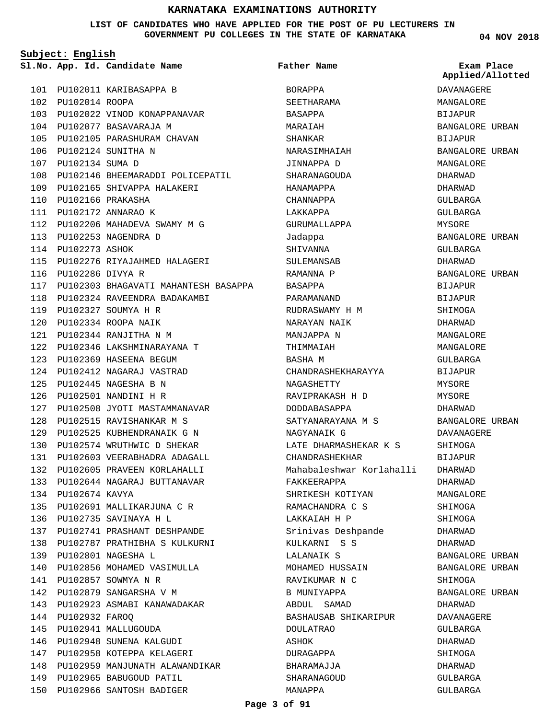## **LIST OF CANDIDATES WHO HAVE APPLIED FOR THE POST OF PU LECTURERS IN GOVERNMENT PU COLLEGES IN THE STATE OF KARNATAKA**

**Subject: English**

102 PU102014 ROOPA

114 PU102273 ASHOK

134 PU102674 KAVYA

144 PU102932 FAROQ

**App. Id. Candidate Name Sl.No. Exam Place**

**Father Name**

101 PU102011 KARIBASAPPA B PU102022 VINOD KONAPPANAVAR 103 104 PU102077 BASAVARAJA M 105 PU102105 PARASHURAM CHAVAN PU102124 SUNITHA N 106 107 PU102134 SUMA D 108 PU102146 BHEEMARADDI POLICEPATIL PU102165 SHIVAPPA HALAKERI 109 PU102166 PRAKASHA 110 111 PU102172 ANNARAO K PU102206 MAHADEVA SWAMY M G 112 113 PU102253 NAGENDRA D PU102276 RIYAJAHMED HALAGERI 115 PU102286 DIVYA R 116 PU102303 BHAGAVATI MAHANTESH BASAPPA 117 PU102324 RAVEENDRA BADAKAMBI 118 PU102327 SOUMYA H R 119 PU102334 ROOPA NAIK 120 PU102344 RANJITHA N M 121 PU102346 LAKSHMINARAYANA T 122 PU102369 HASEENA BEGUM 123 PU102412 NAGARAJ VASTRAD 124 PU102445 NAGESHA B N 125 PU102501 NANDINI H R 126 127 PU102508 JYOTI MASTAMMANAVAR PU102515 RAVISHANKAR M S 128 PU102525 KUBHENDRANAIK G N 129 PU102574 WRUTHWIC D SHEKAR 130 PU102603 VEERABHADRA ADAGALL 131 PU102605 PRAVEEN KORLAHALLI 132 PU102644 NAGARAJ BUTTANAVAR 133 PU102691 MALLIKARJUNA C R 135 PU102735 SAVINAYA H L 136 PU102741 PRASHANT DESHPANDE 137 PU102787 PRATHIBHA S KULKURNI 138 PU102801 NAGESHA L 139 140 PU102856 MOHAMED VASIMULLA PU102857 SOWMYA N R 141 142 PU102879 SANGARSHA V M PU102923 ASMABI KANAWADAKAR 143 145 PU102941 MALLUGOUDA PU102948 SUNENA KALGUDI 146 147 PU102958 KOTEPPA KELAGERI 148 PU102959 MANJUNATH ALAWANDIKAR 149 PU102965 BABUGOUD PATIL PU102966 SANTOSH BADIGER 150 BORAPPA BASAPPA ASHOK MANAPPA

SEETHARAMA BASAPPA MARAIAH SHANKAR NARASIMHAIAH JINNAPPA D SHARANAGOUDA HANAMAPPA CHANNAPPA LAKKAPPA GURUMALLAPPA Jadappa SHIVANNA SULEMANSAB RAMANNA P PARAMANAND RUDRASWAMY H M NARAYAN NAIK MANJAPPA N THIMMAIAH BASHA M CHANDRASHEKHARAYYA NAGASHETTY RAVIPRAKASH H D DODDABASAPPA SATYANARAYANA M S NAGYANAIK G LATE DHARMASHEKAR K S CHANDRASHEKHAR Mahabaleshwar Korlahalli FAKKEERAPPA SHRIKESH KOTIYAN RAMACHANDRA C S LAKKAIAH H P Srinivas Deshpande KULKARNI S S LALANAIK S MOHAMED HUSSAIN RAVIKUMAR N C B MUNIYAPPA ABDUL SAMAD BASHAUSAB SHIKARIPUR DOULATRAO DURAGAPPA BHARAMAJJA SHARANAGOUD

**04 NOV 2018**

DAVANAGERE MANGALORE BIJAPUR BANGALORE URBAN BIJAPUR BANGALORE URBAN MANGALORE DHARWAD DHARWAD GULBARGA GULBARGA MYSORE BANGALORE URBAN GULBARGA DHARWAD BANGALORE URBAN BIJAPUR **BIJAPUR** SHIMOGA DHARWAD MANGALORE MANGALORE GULBARGA BIJAPUR MYSORE MYSORE DHARWAD BANGALORE URBAN DAVANAGERE SHIMOGA BIJAPUR DHARWAD DHARWAD MANGALORE SHIMOGA **SHIMOGA** DHARWAD DHARWAD BANGALORE URBAN BANGALORE URBAN SHIMOGA BANGALORE URBAN DHARWAD DAVANAGERE  $CITIRARCA$ DHARWAD SHIMOGA DHARWAD GULBARGA GULBARGA **Applied/Allotted**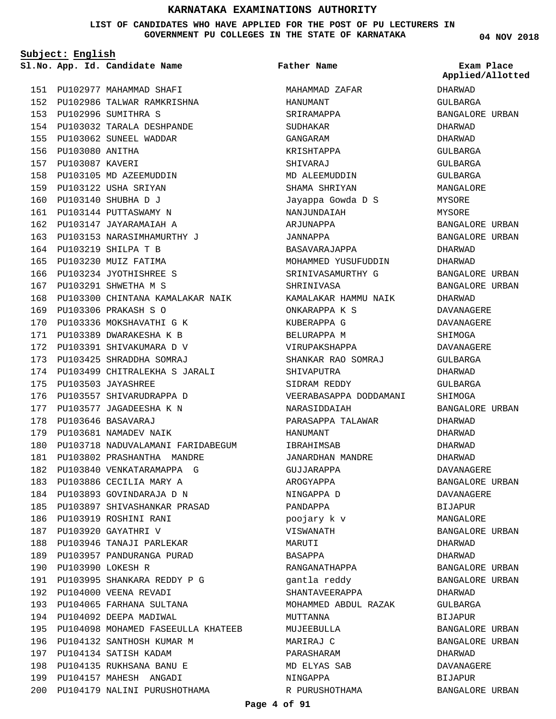**LIST OF CANDIDATES WHO HAVE APPLIED FOR THE POST OF PU LECTURERS IN GOVERNMENT PU COLLEGES IN THE STATE OF KARNATAKA**

**Subject: English**

PU102977 MAHAMMAD SHAFI 151 PU102986 TALWAR RAMKRISHNA 152 PU102996 SUMITHRA S 153 PU103032 TARALA DESHPANDE 154 PU103062 SUNEEL WADDAR 155 156 PU103080 ANITHA 157 PU103087 KAVERI 158 PU103105 MD AZEEMUDDIN

PU103122 USHA SRIYAN 159 PU103140 SHUBHA D J 160 PU103144 PUTTASWAMY N 161 PU103147 JAYARAMAIAH A 162 PU103153 NARASIMHAMURTHY J 163 PU103219 SHILPA T B 164 PU103230 MUIZ FATIMA 165 166 PU103234 JYOTHISHREE S PU103291 SHWETHA M S 167 168 PU103300 CHINTANA KAMALAKAR NAIK PU103306 PRAKASH S O 169 170 PU103336 MOKSHAVATHI G K PU103389 DWARAKESHA K B 171 172 PU103391 SHIVAKUMARA D V PU103425 SHRADDHA SOMRAJ 173 PU103499 CHITRALEKHA S JARALI 174 PU103503 JAYASHREE 175 176 PU103557 SHIVARUDRAPPA D 177 PU103577 JAGADEESHA K N PU103646 BASAVARAJ 178 179 PU103681 NAMADEV NAIK 180 PU103718 NADUVALAMANI FARIDABEGUM PU103802 PRASHANTHA MANDRE 181 182 PU103840 VENKATARAMAPPA G 183 PU103886 CECILIA MARY A 184 PU103893 GOVINDARAJA D N PU103897 SHIVASHANKAR PRASAD 185 186 PU103919 ROSHINI RANI 187 PU103920 GAYATHRI V 188 PU103946 TANAJI PARLEKAR 189 PU103957 PANDURANGA PURAD PU103990 LOKESH R 190 PU103995 SHANKARA REDDY P G 191 192 PU104000 VEENA REVADI PU104065 FARHANA SULTANA 193 194 PU104092 DEEPA MADIWAL 195 PU104098 MOHAMED FASEEULLA KHATEEB 196 PU104132 SANTHOSH KUMAR M 197 PU104134 SATISH KADAM PU104135 RUKHSANA BANU E 198 PU104157 MAHESH ANGADI 199 PU104179 NALINI PURUSHOTHAMA 200

**App. Id. Candidate Name Sl.No. Exam Place** MAHAMMAD ZAFAR HANUMANT SRIRAMAPPA SUDHAKAR GANGARAM KRISHTAPPA SHIVARAJ MD ALEEMUDDIN SHAMA SHRIYAN Jayappa Gowda D S NANJUNDAIAH ARJUNAPPA JANNAPPA BASAVARAJAPPA MOHAMMED YUSUFUDDIN SRINIVASAMURTHY G SHRINIVASA KAMALAKAR HAMMU NAIK ONKARAPPA K S KUBERAPPA G BELURAPPA M VIRUPAKSHAPPA SHANKAR RAO SOMRAJ SHIVAPUTRA SIDRAM REDDY VEERABASAPPA DODDAMANI NARASIDDAIAH PARASAPPA TALAWAR HANUMANT IBRAHIMSAB JANARDHAN MANDRE GUJJARAPPA AROGYAPPA NINGAPPA D PANDAPPA poojary k v VISWANATH MARUTI BASAPPA RANGANATHAPPA gantla reddy SHANTAVEERAPPA MOHAMMED ABDUL RAZAK MUTTANNA MUJEEBULLA MARIRAJ C PARASHARAM MD ELYAS SAB NINGAPPA R PURUSHOTHAMA **Father Name**

**04 NOV 2018**

**Applied/Allotted**

DHARWAD GULBARGA BANGALORE URBAN DHARWAD DHARWAD GULBARGA GULBARGA GULBARGA MANGALORE MYSORE MYSORE BANGALORE URBAN BANGALORE URBAN DHARWAD DHARWAD BANGALORE URBAN BANGALORE URBAN DHARWAD DAVANAGERE DAVANAGERE SHIMOGA DAVANAGERE GULBARGA DHARWAD GULBARGA SHIMOGA BANGALORE URBAN DHARWAD DHARWAD DHARWAD DHARWAD DAVANAGERE BANGALORE URBAN DAVANAGERE BIJAPUR MANGALORE BANGALORE URBAN DHARWAD DHARWAD BANGALORE URBAN BANGALORE URBAN DHARWAD GULBARGA **BIJAPUR** BANGALORE URBAN BANGALORE URBAN DHARWAD DAVANAGERE BIJAPUR BANGALORE URBAN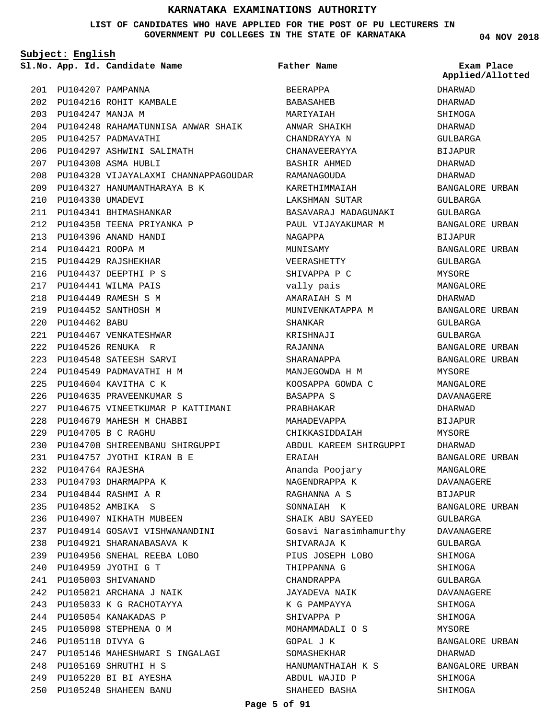## **LIST OF CANDIDATES WHO HAVE APPLIED FOR THE POST OF PU LECTURERS IN GOVERNMENT PU COLLEGES IN THE STATE OF KARNATAKA**

**Subject: English**

**App. Id. Candidate Name Sl.No. Exam Place**

**Father Name**

BEERAPPA

**Applied/Allotted**

DHARWAD DHARWAD SHIMOGA DHARWAD **04 NOV 2018**

|     | 201 PU104207 PAMPANNA |                                        |
|-----|-----------------------|----------------------------------------|
|     |                       | 202 PU104216 ROHIT KAMBALE             |
|     | 203 PU104247 MANJA M  |                                        |
|     |                       | 204 PU104248 RAHAMATUNNISA ANWAR SHAIK |
|     |                       | 205 PU104257 PADMAVATHI                |
|     |                       | 206 PU104297 ASHWINI SALIMATH          |
| 207 |                       | PU104308 ASMA HUBLI                    |
| 208 |                       | PU104320 VIJAYALAXMI CHANNAPPAGOUDAR   |
|     |                       | 209 PU104327 HANUMANTHARAYA B K        |
|     | 210 PU104330 UMADEVI  |                                        |
|     |                       | 211 PU104341 BHIMASHANKAR              |
|     |                       | 212 PU104358 TEENA PRIYANKA P          |
|     |                       | 213 PU104396 ANAND HANDI               |
|     | 214 PU104421 ROOPA M  |                                        |
|     |                       | 215 PU104429 RAJSHEKHAR                |
|     |                       | 216 PU104437 DEEPTHI P S               |
|     |                       | 217 PU104441 WILMA PAIS                |
|     |                       | 218 PU104449 RAMESH S M                |
|     |                       | 219 PU104452 SANTHOSH M                |
|     | 220 PU104462 BABU     |                                        |
|     |                       | 221 PU104467 VENKATESHWAR              |
|     |                       | 222 PU104526 RENUKA R                  |
| 223 |                       | PU104548 SATEESH SARVI                 |
|     |                       | 224 PU104549 PADMAVATHI H M            |
|     |                       | 225 PU104604 KAVITHA C K               |
|     |                       | 226 PU104635 PRAVEENKUMAR S            |
|     |                       | 227 PU104675 VINEETKUMAR P KATTIMANI   |
|     |                       |                                        |
|     |                       | 228 PU104679 MAHESH M CHABBI           |
|     |                       | 229 PU104705 B C RAGHU                 |
| 230 | PU104708              | SHIREENBANU SHIRGUPPI                  |
|     |                       | 231 PU104757 JYOTHI KIRAN B E          |
|     | 232 PU104764 RAJESHA  |                                        |
|     |                       | 233 PU104793 DHARMAPPA K               |
| 234 |                       | PU104844 RASHMI A R                    |
| 235 | PU104852 AMBIKA       | S                                      |
|     |                       | 236 PU104907 NIKHATH MUBEEN            |
|     |                       | 237 PU104914 GOSAVI VISHWANANDINI      |
|     |                       | 238 PU104921 SHARANABASAVA K           |
| 239 |                       | PU104956 SNEHAL REEBA LOBO             |
|     |                       | 240 PU104959 JYOTHI G T                |
|     |                       | 241 PU105003 SHIVANAND                 |
| 242 |                       | PU105021 ARCHANA J NAIK                |
| 243 |                       | PU105033 K G RACHOTAYYA                |
| 244 |                       | PU105054 KANAKADAS P                   |
|     |                       | 245 PU105098 STEPHENA O M              |
|     | 246 PU105118 DIVYA G  |                                        |
|     |                       | 247 PU105146 MAHESHWARI S INGALAGI     |
|     |                       | 248 PU105169 SHRUTHI H S               |
|     |                       | 249 PU105220 BI BI AYESHA              |
|     |                       | 250 PU105240 SHAHEEN BANU              |

| BABASAHEB              |
|------------------------|
| MARIYAIAH              |
| ANWAR SHAIKH           |
| CHANDRAYYA N           |
| CHANAVEERAYYA          |
| <b>BASHIR AHMED</b>    |
| RAMANAGOUDA            |
| KARETHIMMAIAH          |
| LAKSHMAN SUTAR         |
| BASAVARAJ MADAGUNAKI   |
| PAUL VIJAYAKUMAR M     |
| NAGAPPA                |
| MUNISAMY               |
| VEERASHETTY            |
| SHIVAPPA P<br>C        |
| vally pais             |
| AMARAIAH S<br>M        |
| MUNIVENKATAPPA M       |
| SHANKAR                |
| KRISHNAJI              |
| RAJANNA                |
| SHARANAPPA             |
| MANJEGOWDA H<br>M      |
| KOOSAPPA GOWDA<br>C    |
| BASAPPA S              |
| PRABHAKAR              |
| MAHADEVAPPA            |
| CHIKKASIDDAIAH         |
| ABDUL KAREEM SHIRGUPPI |
| <b>FRATAH</b>          |
| Ananda Poojary         |
| NAGENDRAPPA K          |
| RAGHANNA A S           |
| SONNAIAH<br>Κ          |
| SHAIK ABU SAYEED       |
| Gosavi Narasimhamurthy |
| SHIVARAJA K            |
| PIUS JOSEPH LOBO       |
| THIPPANNA G            |
| CHANDRAPPA             |
| JAYADEVA NAIK          |
| K G PAMPAYYA           |
| SHIVAPPA P             |
| MOHAMMADALI O S        |
| GOPAL J K              |
| SOMASHEKHAR            |
| HANUMANTHAIAH K S      |
| ABDUL WAJID P          |
| SHAHEED BASHA          |
|                        |

GULBARGA BIJAPUR DHARWAD DHARWAD BANGALORE URBAN GULBARGA GULBARGA BANGALORE URBAN BIJAPUR BANGALORE URBAN GULBARGA MYSORE MANGALORE DHARWAD BANGALORE URBAN GULBARGA GULBARGA BANGALORE URBAN BANGALORE URBAN MYSORE MANGALORE DAVANAGERE DHARWAD BIJAPUR MYSORE DHARWAD BANGALORE URBAN MANGALORE DAVANAGERE BIJAPUR BANGALORE URBAN GULBARGA DAVANAGERE GULBARGA SHIMOGA SHIMOGA GULBARGA DAVANAGERE SHIMOGA SHIMOGA MYSORE BANGALORE URBAN DHARWAD BANGALORE URBAN SHIMOGA SHIMOGA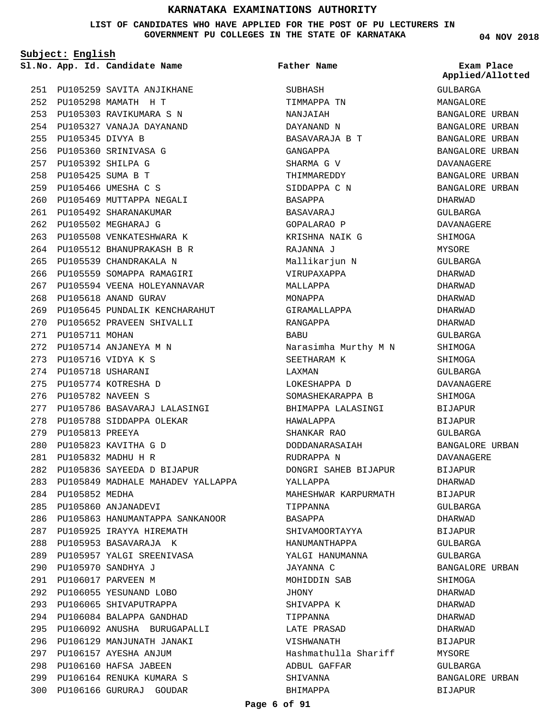**LIST OF CANDIDATES WHO HAVE APPLIED FOR THE POST OF PU LECTURERS IN GOVERNMENT PU COLLEGES IN THE STATE OF KARNATAKA**

**Subject: English**

**App. Id. Candidate Name Sl.No. Exam Place**

**Father Name**

PU105259 SAVITA ANJIKHANE 251 PU105298 MAMATH H T 252 PU105303 RAVIKUMARA S N 253 PU105327 VANAJA DAYANAND 254 PU105345 DIVYA B 255 PU105360 SRINIVASA G 256 PU105392 SHILPA G 257 PU105425 SUMA B T 258 PU105466 UMESHA C S 259 260 PU105469 MUTTAPPA NEGALI 261 PU105492 SHARANAKUMAR PU105502 MEGHARAJ G 262 PU105508 VENKATESHWARA K 263 PU105512 BHANUPRAKASH B R 264 265 PU105539 CHANDRAKALA N 266 PU105559 SOMAPPA RAMAGIRI 267 PU105594 VEENA HOLEYANNAVAR PU105618 ANAND GURAV 268 PU105645 PUNDALIK KENCHARAHUT 269 PU105652 PRAVEEN SHIVALLI 270 271 PU105711 MOHAN PU105714 ANJANEYA M N 272 PU105716 VIDYA K S 273 274 PU105718 USHARANI PU105774 KOTRESHA D 275 PU105782 NAVEEN S 276 PU105786 BASAVARAJ LALASINGI 277 278 PU105788 SIDDAPPA OLEKAR PU105813 PREEYA 279 PU105823 KAVITHA G D 280 PU105832 MADHU H R 281 PU105836 SAYEEDA D BIJAPUR 282 PU105849 MADHALE MAHADEV YALLAPPA 283 284 PU105852 MEDHA PU105860 ANJANADEVI 285 286 PU105863 HANUMANTAPPA SANKANOOR PU105925 IRAYYA HIREMATH 287 288 PU105953 BASAVARAJA K PU105957 YALGI SREENIVASA 289 PU105970 SANDHYA J 290 PU106017 PARVEEN M 291 PU106055 YESUNAND LOBO 292 293 PU106065 SHIVAPUTRAPPA PU106084 BALAPPA GANDHAD 294 PU106092 ANUSHA BURUGAPALLI 295 PU106129 MANJUNATH JANAKI 296 297 PU106157 AYESHA ANJUM PU106160 HAFSA JABEEN 298 PU106164 RENUKA KUMARA S 299 PU106166 GURURAJ GOUDAR 300

**SUBHASH** TIMMAPPA TN NANJAIAH DAYANAND N BASAVARAJA B T GANGAPPA SHARMA G V THIMMAREDDY SIDDAPPA C N BASAPPA BASAVARAJ GOPALARAO P KRISHNA NAIK G RAJANNA J Mallikarjun N VIRUPAXAPPA MALLAPPA MONAPPA GIRAMALLAPPA RANGAPPA BABU Narasimha Murthy M N SEETHARAM K LAXMAN LOKESHAPPA D SOMASHEKARAPPA B BHIMAPPA LALASINGI HAWALAPPA SHANKAR RAO DODDANARASAIAH RUDRAPPA N DONGRI SAHEB BIJAPUR YALLAPPA MAHESHWAR KARPURMATH TIPPANNA BASAPPA SHIVAMOORTAYYA HANUMANTHAPPA YALGI HANUMANNA JAYANNA C MOHIDDIN SAB JHONY SHIVAPPA K TIPPANNA LATE PRASAD VISHWANATH Hashmathulla Shariff ADBUL GAFFAR SHIVANNA BHIMAPPA

**04 NOV 2018**

GULBARGA MANGALORE BANGALORE URBAN BANGALORE URBAN BANGALORE URBAN BANGALORE URBAN DAVANAGERE BANGALORE URBAN BANGALORE URBAN DHARWAD GULBARGA DAVANAGERE SHIMOGA MYSORE GULBARGA DHARWAD DHARWAD DHARWAD DHARWAD DHARWAD GULBARGA SHIMOGA SHIMOGA GULBARGA DAVANAGERE SHIMOGA BIJAPUR BIJAPUR GULBARGA BANGALORE URBAN DAVANAGERE BIJAPUR DHARWAD BIJAPUR GULBARGA DHARWAD BIJAPUR GULBARGA GULBARGA BANGALORE URBAN SHIMOGA DHARWAD DHARWAD DHARWAD DHARWAD BIJAPUR MYSORE GULBARGA BANGALORE URBAN BIJAPUR **Applied/Allotted**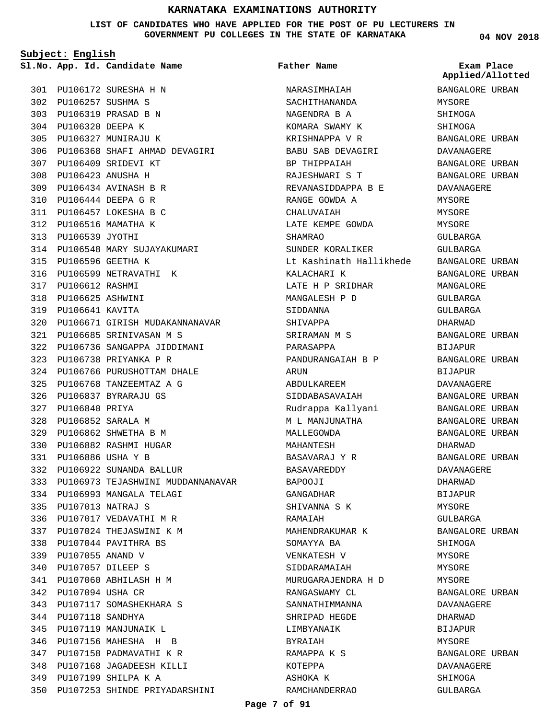**LIST OF CANDIDATES WHO HAVE APPLIED FOR THE POST OF PU LECTURERS IN GOVERNMENT PU COLLEGES IN THE STATE OF KARNATAKA**

**Subject: English**

PU106172 SURESHA H N 301 PU106257 SUSHMA S 302 PU106319 PRASAD B N 303 PU106320 DEEPA K 304 PU106327 MUNIRAJU K 305 PU106368 SHAFI AHMAD DEVAGIRI 306 PU106409 SRIDEVI KT 307 PU106423 ANUSHA H 308 PU106434 AVINASH B R 309 PU106444 DEEPA G R 310 PU106457 LOKESHA B C 311 PU106516 MAMATHA K 312 313 PU106539 JYOTHI PU106548 MARY SUJAYAKUMARI 314 PU106596 GEETHA K 315 316 PU106599 NETRAVATHI K PU106612 RASHMI 317 PU106625 ASHWINI 318 PU106641 KAVITA 319 PU106671 GIRISH MUDAKANNANAVAR 320 PU106685 SRINIVASAN M S 321 PU106736 SANGAPPA JIDDIMANI 322 PU106738 PRIYANKA P R 323 PU106766 PURUSHOTTAM DHALE 324 PU106768 TANZEEMTAZ A G 325 PU106837 BYRARAJU GS 326 327 PU106840 PRIYA PU106852 SARALA M 328 PU106862 SHWETHA B M 329 PU106882 RASHMI HUGAR 330 PU106886 USHA Y B 331 PU106922 SUNANDA BALLUR 332 PU106973 TEJASHWINI MUDDANNANAVAR 333 PU106993 MANGALA TELAGI 334 PU107013 NATRAJ S 335 336 PU107017 VEDAVATHI M R PU107024 THEJASWINI K M 337 PU107044 PAVITHRA BS 338 PU107055 ANAND V 339 PU107057 DILEEP S 340 PU107060 ABHILASH H M 341 342 PU107094 USHA CR PU107117 SOMASHEKHARA S 343 PU107118 SANDHYA 344 PU107119 MANJUNAIK L 345 PU107156 MAHESHA H B 346 PU107158 PADMAVATHI K R 347 PU107168 JAGADEESH KILLI 348 PU107199 SHILPA K A 349 350 PU107253 SHINDE PRIYADARSHINI

**App. Id. Candidate Name Sl.No. Exam Place** NARASIMHAIAH SACHITHANANDA NAGENDRA B A KOMARA SWAMY K KRISHNAPPA V R BABU SAB DEVAGIRI BP THIPPAIAH RAJESHWARI S T REVANASIDDAPPA B E RANGE GOWDA A CHALUVAIAH LATE KEMPE GOWDA SHAMRAO SUNDER KORALIKER Lt Kashinath Hallikhede KALACHARI K LATE H P SRIDHAR MANGALESH P D SIDDANNA SHIVAPPA SRIRAMAN M S PARASAPPA PANDURANGAIAH B P ARUN ABDULKAREEM SIDDABASAVAIAH Rudrappa Kallyani M L MANJUNATHA MALLEGOWDA MAHANTESH BASAVARAJ Y R BASAVAREDDY BAPOOJI GANGADHAR SHIVANNA S K **RAMATAH** MAHENDRAKUMAR K SOMAYYA BA VENKATESH V SIDDARAMAIAH MURUGARAJENDRA H D RANGASWAMY CL SANNATHIMMANNA SHRIPAD HEGDE LIMBYANAIK BYRAIAH RAMAPPA K S KOTEPPA ASHOKA K RAMCHANDERRAO **Father Name**

**04 NOV 2018**

BANGALORE URBAN MYSORE SHIMOGA SHIMOGA BANGALORE URBAN DAVANAGERE BANGALORE URBAN BANGALORE URBAN DAVANAGERE MYSORE **MYSORE** MYSORE GULBARGA GULBARGA BANGALORE URBAN BANGALORE URBAN MANGALORE GULBARGA GULBARGA DHARWAD BANGALORE URBAN BIJAPUR BANGALORE URBAN BIJAPUR DAVANAGERE BANGALORE URBAN BANGALORE URBAN BANGALORE URBAN BANGALORE URBAN DHARWAD BANGALORE URBAN DAVANAGERE DHARWAD BIJAPUR MYSORE GULBARGA BANGALORE URBAN SHIMOGA MYSORE MYSORE MYSORE BANGALORE URBAN DAVANAGERE DHARWAD BIJAPUR **MYSORE** BANGALORE URBAN DAVANAGERE SHIMOGA GULBARGA **Applied/Allotted**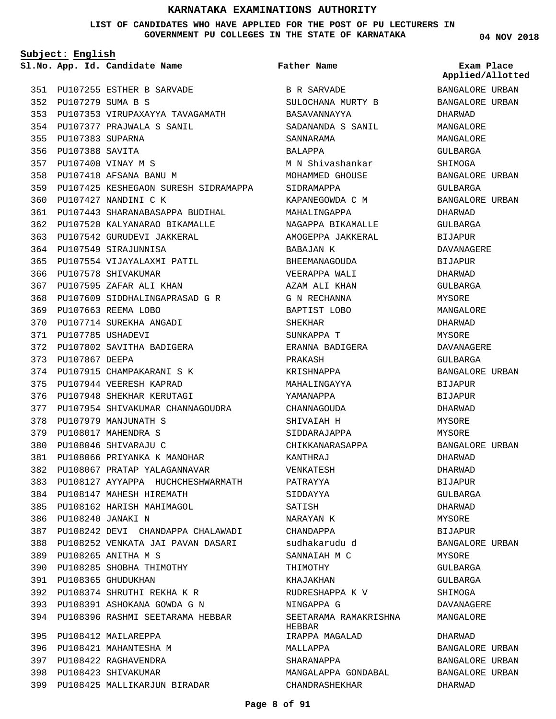**LIST OF CANDIDATES WHO HAVE APPLIED FOR THE POST OF PU LECTURERS IN GOVERNMENT PU COLLEGES IN THE STATE OF KARNATAKA**

**Subject: English**

**App. Id. Candidate Name Sl.No. Exam Place**

|     |                       | 351 PU107255 ESTHER B SARVADE            |
|-----|-----------------------|------------------------------------------|
|     | 352 PU107279 SUMA B S |                                          |
|     |                       | 353 PU107353 VIRUPAXAYYA TAVAGAMATH      |
|     |                       | 354 PU107377 PRAJWALA S SANIL            |
|     | 355 PU107383 SUPARNA  |                                          |
|     | 356 PU107388 SAVITA   |                                          |
|     |                       | 357 PU107400 VINAY M S                   |
|     |                       | 358 PU107418 AFSANA BANU M               |
|     |                       | 359 PU107425 KESHEGAON SURESH SIDRAMAPPA |
|     |                       | 360 PU107427 NANDINI C K                 |
|     |                       | 361 PU107443 SHARANABASAPPA BUDIHAL      |
|     |                       | 362 PU107520 KALYANARAO BIKAMALLE        |
|     |                       | 363 PU107542 GURUDEVI JAKKERAL           |
|     |                       | 364 PU107549 SIRAJUNNISA                 |
|     |                       | 365 PU107554 VIJAYALAXMI PATIL           |
|     |                       | 366 PU107578 SHIVAKUMAR                  |
|     |                       | 367 PU107595 ZAFAR ALI KHAN              |
|     |                       | 368 PU107609 SIDDHALINGAPRASAD G R       |
|     |                       | 369 PU107663 REEMA LOBO                  |
|     |                       | 370 PU107714 SUREKHA ANGADI              |
|     | 371 PU107785 USHADEVI |                                          |
|     |                       | 372 PU107802 SAVITHA BADIGERA            |
|     | 373 PU107867 DEEPA    |                                          |
|     |                       | 374 PU107915 CHAMPAKARANI S K            |
|     |                       | 375 PU107944 VEERESH KAPRAD              |
|     |                       | 376 PU107948 SHEKHAR KERUTAGI            |
|     |                       | 377 PU107954 SHIVAKUMAR CHANNAGOUDRA     |
|     |                       | 378 PU107979 MANJUNATH S                 |
|     |                       | 379 PU108017 MAHENDRA S                  |
|     |                       | 380 PU108046 SHIVARAJU C                 |
|     |                       | 381 PU108066 PRIYANKA K MANOHAR          |
|     |                       | 382 PU108067 PRATAP YALAGANNAVAR         |
|     |                       | 383 PU108127 AYYAPPA HUCHCHESHWARMATH    |
| 384 | PU108147              | MAHESH HIREMATH                          |
| 385 |                       | PU108162 HARISH MAHIMAGOL                |
|     | 386 PU108240 JANAKI N |                                          |
|     |                       | 387 PU108242 DEVI CHANDAPPA CHALAWADI    |
| 388 |                       | PU108252 VENKATA JAI PAVAN DASARI        |
| 389 |                       | PU108265 ANITHA M S                      |
|     |                       | 390 PU108285 SHOBHA THIMOTHY             |
| 391 |                       | PU108365 GHUDUKHAN                       |
| 392 |                       | PU108374 SHRUTHI REKHA K R               |
| 393 |                       | PU108391 ASHOKANA GOWDA G N              |
| 394 |                       | PU108396 RASHMI SEETARAMA HEBBAR         |
| 395 | PU108412              | MAILAREPPA                               |
| 396 |                       | PU108421 MAHANTESHA M                    |
|     |                       | 397 PU108422 RAGHAVENDRA                 |
|     |                       | 398 PU108423 SHIVAKUMAR                  |
|     |                       | 399 PU108425 MALLIKARJUN BIRADAR         |

# **Father Name**

B R SARVADE SULOCHANA MURTY B BASAVANNAYYA SADANANDA S SANIL SANNARAMA BALAPPA M N Shivashankar MOHAMMED GHOUSE SIDRAMAPPA KAPANEGOWDA C M MAHALINGAPPA NAGAPPA BIKAMALLE AMOGEPPA JAKKERAL BABAJAN K **BHEEMANAGOUDA** VEERAPPA WALI AZAM ALI KHAN G N RECHANNA BAPTIST LOBO SHEKHAR SUNKAPPA T ERANNA BADIGERA PRAKASH KRISHNAPPA MAHALINGAYYA YAMANAPPA CHANNAGOUDA SHIVAIAH H SIDDARAJAPPA CHIKKANARASAPPA KANTHRAJ VENKATESH PATRAYYA SIDDAYYA SATISH NARAYAN K CHANDAPPA sudhakarudu d SANNAIAH M C THIMOTHY KHAJAKHAN RUDRESHAPPA K V NINGAPPA G SEETARAMA RAMAKRISHNA HEBBAR IRAPPA MAGALAD MALLAPPA SHARANAPPA MANGALAPPA GONDABAL CHANDRASHEKHAR

**04 NOV 2018**

BANGALORE URBAN BANGALORE URBAN DHARWAD MANGALORE MANGALORE GULBARGA SHIMOGA BANGALORE URBAN GULBARGA BANGALORE URBAN DHARWAD GULBARGA BIJAPUR DAVANAGERE BIJAPUR DHARWAD GULBARGA MYSORE MANGALORE DHARWAD MYSORE DAVANAGERE GULBARGA BANGALORE URBAN BIJAPUR BIJAPUR DHARWAD MYSORE MYSORE BANGALORE URBAN DHARWAD DHARWAD BIJAPUR GULBARGA DHARWAD MYSORE BIJAPUR BANGALORE URBAN MYSORE GULBARGA GULBARGA SHIMOGA DAVANAGERE MANGALORE DHARWAD BANGALORE URBAN BANGALORE URBAN BANGALORE URBAN DHARWAD **Applied/Allotted**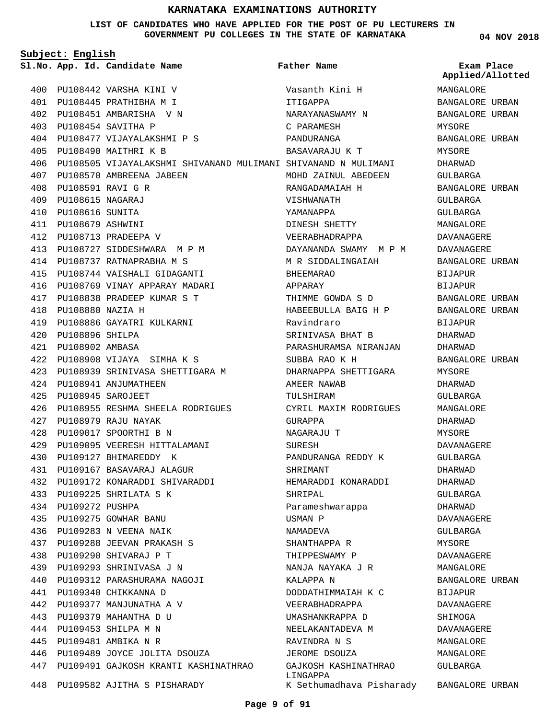**LIST OF CANDIDATES WHO HAVE APPLIED FOR THE POST OF PU LECTURERS IN GOVERNMENT PU COLLEGES IN THE STATE OF KARNATAKA**

**04 NOV 2018**

| Subject: English |                     |                                                                |                                  |                                |
|------------------|---------------------|----------------------------------------------------------------|----------------------------------|--------------------------------|
|                  |                     | Sl.No. App. Id. Candidate Name                                 | Father Name                      | Exam Place<br>Applied/Allotted |
| 400              |                     | PU108442 VARSHA KINI V                                         | Vasanth Kini H                   | MANGALORE                      |
|                  |                     | 401 PU108445 PRATHIBHA M I                                     | ITIGAPPA                         | BANGALORE URBAN                |
|                  |                     | 402 PU108451 AMBARISHA V N                                     | NARAYANASWAMY N                  | BANGALORE URBAN                |
| 403              |                     | PU108454 SAVITHA P                                             | C PARAMESH                       | MYSORE                         |
|                  |                     | 404 PU108477 VIJAYALAKSHMI P S                                 | PANDURANGA                       | BANGALORE URBAN                |
| 405              |                     | PU108490 MAITHRI K B                                           | BASAVARAJU K T                   | MYSORE                         |
| 406              |                     | PU108505 VIJAYALAKSHMI SHIVANAND MULIMANI SHIVANAND N MULIMANI |                                  | DHARWAD                        |
| 407              |                     | PU108570 AMBREENA JABEEN                                       | MOHD ZAINUL ABEDEEN              | GULBARGA                       |
| 408              |                     | PU108591 RAVI G R                                              | RANGADAMAIAH H                   | BANGALORE URBAN                |
| 409              | PU108615 NAGARAJ    |                                                                | VISHWANATH                       | GULBARGA                       |
| 410              | PU108616 SUNITA     |                                                                | YAMANAPPA                        | GULBARGA                       |
| 411              | PU108679 ASHWINI    |                                                                | DINESH SHETTY                    | MANGALORE                      |
|                  |                     | 412 PU108713 PRADEEPA V                                        | VEERABHADRAPPA                   | DAVANAGERE                     |
| 413              |                     | PU108727 SIDDESHWARA  M P M                                    | DAYANANDA SWAMY M P M            | DAVANAGERE                     |
|                  |                     | 414 PU108737 RATNAPRABHA M S                                   | M R SIDDALINGAIAH                | BANGALORE URBAN                |
| 415              |                     | PU108744 VAISHALI GIDAGANTI                                    | BHEEMARAO                        | BIJAPUR                        |
|                  |                     | 416 PU108769 VINAY APPARAY MADARI                              | APPARAY                          | <b>BIJAPUR</b>                 |
|                  |                     | 417 PU108838 PRADEEP KUMAR S T                                 | THIMME GOWDA S D                 | BANGALORE URBAN                |
| 418              | PU108880 NAZIA H    |                                                                | HABEEBULLA BAIG H P              | BANGALORE URBAN                |
| 419              |                     | PU108886 GAYATRI KULKARNI                                      | Ravindraro                       | BIJAPUR                        |
| 420              | PU108896 SHILPA     |                                                                | SRINIVASA BHAT B                 | DHARWAD                        |
| 421              | PU108902 AMBASA     |                                                                | PARASHURAMSA NIRANJAN            | DHARWAD                        |
| 422              |                     | PU108908 VIJAYA  SIMHA K S                                     | SUBBA RAO K H                    | BANGALORE URBAN                |
| 423              |                     | PU108939 SRINIVASA SHETTIGARA M                                | DHARNAPPA SHETTIGARA             | MYSORE                         |
| 424              |                     | PU108941 ANJUMATHEEN                                           | AMEER NAWAB                      | DHARWAD                        |
| 425              | PU108945 SAROJEET   |                                                                | TULSHIRAM                        | GULBARGA                       |
| 426              |                     | PU108955 RESHMA SHEELA RODRIGUES                               | CYRIL MAXIM RODRIGUES            | MANGALORE                      |
| 427              |                     | PU108979 RAJU NAYAK                                            | GURAPPA                          | DHARWAD                        |
| 428              |                     | PU109017 SPOORTHI B N                                          | NAGARAJU T                       | MYSORE                         |
| 429              |                     | PU109095 VEERESH HITTALAMANI                                   | SURESH                           | DAVANAGERE                     |
|                  |                     | 430 PU109127 BHIMAREDDY K                                      | PANDURANGA REDDY K               | GULBARGA                       |
| 431              |                     | PU109167 BASAVARAJ ALAGUR                                      | SHRIMANT                         | DHARWAD                        |
| 432              |                     | PU109172 KONARADDI SHIVARADDI                                  | HEMARADDI KONARADDI              | DHARWAD                        |
| 433              |                     | PU109225 SHRILATA S K                                          | SHRIPAL                          | GULBARGA                       |
|                  | 434 PU109272 PUSHPA |                                                                | Parameshwarappa                  | DHARWAD                        |
| 435              |                     | PU109275 GOWHAR BANU                                           | USMAN P                          | <b>DAVANAGERE</b>              |
| 436              |                     | PU109283 N VEENA NAIK                                          | NAMADEVA                         | GULBARGA                       |
|                  |                     | 437 PU109288 JEEVAN PRAKASH S                                  | SHANTHAPPA R                     | MYSORE                         |
|                  |                     | 438 PU109290 SHIVARAJ P T                                      | THIPPESWAMY P                    | DAVANAGERE                     |
| 439              |                     | PU109293 SHRINIVASA J N                                        | NANJA NAYAKA J R                 | MANGALORE                      |
| 440              |                     | PU109312 PARASHURAMA NAGOJI                                    | KALAPPA N                        | BANGALORE URBAN                |
| 441              |                     | PU109340 CHIKKANNA D                                           | DODDATHIMMAIAH K C               | <b>BIJAPUR</b>                 |
| 442              |                     | PU109377 MANJUNATHA A V                                        | VEERABHADRAPPA                   | DAVANAGERE                     |
| 443              |                     | PU109379 MAHANTHA D U                                          | UMASHANKRAPPA D                  | SHIMOGA                        |
| 444              |                     | PU109453 SHILPA M N                                            | NEELAKANTADEVA M                 | DAVANAGERE                     |
| 445              |                     | PU109481 AMBIKA N R                                            | RAVINDRA N S                     | MANGALORE                      |
| 446              |                     | PU109489 JOYCE JOLITA DSOUZA                                   | JEROME DSOUZA                    | MANGALORE                      |
| 447              |                     | PU109491 GAJKOSH KRANTI KASHINATHRAO                           | GAJKOSH KASHINATHRAO<br>LINGAPPA | GULBARGA                       |
| 448              |                     | PU109582 AJITHA S PISHARADY                                    | K Sethumadhava Pisharady         | BANGALORE URBAN                |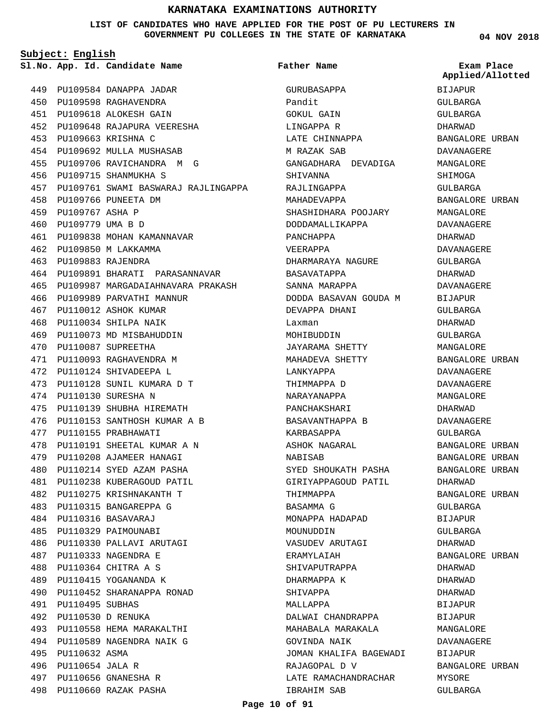## **LIST OF CANDIDATES WHO HAVE APPLIED FOR THE POST OF PU LECTURERS IN GOVERNMENT PU COLLEGES IN THE STATE OF KARNATAKA**

**Subject: English**

PU109584 DANAPPA JADAR 449 PU109598 RAGHAVENDRA 450 PU109618 ALOKESH GAIN 451 PU109648 RAJAPURA VEERESHA 452 PU109663 KRISHNA C 453 PU109692 MULLA MUSHASAB 454 PU109706 RAVICHANDRA M G 455 PU109715 SHANMUKHA S 456 PU109761 SWAMI BASWARAJ RAJLINGAPPA 457 PU109766 PUNEETA DM 458 459 PU109767 ASHA P PU109779 UMA B D 460 PU109838 MOHAN KAMANNAVAR 461 PU109850 M LAKKAMMA 462 PU109883 RAJENDRA 463 PU109891 BHARATI PARASANNAVAR 464 465 PU109987 MARGADAIAHNAVARA PRAKASH 466 PU109989 PARVATHI MANNUR 467 PU110012 ASHOK KUMAR PU110034 SHILPA NAIK 468 PU110073 MD MISBAHUDDIN 469 PU110087 SUPREETHA 470 PU110093 RAGHAVENDRA M 471 472 PU110124 SHIVADEEPA L PU110128 SUNIL KUMARA D T 473 PU110130 SURESHA N 474 PU110139 SHUBHA HIREMATH 475 PU110153 SANTHOSH KUMAR A B 476 477 PU110155 PRABHAWATI PU110191 SHEETAL KUMAR A N 478 PU110208 AJAMEER HANAGI 479 PU110214 SYED AZAM PASHA 480 PU110238 KUBERAGOUD PATIL 481 PU110275 KRISHNAKANTH T 482 PU110315 BANGAREPPA G 483 PU110316 BASAVARAJ 484 PU110329 PAIMOUNABI 485 PU110330 PALLAVI ARUTAGI 486 PU110333 NAGENDRA E 487 PU110364 CHITRA A S 488 PU110415 YOGANANDA K 489 PU110452 SHARANAPPA RONAD 490 PU110495 SUBHAS 491 PU110530 D RENUKA 492 PU110558 HEMA MARAKALTHI 493 PU110589 NAGENDRA NAIK G 494 495 PU110632 ASMA PU110654 JALA R 496 PU110656 GNANESHA R 497 PU110660 RAZAK PASHA 498

**App. Id. Candidate Name Sl.No. Exam Place** GURUBASAPPA Pandit GOKUL GAIN LINGAPPA R LATE CHINNAPPA M RAZAK SAB GANGADHARA DEVADIGA SHIVANNA RAJLINGAPPA MAHADEVAPPA SHASHIDHARA POOJARY DODDAMALLIKAPPA PANCHAPPA VEERAPPA DHARMARAYA NAGURE BASAVATAPPA SANNA MARAPPA DODDA BASAVAN GOUDA M DEVAPPA DHANI Laxman MOHIBUDDIN JAYARAMA SHETTY MAHADEVA SHETTY LANKYAPPA THIMMAPPA D NARAYANAPPA PANCHAKSHARI BASAVANTHAPPA B KARBASAPPA ASHOK NAGARAL NABISAB SYED SHOUKATH PASHA GIRIYAPPAGOUD PATIL THIMMAPPA BASAMMA G MONAPPA HADAPAD MOUNUDDIN VASUDEV ARUTAGI ERAMYLAIAH SHIVAPUTRAPPA DHARMAPPA K SHIVAPPA MALLAPPA DALWAI CHANDRAPPA MAHABALA MARAKALA GOVINDA NAIK JOMAN KHALIFA BAGEWADI RAJAGOPAL D V LATE RAMACHANDRACHAR IBRAHIM SAB **Father Name**

**04 NOV 2018**

BIJAPUR GULBARGA GULBARGA DHARWAD BANGALORE URBAN DAVANAGERE MANGALORE SHIMOGA GULBARGA BANGALORE URBAN MANGALORE DAVANAGERE DHARWAD DAVANAGERE GULBARGA DHARWAD DAVANAGERE BIJAPUR GULBARGA DHARWAD GULBARGA MANGALORE BANGALORE URBAN DAVANAGERE DAVANAGERE MANGALORE DHARWAD DAVANAGERE GULBARGA BANGALORE URBAN BANGALORE URBAN BANGALORE URBAN DHARWAD BANGALORE URBAN GULBARGA BIJAPUR GULBARGA DHARWAD BANGALORE URBAN DHARWAD DHARWAD DHARWAD BIJAPUR **BIJAPUR** MANGALOR**E** DAVANAGERE BIJAPUR BANGALORE URBAN MYSORE GULBARGA **Applied/Allotted**

## **Page 10 of 91**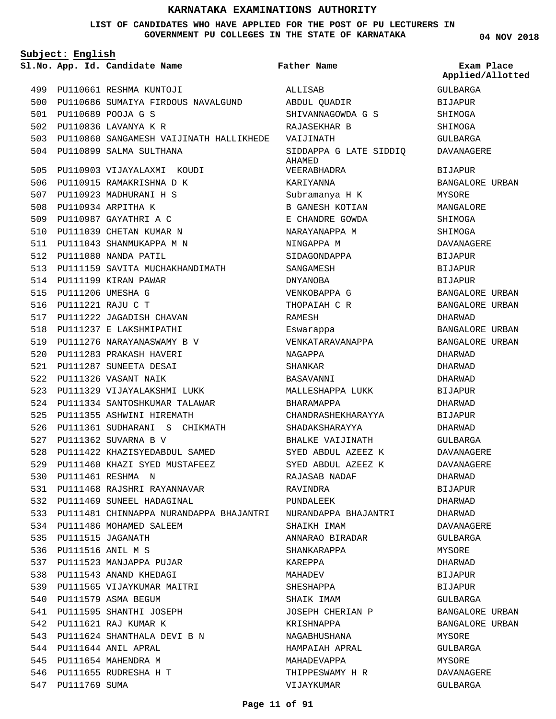#### **LIST OF CANDIDATES WHO HAVE APPLIED FOR THE POST OF PU LECTURERS IN GOVERNMENT PU COLLEGES IN THE STATE OF KARNATAKA**

**Subject: English**

**App. Id. Candidate Name Sl.No. Exam Place**

**Father Name**

ALLISAB

AHAMED

RAMESH Eswarappa

NAGAPPA SHANKAR BASAVANNI

BHARAMAPPA

RAJASAB NADAF RAVINDRA PUNDALEEK

SHAIKH IMAM ANNARAO BIRADAR SHANKARAPPA KAREPPA MAHADEV SHESHAPPA SHAIK IMAM

JOSEPH CHERIAN P

KRISHNAPPA NAGABHUSHANA HAMPAIAH APRAL MAHADEVAPPA THIPPESWAMY H R

VIJAYKUMAR

ABDUL QUADIR

VEERABHADRA KARIYANNA

Subramanya H K B GANESH KOTIAN E CHANDRE GOWDA NARAYANAPPA M NINGAPPA M SIDAGONDAPPA SANGAMESH DNYANOBA VENKOBAPPA G THOPAIAH C R

VENKATARAVANAPPA

MALLESHAPPA LUKK

CHANDRASHEKHARAYYA SHADAKSHARAYYA BHALKE VAIJINATH SYED ABDUL AZEEZ K SYED ABDUL AZEEZ K

NURANDAPPA BHAJANTRI

SHIVANNAGOWDA G S RAJASEKHAR B VAIJINATH

SIDDAPPA G LATE SIDDIQ GULBARGA BIJAPUR SHIMOGA SHIMOGA GULBARGA DAVANAGERE BIJAPUR BANGALORE URBAN MYSORE MANGALORE SHIMOGA SHIMOGA DAVANAGERE BIJAPUR BIJAPUR BIJAPUR BANGALORE URBAN BANGALORE URBAN DHARWAD BANGALORE URBAN BANGALORE URBAN DHARWAD DHARWAD DHARWAD BIJAPUR DHARWAD BIJAPUR DHARWAD GULBARGA DAVANAGERE DAVANAGERE DHARWAD BIJAPUR DHARWAD DHARWAD DAVANAGERE GULBARGA MYSORE DHARWAD BIJAPUR BIJAPUR GULBARGA BANGALORE URBAN BANGALORE URBAN MYSORE GULBARGA **Applied/Allotted**

> MYSORE DAVANAGERE GULBARGA

| 499 |                       | PU110661 RESHMA KUNTOJI                     |
|-----|-----------------------|---------------------------------------------|
|     |                       | 500 PU110686 SUMAIYA FIRDOUS NAVALGUND      |
|     |                       | 501 PU110689 POOJA G S                      |
|     |                       | 502 PU110836 LAVANYA K R                    |
|     |                       | 503 PU110860 SANGAMESH VAIJINATH HALLIKHEDE |
|     |                       | 504 PU110899 SALMA SULTHANA                 |
| 505 |                       | PU110903 VIJAYALAXMI KOUDI                  |
|     |                       | 506 PU110915 RAMAKRISHNA D K                |
|     |                       | 507 PU110923 MADHURANI H S                  |
| 508 |                       | PU110934 ARPITHA K                          |
|     |                       | 509 PU110987 GAYATHRI A C                   |
|     |                       | 510 PU111039 CHETAN KUMAR N                 |
|     |                       | 511 PU111043 SHANMUKAPPA M N                |
|     |                       | 512 PU111080 NANDA PATIL                    |
|     |                       | 513 PU111159 SAVITA MUCHAKHANDIMATH         |
|     |                       | 514 PU111199 KIRAN PAWAR                    |
|     | 515 PU111206 UMESHA G |                                             |
|     | 516 PU111221 RAJU C T |                                             |
|     |                       | 517 PU111222 JAGADISH CHAVAN                |
|     |                       | 518 PU111237 E LAKSHMIPATHI                 |
|     |                       | 519 PU111276 NARAYANASWAMY B V              |
|     |                       | 520 PU111283 PRAKASH HAVERI                 |
|     |                       | 521 PU111287 SUNEETA DESAI                  |
|     |                       | 522 PU111326 VASANT NAIK                    |
| 523 |                       | PU111329 VIJAYALAKSHMI LUKK                 |
| 524 |                       | PU111334 SANTOSHKUMAR TALAWAR               |
|     |                       | 525 PU111355 ASHWINI HIREMATH               |
|     |                       | 526 PU111361 SUDHARANI S CHIKMATH           |
|     |                       | 527 PU111362 SUVARNA B V                    |
|     |                       | 528 PU111422 KHAZISYEDABDUL SAMED           |
|     |                       | 529 PU111460 KHAZI SYED MUSTAFEEZ           |
|     |                       | 530 PU111461 RESHMA N                       |
|     |                       | 531 PU111468 RAJSHRI RAYANNAVAR             |
|     |                       | 532 PU111469 SUNEEL HADAGINAL               |
|     |                       | 533 PU111481 CHINNAPPA NURANDAPPA BHAJANTRI |
|     |                       | 534 PU111486 MOHAMED SALEEM                 |
|     |                       | 535 PU111515 JAGANATH                       |
|     | 536 PU111516 ANIL M S |                                             |
|     |                       | 537 PU111523 MANJAPPA PUJAR                 |
|     |                       | 538 PU111543 ANAND KHEDAGI                  |
|     |                       | 539 PU111565 VIJAYKUMAR MAITRI              |
|     |                       | 540 PU111579 ASMA BEGUM                     |
|     |                       | 541 PU111595 SHANTHI JOSEPH                 |
|     |                       | 542 PU111621 RAJ KUMAR K                    |
|     |                       | 543 PU111624 SHANTHALA DEVI B N             |
|     |                       | 544 PU111644 ANIL APRAL                     |
|     |                       | 545 PU111654 MAHENDRA M                     |
|     |                       | 546 PU111655 RUDRESHA H T                   |

547 PU111769 SUMA

**Page 11 of 91**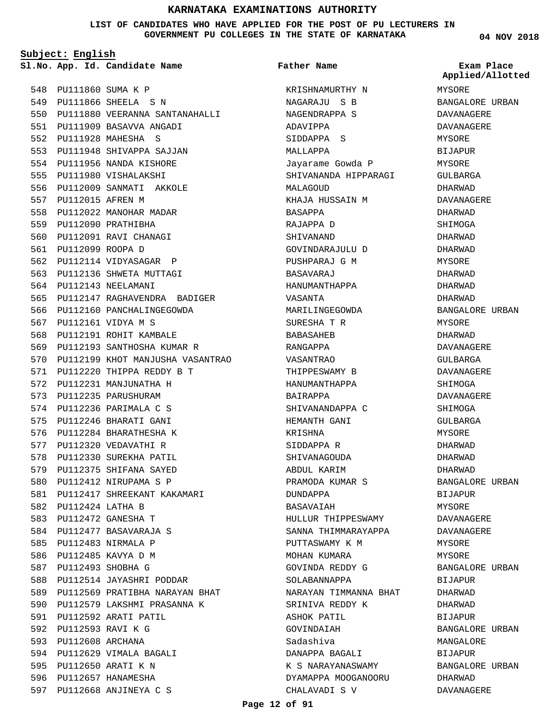**LIST OF CANDIDATES WHO HAVE APPLIED FOR THE POST OF PU LECTURERS IN GOVERNMENT PU COLLEGES IN THE STATE OF KARNATAKA**

**Subject: English**

**App. Id. Candidate Name Sl.No. Exam Place**

**Father Name**

548 PU111860 SUMA K P PU111866 SHEELA S N 549 550 PU111880 VEERANNA SANTANAHALLI PU111909 BASAVVA ANGADI 551 PU111928 MAHESHA S 552 553 PU111948 SHIVAPPA SAJJAN 554 PU111956 NANDA KISHORE PU111980 VISHALAKSHI 555 556 PU112009 SANMATI AKKOLE 557 PU112015 AFREN M 558 PU112022 MANOHAR MADAR 559 PU112090 PRATHIBHA 560 PU112091 RAVI CHANAGI PU112099 ROOPA D 561 562 PU112114 VIDYASAGAR P 563 PU112136 SHWETA MUTTAGI 564 PU112143 NEELAMANI 565 PU112147 RAGHAVENDRA BADIGER 566 PU112160 PANCHALINGEGOWDA PU112161 VIDYA M S 567 568 PU112191 ROHIT KAMBALE 569 PU112193 SANTHOSHA KUMAR R 570 PU112199 KHOT MANJUSHA VASANTRAO PU112220 THIPPA REDDY B T 571 572 PU112231 MANJUNATHA H 573 PU112235 PARUSHURAM 574 PU112236 PARIMALA C S 575 PU112246 BHARATI GANI 576 PU112284 BHARATHESHA K 577 PU112320 VEDAVATHI R 578 PU112330 SUREKHA PATIL 579 PU112375 SHIFANA SAYED 580 PU112412 NIRUPAMA S P PU112417 SHREEKANT KAKAMARI 581 PU112424 LATHA B 582 PU112472 GANESHA T 583 584 PU112477 BASAVARAJA S PU112483 NIRMALA P 585 PU112485 KAVYA D M 586 587 PU112493 SHOBHA G 588 PU112514 JAYASHRI PODDAR 589 PU112569 PRATIBHA NARAYAN BHAT 590 PU112579 LAKSHMI PRASANNA K 591 PU112592 ARATI PATIL 592 PU112593 RAVI K G 593 PU112608 ARCHANA 594 PU112629 VIMALA BAGALI PU112650 ARATI K N 595 596 PU112657 HANAMESHA PU112668 ANJINEYA C S 597

KRISHNAMURTHY N NAGARAJU S B NAGENDRAPPA S ADAVIPPA SIDDAPPA S MALLAPPA Jayarame Gowda P SHIVANANDA HIPPARAGI MALAGOUD KHAJA HUSSAIN M BASAPPA RAJAPPA D SHIVANAND GOVINDARAJULU D PUSHPARAJ G M BASAVARAJ HANUMANTHAPPA VASANTA MARILINGEGOWDA SURESHA T R BABASAHEB RANGAPPA VASANTRAO THIPPESWAMY B HANUMANTHAPPA BAIRAPPA SHIVANANDAPPA C HEMANTH GANI KRISHNA SIDDAPPA R SHIVANAGOUDA ABDUL KARIM PRAMODA KUMAR S DUNDAPPA BASAVAIAH HULLUR THIPPESWAMY SANNA THIMMARAYAPPA PUTTASWAMY K M MOHAN KUMARA MUHAR IT.<br>GOVINDA REDDY G SOLABANNAPPA NARAYAN TIMMANNA BHAT SRINIVA REDDY K ASHOK PATIL GOVINDAIAH Sadashiva DANAPPA BAGALI K S NARAYANASWAMY DYAMAPPA MOOGANOORU CHALAVADI S V

**04 NOV 2018**

MYSORE BANGALORE URBAN DAVANAGERE DAVANAGERE MYSORE BIJAPUR MYSORE GULBARGA DHARWAD DAVANAGERE DHARWAD SHIMOGA DHARWAD DHARWAD MYSORE DHARWAD DHARWAD DHARWAD BANGALORE URBAN MYSORE DHARWAD DAVANAGERE GULBARGA DAVANAGERE SHIMOGA DAVANAGERE **SHIMOGA** GULBARGA **MYSORE** DHARWAD DHARWAD DHARWAD BANGALORE URBAN BIJAPUR MYSORE DAVANAGERE DAVANAGERE MYSORE MYSORE BANGALORE URBAN BIJAPUR DHARWAD DHARWAD **BIJAPUR** BANGALORE URBAN MANGALORE BIJAPUR BANGALORE URBAN DHARWAD DAVANAGERE **Applied/Allotted**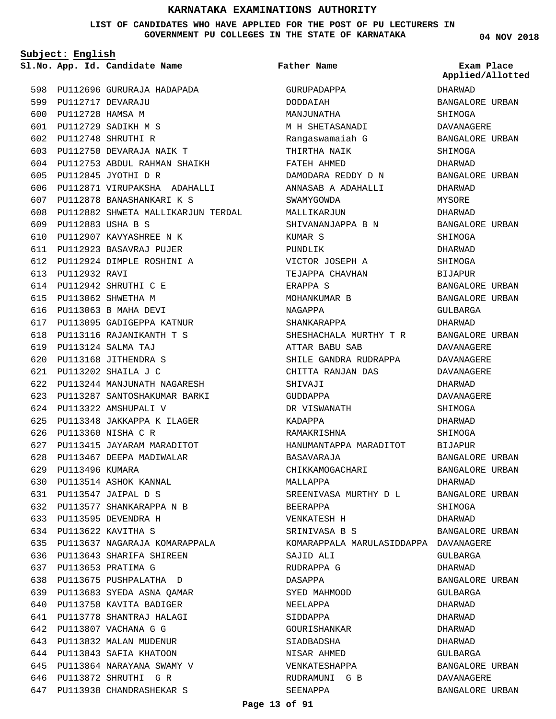## **LIST OF CANDIDATES WHO HAVE APPLIED FOR THE POST OF PU LECTURERS IN GOVERNMENT PU COLLEGES IN THE STATE OF KARNATAKA**

**Subject: English**

**App. Id. Candidate Name Sl.No. Exam Place**

**Father Name**

598 PU112696 GURURAJA HADAPADA 599 PU112717 DEVARAJU 600 PU112728 HAMSA M PU112729 SADIKH M S 601 PU112748 SHRUTHI R 602 PU112750 DEVARAJA NAIK T 603 PU112753 ABDUL RAHMAN SHAIKH 604 PU112845 JYOTHI D R 605 606 PU112871 VIRUPAKSHA ADAHALLI PU112878 BANASHANKARI K S 607 608 PU112882 SHWETA MALLIKARJUN TERDAL PU112883 USHA B S 609 PU112907 KAVYASHREE N K 610 PU112923 BASAVRAJ PUJER 611 PU112924 DIMPLE ROSHINI A 612 613 PU112932 RAVI PU112942 SHRUTHI C E 614 PU113062 SHWETHA M 615 PU113063 B MAHA DEVI 616 PU113095 GADIGEPPA KATNUR 617 PU113116 RAJANIKANTH T S 618 PU113124 SALMA TAJ 619 PU113168 JITHENDRA S 620 PU113202 SHAILA J C 621 PU113244 MANJUNATH NAGARESH 622 PU113287 SANTOSHAKUMAR BARKI 623 PU113322 AMSHUPALI V 624 PU113348 JAKKAPPA K ILAGER 625 PU113360 NISHA C R 626 PU113415 JAYARAM MARADITOT 627 628 PU113467 DEEPA MADIWALAR 629 PU113496 KUMARA 630 PU113514 ASHOK KANNAL PU113547 JAIPAL D S 631 PU113577 SHANKARAPPA N B 632 PU113595 DEVENDRA H 633 PU113622 KAVITHA S 634 PU113637 NAGARAJA KOMARAPPALA 635 PU113643 SHARIFA SHIREEN 636 PU113653 PRATIMA G 637 638 PU113675 PUSHPALATHA D PU113683 SYEDA ASNA QAMAR 639 640 PU113758 KAVITA BADIGER PU113778 SHANTRAJ HALAGI 641 PU113807 VACHANA G G 642 643 PU113832 MALAN MUDENUR 644 PU113843 SAFIA KHATOON 645 PU113864 NARAYANA SWAMY V 646 PU113872 SHRUTHI G R PU113938 CHANDRASHEKAR S 647

GURUPADAPPA DODDAIAH MANJUNATHA M H SHETASANADI Rangaswamaiah G THIRTHA NAIK FATEH AHMED DAMODARA REDDY D N ANNASAB A ADAHALLI SWAMYGOWDA MALLIKARJUN SHIVANANJAPPA B N KUMAR S PUNDLIK VICTOR JOSEPH A TEJAPPA CHAVHAN ERAPPA S MOHANKUMAR B NAGAPPA SHANKARAPPA SHESHACHALA MURTHY T R ATTAR BABU SAB SHILE GANDRA RUDRAPPA CHITTA RANJAN DAS SHIVAJI GUDDAPPA DR VISWANATH KADAPPA RAMAKRISHNA HANUMANTAPPA MARADITOT BASAVARAJA CHIKKAMOGACHARI MALLAPPA SREENIVASA MURTHY D L BEERAPPA VENKATESH H SRINIVASA B S KOMARAPPALA MARULASIDDAPPA DAVANAGERE SAJID ALI RUDRAPPA G DASAPPA SYED MAHMOOD NEELAPPA SIDDAPPA GOUR ISHANKAR SIADBADSHA NISAR AHMED VENKATESHAPPA RUDRAMUNI G B SEENAPPA

**04 NOV 2018**

DHARWAD BANGALORE URBAN SHIMOGA DAVANAGERE BANGALORE URBAN SHIMOGA DHARWAD BANGALORE URBAN DHARWAD MYSORE DHARWAD BANGALORE URBAN SHIMOGA DHARWAD SHIMOGA BIJAPUR BANGALORE URBAN BANGALORE URBAN GULBARGA DHARWAD BANGALORE URBAN DAVANAGERE DAVANAGERE DAVANAGERE DHARWAD DAVANAGERE **SHIMOGA** DHARWAD SHIMOGA BIJAPUR BANGALORE URBAN BANGALORE URBAN DHARWAD BANGALORE URBAN SHIMOGA DHARWAD BANGALORE URBAN GULBARGA DHARWAD BANGALORE URBAN GULBARGA DHARWAD DHARWAD DHARWAD DHARWAD GULBARGA BANGALORE URBAN DAVANAGERE BANGALORE URBAN **Applied/Allotted**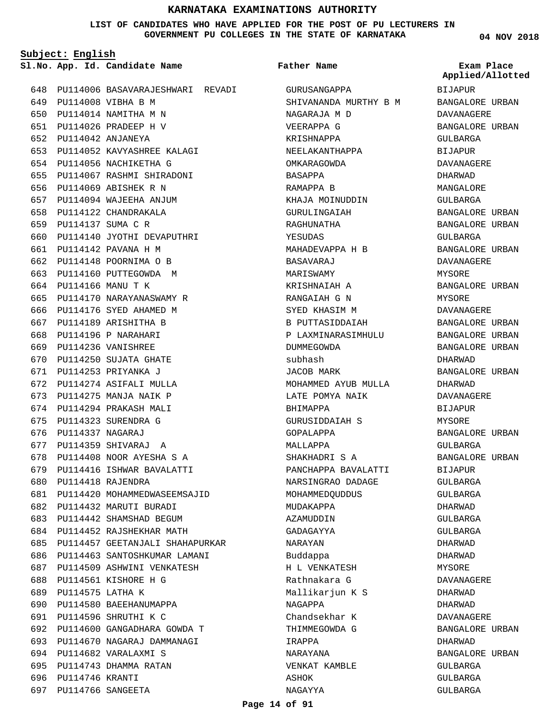**LIST OF CANDIDATES WHO HAVE APPLIED FOR THE POST OF PU LECTURERS IN GOVERNMENT PU COLLEGES IN THE STATE OF KARNATAKA**

**Subject: English**

**App. Id. Candidate Name Sl.No. Exam Place**

PU114006 BASAVARAJESHWARI REVADI 648 PU114008 VIBHA B M 649 650 PU114014 NAMITHA M N PU114026 PRADEEP H V 651 PU114042 ANJANEYA 652 PU114052 KAVYASHREE KALAGI 653 654 PU114056 NACHIKETHA G PU114067 RASHMI SHIRADONI 655 PU114069 ABISHEK R N 656 PU114094 WAJEEHA ANJUM 657 658 PU114122 CHANDRAKALA PU114137 SUMA C R 659 660 PU114140 JYOTHI DEVAPUTHRI PU114142 PAVANA H M 661 662 PU114148 POORNIMA O B 663 PU114160 PUTTEGOWDA M PU114166 MANU T K 664 665 PU114170 NARAYANASWAMY R 666 PU114176 SYED AHAMED M 667 PU114189 ARISHITHA B 668 PU114196 P NARAHARI PU114236 VANISHREE 669 670 PU114250 SUJATA GHATE PU114253 PRIYANKA J 671 PU114274 ASIFALI MULLA 672 673 PU114275 MANJA NAIK P 674 PU114294 PRAKASH MALI 675 PU114323 SURENDRA G PU114337 NAGARAJ 676 677 PU114359 SHIVARAJ A PU114408 NOOR AYESHA S A 678 PU114416 ISHWAR BAVALATTI 679 PU114418 RAJENDRA 680 PU114420 MOHAMMEDWASEEMSAJID 681 682 PU114432 MARUTI BURADI PU114442 SHAMSHAD BEGUM 683 PU114452 RAJSHEKHAR MATH 684 685 PU114457 GEETANJALI SHAHAPURKAR 686 PU114463 SANTOSHKUMAR LAMANI PU114509 ASHWINI VENKATESH 687 PU114561 KISHORE H G 688 PU114575 LATHA K 689 690 PU114580 BAEEHANUMAPPA PU114596 SHRUTHI K C 691 PU114600 GANGADHARA GOWDA T 692 PU114670 NAGARAJ DAMMANAGI 693 PU114682 VARALAXMI S 694 695 PU114743 DHAMMA RATAN 696 PU114746 KRANTI 697 PU114766 SANGEETA

## **Father Name**

GURUSANGAPPA SHIVANANDA MURTHY B M NAGARAJA M D VEERAPPA G KRISHNAPPA NEELAKANTHAPPA OMKARAGOWDA BASAPPA RAMAPPA B KHAJA MOINUDDIN GURULINGAIAH RAGHUNATHA YESUDAS MAHADEVAPPA H B BASAVARAJ MARISWAMY KRISHNAIAH A RANGAIAH G N SYED KHASIM M B PUTTASIDDAIAH P LAXMINARASIMHULU DUMMEGOWDA subhash JACOB MARK MOHAMMED AYUB MULLA LATE POMYA NAIK **BHIMAPPA** GURUSIDDAIAH S GOPALAPPA MALLAPPA SHAKHADRI S A PANCHAPPA BAVALATTI NARSINGRAO DADAGE MOHAMMEDQUDDUS MUDAKAPPA AZAMUDDIN GADAGAYYA NARAYAN Buddappa H L VENKATESH Rathnakara G Mallikarjun K S NAGAPPA Chandsekhar K THIMMEGOWDA G IRAPPA NARAYANA VENKAT KAMBLE ASHOK NAGAYYA

**04 NOV 2018**

BIJAPUR BANGALORE URBAN DAVANAGERE BANGALORE URBAN GULBARGA BIJAPUR DAVANAGERE DHARWAD MANGALORE GULBARGA BANGALORE URBAN BANGALORE URBAN GULBARGA BANGALORE URBAN DAVANAGERE MYSORE BANGALORE URBAN MYSORE DAVANAGERE BANGALORE URBAN BANGALORE URBAN BANGALORE URBAN DHARWAD BANGALORE URBAN DHARWAD DAVANAGERE BIJAPUR MYSORE BANGALORE URBAN GULBARGA BANGALORE URBAN BIJAPUR GULBARGA GULBARGA DHARWAD GULBARGA GULBARGA DHARWAD DHARWAD MYSORE DAVANAGERE DHARWAD DHARWAD DAVANAGERE BANGALORE URBAN DHARWAD BANGALORE URBAN GULBARGA GULBARGA GULBARGA **Applied/Allotted**

## **Page 14 of 91**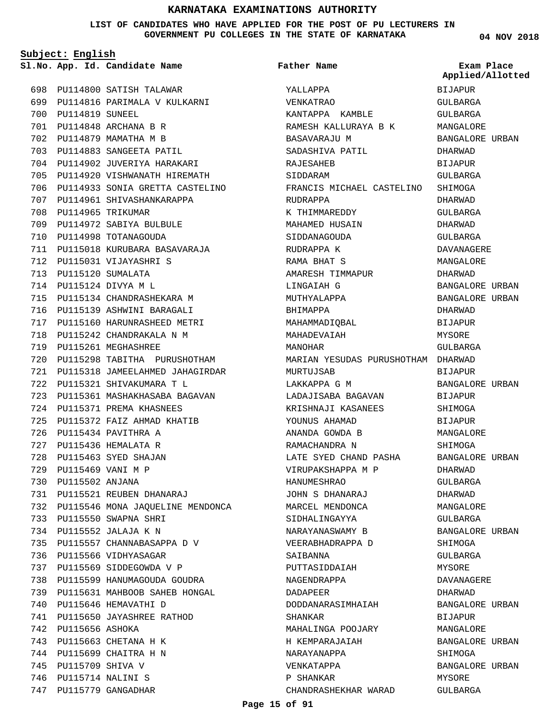## **LIST OF CANDIDATES WHO HAVE APPLIED FOR THE POST OF PU LECTURERS IN GOVERNMENT PU COLLEGES IN THE STATE OF KARNATAKA**

**Subject: English**

698 PU114800 SATISH TALAWAR

PU114816 PARIMALA V KULKARNI 699 PU114819 SUNEEL 700 PU114848 ARCHANA B R 701 PU114879 MAMATHA M B 702 703 PU114883 SANGEETA PATIL 704 PU114902 JUVERIYA HARAKARI PU114920 VISHWANATH HIREMATH 705 706 PU114933 SONIA GRETTA CASTELINO 707 PU114961 SHIVASHANKARAPPA 708 PU114965 TRIKUMAR PU114972 SABIYA BULBULE 709 710 PU114998 TOTANAGOUDA PU115018 KURUBARA BASAVARAJA 711 PU115031 VIJAYASHRI S 712 PU115120 SUMALATA 713 PU115124 DIVYA M L 714 PU115134 CHANDRASHEKARA M 715 716 PU115139 ASHWINI BARAGALI PU115160 HARUNRASHEED METRI 717 PU115242 CHANDRAKALA N M 718 719 PU115261 MEGHASHREE 720 PU115298 TABITHA PURUSHOTHAM PU115318 JAMEELAHMED JAHAGIRDAR 721 PU115321 SHIVAKUMARA T L 722 PU115361 MASHAKHASABA BAGAVAN 723 PU115371 PREMA KHASNEES 724 PU115372 FAIZ AHMAD KHATIB 725 PU115434 PAVITHRA A 726 PU115436 HEMALATA R 727 PU115463 SYED SHAJAN 728 PU115469 VANI M P 729 PU115502 ANJANA 730 PU115521 REUBEN DHANARAJ 731 732 PU115546 MONA JAQUELINE MENDONCA PU115550 SWAPNA SHRI 733 PU115552 JALAJA K N 734 735 PU115557 CHANNABASAPPA D V 736 PU115566 VIDHYASAGAR PU115569 SIDDEGOWDA V P 737 PU115599 HANUMAGOUDA GOUDRA 738 PU115631 MAHBOOB SAHEB HONGAL 739 PU115646 HEMAVATHI D 740 PU115650 JAYASHREE RATHOD 741 742 PU115656 ASHOKA PU115663 CHETANA H K 743 PU115699 CHAITRA H N 744 745 PU115709 SHIVA V PU115714 NALINI S 746 PU115779 GANGADHAR 747

**App. Id. Candidate Name Sl.No. Exam Place** YALLAPPA VENKATRAO KANTAPPA KAMBLE RAMESH KALLURAYA B K BASAVARAJU M SADASHIVA PATIL RAJESAHEB SIDDARAM FRANCIS MICHAEL CASTELINO SHIMOGA RUDRAPPA K THIMMAREDDY MAHAMED HUSAIN SIDDANAGOUDA RUDRAPPA K RAMA BHAT S AMARESH TIMMAPUR LINGAIAH G MUTHYALAPPA BHIMAPPA MAHAMMADIQBAL MAHADEVAIAH MANOHAR MARIAN YESUDAS PURUSHOTHAM DHARWAD MURTUJSAB LAKKAPPA G M LADAJISABA BAGAVAN KRISHNAJI KASANEES YOUNUS AHAMAD ANANDA GOWDA B RAMACHANDRA N LATE SYED CHAND PASHA VIRUPAKSHAPPA M P HANUMESHRAO JOHN S DHANARAJ MARCEL MENDONCA SIDHALINGAYYA NARAYANASWAMY B VEERABHADRAPPA D SAIBANNA PUTTASIDDAIAH NAGENDRAPPA DADAPEER DODDANARASIMHAIAH SHANKAR MAHALINGA POOJARY H KEMPARAJAIAH NARAYANAPPA VENKATAPPA P SHANKAR CHANDRASHEKHAR WARAD **Father Name** BIJAPUR GULBARGA GULBARGA MANGALORE BANGALORE URBAN DHARWAD BIJAPUR GULBARGA DHARWAD GULBARGA DHARWAD GULBARGA DAVANAGERE MANGALORE DHARWAD BANGALORE URBAN BANGALORE URBAN DHARWAD BIJAPUR MYSORE GULBARGA BIJAPUR BANGALORE URBAN BIJAPUR **SHIMOGA** BIJAPUR MANGALORE SHIMOGA BANGALORE URBAN DHARWAD GULBARGA DHARWAD MANGALORE GULBARGA BANGALORE URBAN SHIMOGA GULBARGA MYSORE DAVANAGERE DHARWAD BANGALORE URBAN BIJAPUR MANGALORE BANGALORE URBAN SHIMOGA BANGALORE URBAN MYSORE GULBARGA **Applied/Allotted**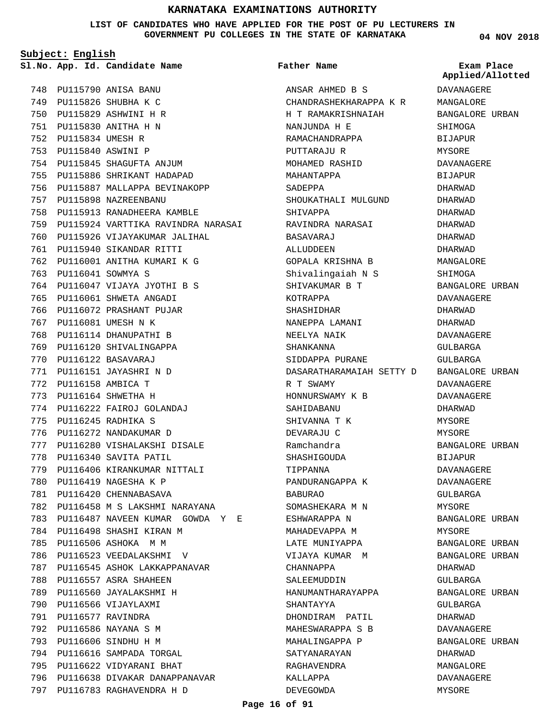**LIST OF CANDIDATES WHO HAVE APPLIED FOR THE POST OF PU LECTURERS IN GOVERNMENT PU COLLEGES IN THE STATE OF KARNATAKA**

**Subject: English**

**App. Id. Candidate Name Sl.No. Exam Place**

PU115790 ANISA BANU 748 PU115826 SHUBHA K C 749 PU115829 ASHWINI H R 750 PU115830 ANITHA H N 751 PU115834 UMESH R 752 PU115840 ASWINI P 753 754 PU115845 SHAGUFTA ANJUM PU115886 SHRIKANT HADAPAD 755 756 PU115887 MALLAPPA BEVINAKOPP PU115898 NAZREENBANU 757 758 PU115913 RANADHEERA KAMBLE 759 PU115924 VARTTIKA RAVINDRA NARASAI 760 PU115926 VIJAYAKUMAR JALIHAL PU115940 SIKANDAR RITTI 761 762 PU116001 ANITHA KUMARI K G PU116041 SOWMYA S 763 PU116047 VIJAYA JYOTHI B S 764 765 PU116061 SHWETA ANGADI 766 PU116072 PRASHANT PUJAR 767 PU116081 UMESH N K 768 PU116114 DHANUPATHI B 769 PU116120 SHIVALINGAPPA PU116122 BASAVARAJ 770 PU116151 JAYASHRI N D 771 PU116158 AMBICA T 772 PU116164 SHWETHA H 773 PU116222 FAIROJ GOLANDAJ 774 PU116245 RADHIKA S 775 776 PU116272 NANDAKUMAR D PU116280 VISHALAKSHI DISALE 777 778 PU116340 SAVITA PATIL 779 PU116406 KIRANKUMAR NITTALI PU116419 NAGESHA K P 780 781 PU116420 CHENNABASAVA PU116458 M S LAKSHMI NARAYANA 782 PU116487 NAVEEN KUMAR GOWDA Y E 783 784 PU116498 SHASHI KIRAN M PU116506 ASHOKA M M 785 786 PU116523 VEEDALAKSHMI V 787 PU116545 ASHOK LAKKAPPANAVAR 788 PU116557 ASRA SHAHEEN 789 PU116560 JAYALAKSHMI H 790 PU116566 VIJAYLAXMI PU116577 RAVINDRA 791 PU116586 NAYANA S M 792 PU116606 SINDHU H M 793 794 PU116616 SAMPADA TORGAL 795 PU116622 VIDYARANI BHAT 796 PU116638 DIVAKAR DANAPPANAVAR PU116783 RAGHAVENDRA H D 797

**Father Name**

ANSAR AHMED B S CHANDRASHEKHARAPPA K R H T RAMAKRISHNAIAH NANJUNDA H E RAMACHANDRAPPA PUTTARAJU R MOHAMED RASHID MAHANTAPPA SADEPPA SHOUKATHALI MULGUND SHIVAPPA RAVINDRA NARASAI BASAVARAJ ALLUDDEEN GOPALA KRISHNA B Shivalingaiah N S SHIVAKUMAR B T KOTRAPPA SHASHIDHAR NANEPPA LAMANI NEELYA NAIK SHANKANNA SIDDAPPA PURANE DASARATHARAMAIAH SETTY D BANGALORE URBAN R T SWAMY HONNURSWAMY K B **SAHIDARANU** SHIVANNA T K DEVARAJU C Ramchandra SHASHIGOUDA TIPPANNA PANDURANGAPPA K BABURAO SOMASHEKARA M N ESHWARAPPA N MAHADEVAPPA M LATE MUNIYAPPA VIJAYA KUMAR M CHANNAPPA SALEEMUDDIN HANUMANTHARAYAPPA SHANTAYYA DHONDIRAM PATIL MAHESWARAPPA S B MAHALINGAPPA P SATYANARAYAN RAGHAVENDRA KALLAPPA

**04 NOV 2018**

**Applied/Allotted**



DEVEGOWDA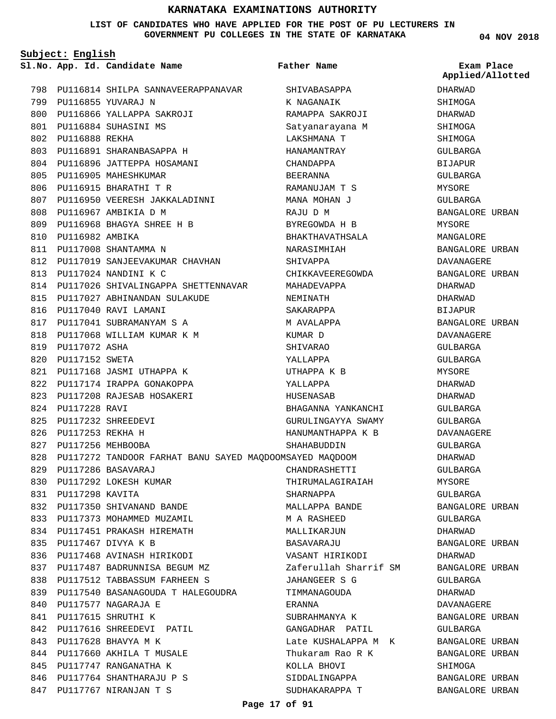### **LIST OF CANDIDATES WHO HAVE APPLIED FOR THE POST OF PU LECTURERS IN GOVERNMENT PU COLLEGES IN THE STATE OF KARNATAKA**

**Subject: English**

**App. Id. Candidate Name Sl.No. Exam Place**

798 PU116814 SHILPA SANNAVEERAPPANAVAR

**Father Name**

SHIVABASAPPA K NAGANAIK

**04 NOV 2018** DHARWAD SHIMOGA DHARWAD SHIMOGA SHIMOGA GULBARGA BIJAPUR GULBARGA **MYSORE** GULBARGA BANGALORE URBAN MYSORE MANGALORE BANGALORE URBAN DAVANAGERE BANGALORE URBAN DHARWAD DHARWAD BIJAPUR BANGALORE URBAN DAVANAGERE GULBARGA GULBARGA MYSORE DHARWAD DHARWAD GULBARGA GULBARGA DAVANAGERE GULBARGA DHARWAD **Applied/Allotted**

GULBARGA MYSORE GULBARGA

GULBARGA DHARWAD

DHARWAD

GULBARGA DHARWAD DAVANAGERE BANGALORE URBAN

GULBARGA

SHIMOGA

BANGALORE URBAN

BANGALORE URBAN

BANGALORE URBAN

BANGALORE URBAN BANGALORE URBAN

BANGALORE URBAN BANGALORE URBAN

PU116855 YUVARAJ N 799 PU116866 YALLAPPA SAKROJI 800 PU116884 SUHASINI MS 801 802 PU116888 REKHA 803 PU116891 SHARANBASAPPA H 804 PU116896 JATTEPPA HOSAMANI 805 PU116905 MAHESHKUMAR 806 PU116915 BHARATHI T R 807 PU116950 VEERESH JAKKALADINNI PU116967 AMBIKIA D M 808 PU116968 BHAGYA SHREE H B 809 810 PU116982 AMBIKA PU117008 SHANTAMMA N 811 812 PU117019 SANJEEVAKUMAR CHAVHAN PU117024 NANDINI K C 813 814 PU117026 SHIVALINGAPPA SHETTENNAVAR PU117027 ABHINANDAN SULAKUDE 815 PU117040 RAVI LAMANI 816 817 PU117041 SUBRAMANYAM S A 818 PU117068 WILLIAM KUMAR K M 819 PU117072 ASHA 820 PU117152 SWETA PU117168 JASMI UTHAPPA K 821 822 PU117174 IRAPPA GONAKOPPA PU117208 RAJESAB HOSAKERI 823 824 PU117228 RAVI PU117232 SHREEDEVI 825 PU117253 REKHA H 826 827 PU117256 MEHBOOBA PU117272 TANDOOR FARHAT BANU SAYED MAQDOOM SAYED MAQDOOM 828 PU117286 BASAVARAJ 829 830 PU117292 LOKESH KUMAR PU117298 KAVITA 831 832 PU117350 SHIVANAND BANDE 833 PU117373 MOHAMMED MUZAMIL PU117451 PRAKASH HIREMATH 834 PU117467 DIVYA K B 835 PU117468 AVINASH HIRIKODI 836 837 PU117487 BADRUNNISA BEGUM MZ PU117512 TABBASSUM FARHEEN S 838 PU117540 BASANAGOUDA T HALEGOUDRA 839 840 PU117577 NAGARAJA E PU117615 SHRUTHI K 841 842 PU117616 SHREEDEVI PATIL 843 PU117628 BHAVYA M K 844 PU117660 AKHILA T MUSALE 845 PU117747 RANGANATHA K 846 PU117764 SHANTHARAJU P S 847 PU117767 NIRANJAN T S RAMAPPA SAKROJI Satyanarayana M LAKSHMANA T HANAMANTRAY CHANDAPPA BEERANNA RAMANUJAM T S MANA MOHAN J RAJU D M BYREGOWDA H B BHAKTHAVATHSALA NARASIMHIAH SHIVAPPA CHIKKAVEEREGOWDA MAHADEVAPPA NEMINATH SAKARAPPA M AVALAPPA KUMAR D SHIVARAO YALLAPPA UTHAPPA K B YALLAPPA HUSENASAB BHAGANNA YANKANCHI GURULINGAYYA SWAMY HANUMANTHAPPA K B SHAHABUDDIN CHANDRASHETTI THIRUMALAGIRAIAH SHARNAPPA MALLAPPA BANDE M A RASHEED MALLIKARJUN BASAVARAJU VASANT HIRIKODI Zaferullah Sharrif SM JAHANGEER S G TIMMANAGOUDA ERANNA SUBRAHMANYA K GANGADHAR PATIL Late KUSHALAPPA M K Thukaram Rao R K KOLLA BHOVI SIDDALINGAPPA SUDHAKARAPPA T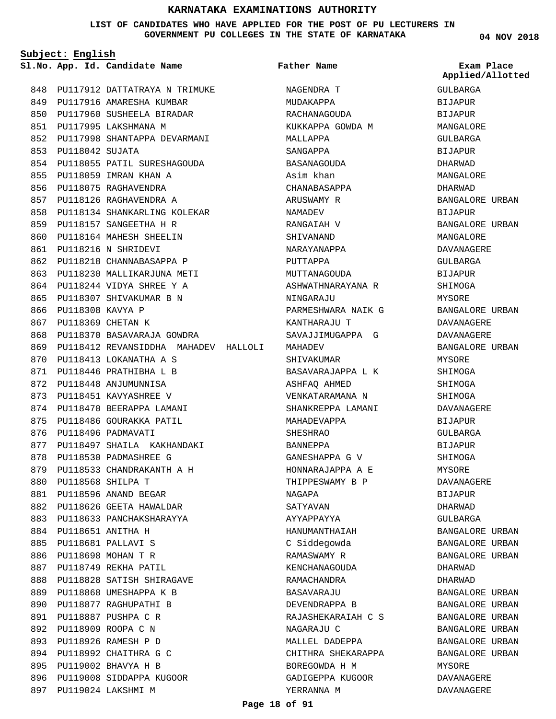## **LIST OF CANDIDATES WHO HAVE APPLIED FOR THE POST OF PU LECTURERS IN GOVERNMENT PU COLLEGES IN THE STATE OF KARNATAKA**

**Subject: English**

**App. Id. Candidate Name Sl.No. Exam Place**

**Father Name**

848 PU117912 DATTATRAYA N TRIMUKE 849 PU117916 AMARESHA KUMBAR 850 PU117960 SUSHEELA BIRADAR 851 PU117995 LAKSHMANA M 852 PU117998 SHANTAPPA DEVARMANI PU118042 SUJATA 853 854 PU118055 PATIL SURESHAGOUDA 855 PU118059 IMRAN KHAN A 856 PU118075 RAGHAVENDRA 857 PU118126 RAGHAVENDRA A 858 PU118134 SHANKARLING KOLEKAR PU118157 SANGEETHA H R 859 860 PU118164 MAHESH SHEELIN PU118216 N SHRIDEVI 861 862 PU118218 CHANNABASAPPA P 863 PU118230 MALLIKARJUNA METI PU118244 VIDYA SHREE Y A 864 865 PU118307 SHIVAKUMAR B N 866 PU118308 KAVYA P 867 PU118369 CHETAN K 868 PU118370 BASAVARAJA GOWDRA 869 PU118412 REVANSIDDHA MAHADEV HALLOLI PU118413 LOKANATHA A S 870 PU118446 PRATHIBHA L B 871 872 PU118448 ANJUMUNNISA 873 PU118451 KAVYASHREE V 874 PU118470 BEERAPPA LAMANI 875 PU118486 GOURAKKA PATIL 876 PU118496 PADMAVATI 877 PU118497 SHAILA KAKHANDAKI 878 PU118530 PADMASHREE G 879 PU118533 CHANDRAKANTH A H PU118568 SHILPA T 880 PU118596 ANAND BEGAR 881 882 PU118626 GEETA HAWALDAR 883 PU118633 PANCHAKSHARAYYA PU118651 ANITHA H 884 PU118681 PALLAVI S 885 PU118698 MOHAN T R 886 887 PU118749 REKHA PATIL PU118828 SATISH SHIRAGAVE 888 889 PU118868 UMESHAPPA K B 890 PU118877 RAGHUPATHI B PU118887 PUSHPA C R 891 PU118909 ROOPA C N 892 PU118926 RAMESH P D 893 894 PU118992 CHAITHRA G C PU119002 BHAVYA H B 895 896 PU119008 SIDDAPPA KUGOOR PU119024 LAKSHMI M 897

NAGENDRA T MUDAKAPPA RACHANAGOUDA KUKKAPPA GOWDA M MALLAPPA SANGAPPA BASANAGOUDA Asim khan CHANABASAPPA ARUSWAMY R NAMADEV RANGAIAH V SHIVANAND NARAYANAPPA PUTTAPPA MUTTANAGOUDA ASHWATHNARAYANA R NINGARAJII PARMESHWARA NAIK G KANTHARAJU T SAVAJJIMUGAPPA G MAHADEV SHIVAKUMAR BASAVARAJAPPA L K ASHFAQ AHMED VENKATARAMANA N SHANKREPPA LAMANI MAHADEVAPPA SHESHRAO BANNEPPA GANESHAPPA G V HONNARAJAPPA A E THIPPESWAMY B P NAGAPA SATYAVAN AYYAPPAYYA HANUMANTHAIAH C Siddegowda RAMASWAMY R KENCHANAGOUDA RAMACHANDRA BASAVARAJU DEVENDRAPPA B RAJASHEKARAIAH C S NAGARAJU C MALLEL DADEPPA CHITHRA SHEKARAPPA BOREGOWDA H M GADIGEPPA KUGOOR YERRANNA M

**04 NOV 2018**

**Applied/Allotted**

GULBARGA BIJAPUR BIJAPUR MANGALORE GULBARGA BIJAPUR DHARWAD MANGALORE DHARWAD BANGALORE URBAN BIJAPUR BANGALORE URBAN MANGALORE DAVANAGERE GULBARGA BIJAPUR SHIMOGA MYSORE BANGALORE URBAN DAVANAGERE DAVANAGERE BANGALORE URBAN MYSORE SHIMOGA SHIMOGA SHIMOGA DAVANAGERE BIJAPUR GULBARGA BIJAPUR SHIMOGA MYSORE DAVANAGERE BIJAPUR DHARWAD GULBARGA BANGALORE URBAN BANGALORE URBAN BANGALORE URBAN DHARWAD DHARWAD BANGALORE URBAN BANGALORE URBAN BANGALORE URBAN BANGALORE URBAN BANGALORE URBAN BANGALORE URBAN MYSORE DAVANAGERE DAVANAGERE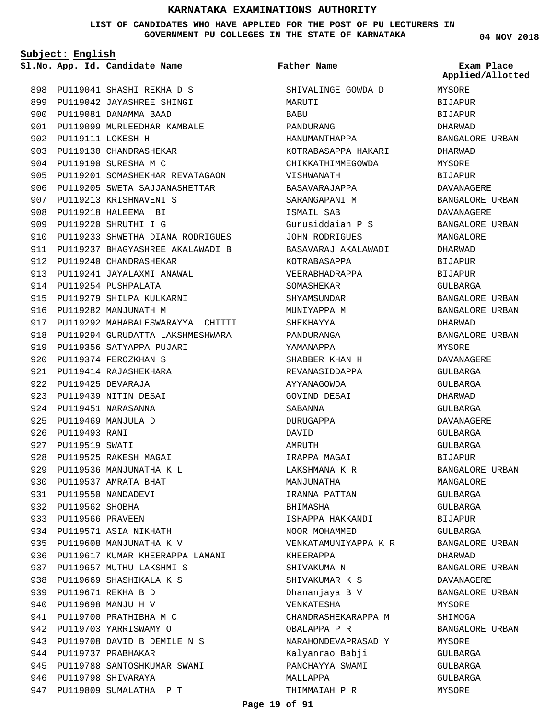**LIST OF CANDIDATES WHO HAVE APPLIED FOR THE POST OF PU LECTURERS IN GOVERNMENT PU COLLEGES IN THE STATE OF KARNATAKA**

**Subject: English**

**App. Id. Candidate Name Sl.No. Exam Place**

| 898 |                  | PU119041 SHASHI REKHA D S  |
|-----|------------------|----------------------------|
| 899 | PU119042         | JAYASHREE SHINGI           |
| 900 | PU119081         | DANAMMA BAAD               |
| 901 | PU119099         | MURLEEDHAR KAMBALE         |
| 902 | PU119111         | LOKESH H                   |
| 903 | PU119130         | CHANDRASHEKAR              |
| 904 | PU119190         | SURESHA M C                |
| 905 | PU119201         | SOMASHEKHAR REVATAGAON     |
| 906 | PU119205         | SWETA SAJJANASHETTAR       |
| 907 | PU119213         | KRISHNAVENI S              |
| 908 | PU119218         | HALEEMA BI                 |
| 909 | PU119220         | SHRUTHI I G                |
| 910 | PU119233         | SHWETHA DIANA RODRIGUES    |
| 911 | PU119237         | BHAGYASHREE AKALAWADI B    |
| 912 | PU119240         | CHANDRASHEKAR              |
| 913 | PU119241         | JAYALAXMI ANAWAL           |
| 914 | PU119254         | PUSHPALATA                 |
| 915 | PU119279         | SHILPA KULKARNI            |
| 916 | PU119282         | MANJUNATH M                |
| 917 | PU119292         | MAHABALESWARAYYA CHITTI    |
| 918 | PU119294         | GURUDATTA LAKSHMESHWARA    |
| 919 | PU119356         | SATYAPPA PUJARI            |
| 920 |                  | PU119374 FEROZKHAN S       |
| 921 |                  | PU119414 RAJASHEKHARA      |
| 922 | PU119425         | DEVARAJA                   |
| 923 | PU119439         | NITIN DESAI                |
| 924 | PU119451         | NARASANNA                  |
| 925 | PU119469         | MANJULA D                  |
| 926 | PU119493         | RANI                       |
| 927 | PU119519         | SWATI                      |
| 928 |                  | PU119525 RAKESH MAGAI      |
| 929 |                  |                            |
| 930 |                  | PU119536 MANJUNATHA K L    |
|     | PU119537         | AMRATA BHAT                |
| 931 |                  | PU119550 NANDADEVI         |
| 932 | PU119562 SHOBHA  |                            |
| 933 | PU119566 PRAVEEN |                            |
| 934 |                  | PU119571 ASIA NIKHATH      |
| 935 | PU119608         | MANJUNATHA K V             |
| 936 | PU119617         | KUMAR KHEERAPPA LAMANI     |
| 937 | PU119657         | MUTHU LAKSHMI S            |
| 938 | PU119669         | SHASHIKALA K S             |
| 939 | PU119671         | REKHA B D                  |
| 940 |                  | PU119698 MANJU H V         |
| 941 |                  | PU119700 PRATHIBHA M C     |
| 942 |                  | PU119703 YARRISWAMY O      |
| 943 | PU119708         | DAVID B DEMILE N S         |
| 944 | PU119737         | PRABHAKAR                  |
| 945 | PU119788         | SANTOSHKUMAR SWAMI         |
| 946 |                  | PU119798 SHIVARAYA         |
|     |                  | 947 PU119809 SUMALATHA P T |

SHIVALINGE GOWDA D MARUTI BABU PANDURANG HANUMANTHAPPA KOTRABASAPPA HAKARI CHIKKATHIMMEGOWDA VISHWANATH BASAVARAJAPPA SARANGAPANI M ISMAIL SAB Gurusiddaiah P S JOHN RODRIGUES BASAVARAJ AKALAWADI KOTRABASAPPA VEERABHADRAPPA SOMASHEKAR **SHYAMSUNDAR** MUNIYAPPA M SHEKHAYYA PANDURANGA YAMANAPPA SHABBER KHAN H REVANASIDDAPPA AYYANAGOWDA GOVIND DESAI SABANNA DURUGAPPA DAVID AMRUTH IRAPPA MAGAI LAKSHMANA K R MANJUNATHA IRANNA PATTAN BHIMASHA ISHAPPA HAKKANDI NOOR MOHAMMED VENKATAMUNIYAPPA K R KHEERAPPA SHIVAKUMA N SHIVAKUMAR K S Dhananjaya B V VENKATESHA CHANDRASHEKARAPPA M OBALAPPA P R NARAHONDEVAPRASAD Y Kalyanrao Babji PANCHAYYA SWAMI MALLAPPA THIMMAIAH P R **Father Name**

**04 NOV 2018**

MYSORE BIJAPUR BIJAPUR DHARWAD BANGALORE URBAN DHARWAD MYSORE BIJAPUR DAVANAGERE BANGALORE URBAN DAVANAGERE BANGALORE URBAN MANGALORE DHARWAD BIJAPUR BIJAPUR GULBARGA BANGALORE URBAN BANGALORE URBAN DHARWAD BANGALORE URBAN MYSORE DAVANAGERE GULBARGA GULBARGA DHARWAD GULBARGA DAVANAGERE GULBARGA GULBARGA BIJAPUR BANGALORE URBAN MANGALORE GULBARGA GULBARGA BIJAPUR GULBARGA BANGALORE URBAN DHARWAD BANGALORE URBAN DAVANAGERE BANGALORE URBAN MYSORE SHIMOGA BANGALORE URBAN MYSORE GULBARGA GULBARGA GULBARGA MYSORE **Applied/Allotted**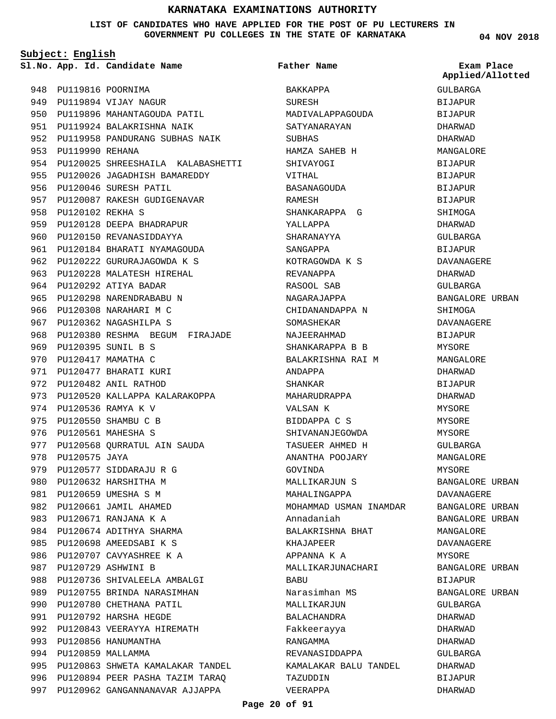## **LIST OF CANDIDATES WHO HAVE APPLIED FOR THE POST OF PU LECTURERS IN GOVERNMENT PU COLLEGES IN THE STATE OF KARNATAKA**

**Subject: English**

**Father Name**

**04 NOV 2018**

|     |                  | Sl.No. App. Id. Candidate Name    | <b>Father Name</b>     | Exam Place<br>Applied/Allotted |
|-----|------------------|-----------------------------------|------------------------|--------------------------------|
|     |                  | 948 PU119816 POORNIMA             | BAKKAPPA               | GULBARGA                       |
| 949 |                  | PU119894 VIJAY NAGUR              | SURESH                 | <b>BIJAPUR</b>                 |
| 950 |                  | PU119896 MAHANTAGOUDA PATIL       | MADIVALAPPAGOUDA       | BIJAPUR                        |
| 951 |                  | PU119924 BALAKRISHNA NAIK         | SATYANARAYAN           | DHARWAD                        |
| 952 |                  | PU119958 PANDURANG SUBHAS NAIK    | SUBHAS                 | DHARWAD                        |
| 953 | PU119990 REHANA  |                                   | HAMZA SAHEB H          | MANGALORE                      |
| 954 |                  | PU120025 SHREESHAILA KALABASHETTI | SHIVAYOGI              | <b>BIJAPUR</b>                 |
| 955 |                  | PU120026 JAGADHISH BAMAREDDY      | VITHAL                 | BIJAPUR                        |
| 956 |                  | PU120046 SURESH PATIL             | BASANAGOUDA            | BIJAPUR                        |
| 957 |                  | PU120087 RAKESH GUDIGENAVAR       | RAMESH                 | BIJAPUR                        |
| 958 | PU120102 REKHA S |                                   | SHANKARAPPA G          | SHIMOGA                        |
| 959 |                  | PU120128 DEEPA BHADRAPUR          | YALLAPPA               | DHARWAD                        |
| 960 |                  | PU120150 REVANASIDDAYYA           | SHARANAYYA             | GULBARGA                       |
| 961 |                  | PU120184 BHARATI NYAMAGOUDA       | SANGAPPA               | <b>BIJAPUR</b>                 |
| 962 |                  | PU120222 GURURAJAGOWDA K S        | KOTRAGOWDA K S         | DAVANAGERE                     |
| 963 |                  | PU120228 MALATESH HIREHAL         | REVANAPPA              | DHARWAD                        |
| 964 |                  | PU120292 ATIYA BADAR              | RASOOL SAB             | GULBARGA                       |
| 965 |                  | PU120298 NARENDRABABU N           | NAGARAJAPPA            | BANGALORE URBAN                |
| 966 |                  | PU120308 NARAHARI M C             | CHIDANANDAPPA N        | SHIMOGA                        |
| 967 |                  | PU120362 NAGASHILPA S             | SOMASHEKAR             | DAVANAGERE                     |
| 968 |                  | PU120380 RESHMA BEGUM FIRAJADE    | NAJEERAHMAD            | <b>BIJAPUR</b>                 |
| 969 |                  | PU120395 SUNIL B S                | SHANKARAPPA B B        | MYSORE                         |
| 970 |                  | PU120417 MAMATHA C                | BALAKRISHNA RAI M      | MANGALORE                      |
| 971 |                  | PU120477 BHARATI KURI             | ANDAPPA                | DHARWAD                        |
| 972 |                  | PU120482 ANIL RATHOD              | SHANKAR                | <b>BIJAPUR</b>                 |
| 973 |                  | PU120520 KALLAPPA KALARAKOPPA     | MAHARUDRAPPA           | DHARWAD                        |
| 974 |                  | PU120536 RAMYA K V                | VALSAN K               | MYSORE                         |
| 975 |                  | PU120550 SHAMBU C B               | BIDDAPPA C S           | MYSORE                         |
| 976 |                  | PU120561 MAHESHA S                | SHIVANANJEGOWDA        | MYSORE                         |
| 977 |                  | PU120568 QURRATUL AIN SAUDA       | TASUEER AHMED H        | GULBARGA                       |
| 978 | PU120575 JAYA    |                                   | ANANTHA POOJARY        | MANGALORE                      |
|     |                  | 979 PU120577 SIDDARAJU R G        | GOVINDA                | MYSORE                         |
| 980 |                  | PU120632 HARSHITHA M              | MALLIKARJUN S          | BANGALORE URBAN                |
| 981 |                  | PU120659 UMESHA S M               | MAHALINGAPPA           | DAVANAGERE                     |
| 982 |                  | PU120661 JAMIL AHAMED             | MOHAMMAD USMAN INAMDAR | BANGALORE URBAN                |
| 983 |                  | PU120671 RANJANA K A              | Annadaniah             | BANGALORE URBAN                |
|     |                  | 984 PU120674 ADITHYA SHARMA       | BALAKRISHNA BHAT       | MANGALORE                      |
| 985 |                  | PU120698 AMEEDSABI K S            | KHAJAPEER              | DAVANAGERE                     |
|     |                  | 986 PU120707 CAVYASHREE K A       | APPANNA K A            | MYSORE                         |
|     |                  | 987 PU120729 ASHWINI B            | MALLIKARJUNACHARI      | BANGALORE URBAN                |
| 988 |                  | PU120736 SHIVALEELA AMBALGI       | BABU                   | BIJAPUR                        |
| 989 |                  | PU120755 BRINDA NARASIMHAN        | Narasimhan MS          | BANGALORE URBAN                |
| 990 |                  | PU120780 CHETHANA PATIL           | MALLIKARJUN            | GULBARGA                       |
| 991 |                  | PU120792 HARSHA HEGDE             | BALACHANDRA            | DHARWAD                        |
| 992 |                  | PU120843 VEERAYYA HIREMATH        | Fakkeerayya            | DHARWAD                        |
| 993 |                  | PU120856 HANUMANTHA               | RANGAMMA               | DHARWAD                        |
|     |                  | 994 PU120859 MALLAMMA             | REVANASIDDAPPA         | GULBARGA                       |
| 995 |                  | PU120863 SHWETA KAMALAKAR TANDEL  | KAMALAKAR BALU TANDEL  | DHARWAD                        |
| 996 |                  | PU120894 PEER PASHA TAZIM TARAQ   | TAZUDDIN               | <b>BIJAPUR</b>                 |
| 997 |                  | PU120962 GANGANNANAVAR AJJAPPA    | VEERAPPA               | DHARWAD                        |
|     |                  |                                   |                        |                                |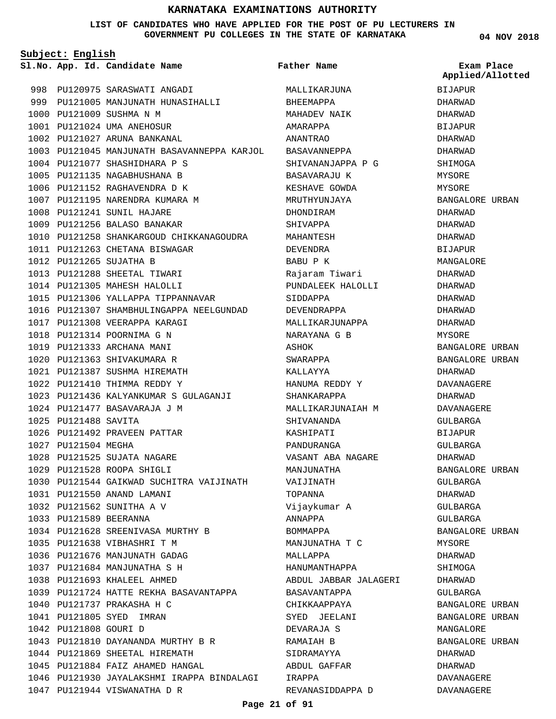## **LIST OF CANDIDATES WHO HAVE APPLIED FOR THE POST OF PU LECTURERS IN GOVERNMENT PU COLLEGES IN THE STATE OF KARNATAKA**

**Subject: English**

**04 NOV 2018**

|                       | Sl. No. App. Id. Candidate Name                          | Father Name           | Exam Place       |
|-----------------------|----------------------------------------------------------|-----------------------|------------------|
|                       |                                                          |                       | Applied/Allotted |
|                       | 998 PU120975 SARASWATI ANGADI                            | MALLIKARJUNA          | <b>BIJAPUR</b>   |
|                       | 999 PU121005 MANJUNATH HUNASIHALLI                       | BHEEMAPPA             | DHARWAD          |
|                       | 1000 PU121009 SUSHMA N M                                 | MAHADEV NAIK          | DHARWAD          |
|                       | 1001 PU121024 UMA ANEHOSUR                               | AMARAPPA              | <b>BIJAPUR</b>   |
|                       | 1002 PU121027 ARUNA BANKANAL                             | ANANTRAO              | DHARWAD          |
|                       | 1003 PU121045 MANJUNATH BASAVANNEPPA KARJOL BASAVANNEPPA |                       | DHARWAD          |
|                       | 1004 PU121077 SHASHIDHARA P S                            | SHIVANANJAPPA P G     | SHIMOGA          |
|                       | 1005 PU121135 NAGABHUSHANA B                             | BASAVARAJU K          | MYSORE           |
|                       | 1006 PU121152 RAGHAVENDRA D K                            | KESHAVE GOWDA         | MYSORE           |
|                       | 1007 PU121195 NARENDRA KUMARA M                          | MRUTHYUNJAYA          | BANGALORE URBAN  |
|                       | 1008 PU121241 SUNIL HAJARE                               | DHONDIRAM             | DHARWAD          |
|                       | 1009 PU121256 BALASO BANAKAR                             | SHIVAPPA              | DHARWAD          |
|                       | 1010 PU121258 SHANKARGOUD CHIKKANAGOUDRA MAHANTESH       |                       | DHARWAD          |
|                       | 1011 PU121263 CHETANA BISWAGAR                           | DEVENDRA              | BIJAPUR          |
|                       | 1012 PU121265 SUJATHA B                                  | BABU P K              | MANGALORE        |
|                       | 1013 PU121288 SHEETAL TIWARI                             | Rajaram Tiwari        | DHARWAD          |
|                       | 1014 PU121305 MAHESH HALOLLI                             | PUNDALEEK HALOLLI     | DHARWAD          |
|                       | 1015 PU121306 YALLAPPA TIPPANNAVAR                       | SIDDAPPA              | DHARWAD          |
|                       | 1016 PU121307 SHAMBHULINGAPPA NEELGUNDAD                 | DEVENDRAPPA           | DHARWAD          |
|                       | 1017 PU121308 VEERAPPA KARAGI                            | MALLIKARJUNAPPA       | DHARWAD          |
|                       | 1018 PU121314 POORNIMA G N                               | NARAYANA G B          | MYSORE           |
|                       | 1019 PU121333 ARCHANA MANI                               | ASHOK                 | BANGALORE URBAN  |
|                       | 1020 PU121363 SHIVAKUMARA R                              | SWARAPPA              | BANGALORE URBAN  |
|                       | 1021 PU121387 SUSHMA HIREMATH                            | KALLAYYA              | DHARWAD          |
|                       | 1022 PU121410 THIMMA REDDY Y                             | HANUMA REDDY Y        | DAVANAGERE       |
|                       | 1023 PU121436 KALYANKUMAR S GULAGANJI                    | SHANKARAPPA           | DHARWAD          |
|                       | 1024 PU121477 BASAVARAJA J M                             | MALLIKARJUNAIAH M     | DAVANAGERE       |
| 1025 PU121488 SAVITA  |                                                          | SHIVANANDA            | GULBARGA         |
|                       | 1026 PU121492 PRAVEEN PATTAR                             | KASHIPATI             | <b>BIJAPUR</b>   |
| 1027 PU121504 MEGHA   |                                                          | PANDURANGA            | GULBARGA         |
|                       | 1028 PU121525 SUJATA NAGARE                              | VASANT ABA NAGARE     | DHARWAD          |
|                       | 1029 PU121528 ROOPA SHIGLI                               | MANJUNATHA            | BANGALORE URBAN  |
|                       | 1030 PU121544 GAIKWAD SUCHITRA VAIJINATH                 | VAIJINATH             | GULBARGA         |
|                       | 1031 PU121550 ANAND LAMANI                               | TOPANNA               | DHARWAD          |
|                       | 1032 PU121562 SUNITHA A V                                | Vijaykumar A          | GULBARGA         |
|                       | 1033 PU121589 BEERANNA                                   | ANNAPPA               | GULBARGA         |
|                       | 1034 PU121628 SREENIVASA MURTHY B                        | BOMMAPPA              | BANGALORE URBAN  |
|                       | 1035 PU121638 VIBHASHRI T M                              | MANJUNATHA T C        | MYSORE           |
|                       | 1036 PU121676 MANJUNATH GADAG                            | MALLAPPA              | DHARWAD          |
|                       | 1037 PU121684 MANJUNATHA S H                             | HANUMANTHAPPA         | SHIMOGA          |
|                       | 1038 PU121693 KHALEEL AHMED                              | ABDUL JABBAR JALAGERI | DHARWAD          |
|                       | 1039 PU121724 HATTE REKHA BASAVANTAPPA                   | BASAVANTAPPA          | GULBARGA         |
|                       | 1040 PU121737 PRAKASHA H C                               | CHIKKAAPPAYA          | BANGALORE URBAN  |
|                       | 1041 PU121805 SYED IMRAN                                 | SYED JEELANI          | BANGALORE URBAN  |
| 1042 PU121808 GOURI D |                                                          | DEVARAJA S            | MANGALORE        |
|                       | 1043 PU121810 DAYANANDA MURTHY B R                       | RAMAIAH B             | BANGALORE URBAN  |
|                       | 1044 PU121869 SHEETAL HIREMATH                           | SIDRAMAYYA            | DHARWAD          |
|                       | 1045 PU121884 FAIZ AHAMED HANGAL                         | ABDUL GAFFAR          | DHARWAD          |
|                       | 1046 PU121930 JAYALAKSHMI IRAPPA BINDALAGI 1RAPPA        |                       | DAVANAGERE       |
|                       | 1047 PU121944 VISWANATHA D R                             | REVANASIDDAPPA D      | DAVANAGERE       |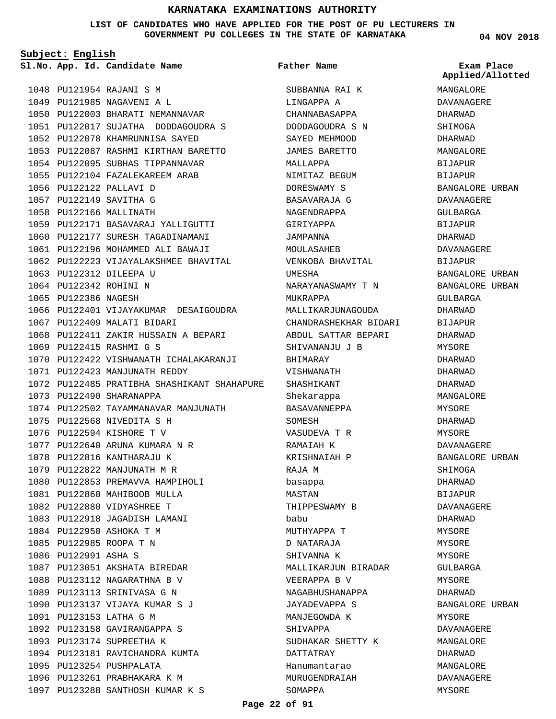**LIST OF CANDIDATES WHO HAVE APPLIED FOR THE POST OF PU LECTURERS IN GOVERNMENT PU COLLEGES IN THE STATE OF KARNATAKA**

**Subject: English**

**App. Id. Candidate Name Sl.No. Exam Place**

**Father Name**

1048 PU121954 RAJANI S M 1049 PU121985 NAGAVENI A L 1050 PU122003 BHARATI NEMANNAVAR PU122017 SUJATHA DODDAGOUDRA S 1051 PU122078 KHAMRUNNISA SAYED 1052 PU122087 RASHMI KIRTHAN BARETTO 1053 1054 PU122095 SUBHAS TIPPANNAVAR PU122104 FAZALEKAREEM ARAB 1055 1056 PU122122 PALLAVI D 1057 PU122149 SAVITHA G 1058 PU122166 MALLINATH PU122171 BASAVARAJ YALLIGUTTI 1059 1060 PU122177 SURESH TAGADINAMANI 1061 PU122196 MOHAMMED ALI BAWAJI 1062 PU122223 VIJAYALAKSHMEE BHAVITAL 1063 PU122312 DILEEPA U 1064 PU122342 ROHINI N 1065 PU122386 NAGESH 1066 PU122401 VIJAYAKUMAR DESAIGOUDRA 1067 PU122409 MALATI BIDARI 1068 PU122411 ZAKIR HUSSAIN A BEPARI PU122415 RASHMI G S 1069 1070 PU122422 VISHWANATH ICHALAKARANJI 1071 PU122423 MANJUNATH REDDY 1072 PU122485 PRATIBHA SHASHIKANT SHAHAPURE 1073 PU122490 SHARANAPPA 1074 PU122502 TAYAMMANAVAR MANJUNATH 1075 PU122568 NIVEDITA S H 1076 PU122594 KISHORE T V PU122640 ARUNA KUMARA N R 1077 1078 PU122816 KANTHARAJU K PU122822 MANJUNATH M R 1079 1080 PU122853 PREMAVVA HAMPIHOLI 1081 PU122860 MAHIBOOB MULLA PU122880 VIDYASHREE T 1082 1083 PU122918 JAGADISH LAMANI 1084 PU122950 ASHOKA T M PU122985 ROOPA T N 1085 1086 PU122991 ASHA S 1087 PU123051 AKSHATA BIREDAR 1088 PU123112 NAGARATHNA B V 1089 PU123113 SRINIVASA G N 1090 PU123137 VIJAYA KUMAR S J PU123153 LATHA G M 1091 1092 PU123158 GAVIRANGAPPA S 1093 PU123174 SUPREETHA K 1094 PU123181 RAVICHANDRA KUMTA 1095 PU123254 PUSHPALATA 1096 PU123261 PRABHAKARA K M PU123288 SANTHOSH KUMAR K S 1097

SUBBANNA RAI K LINGAPPA A CHANNABASAPPA DODDAGOUDRA S N SAYED MEHMOOD JAMES BARETTO MALLAPPA NIMITAZ BEGUM DORESWAMY S BASAVARAJA G NAGENDRAPPA GIRIYAPPA JAMPANNA MOULASAHEB VENKOBA BHAVITAL UMESHA NARAYANASWAMY T N MIKRADDA MALLIKARJUNAGOUDA CHANDRASHEKHAR BIDARI ABDUL SATTAR BEPARI SHIVANANJU J B BHIMARAY VISHWANATH SHASHIKANT Shekarappa BASAVANNEPPA SOMESH VASUDEVA T R RAMAIAH K KRISHNAIAH P RAJA M basappa MASTAN THIPPESWAMY B babu MUTHYAPPA T D NATARAJA SHIVANNA K MALLIKARJUN BIRADAR VEERAPPA B V NAGABHUSHANAPPA JAYADEVAPPA S MANJEGOWDA K SHIVAPPA SUDHAKAR SHETTY K DATTATRAY Hanumantarao MURUGENDRAIAH SOMAPPA

**04 NOV 2018**

**Applied/Allotted**

MANGALORE DAVANAGERE DHARWAD SHIMOGA DHARWAD MANGALORE BIJAPUR BIJAPUR BANGALORE URBAN DAVANAGERE GULBARGA BIJAPUR DHARWAD DAVANAGERE BIJAPUR BANGALORE URBAN BANGALORE URBAN GULBARGA DHARWAD BIJAPUR DHARWAD MYSORE DHARWAD DHARWAD DHARWAD MANGALORE MYSORE DHARWAD MYSORE DAVANAGERE BANGALORE URBAN SHIMOGA DHARWAD BIJAPUR DAVANAGERE DHARWAD MYSORE. MYSORE MYSORE GULBARGA MYSORE DHARWAD BANGALORE URBAN MYSORE DAVANAGERE MANGALORE DHARWAD MANGALORE DAVANAGERE

MYSORE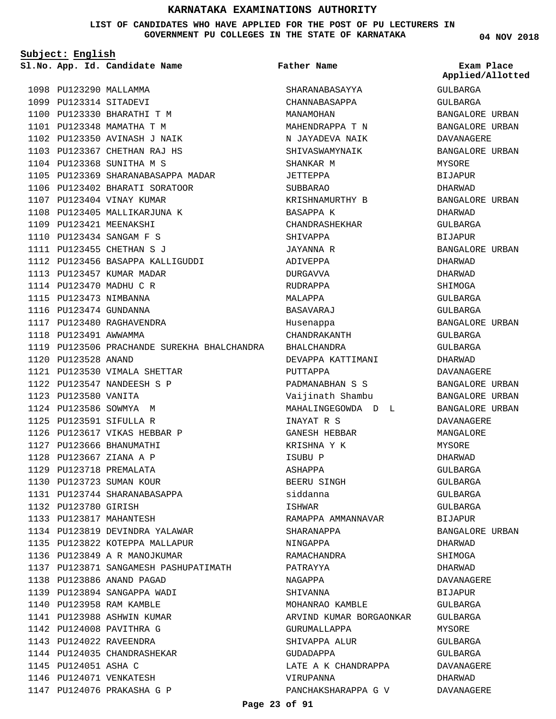**LIST OF CANDIDATES WHO HAVE APPLIED FOR THE POST OF PU LECTURERS IN GOVERNMENT PU COLLEGES IN THE STATE OF KARNATAKA**

**Subject: English**

**App. Id. Candidate Name Sl.No. Exam Place**

1107 PU123404 VINAY KUMAR 1108 PU123405 MALLIKARJUNA K

1113 PU123457 KUMAR MADAR 1114 PU123470 MADHU C R 1115 PU123473 NIMBANNA PU123474 GUNDANNA 1116 PU123480 RAGHAVENDRA 1117 1118 PU123491 AWWAMMA

PU123528 ANAND 1120

1123 PU123580 VANITA 1124 PU123586 SOWMYA M PU123591 SIFULLA R 1125

1132 PU123780 GIRISH PU123817 MAHANTESH 1133

1121 PU123530 VIMALA SHETTAR 1122 PU123547 NANDEESH S P

1126 PU123617 VIKAS HEBBAR P 1127 PU123666 BHANUMATHI 1128 PU123667 ZIANA A P PU123718 PREMALATA 1129 1130 PU123723 SUMAN KOUR 1131 PU123744 SHARANABASAPPA

1134 PU123819 DEVINDRA YALAWAR 1135 PU123822 KOTEPPA MALLAPUR 1136 PU123849 A R MANOJKUMAR

PU123886 ANAND PAGAD 1138 PU123894 SANGAPPA WADI 1139 1140 PU123958 RAM KAMBLE 1141 PU123988 ASHWIN KUMAR 1142 PU124008 PAVITHRA G PU124022 RAVEENDRA 1143 1144 PU124035 CHANDRASHEKAR

1145 PU124051 ASHA C 1146 PU124071 VENKATESH 1147 PU124076 PRAKASHA G P

1137 PU123871 SANGAMESH PASHUPATIMATH

1109 PU123421 MEENAKSHI PU123434 SANGAM F S 1110 1111 PU123455 CHETHAN S J

1105 PU123369 SHARANABASAPPA MADAR 1106 PU123402 BHARATI SORATOOR

PU123456 BASAPPA KALLIGUDDI 1112

1119 PU123506 PRACHANDE SUREKHA BHALCHANDRA

1098 PU123290 MALLAMMA 1099 PU123314 SITADEVI 1100 PU123330 BHARATHI T M 1101 PU123348 MAMATHA T M 1102 PU123350 AVINASH J NAIK 1103 PU123367 CHETHAN RAJ HS 1104 PU123368 SUNITHA M S

**Father Name**

SHARANABASAYYA CHANNABASAPPA MANAMOHAN MAHENDRAPPA T N N JAYADEVA NAIK SHIVASWAMYNAIK SHANKAR M JETTEPPA SUBBAR<sub>AO</sub> KRISHNAMURTHY B BASAPPA K CHANDRASHEKHAR SHIVAPPA JAYANNA R ADIVEPPA DURGAVVA RUDRAPPA MALAPPA BASAVARAJ Husenappa CHANDRAKANTH BHALCHANDRA DEVAPPA KATTIMANI PUTTAPPA PADMANABHAN S S Vaijinath Shambu MAHALINGEGOWDA D L INAYAT R S GANESH HEBBAR KRISHNA Y K ISUBU P ASHAPPA BEERU SINGH siddanna ISHWAR RAMAPPA AMMANNAVAR SHARANAPPA NINGAPPA RAMACHANDRA PATRAYYA NAGAPPA SHIVANNA MOHANRAO KAMBLE ARVIND KUMAR BORGAONKAR GURUMALLAPPA SHIVAPPA ALUR GUDADAPPA LATE A K CHANDRAPPA VIRUPANNA PANCHAKSHARAPPA G V

**04 NOV 2018**

GULBARGA GULBARGA BANGALORE URBAN BANGALORE URBAN DAVANAGERE BANGALORE URBAN MYSORE BIJAPUR DHARWAD BANGALORE URBAN DHARWAD GULBARGA BIJAPUR BANGALORE URBAN DHARWAD DHARWAD SHIMOGA GULBARGA GULBARGA BANGALORE URBAN GULBARGA GULBARGA DHARWAD DAVANAGERE BANGALORE URBAN BANGALORE URBAN BANGALORE URBAN DAVANAGERE MANGALORE MYSORE DHARWAD GULBARGA GULBARGA GULBARGA GULBARGA BIJAPUR BANGALORE URBAN DHARWAD SHIMOGA DHARWAD DAVANAGERE BIJAPUR GULBARGA GULBARGA MYSORE GULBARGA GULBARGA DAVANAGERE DHARWAD DAVANAGERE **Applied/Allotted**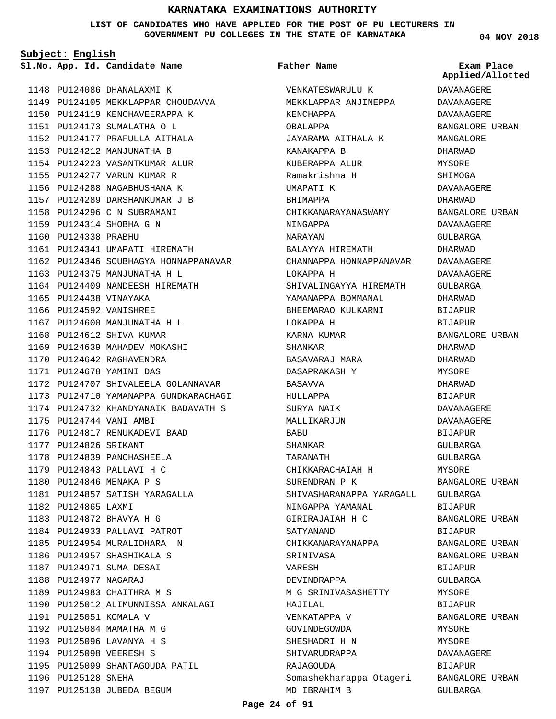**LIST OF CANDIDATES WHO HAVE APPLIED FOR THE POST OF PU LECTURERS IN GOVERNMENT PU COLLEGES IN THE STATE OF KARNATAKA**

**Subject: English**

**App. Id. Candidate Name Sl.No. Exam Place**

1148 PU124086 DHANALAXMI K 1149 PU124105 MEKKLAPPAR CHOUDAVVA 1150 PU124119 KENCHAVEERAPPA K PU124173 SUMALATHA O L 1151 1152 PU124177 PRAFULLA AITHALA 1153 PU124212 MANJUNATHA B 1154 PU124223 VASANTKUMAR ALUR PU124277 VARUN KUMAR R 1155 1156 PU124288 NAGABHUSHANA K 1157 PU124289 DARSHANKUMAR J B 1158 PU124296 C N SUBRAMANI PU124314 SHOBHA G N 1159 1160 PU124338 PRABHU 1161 PU124341 UMAPATI HIREMATH 1162 PU124346 SOUBHAGYA HONNAPPANAVAR 1163 PU124375 MANJUNATHA H L PU124409 NANDEESH HIREMATH 1164 1165 PU124438 VINAYAKA 1166 PU124592 VANISHREE 1167 PU124600 MANJUNATHA H L 1168 PU124612 SHIVA KUMAR 1169 PU124639 MAHADEV MOKASHI 1170 PU124642 RAGHAVENDRA PU124678 YAMINI DAS 1171 1172 PU124707 SHIVALEELA GOLANNAVAR 1173 PU124710 YAMANAPPA GUNDKARACHAGI 1174 PU124732 KHANDYANAIK BADAVATH S 1175 PU124744 VANI AMBI 1176 PU124817 RENUKADEVI BAAD 1177 PU124826 SRIKANT 1178 PU124839 PANCHASHEELA 1179 PU124843 PALLAVI H C PU124846 MENAKA P S 1180 PU124857 SATISH YARAGALLA 1181 1182 PU124865 LAXMI PU124872 BHAVYA H G 1183 1184 PU124933 PALLAVI PATROT 1185 PU124954 MURALIDHARA N 1186 PU124957 SHASHIKALA S PU124971 SUMA DESAI 1187 PU124977 NAGARAJ 1188 1189 PU124983 CHAITHRA M S 1190 PU125012 ALIMUNNISSA ANKALAGI 1191 PU125051 KOMALA V 1192 PU125084 MAMATHA M G 1193 PU125096 LAVANYA H S PU125098 VEERESH S 1194 1195 PU125099 SHANTAGOUDA PATIL 1196 PU125128 SNEHA 1197 PU125130 JUBEDA BEGUM

# **Father Name**

VENKATESWARULU K MEKKLAPPAR ANJINEPPA KENCHAPPA OBALAPPA JAYARAMA AITHALA K KANAKAPPA B KUBERAPPA ALUR Ramakrishna H UMAPATI K BHIMAPPA CHIKKANARAYANASWAMY NINGAPPA NARAYAN BALAYYA HIREMATH CHANNAPPA HONNAPPANAVAR LOKAPPA H SHIVALINGAYYA HIREMATH YAMANAPPA ROMMANAL BHEEMARAO KULKARNI LOKAPPA H KARNA KUMAR SHANKAR BASAVARAJ MARA DASAPRAKASH Y BASAVVA HULLAPPA SURYA NAIK MALLIKARJUN **BABU** SHANKAR TARANATH CHIKKARACHAIAH H SURENDRAN P K SHIVASHARANAPPA YARAGALL GULBARGA NINGAPPA YAMANAL GIRIRAJAIAH H C SATYANAND CHIKKANARAYANAPPA SRINIVASA VARESH DEVINDRAPPA M G SRINIVASASHETTY HAJILAL VENKATAPPA V GOVINDEGOWDA SHESHADRI H N SHIVARUDRAPPA **RAJAGOUDA** Somashekharappa Otageri MD IBRAHIM B

**04 NOV 2018**

**Applied/Allotted**

**DAVANAGERE** DAVANAGERE DAVANAGERE BANGALORE URBAN MANGALORE DHARWAD MYSORE SHIMOGA DAVANAGERE DHARWAD BANGALORE URBAN DAVANAGERE GULBARGA DHARWAD DAVANAGERE DAVANAGERE GULBARGA DHARWAD **BIJAPUR** BIJAPUR BANGALORE URBAN DHARWAD DHARWAD MYSORE DHARWAD BIJAPUR DAVANAGERE DAVANAGERE BIJAPUR GULBARGA GULBARGA MYSORE BANGALORE URBAN BIJAPUR BANGALORE URBAN BIJAPUR BANGALORE URBAN BANGALORE URBAN BIJAPUR GULBARGA MYSORE BIJAPUR BANGALORE URBAN MYSORE MYSORE DAVANAGERE BIJAPUR BANGALORE URBAN

GULBARGA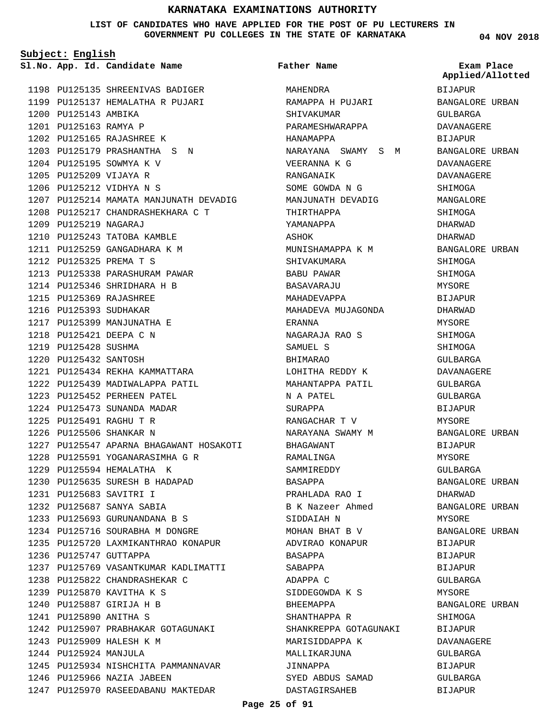## **LIST OF CANDIDATES WHO HAVE APPLIED FOR THE POST OF PU LECTURERS IN GOVERNMENT PU COLLEGES IN THE STATE OF KARNATAKA**

**Subject: English**

**App. Id. Candidate Name Sl.No. Exam Place**

1246 PU125966 NAZIA JABEEN

1247 PU125970 RASEEDABANU MAKTEDAR

1198 PU125135 SHREENIVAS BADIGER PU125137 HEMALATHA R PUJARI 1199 1200 PU125143 AMBIKA 1201 PU125163 RAMYA P PU125165 RAJASHREE K 1202 1203 PU125179 PRASHANTHA S N 1204 PU125195 SOWMYA K V 1205 PU125209 VIJAYA R 1206 PU125212 VIDHYA N S 1207 PU125214 MAMATA MANJUNATH DEVADIG 1208 PU125217 CHANDRASHEKHARA C T 1209 PU125219 NAGARAJ 1210 PU125243 TATOBA KAMBLE 1211 PU125259 GANGADHARA K M PU125325 PREMA T S 1212 1213 PU125338 PARASHURAM PAWAR 1214 PU125346 SHRIDHARA H B PU125369 RAJASHREE 1215 1216 PU125393 SUDHAKAR 1217 PU125399 MANJUNATHA E 1218 PU125421 DEEPA C N 1219 PU125428 SUSHMA 1220 PU125432 SANTOSH PU125434 REKHA KAMMATTARA 1221 1222 PU125439 MADIWALAPPA PATIL 1223 PU125452 PERHEEN PATEL 1224 PU125473 SUNANDA MADAR PU125491 RAGHU T R 1225 1226 PU125506 SHANKAR N 1227 PU125547 APARNA BHAGAWANT HOSAKOTI 1228 PU125591 YOGANARASIMHA G R 1229 PU125594 HEMALATHA K 1230 PU125635 SURESH B HADAPAD PU125683 SAVITRI I 1231 PU125687 SANYA SABIA 1232 1233 PU125693 GURUNANDANA B S 1234 PU125716 SOURABHA M DONGRE 1235 PU125720 LAXMIKANTHRAO KONAPUR 1236 PU125747 GUTTAPPA 1237 PU125769 VASANTKUMAR KADLIMATTI 1238 PU125822 CHANDRASHEKAR C PU125870 KAVITHA K S 1239 PU125887 GIRIJA H B 1240 PU125890 ANITHA S 1241 1242 PU125907 PRABHAKAR GOTAGUNAKI 1243 PU125909 HALESH K M 1244 PU125924 MANJULA 1245 PU125934 NISHCHITA PAMMANNAVAR

MAHENDRA RAMAPPA H PUJARI SHIVAKUMAR PARAMESHWARAPPA HANAMAPPA NARAYANA SWAMY S M VEERANNA K G RANGANAIK SOME GOWDA N G MANJUNATH DEVADIG THIRTHAPPA YAMANAPPA ASHOK MUNISHAMAPPA K M SHIVAKUMARA BABU PAWAR BASAVARAJU MAHADEVAPPA MAHADEVA MUJAGONDA ERANNA NAGARAJA RAO S SAMUEL S BHIMARAO LOHITHA REDDY K MAHANTAPPA PATIL N A PATEL SURAPPA RANGACHAR T V NARAYANA SWAMY M BHAGAWANT RAMALINGA SAMMIREDDY BASAPPA PRAHLADA RAO I B K Nazeer Ahmed SIDDAIAH N MOHAN BHAT B V ADVIRAO KONAPUR BASAPPA SABAPPA ADAPPA C SIDDEGOWDA K S BHEEMAPPA SHANTHAPPA R SHANKREPPA GOTAGUNAKI MARISIDDAPPA K MALLIKARJUNA JINNAPPA SYED ABDUS SAMAD DASTAGIRSAHEB **Father Name**

**04 NOV 2018**

BIJAPUR BANGALORE URBAN GULBARGA DAVANAGERE BIJAPUR BANGALORE URBAN DAVANAGERE DAVANAGERE **SHIMOGA** MANGALORE SHIMOGA DHARWAD DHARWAD BANGALORE URBAN SHIMOGA SHIMOGA MYSORE **BIJAPUR** DHARWAD **MYSORE** SHIMOGA SHIMOGA GULBARGA DAVANAGERE GULBARGA GULBARGA BIJAPUR MYSORE BANGALORE URBAN BIJAPUR MYSORE GULBARGA BANGALORE URBAN DHARWAD BANGALORE URBAN MYSORE BANGALORE URBAN BIJAPUR BIJAPUR BIJAPUR GULBARGA MYSORE BANGALORE URBAN SHIMOGA BIJAPUR DAVANAGERE GULBARGA BIJAPUR GULBARGA BIJAPUR **Applied/Allotted**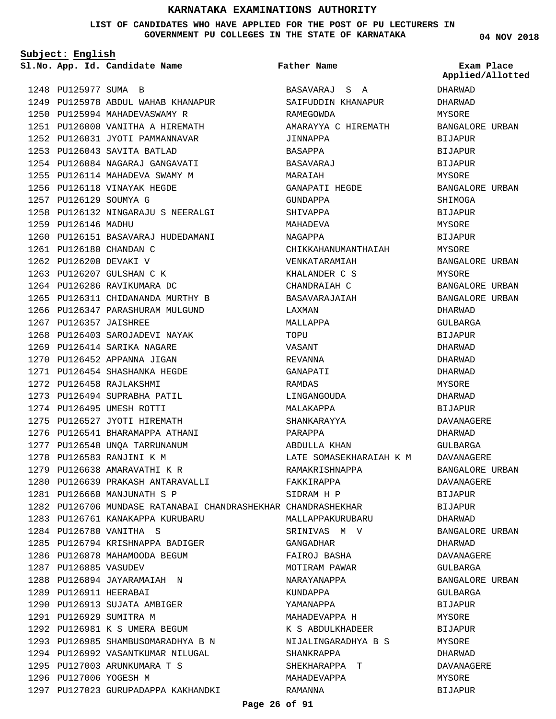## **LIST OF CANDIDATES WHO HAVE APPLIED FOR THE POST OF PU LECTURERS IN GOVERNMENT PU COLLEGES IN THE STATE OF KARNATAKA**

**Subject: English**

1250 PU125994 MAHADEVASWAMY R

1252 PU126031 JYOTI PAMMANNAVAR 1253 PU126043 SAVITA BATLAD PU126084 NAGARAJ GANGAVATI 1254 1255 PU126114 MAHADEVA SWAMY M 1256 PU126118 VINAYAK HEGDE

1248 PU125977 SUMA B

1257 PU126129 SOUMYA G

1261 PU126180 CHANDAN C 1262 PU126200 DEVAKI V 1263 PU126207 GULSHAN C K 1264 PU126286 RAVIKUMARA DC

1267 PU126357 JAISHREE

1272 PU126458 RAJLAKSHMI 1273 PU126494 SUPRABHA PATIL 1274 PU126495 UMESH ROTTI 1275 PU126527 JYOTI HIREMATH

1278 PU126583 RANJINI K M 1279 PU126638 AMARAVATHI K R

BHARAMAPPA ATHANI UNQA TARRUNANUM

PU126660 MANJUNATH S P 1281

1286 PU126878 MAHAMOODA BEGUM

1288 PU126894 JAYARAMAIAH N

1290 PU126913 SUJATA AMBIGER

1292 PU126981 K S UMERA BEGUM

1295 PU127003 ARUNKUMARA T S

1284 PU126780 VANITHA S

1287 PU126885 VASUDEV

1289 PU126911 HEERABAI

1291 PU126929 SUMITRA M

1296 PU127006 YOGESH M

PU126541 PU126548

1276 1277

1268 PU126403 SAROJADEVI NAYAK 1269 PU126414 SARIKA NAGARE 1270 PU126452 APPANNA JIGAN 1271 PU126454 SHASHANKA HEGDE

1259 PU126146 MADHU

```
Father Name
```
1249 PU125978 ABDUL WAHAB KHANAPUR PU126000 VANITHA A HIREMATH 1251 1258 PU126132 NINGARAJU S NEERALGI 1260 PU126151 BASAVARAJ HUDEDAMANI 1265 PU126311 CHIDANANDA MURTHY B 1266 PU126347 PARASHURAM MULGUND 1280 PU126639 PRAKASH ANTARAVALLI 1282 PU126706 MUNDASE RATANABAI CHANDRASHEKHAR CHANDRASHEKHAR 1283 PU126761 KANAKAPPA KURUBARU 1285 PU126794 KRISHNAPPA BADIGER 1293 PU126985 SHAMBUSOMARADHYA B N 1294 PU126992 VASANTKUMAR NILUGAL 1297 PU127023 GURUPADAPPA KAKHANDKI **App. Id. Candidate Name Sl.No. Exam Place** BASAVARAJ S A SAIFUDDIN KHANAPUR RAMEGOWDA AMARAYYA C HIREMATH JINNAPPA BASAPPA BASAVARAJ MARAIAH GANAPATI HEGDE GUNDAPPA SHIVAPPA MAHADEVA NAGAPPA CHIKKAHANUMANTHAIAH VENKATARAMIAH KHALANDER C S CHANDRAIAH C BASAVARAJAIAH LAXMAN MALLAPPA TOPU VASANT REVANNA GANAPATI RAMDAS LINGANGOUDA MALAKAPPA SHANKARAYYA PARAPPA ABDULLA KHAN LATE SOMASEKHARAIAH K M RAMAKRISHNAPPA FAKKIRAPPA SIDRAM H P MALLAPPAKURUBARU SRINIVAS M V GANGADHAR FAIROJ BASHA MOTIRAM PAWAR NARAYANAPPA KUNDAPPA YAMANAPPA MAHADEVAPPA H K S ABDULKHADEER NIJALINGARADHYA B S SHANKRAPPA SHEKHARAPPA T MAHADEVAPPA RAMANNA

**04 NOV 2018**

| Applied/Allotted       |
|------------------------|
|                        |
|                        |
|                        |
| <b>BANGALORE URBAN</b> |
|                        |
|                        |
|                        |
|                        |
| <b>BANGALORE URBAN</b> |
|                        |
|                        |
|                        |
|                        |
|                        |
| BANGALORE URBAN        |
|                        |
| BANGALORE URBAN        |
| BANGALORE URBAN        |
|                        |
|                        |
|                        |
|                        |
|                        |
|                        |
|                        |
|                        |
|                        |
| DAVANAGERE             |
|                        |
|                        |
| DAVANAGERE             |
| BANGALORE URBAN        |
| DAVANAGERE             |
|                        |
|                        |
|                        |
| BANGALORE URBAN        |
|                        |
| DAVANAGERE             |
|                        |
| BANGALORE URBAN        |
|                        |
|                        |
|                        |
|                        |
|                        |
|                        |
| DAVANAGERE             |
|                        |
|                        |
|                        |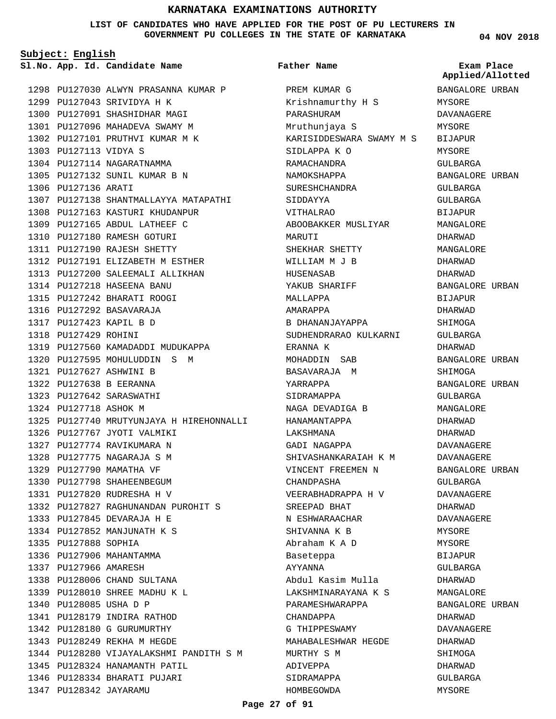## **LIST OF CANDIDATES WHO HAVE APPLIED FOR THE POST OF PU LECTURERS IN GOVERNMENT PU COLLEGES IN THE STATE OF KARNATAKA**

**Subject: English**

**App. Id. Candidate Name Sl.No. Exam Place**

1298 PU127030 ALWYN PRASANNA KUMAR P 1299 PU127043 SRIVIDYA H K 1300 PU127091 SHASHIDHAR MAGI 1301 PU127096 MAHADEVA SWAMY M 1302 PU127101 PRUTHVI KUMAR M K 1303 PU127113 VIDYA S 1304 PU127114 NAGARATNAMMA PU127132 SUNIL KUMAR B N 1305 1306 PU127136 ARATI 1307 PU127138 SHANTMALLAYYA MATAPATHI 1308 PU127163 KASTURI KHUDANPUR 1309 PU127165 ABDUL LATHEEF C 1310 PU127180 RAMESH GOTURI 1311 PU127190 RAJESH SHETTY PU127191 ELIZABETH M ESTHER 1312 1313 PU127200 SALEEMALI ALLIKHAN PU127218 HASEENA BANU 1314 PU127242 BHARATI ROOGI 1315 1316 PU127292 BASAVARAJA PU127423 KAPIL B D 1317 1318 PU127429 ROHINI 1319 PU127560 KAMADADDI MUDUKAPPA 1320 PU127595 MOHULUDDIN S M PU127627 ASHWINI B 1321 PU127638 B EERANNA 1322 PU127642 SARASWATHI 1323 1324 PU127718 ASHOK M 1325 PU127740 MRUTYUNJAYA H HIREHONNALLI 1326 PU127767 JYOTI VALMIKI 1327 PU127774 RAVIKUMARA N PU127775 NAGARAJA S M 1328 1329 PU127790 MAMATHA VF 1330 PU127798 SHAHEENBEGUM PU127820 RUDRESHA H V 1331 PU127827 RAGHUNANDAN PUROHIT S 1332 PU127845 DEVARAJA H E 1333 PU127852 MANJUNATH K S 1334 1335 PU127888 SOPHIA 1336 PU127906 MAHANTAMMA 1337 PU127966 AMARESH 1338 PU128006 CHAND SULTANA PU128010 SHREE MADHU K L 1339 1340 PU128085 USHA D P 1341 PU128179 INDIRA RATHOD 1342 PU128180 G GURUMURTHY PU128249 REKHA M HEGDE 1343 1344 PU128280 VIJAYALAKSHMI PANDITH S M 1345 PU128324 HANAMANTH PATIL 1346 PU128334 BHARATI PUJARI 1347 PU128342 JAYARAMU

**Father Name**

PREM KUMAR G Krishnamurthy H S PARASHURAM Mruthunjaya S KARISIDDESWARA SWAMY M S BIJAPUR SIDLAPPA K O RAMACHANDRA NAMOKSHAPPA SURESHCHANDRA SIDDAYYA VITHALRAO ABOOBAKKER MUSLIYAR MARUTI SHEKHAR SHETTY WILLIAM M J B HUSENASAB YAKUB SHARIFF MALLAPPA AMARAPPA B DHANANJAYAPPA SUDHENDRARAO KULKARNI ERANNA K MOHADDIN SAB BASAVARAJA M YARRAPPA SIDRAMAPPA NAGA DEVADIGA B HANAMANTAPPA LAKSHMANA GADI NAGAPPA SHIVASHANKARAIAH K M VINCENT FREEMEN N CHANDPASHA VEERABHADRAPPA H V SREEPAD BHAT N ESHWARAACHAR SHIVANNA K B Abraham K A D Baseteppa AYYANNA Abdul Kasim Mulla LAKSHMINARAYANA K S PARAMESHWARAPPA CHANDAPPA G THIPPESWAMY MAHABALESHWAR HEGDE MURTHY S M ADIVEPPA SIDRAMAPPA HOMBEGOWDA

**04 NOV 2018**

**Applied/Allotted**

BANGALORE URBAN MYSORE DAVANAGERE MYSORE MYSORE GULBARGA BANGALORE URBAN GULBARGA GULBARGA **BIJAPUR** MANGALORE DHARWAD MANGALORE DHARWAD DHARWAD BANGALORE URBAN **BIJAPUR** DHARWAD **SHIMOGA** GULBARGA DHARWAD BANGALORE URBAN SHIMOGA BANGALORE URBAN GULBARGA MANGALORE DHARWAD DHARWAD DAVANAGERE DAVANAGERE BANGALORE URBAN GULBARGA DAVANAGERE DHARWAD DAVANAGERE MYSORE MYSORE BIJAPUR GULBARGA DHARWAD MANGALORE BANGALORE URBAN DHARWAD DAVANAGERE DHARWAD SHIMOGA DHARWAD GULBARGA

MYSORE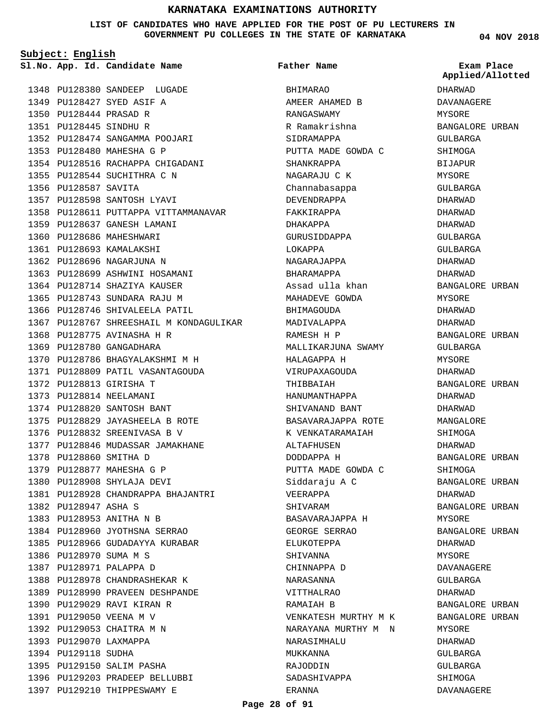## **LIST OF CANDIDATES WHO HAVE APPLIED FOR THE POST OF PU LECTURERS IN GOVERNMENT PU COLLEGES IN THE STATE OF KARNATAKA**

**Subject: English**

1348 PU128380 SANDEEP LUGADE PU128427 SYED ASIF A 1349 PU128444 PRASAD R 1350 PU128445 SINDHU R 1351 1352 PU128474 SANGAMMA POOJARI 1353 PU128480 MAHESHA G P 1354 PU128516 RACHAPPA CHIGADANI 1355 PU128544 SUCHITHRA C N 1356 PU128587 SAVITA 1357 PU128598 SANTOSH LYAVI 1358 PU128611 PUTTAPPA VITTAMMANAVAR PU128637 GANESH LAMANI 1359 1360 PU128686 MAHESHWARI 1361 PU128693 KAMALAKSHI 1362 PU128696 NAGARJUNA N 1363 PU128699 ASHWINI HOSAMANI 1364 PU128714 SHAZIYA KAUSER 1365 PU128743 SUNDARA RAJU M 1366 PU128746 SHIVALEELA PATIL 1367 PU128767 SHREESHAIL M KONDAGULIKAR 1368 PU128775 AVINASHA H R 1369 PU128780 GANGADHARA 1370 PU128786 BHAGYALAKSHMI M H PU128809 PATIL VASANTAGOUDA 1371 PU128813 GIRISHA T 1372 PU128814 NEELAMANI 1373 PU128820 SANTOSH BANT 1374 PU128829 JAYASHEELA B ROTE 1375 1376 PU128832 SREENIVASA B V 1377 PU128846 MUDASSAR JAMAKHANE 1378 PU128860 SMITHA D 1379 PU128877 MAHESHA G P PU128908 SHYLAJA DEVI 1380 PU128928 CHANDRAPPA BHAJANTRI 1381 1382 PU128947 ASHA S 1383 PU128953 ANITHA N B 1384 PU128960 JYOTHSNA SERRAO 1385 PU128966 GUDADAYYA KURABAR 1386 PU128970 SUMA M S 1387 PU128971 PALAPPA D 1388 PU128978 CHANDRASHEKAR K PU128990 PRAVEEN DESHPANDE 1389 1390 PU129029 RAVI KIRAN R PU129050 VEENA M V 1391 1392 PU129053 CHAITRA M N 1393 PU129070 LAXMAPPA 1394 PU129118 SUDHA 1395 PU129150 SALIM PASHA 1396 PU129203 PRADEEP BELLUBBI 1397 PU129210 THIPPESWAMY E

**App. Id. Candidate Name Sl.No. Exam Place** BHIMARAO AMEER AHAMED B RANGASWAMY R Ramakrishna SIDRAMAPPA PUTTA MADE GOWDA C SHANKRAPPA NAGARAJU C K Channabasappa DEVENDRAPPA FAKKIRAPPA DHAKAPPA GURUSIDDAPPA LOKAPPA NAGARAJAPPA BHARAMAPPA Assad ulla khan MAHADEVE GOWDA BHIMAGOUDA MADIVALAPPA RAMESH H P MALLIKARJUNA SWAMY HALAGAPPA H VIRUPAXAGOUDA THIBBAIAH HANUMANTHAPPA SHIVANAND BANT BASAVARAJAPPA ROTE K VENKATARAMAIAH ALTAFHUSEN DODDAPPA H PUTTA MADE GOWDA C Siddaraju A C VEERAPPA SHIVARAM BASAVARAJAPPA H GEORGE SERRAO ELUKOTEPPA SHIVANNA CHINNAPPA D NARASANNA VITTHALRAO RAMAIAH B VENKATESH MURTHY M K NARAYANA MURTHY M N NARASIMHALU MUKKANNA RAJODDIN SADASHIVAPPA ERANNA **Father Name**

**04 NOV 2018**

DHARWAD DAVANAGERE MYSORE BANGALORE URBAN GULBARGA SHIMOGA BIJAPUR MYSORE GULBARGA DHARWAD DHARWAD DHARWAD GULBARGA GULBARGA DHARWAD DHARWAD BANGALORE URBAN MYSORE DHARWAD DHARWAD BANGALORE URBAN GULBARGA MYSORE DHARWAD BANGALORE URBAN DHARWAD DHARWAD MANGALORE SHIMOGA DHARWAD BANGALORE URBAN SHIMOGA BANGALORE URBAN DHARWAD BANGALORE URBAN MYSORE BANGALORE URBAN DHARWAD MYSORE DAVANAGERE GULBARGA DHARWAD BANGALORE URBAN BANGALORE URBAN MYSORE DHARWAD GULBARGA GULBARGA SHIMOGA DAVANAGERE **Applied/Allotted**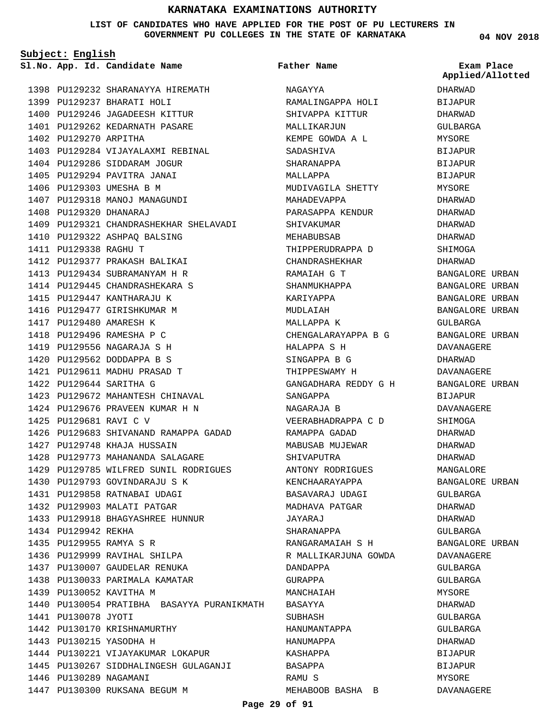## **LIST OF CANDIDATES WHO HAVE APPLIED FOR THE POST OF PU LECTURERS IN GOVERNMENT PU COLLEGES IN THE STATE OF KARNATAKA**

**Subject: English**

**App. Id. Candidate Name Sl.No. Exam Place**

```
Father Name
```
**04 NOV 2018**

|                        |                                            |                      | Applied/Allotted |
|------------------------|--------------------------------------------|----------------------|------------------|
|                        | 1398 PU129232 SHARANAYYA HIREMATH          | NAGAYYA              | <b>DHARWAD</b>   |
|                        | 1399 PU129237 BHARATI HOLI                 | RAMALINGAPPA HOLI    | <b>BIJAPUR</b>   |
|                        | 1400 PU129246 JAGADEESH KITTUR             | SHIVAPPA KITTUR      | DHARWAD          |
|                        | 1401 PU129262 KEDARNATH PASARE             | MALLIKARJUN          | GULBARGA         |
| 1402 PU129270 ARPITHA  |                                            | KEMPE GOWDA A L      | MYSORE           |
|                        | 1403 PU129284 VIJAYALAXMI REBINAL          | SADASHIVA            | <b>BIJAPUR</b>   |
|                        | 1404 PU129286 SIDDARAM JOGUR               | SHARANAPPA           | <b>BIJAPUR</b>   |
|                        | 1405 PU129294 PAVITRA JANAI                | MALLAPPA             | <b>BIJAPUR</b>   |
|                        | 1406 PU129303 UMESHA B M                   | MUDIVAGILA SHETTY    | MYSORE           |
|                        | 1407 PU129318 MANOJ MANAGUNDI              | MAHADEVAPPA          | DHARWAD          |
| 1408 PU129320 DHANARAJ |                                            | PARASAPPA KENDUR     | DHARWAD          |
|                        | 1409 PU129321 CHANDRASHEKHAR SHELAVADI     | SHIVAKUMAR           | DHARWAD          |
|                        | 1410 PU129322 ASHPAO BALSING               | MEHABUBSAB           | DHARWAD          |
| 1411 PU129338 RAGHU T  |                                            | THIPPERUDRAPPA D     | SHIMOGA          |
|                        | 1412 PU129377 PRAKASH BALIKAI              | CHANDRASHEKHAR       | DHARWAD          |
|                        | 1413 PU129434 SUBRAMANYAM H R              | RAMAIAH G T          | BANGALORE URBAN  |
|                        | 1414 PU129445 CHANDRASHEKARA S             | SHANMUKHAPPA         | BANGALORE URBAN  |
|                        | 1415 PU129447 KANTHARAJU K                 | KARIYAPPA            | BANGALORE URBAN  |
|                        | 1416 PU129477 GIRISHKUMAR M                | MUDLAIAH             | BANGALORE URBAN  |
|                        | 1417 PU129480 AMARESH K                    | MALLAPPA K           | GULBARGA         |
|                        | 1418 PU129496 RAMESHA P C                  | CHENGALARAYAPPA B G  | BANGALORE URBAN  |
|                        | 1419 PU129556 NAGARAJA S H                 | HALAPPA S H          | DAVANAGERE       |
|                        | 1420 PU129562 DODDAPPA B S                 | SINGAPPA B G         | DHARWAD          |
|                        | 1421 PU129611 MADHU PRASAD T               | THIPPESWAMY H        | DAVANAGERE       |
|                        | 1422 PU129644 SARITHA G                    | GANGADHARA REDDY G H | BANGALORE URBAN  |
|                        | 1423 PU129672 MAHANTESH CHINAVAL           | SANGAPPA             | <b>BIJAPUR</b>   |
|                        | 1424 PU129676 PRAVEEN KUMAR H N            | NAGARAJA B           | DAVANAGERE       |
| 1425 PU129681 RAVI C V |                                            | VEERABHADRAPPA C D   | SHIMOGA          |
|                        | 1426 PU129683 SHIVANAND RAMAPPA GADAD      | RAMAPPA GADAD        | DHARWAD          |
|                        | 1427 PU129748 KHAJA HUSSAIN                | MABUSAB MUJEWAR      | DHARWAD          |
|                        | 1428 PU129773 MAHANANDA SALAGARE           | SHIVAPUTRA           | DHARWAD          |
|                        | 1429 PU129785 WILFRED SUNIL RODRIGUES      | ANTONY RODRIGUES     | MANGALORE        |
|                        | 1430 PU129793 GOVINDARAJU S K              | KENCHAARAYAPPA       | BANGALORE URBAN  |
|                        | 1431 PU129858 RATNABAI UDAGI               | BASAVARAJ UDAGI      | GULBARGA         |
|                        | 1432 PU129903 MALATI PATGAR                | MADHAVA PATGAR       | DHARWAD          |
|                        | 1433 PU129918 BHAGYASHREE HUNNUR           | JAYARAJ              | DHARWAD          |
| 1434 PU129942 REKHA    |                                            | SHARANAPPA           | GULBARGA         |
|                        | 1435 PU129955 RAMYA S R                    | RANGARAMAIAH S H     | BANGALORE URBAN  |
|                        | 1436 PU129999 RAVIHAL SHILPA               | R MALLIKARJUNA GOWDA | DAVANAGERE       |
|                        | 1437 PU130007 GAUDELAR RENUKA              | DANDAPPA             | GULBARGA         |
|                        | 1438 PU130033 PARIMALA KAMATAR             | GURAPPA              | GULBARGA         |
|                        | 1439 PU130052 KAVITHA M                    | MANCHAIAH            | MYSORE           |
|                        | 1440 PU130054 PRATIBHA BASAYYA PURANIKMATH | BASAYYA              | DHARWAD          |
| 1441 PU130078 JYOTI    |                                            | SUBHASH              | GULBARGA         |
|                        | 1442 PU130170 KRISHNAMURTHY                | HANUMANTAPPA         | GULBARGA         |
|                        | 1443 PU130215 YASODHA H                    | HANUMAPPA            | DHARWAD          |
|                        | 1444 PU130221 VIJAYAKUMAR LOKAPUR          | KASHAPPA             | BIJAPUR          |
|                        | 1445 PU130267 SIDDHALINGESH GULAGANJI      | BASAPPA              | BIJAPUR          |
| 1446 PU130289 NAGAMANI |                                            | RAMU S               | MYSORE           |
|                        | 1447 PU130300 RUKSANA BEGUM M              | MEHABOOB BASHA B     | DAVANAGERE       |
|                        |                                            |                      |                  |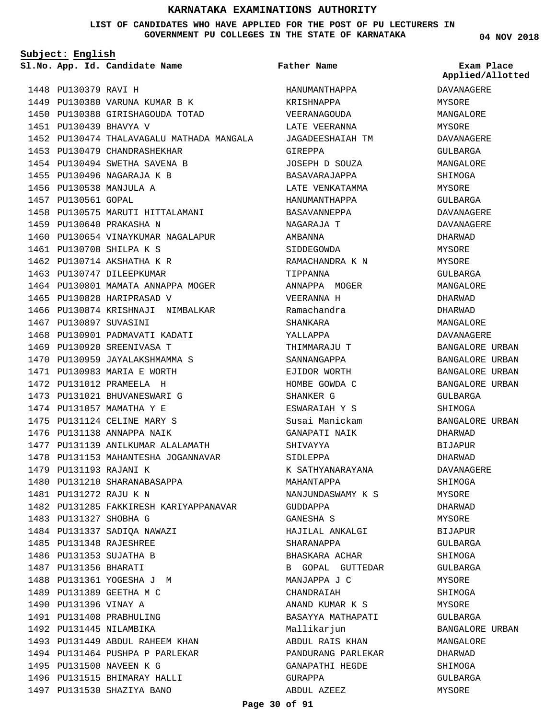**LIST OF CANDIDATES WHO HAVE APPLIED FOR THE POST OF PU LECTURERS IN GOVERNMENT PU COLLEGES IN THE STATE OF KARNATAKA**

**Father Name**

**Subject: English**

**App. Id. Candidate Name Sl.No. Exam Place**

1448 PU130379 RAVI H 1449 PU130380 VARUNA KUMAR B K 1450 PU130388 GIRISHAGOUDA TOTAD 1451 PU130439 BHAVYA V 1452 PU130474 THALAVAGALU MATHADA MANGALA 1453 PU130479 CHANDRASHEKHAR 1454 PU130494 SWETHA SAVENA B 1455 PU130496 NAGARAJA K B 1456 PU130538 MANJULA A 1457 PU130561 GOPAL 1458 PU130575 MARUTI HITTALAMANI 1459 PU130640 PRAKASHA N 1460 PU130654 VINAYKUMAR NAGALAPUR PU130708 SHILPA K S 1461 1462 PU130714 AKSHATHA K R 1463 PU130747 DILEEPKUMAR 1464 PU130801 MAMATA ANNAPPA MOGER 1465 PU130828 HARIPRASAD V 1466 PU130874 KRISHNAJI NIMBALKAR 1467 PU130897 SUVASINI 1468 PU130901 PADMAVATI KADATI 1469 PU130920 SREENIVASA T 1470 PU130959 JAYALAKSHMAMMA S 1471 PU130983 MARIA E WORTH PU131012 PU131021 1474 PU131057 MAMATHA Y E 1475 PU131124 CELINE MARY S 1476 PU131138 ANNAPPA NAIK 1477 PU131139 ANILKUMAR ALALAMATH 1478 PU131153 MAHANTESHA JOGANNAVAR 1479 PU131193 RAJANI K 1480 PU131210 SHARANABASAPPA PU131272 RAJU K N 1481 1482 PU131285 FAKKIRESH KARIYAPPANAVAR 1483 PU131327 SHOBHA G 1484 PU131337 SADIQA NAWAZI PU131348 RAJESHREE 1485 1486 PU131353 SUJATHA B 1487 PU131356 BHARATI 1488 PU131361 YOGESHA J M 1489 PU131389 GEETHA M C 1490 PU131396 VINAY A 1491 PU131408 PRABHULING 1492 PU131445 NILAMBIKA 1493 PU131449 ABDUL RAHEEM KHAN 1494 PU131464 PUSHPA P PARLEKAR 1495 PU131500 NAVEEN K G 1496 PU131515 BHIMARAY HALLI 1497 PU131530 SHAZIYA BANO PRAMEELA H BHUVANESWARI G 1472 1473

HANUMANTHAPPA KRISHNAPPA VEERANAGOUDA LATE VEERANNA JAGADEESHAIAH TM GIREPPA JOSEPH D SOUZA BASAVARAJAPPA LATE VENKATAMMA HANUMANTHAPPA BASAVANNEPPA NAGARAJA T AMBANNA SIDDEGOWDA RAMACHANDRA K N TIPPANNA ANNAPPA MOGER VEERANNA H Ramachandra SHANKARA YALLAPPA THIMMARAJU T SANNANGAPPA EJIDOR WORTH HOMBE GOWDA C SHANKER G ESWARAIAH Y S Susai Manickam GANAPATI NAIK SHIVAYYA SIDLEPPA K SATHYANARAYANA MAHANTAPPA NANJUNDASWAMY K S GUDDAPPA GANESHA S HAJILAL ANKALGI SHARANAPPA BHASKARA ACHAR B GOPAL GUTTEDAR MANJAPPA J C CHANDRAIAH ANAND KUMAR K S BASAYYA MATHAPATI Mallikarjun ABDUL RAIS KHAN PANDURANG PARLEKAR GANAPATHI HEGDE GURAPPA ABDUL AZEEZ

**04 NOV 2018**

**Applied/Allotted**

DAVANAGERE MYSORE MANGALORE MYSORE DAVANAGERE GULBARGA MANGALORE SHIMOGA **MYSORE** GULBARGA DAVANAGERE DAVANAGERE DHARWAD MYSORE MYSORE GULBARGA MANGALORE DHARWAD DHARWAD MANGALORE DAVANAGERE BANGALORE URBAN BANGALORE URBAN BANGALORE URBAN BANGALORE URBAN GULBARGA SHIMOGA BANGALORE URBAN DHARWAD BIJAPUR DHARWAD DAVANAGERE SHIMOGA MYSORE DHARWAD MYSORE BIJAPUR GULBARGA SHIMOGA GULBARGA MYSORE SHIMOGA MYSORE GULBARGA BANGALORE URBAN MANGALORE DHARWAD SHIMOGA GULBARGA

MYSORE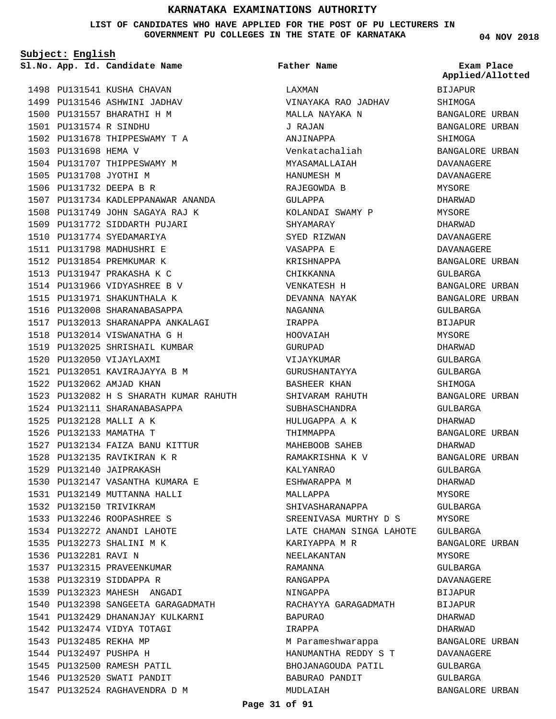**LIST OF CANDIDATES WHO HAVE APPLIED FOR THE POST OF PU LECTURERS IN GOVERNMENT PU COLLEGES IN THE STATE OF KARNATAKA**

**Subject: English**

**App. Id. Candidate Name Sl.No. Exam Place**

1498 PU131541 KUSHA CHAVAN 1499 PU131546 ASHWINI JADHAV 1500 PU131557 BHARATHI H M PU131574 R SINDHU 1501 1502 PU131678 THIPPESWAMY T A 1503 PU131698 HEMA V 1504 PU131707 THIPPESWAMY M 1505 PU131708 JYOTHI M 1506 PU131732 DEEPA B R 1507 PU131734 KADLEPPANAWAR ANANDA 1508 PU131749 JOHN SAGAYA RAJ K 1509 PU131772 SIDDARTH PUJARI 1510 PU131774 SYEDAMARIYA PU131798 MADHUSHRI E 1511 1512 PU131854 PREMKUMAR K PU131947 PRAKASHA K C 1513 1514 PU131966 VIDYASHREE B V 1515 PU131971 SHAKUNTHALA K 1516 PU132008 SHARANABASAPPA 1517 PU132013 SHARANAPPA ANKALAGI 1518 PU132014 VISWANATHA G H 1519 PU132025 SHRISHAIL KUMBAR 1520 PU132050 VIJAYLAXMI PU132051 KAVIRAJAYYA B M 1521 PU132062 AMJAD KHAN 1522 PU132082 H S SHARATH KUMAR RAHUTH 1523 1524 PU132111 SHARANABASAPPA PU132128 MALLI A K 1525 1526 PU132133 MAMATHA T PU132134 FAIZA BANU KITTUR 1527 PU132135 RAVIKIRAN K R 1528 1529 PU132140 JAIPRAKASH PU132147 VASANTHA KUMARA E 1530 1531 PU132149 MUTTANNA HALLI 1532 PU132150 TRIVIKRAM PU132246 ROOPASHREE S 1533 1534 PU132272 ANANDI LAHOTE PU132273 SHALINI M K 1535 1536 PU132281 RAVI N 1537 PU132315 PRAVEENKUMAR 1538 PU132319 SIDDAPPA R 1539 PU132323 MAHESH ANGADI 1540 PU132398 SANGEETA GARAGADMATH PU132429 DHANANJAY KULKARNI 1541 1542 PU132474 VIDYA TOTAGI 1543 PU132485 REKHA MP 1544 PU132497 PUSHPA H 1545 PU132500 RAMESH PATIL 1546 PU132520 SWATI PANDIT 1547 PU132524 RAGHAVENDRA D M

LAXMAN VINAYAKA RAO JADHAV MALLA NAYAKA N J RAJAN ANJINAPPA Venkatachaliah MYASAMALLAIAH HANUMESH M RAJEGOWDA B CIII. A DD A KOLANDAI SWAMY P SHYAMARAY SYED RIZWAN VASAPPA E KRISHNAPPA CHIKKANNA VENKATESH H DEVANNA NAYAK NAGANNA IRAPPA HOOVAIAH GURUPAD VIJAYKUMAR GURUSHANTAYYA BASHEER KHAN SHIVARAM RAHUTH SUBHASCHANDRA HULUGAPPA A K THIMMAPPA MAHEBOOB SAHEB RAMAKRISHNA K V KALYANRAO ESHWARAPPA M MALLAPPA SHIVASHARANAPPA SREENIVASA MURTHY D S LATE CHAMAN SINGA LAHOTE KARIYAPPA M R NEELAKANTAN RAMANNA RANGAPPA NINGAPPA RACHAYYA GARAGADMATH BAPURAO IRAPPA M Parameshwarappa HANUMANTHA REDDY S T BHOJANAGOUDA PATIL BABURAO PANDIT MUDLAIAH **Father Name**

**04 NOV 2018**

BIJAPUR SHIMOGA BANGALORE URBAN BANGALORE URBAN SHIMOGA BANGALORE URBAN DAVANAGERE DAVANAGERE MYSORE DHARWAD MYSORE DHARWAD DAVANAGERE DAVANAGERE BANGALORE URBAN GULBARGA BANGALORE URBAN BANGALORE URBAN GULBARGA BIJAPUR MYSORE DHARWAD GULBARGA GULBARGA SHIMOGA BANGALORE URBAN GULBARGA DHARWAD BANGALORE URBAN DHARWAD BANGALORE URBAN GULBARGA DHARWAD MYSORE GULBARGA MYSORE GULBARGA BANGALORE URBAN MYSORE GULBARGA DAVANAGERE BIJAPUR BIJAPUR DHARWAD DHARWAD BANGALORE URBAN DAVANAGERE GULBARGA GULBARGA BANGALORE URBAN **Applied/Allotted**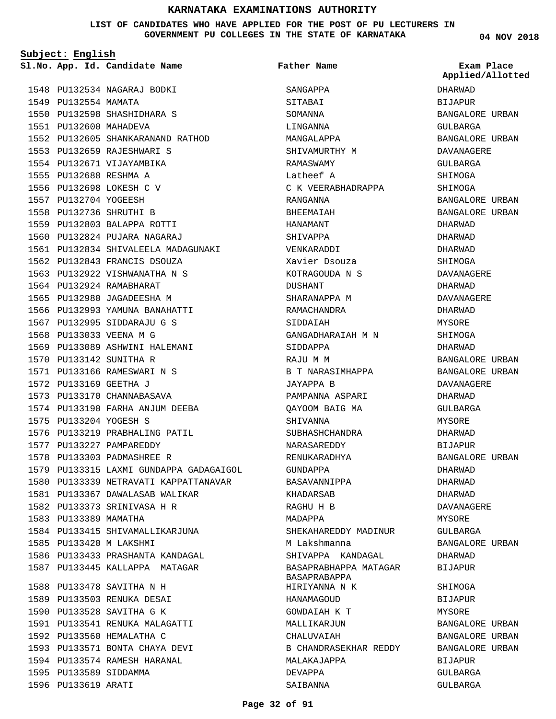### **LIST OF CANDIDATES WHO HAVE APPLIED FOR THE POST OF PU LECTURERS IN GOVERNMENT PU COLLEGES IN THE STATE OF KARNATAKA**

**Subject: English**

**App. Id. Candidate Name Sl.No. Exam Place**

**Father Name**

1548 PU132534 NAGARAJ BODKI 1549 PU132554 MAMATA 1550 PU132598 SHASHIDHARA S 1551 PU132600 MAHADEVA 1552 PU132605 SHANKARANAND RATHOD 1553 PU132659 RAJESHWARI S 1554 PU132671 VIJAYAMBIKA PU132688 RESHMA A 1555 1556 PU132698 LOKESH C V 1557 PU132704 YOGEESH PU132736 SHRUTHI B 1558 PU132803 BALAPPA ROTTI 1559 1560 PU132824 PUJARA NAGARAJ 1561 PU132834 SHIVALEELA MADAGUNAKI 1562 PU132843 FRANCIS DSOUZA 1563 PU132922 VISHWANATHA N S 1564 PU132924 RAMABHARAT 1565 PU132980 JAGADEESHA M 1566 PU132993 YAMUNA BANAHATTI PU132995 SIDDARAJU G S 1567 1568 PU133033 VEENA M G 1569 PU133089 ASHWINI HALEMANI 1570 PU133142 SUNITHA R PU133166 RAMESWARI N S 1571 PU133169 GEETHA J 1572 1573 PU133170 CHANNABASAVA 1574 PU133190 FARHA ANJUM DEEBA PU133204 YOGESH S 1575 1576 PU133219 PRABHALING PATIL 1577 PU133227 PAMPAREDDY PU133303 PADMASHREE R 1578 1579 PU133315 LAXMI GUNDAPPA GADAGAIGOL 1580 PU133339 NETRAVATI KAPPATTANAVAR PU133367 DAWALASAB WALIKAR 1581 1582 PU133373 SRINIVASA H R 1583 PU133389 MAMATHA 1584 PU133415 SHIVAMALLIKARJUNA 1585 PU133420 M LAKSHMI 1586 PU133433 PRASHANTA KANDAGAL 1587 PU133445 KALLAPPA MATAGAR PU133478 SAVITHA N H 1588 PU133503 RENUKA DESAI 1589 1590 PU133528 SAVITHA G K PU133541 RENUKA MALAGATTI 1591 1592 PU133560 HEMALATHA C 1593 PU133571 BONTA CHAYA DEVI 1594 PU133574 RAMESH HARANAL 1595 PU133589 SIDDAMMA 1596 PU133619 ARATI

SANGAPPA SITABAI SOMANNA LINGANNA MANGALAPPA SHIVAMURTHY M RAMASWAMY Latheef A C K VEERABHADRAPPA RANGANNA **BHEEMAIAH** HANAMANT SHIVAPPA VENKARADDI Xavier Dsouza KOTRAGOUDA N S DUSHANT SHARANAPPA M RAMACHANDRA SIDDAIAH GANGADHARAIAH M N SIDDAPPA RAJU M M B T NARASIMHAPPA JAYAPPA B PAMPANNA ASPARI QAYOOM BAIG MA SHIVANNA SUBHASHCHANDRA NARASAREDDY RENUKARADHYA GUNDAPPA BASAVANNIPPA KHADARSAB RAGHU H B MADAPPA SHEKAHAREDDY MADINUR M Lakshmanna SHIVAPPA KANDAGAL BASAPRABHAPPA MATAGAR BASAPRABAPPA HIRIYANNA N K HANAMAGOUD GOWDAIAH K T MALLIKARJUN CHALUVAIAH B CHANDRASEKHAR REDDY MALAKAJAPPA DEVAPPA SAIBANNA

**04 NOV 2018**

DHARWAD **BIJAPUR** BANGALORE URBAN GULBARGA BANGALORE URBAN DAVANAGERE GULBARGA SHIMOGA SHIMOGA BANGALORE URBAN BANGALORE URBAN DHARWAD DHARWAD DHARWAD SHIMOGA DAVANAGERE DHARWAD DAVANAGERE DHARWAD MYSORE SHIMOGA DHARWAD BANGALORE URBAN BANGALORE URBAN DAVANAGERE DHARWAD GULBARGA MYSORE DHARWAD BIJAPUR BANGALORE URBAN DHARWAD DHARWAD DHARWAD DAVANAGERE MYSORE GULBARGA BANGALORE URBAN DHARWAD BIJAPUR SHIMOGA BIJAPUR MYSORE BANGALORE URBAN BANGALORE URBAN BANGALORE URBAN BIJAPUR GULBARGA GULBARGA **Applied/Allotted**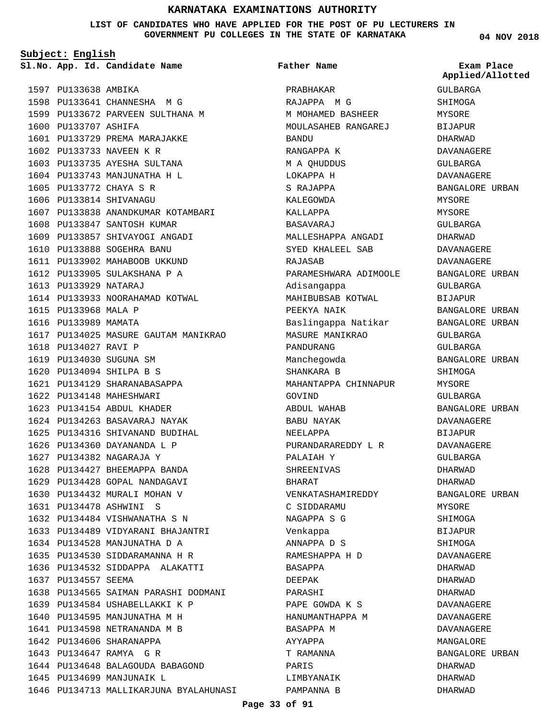**LIST OF CANDIDATES WHO HAVE APPLIED FOR THE POST OF PU LECTURERS IN GOVERNMENT PU COLLEGES IN THE STATE OF KARNATAKA**

**Subject: English**

**App. Id. Candidate Name Sl.No. Exam Place**

1597 PU133638 AMBIKA 1598 PU133641 CHANNESHA M G 1599 PU133672 PARVEEN SULTHANA M 1600 PU133707 ASHIFA 1601 PU133729 PREMA MARAJAKKE 1602 PU133733 NAVEEN K R 1603 PU133735 AYESHA SULTANA 1604 PU133743 MANJUNATHA H L PU133772 CHAYA S R 1605 1606 PU133814 SHIVANAGU 1607 PU133838 ANANDKUMAR KOTAMBARI 1608 PU133847 SANTOSH KUMAR 1609 PU133857 SHIVAYOGI ANGADI 1610 PU133888 SOGEHRA BANU 1611 PU133902 MAHABOOB UKKUND 1612 PU133905 SULAKSHANA P A PU133929 NATARAJ 1613 1614 PU133933 NOORAHAMAD KOTWAL 1615 PU133968 MALA P 1616 PU133989 MAMATA 1617 PU134025 MASURE GAUTAM MANIKRAO 1618 PU134027 RAVI P 1619 PU134030 SUGUNA SM PU134094 SHILPA B S 1620 1621 PU134129 SHARANABASAPPA 1622 PU134148 MAHESHWARI 1623 PU134154 ABDUL KHADER 1624 PU134263 BASAVARAJ NAYAK 1625 PU134316 SHIVANAND BUDIHAL 1626 PU134360 DAYANANDA L P PU134382 NAGARAJA Y 1627 1628 PU134427 BHEEMAPPA BANDA 1629 PU134428 GOPAL NANDAGAVI 1630 PU134432 MURALI MOHAN V PU134478 ASHWINI S 1631 1632 PU134484 VISHWANATHA S N 1633 PU134489 VIDYARANI BHAJANTRI 1634 PU134528 MANJUNATHA D A 1635 PU134530 SIDDARAMANNA H R 1636 PU134532 SIDDAPPA ALAKATTI 1637 PU134557 SEEMA 1638 PU134565 SAIMAN PARASHI DODMANI 1639 PU134584 USHABELLAKKI K P 1640 PU134595 MANJUNATHA M H 1641 PU134598 NETRANANDA M B 1642 PU134606 SHARANAPPA 1643 PU134647 RAMYA G R 1644 PU134648 BALAGOUDA BABAGOND 1645 PU134699 MANJUNAIK L 1646 PU134713 MALLIKARJUNA BYALAHUNASI

PRABHAKAR RAJAPPA M G M MOHAMED BASHEER MOULASAHEB RANGAREJ BANDU RANGAPPA K M A QHUDDUS LOKAPPA H S RAJAPPA KALEGOWDA KALLAPPA BASAVARAJ MALLESHAPPA ANGADI SYED KHALEEL SAB RAJASAB PARAMESHWARA ADIMOOLE Adisangappa MAHIBUBSAB KOTWAL PEEKYA NAIK Baslingappa Natikar MASURE MANIKRAO PANDURANG Manchegowda SHANKARA B MAHANTAPPA CHINNAPUR GOVIND ABDUL WAHAB BABU NAYAK NEELAPPA PURANDARAREDDY L R PALAIAH Y SHREENIVAS BHARAT VENKATASHAMIREDDY C SIDDARAMU NAGAPPA S G Venkappa ANNAPPA D S RAMESHAPPA H D BASAPPA DEEPAK PARASHI PAPE GOWDA K S HANUMANTHAPPA M BASAPPA M AYYAPPA T RAMANNA PARIS LIMBYANAIK PAMPANNA B **Father Name**

**04 NOV 2018**

**Applied/Allotted**

GULBARGA SHIMOGA MYSORE BIJAPUR DHARWAD DAVANAGERE GULBARGA DAVANAGERE BANGALORE URBAN MYSORE **MYSORE** GULBARGA DHARWAD DAVANAGERE DAVANAGERE BANGALORE URBAN GULBARGA BIJAPUR BANGALORE URBAN BANGALORE URBAN GULBARGA GULBARGA BANGALORE URBAN SHIMOGA MYSORE GULBARGA BANGALORE URBAN DAVANAGERE BIJAPUR DAVANAGERE GULBARGA DHARWAD DHARWAD BANGALORE URBAN MYSORE **SHIMOGA** BIJAPUR SHIMOGA DAVANAGERE DHARWAD DHARWAD DHARWAD DAVANAGERE DAVANAGERE DAVANAGERE MANGALORE BANGALORE URBAN DHARWAD DHARWAD DHARWAD

**Page 33 of 91**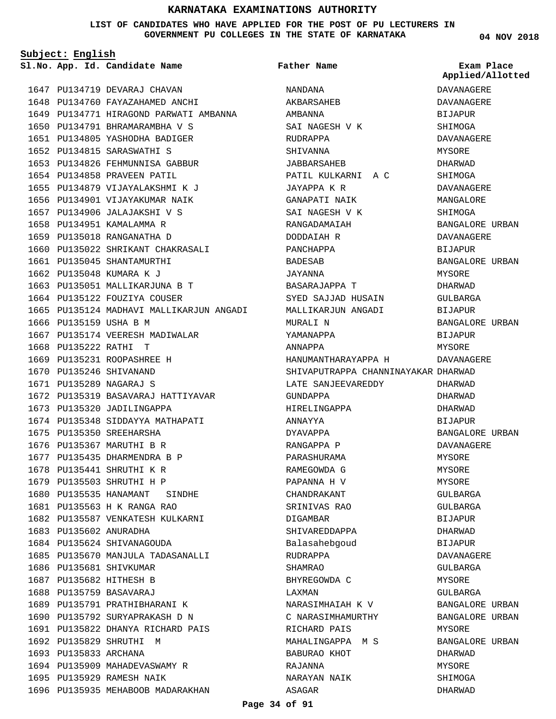## **LIST OF CANDIDATES WHO HAVE APPLIED FOR THE POST OF PU LECTURERS IN GOVERNMENT PU COLLEGES IN THE STATE OF KARNATAKA**

**Subject: English**

**App. Id. Candidate Name Sl.No. Exam Place**

**Father Name**

1647 PU134719 DEVARAJ CHAVAN 1648 PU134760 FAYAZAHAMED ANCHI 1649 PU134771 HIRAGOND PARWATI AMBANNA 1650 PU134791 BHRAMARAMBHA V S 1651 PU134805 YASHODHA BADIGER 1652 PU134815 SARASWATHI S PU134826 FEHMUNNISA GABBUR 1653 1654 PU134858 PRAVEEN PATIL 1655 PU134879 VIJAYALAKSHMI K J 1656 PU134901 VIJAYAKUMAR NAIK 1657 PU134906 JALAJAKSHI V S 1658 PU134951 KAMALAMMA R 1659 PU135018 RANGANATHA D 1660 PU135022 SHRIKANT CHAKRASALI 1661 PU135045 SHANTAMURTHI 1662 PU135048 KUMARA K J 1663 PU135051 MALLIKARJUNA B T 1664 PU135122 FOUZIYA COUSER 1665 PU135124 MADHAVI MALLIKARJUN ANGADI 1666 PU135159 USHA B M 1667 PU135174 VEERESH MADIWALAR 1668 PU135222 RATHI T 1669 PU135231 ROOPASHREE H 1670 PU135246 SHIVANAND PU135289 NAGARAJ S 1671 1672 PU135319 BASAVARAJ HATTIYAVAR 1673 PU135320 JADILINGAPPA 1674 PU135348 SIDDAYYA MATHAPATI 1675 PU135350 SREEHARSHA 1676 PU135367 MARUTHI B R 1677 PU135435 DHARMENDRA B P 1678 PU135441 SHRUTHI K R 1679 PU135503 SHRUTHI H P 1680 PU135535 HANAMANT SINDHE PU135563 H K RANGA RAO 1681 1682 PU135587 VENKATESH KULKARNI 1683 PU135602 ANURADHA 1684 PU135624 SHIVANAGOUDA 1685 PU135670 MANJULA TADASANALLI 1686 PU135681 SHIVKUMAR 1687 PU135682 HITHESH B PU135759 BASAVARAJ 1688 1689 PU135791 PRATHIBHARANI K 1690 PU135792 SURYAPRAKASH D N 1691 PU135822 DHANYA RICHARD PAIS 1692 PU135829 SHRUTHI M 1693 PU135833 ARCHANA 1694 PU135909 MAHADEVASWAMY R 1695 PU135929 RAMESH NAIK 1696 PU135935 MEHABOOB MADARAKHAN

NANDANA AKBARSAHEB AMBANNA SAI NAGESH V K RUDRAPPA SHIVANNA JABBARSAHEB PATIL KULKARNI A C JAYAPPA K R GANAPATI NAIK SAI NAGESH V K RANGADAMAIAH DODDAIAH R PANCHAPPA BADESAB JAYANNA BASARAJAPPA T SYED SAJJAD HUSAIN MALLIKARJUN ANGADI MURALI N YAMANAPPA ANNAPPA HANUMANTHARAYAPPA H SHIVAPUTRAPPA CHANNINAYAKAR DHARWAD LATE SANJEEVAREDDY GUNDAPPA HIRELINGAPPA ANNAYYA DYAVAPPA RANGAPPA P PARASHURAMA RAMEGOWDA G PAPANNA H V CHANDRAKANT SRINIVAS RAO DIGAMBAR SHIVAREDDAPPA Balasahebgoud RUDRAPPA SHAMRAO BHYREGOWDA C LAXMAN NARASIMHAIAH K V C NARASIMHAMURTHY RICHARD PAIS MAHALINGAPPA M S BABURAO KHOT RAJANNA NARAYAN NAIK ASAGAR

**04 NOV 2018**

**Applied/Allotted**

**DAVANAGERE** DAVANAGERE

# BIJAPUR SHIMOGA DAVANAGERE MYSORE DHARWAD SHIMOGA DAVANAGERE MANGALORE SHIMOGA BANGALORE URBAN DAVANAGERE BIJAPUR BANGALORE URBAN MYSORE DHARWAD GULBARGA BIJAPUR BANGALORE URBAN BIJAPUR MYSORE DAVANAGERE DHARWAD DHARWAD DHARWAD BIJAPUR BANGALORE URBAN DAVANAGERE MYSORE MYSORE MYSORE GULBARGA GULBARGA BIJAPUR DHARWAD BIJAPUR DAVANAGERE GULBARGA MYSORE GULBARGA BANGALORE URBAN BANGALORE URBAN MYSORE BANGALORE URBAN DHARWAD MYSORE SHIMOGA DHARWAD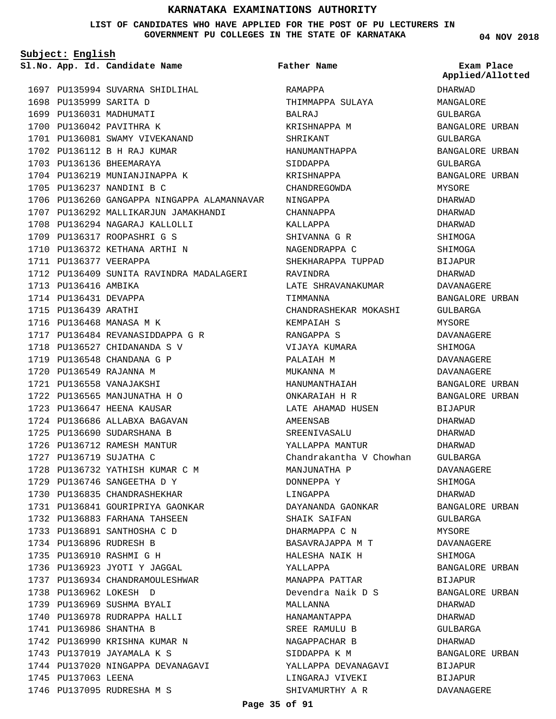## **LIST OF CANDIDATES WHO HAVE APPLIED FOR THE POST OF PU LECTURERS IN GOVERNMENT PU COLLEGES IN THE STATE OF KARNATAKA**

**Subject: English**

1697 PU135994 SUVARNA SHIDLIHAL 1698 PU135999 SARITA D 1699 PU136031 MADHUMATI 1700 PU136042 PAVITHRA K 1701 PU136081 SWAMY VIVEKANAND PU136112 B H RAJ KUMAR 1702 1703 PU136136 BHEEMARAYA 1704 PU136219 MUNIANJINAPPA K 1705 PU136237 NANDINI B C 1706 PU136260 GANGAPPA NINGAPPA ALAMANNAVAR 1707 PU136292 MALLIKARJUN JAMAKHANDI 1708 PU136294 NAGARAJ KALLOLLI PU136317 ROOPASHRI G S 1709 1710 PU136372 KETHANA ARTHI N 1711 PU136377 VEERAPPA 1712 PU136409 SUNITA RAVINDRA MADALAGERI 1713 PU136416 AMBIKA 1714 PU136431 DEVAPPA 1715 PU136439 ARATHI 1716 PU136468 MANASA M K 1717 PU136484 REVANASIDDAPPA G R 1718 PU136527 CHIDANANDA S V 1719 PU136548 CHANDANA G P 1720 PU136549 RAJANNA M 1721 PU136558 VANAJAKSHI 1722 PU136565 MANJUNATHA H O 1723 PU136647 HEENA KAUSAR 1724 PU136686 ALLABXA BAGAVAN 1725 PU136690 SUDARSHANA B 1726 PU136712 RAMESH MANTUR 1727 PU136719 SUJATHA C 1728 PU136732 YATHISH KUMAR C M 1729 PU136746 SANGEETHA D Y 1730 PU136835 CHANDRASHEKHAR PU136841 GOURIPRIYA GAONKAR 1731 1732 PU136883 FARHANA TAHSEEN 1733 PU136891 SANTHOSHA C D 1734 PU136896 RUDRESH B PU136910 RASHMI G H 1735 1736 PU136923 JYOTI Y JAGGAL 1737 PU136934 CHANDRAMOULESHWAR 1738 PU136962 LOKESH D 1739 PU136969 SUSHMA BYALI 1740 PU136978 RUDRAPPA HALLI 1741 PU136986 SHANTHA B 1742 PU136990 KRISHNA KUMAR N 1743 PU137019 JAYAMALA K S 1744 PU137020 NINGAPPA DEVANAGAVI 1745 PU137063 LEENA 1746 PU137095 RUDRESHA M S

**App. Id. Candidate Name Sl.No. Exam Place** RAMAPPA THIMMAPPA SULAYA BALRAJ KRISHNAPPA M SHRIKANT HANUMANTHAPPA SIDDAPPA KRISHNAPPA CHANDREGOWDA NINGAPPA CHANNAPPA KALLAPPA SHIVANNA G R NAGENDRAPPA C SHEKHARAPPA TUPPAD RAVINDRA LATE SHRAVANAKUMAR **TIMMANNA** CHANDRASHEKAR MOKASHI KEMPAIAH S RANGAPPA S VIJAYA KUMARA PALAIAH M MUKANNA M HANUMANTHAIAH ONKARAIAH H R LATE AHAMAD HUSEN AMEENSAB SREENIVASALU YALLAPPA MANTUR Chandrakantha V Chowhan MANJUNATHA P DONNEPPA Y LINGAPPA DAYANANDA GAONKAR SHAIK SAIFAN DHARMAPPA C N BASAVRAJAPPA M T HALESHA NAIK H YALLAPPA MANAPPA PATTAR Devendra Naik D S MALLANNA HANAMANTAPPA SREE RAMULU B NAGAPPACHAR B SIDDAPPA K M YALLAPPA DEVANAGAVI LINGARAJ VIVEKI SHIVAMURTHY A R **Father Name**

**04 NOV 2018**

DHARWAD MANGALORE GULBARGA BANGALORE URBAN GULBARGA BANGALORE URBAN GULBARGA BANGALORE URBAN MYSORE DHARWAD DHARWAD DHARWAD SHIMOGA SHIMOGA BIJAPUR DHARWAD DAVANAGERE BANGALORE URBAN GULBARGA MYSORE DAVANAGERE SHIMOGA DAVANAGERE DAVANAGERE BANGALORE URBAN BANGALORE URBAN BIJAPUR DHARWAD DHARWAD DHARWAD GULBARGA DAVANAGERE SHIMOGA DHARWAD BANGALORE URBAN GULBARGA MYSORE DAVANAGERE SHIMOGA BANGALORE URBAN BIJAPUR BANGALORE URBAN DHARWAD DHARWAD GULBARGA DHARWAD BANGALORE URBAN BIJAPUR BIJAPUR DAVANAGERE **Applied/Allotted**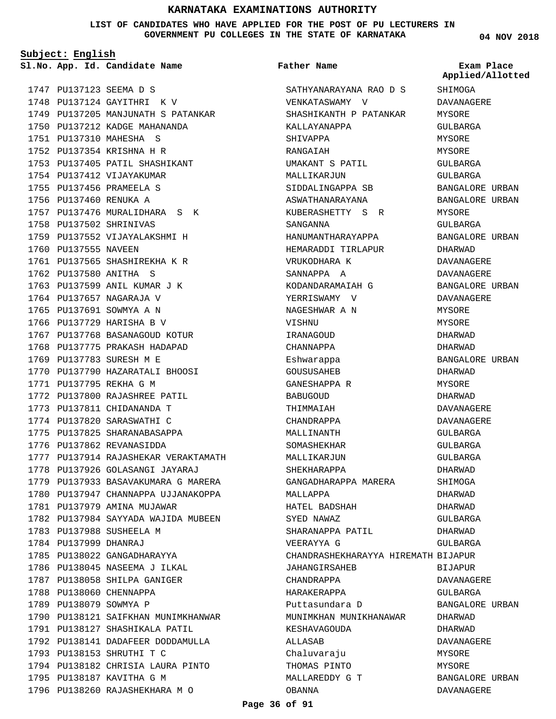**LIST OF CANDIDATES WHO HAVE APPLIED FOR THE POST OF PU LECTURERS IN GOVERNMENT PU COLLEGES IN THE STATE OF KARNATAKA**

**Subject: English**

1795 PU138187 KAVITHA G M

1796 PU138260 RAJASHEKHARA M O

**04 NOV 2018**

1747 PU137123 SEEMA D S 1748 PU137124 GAYITHRI K V 1749 PU137205 MANJUNATH S PATANKAR 1750 PU137212 KADGE MAHANANDA PU137310 MAHESHA S 1751 1752 PU137354 KRISHNA H R 1753 PU137405 PATIL SHASHIKANT 1754 PU137412 VIJAYAKUMAR PU137456 PRAMEELA S 1755 1756 PU137460 RENUKA A 1757 PU137476 MURALIDHARA S K 1758 PU137502 SHRINIVAS 1759 PU137552 VIJAYALAKSHMI H 1760 PU137555 NAVEEN 1761 PU137565 SHASHIREKHA K R 1762 PU137580 ANITHA S 1763 PU137599 ANIL KUMAR J K 1764 PU137657 NAGARAJA V 1765 PU137691 SOWMYA A N 1766 PU137729 HARISHA B V 1767 PU137768 BASANAGOUD KOTUR 1768 PU137775 PRAKASH HADAPAD 1769 PU137783 SURESH M E 1770 PU137790 HAZARATALI BHOOSI PU137795 REKHA G M 1771 1772 PU137800 RAJASHREE PATIL 1773 PU137811 CHIDANANDA T 1774 PU137820 SARASWATHI C 1775 PU137825 SHARANABASAPPA 1776 PU137862 REVANASIDDA 1777 PU137914 RAJASHEKAR VERAKTAMATH PU137926 GOLASANGI JAYARAJ 1778 1779 PU137933 BASAVAKUMARA G MARERA 1780 PU137947 CHANNAPPA UJJANAKOPPA 1781 PU137979 AMINA MUJAWAR 1782 PU137984 SAYYADA WAJIDA MUBEEN 1783 PU137988 SUSHEELA M 1784 PU137999 DHANRAJ 1785 PU138022 GANGADHARAYYA 1786 PU138045 NASEEMA J ILKAL 1787 PU138058 SHILPA GANIGER 1788 PU138060 CHENNAPPA 1789 PU138079 SOWMYA P 1790 PU138121 SAIFKHAN MUNIMKHANWAR 1791 PU138127 SHASHIKALA PATIL 1792 PU138141 DADAFEER DODDAMULLA 1793 PU138153 SHRUTHI T C 1794 PU138182 CHRISIA LAURA PINTO **App. Id. Candidate Name Sl.No. Exam Place** SATHYANARAYANA RAO D S VENKATASWAMY V SHASHIKANTH P PATANKAR KALLAYANAPPA SHIVAPPA RANGAIAH UMAKANT S PATIL MALLIKARJUN SIDDALINGAPPA SB ASWATHANARAYANA KUBERASHETTY S R SANGANNA HANUMANTHARAYAPPA HEMARADDI TIRLAPUR VRUKODHARA K SANNAPPA A KODANDARAMAIAH G YERRISWAMY V NAGESHWAR A N **VISHNU** IRANAGOUD CHANNAPPA Eshwarappa GOUSUSAHEB GANESHAPPA R BABUGOUD THIMMAIAH CHANDRAPPA MALLINANTH SOMASHEKHAR MALLIKARJUN SHEKHARAPPA GANGADHARAPPA MARERA MALLAPPA HATEL BADSHAH SYED NAWAZ SHARANAPPA PATIL VEERAYYA G CHANDRASHEKHARAYYA HIREMATH BIJAPUR JAHANGIRSAHEB CHANDRAPPA HARAKERAPPA Puttasundara D MUNIMKHAN MUNIKHANAWAR KESHAVAGOUDA ALLASAB Chaluvaraju THOMAS PINTO **Father Name** SHIMOGA DAVANAGERE MYSORE GULBARGA MYSORE MYSORE GULBARGA GULBARGA BANGALORE URBAN BANGALORE URBAN MYSORE GULBARGA BANGALORE URBAN DHARWAD DAVANAGERE DAVANAGERE BANGALORE URBAN DAVANAGERE MYSORE MYSORE DHARWAD DHARWAD BANGALORE URBAN DHARWAD MYSORE DHARWAD DAVANAGERE DAVANAGERE GULBARGA GULBARGA GULBARGA DHARWAD SHIMOGA DHARWAD DHARWAD GULBARGA DHARWAD GULBARGA BIJAPUR DAVANAGERE GULBARGA BANGALORE URBAN DHARWAD DHARWAD DAVANAGERE MYSORE MYSORE **Applied/Allotted**

MALLAREDDY G T

BANGALORE URBAN DAVANAGERE

OBANNA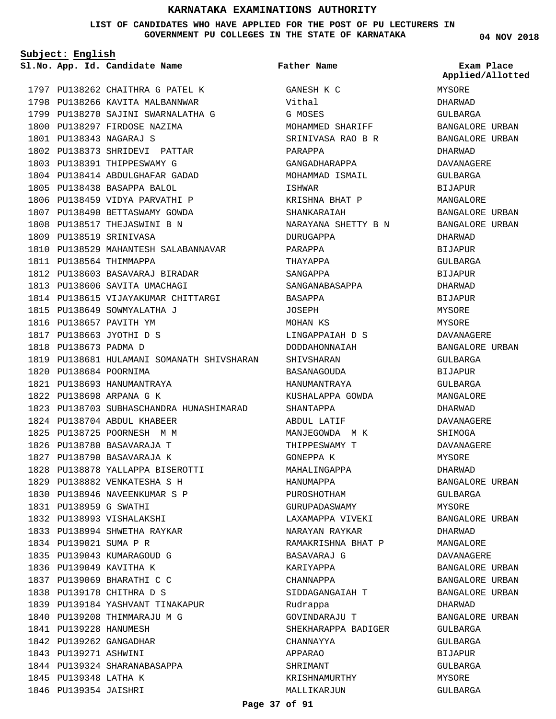**LIST OF CANDIDATES WHO HAVE APPLIED FOR THE POST OF PU LECTURERS IN GOVERNMENT PU COLLEGES IN THE STATE OF KARNATAKA**

**Subject: English**

**App. Id. Candidate Name Sl.No. Exam Place**

1797 PU138262 CHAITHRA G PATEL K 1798 PU138266 KAVITA MALBANNWAR 1799 PU138270 SAJINI SWARNALATHA G 1800 PU138297 FIRDOSE NAZIMA PU138343 NAGARAJ S 1801 1802 PU138373 SHRIDEVI PATTAR 1803 PU138391 THIPPESWAMY G 1804 PU138414 ABDULGHAFAR GADAD 1805 PU138438 BASAPPA BALOL 1806 PU138459 VIDYA PARVATHI P 1807 PU138490 BETTASWAMY GOWDA 1808 PU138517 THEJASWINI B N 1809 PU138519 SRINIVASA 1810 PU138529 MAHANTESH SALABANNAVAR 1811 PU138564 THIMMAPPA PU138603 BASAVARAJ BIRADAR 1812 1813 PU138606 SAVITA UMACHAGI 1814 PU138615 VIJAYAKUMAR CHITTARGI 1815 PU138649 SOWMYALATHA J 1816 PU138657 PAVITH YM PU138663 JYOTHI D S 1817 1818 PU138673 PADMA D 1819 PU138681 HULAMANI SOMANATH SHIVSHARAN 1820 PU138684 POORNIMA 1821 PU138693 HANUMANTRAYA 1822 PU138698 ARPANA G K 1823 PU138703 SUBHASCHANDRA HUNASHIMARAD 1824 PU138704 ABDUL KHABEER PU138725 POORNESH M M 1825 1826 PU138780 BASAVARAJA T 1827 PU138790 BASAVARAJA K 1828 PU138878 YALLAPPA BISEROTTI 1829 PU138882 VENKATESHA S H 1830 PU138946 NAVEENKUMAR S P PU138959 G SWATHI 1831 1832 PU138993 VISHALAKSHI 1833 PU138994 SHWETHA RAYKAR 1834 PU139021 SUMA P R 1835 PU139043 KUMARAGOUD G 1836 PU139049 KAVITHA K 1837 PU139069 BHARATHI C C 1838 PU139178 CHITHRA D S 1839 PU139184 YASHVANT TINAKAPUR 1840 PU139208 THIMMARAJU M G 1841 PU139228 HANUMESH 1842 PU139262 GANGADHAR 1843 PU139271 ASHWINI 1844 PU139324 SHARANABASAPPA 1845 PU139348 LATHA K 1846 PU139354 JAISHRI

GANESH K C Vithal G MOSES MOHAMMED SHARIFF SRINIVASA RAO B R PARAPPA GANGADHARAPPA MOHAMMAD ISMAIL ISHWAR KRISHNA BHAT P SHANKARAIAH NARAYANA SHETTY B N DURUGAPPA PARAPPA THAYAPPA SANGAPPA SANGANABASAPPA BASAPPA JOSEPH MOHAN KS LINGAPPAIAH D S DODDAHONNAIAH SHIVSHARAN BASANAGOUDA HANUMANTRAYA KUSHALAPPA GOWDA SHANTAPPA ABDUL LATIF MANJEGOWDA M K THIPPESWAMY T GONEPPA K MAHALINGAPPA HANUMAPPA PUROSHOTHAM GURUPADASWAMY LAXAMAPPA VIVEKI NARAYAN RAYKAR RAMAKRISHNA BHAT P BASAVARAJ G KARIYAPPA CHANNAPPA SIDDAGANGAIAH T Rudrappa GOVINDARAJU T SHEKHARAPPA BADIGER CHANNAYYA APPARAO SHRIMANT KRISHNAMURTHY MALLIKARJUN **Father Name**

**04 NOV 2018**

MYSORE DHARWAD GULBARGA BANGALORE URBAN BANGALORE URBAN DHARWAD DAVANAGERE GULBARGA **BIJAPUR** MANGALORE BANGALORE URBAN BANGALORE URBAN DHARWAD BIJAPUR GULBARGA BIJAPUR DHARWAD **BIJAPUR** MYSORE MYSORE DAVANAGERE BANGALORE URBAN GULBARGA BIJAPUR GULBARGA MANGALORE DHARWAD DAVANAGERE SHIMOGA DAVANAGERE MYSORE DHARWAD BANGALORE URBAN GULBARGA MYSORE BANGALORE URBAN DHARWAD MANGALORE DAVANAGERE BANGALORE URBAN BANGALORE URBAN BANGALORE URBAN DHARWAD BANGALORE URBAN CIILBARGA GULBARGA BIJAPUR GULBARGA MYSORE GULBARGA **Applied/Allotted**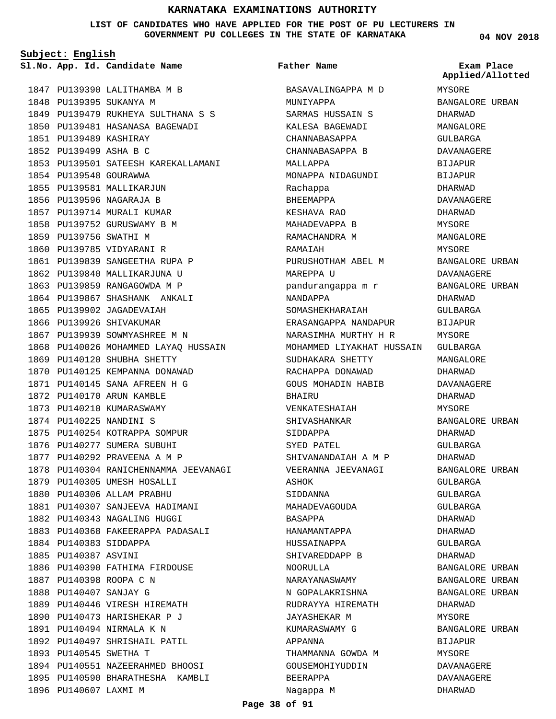**LIST OF CANDIDATES WHO HAVE APPLIED FOR THE POST OF PU LECTURERS IN GOVERNMENT PU COLLEGES IN THE STATE OF KARNATAKA**

**Subject: English**

**App. Id. Candidate Name Sl.No. Exam Place**

1847 PU139390 LALITHAMBA M B 1848 PU139395 SUKANYA M 1849 PU139479 RUKHEYA SULTHANA S S 1850 PU139481 HASANASA BAGEWADI 1851 PU139489 KASHIRAY 1852 PU139499 ASHA B C 1853 PU139501 SATEESH KAREKALLAMANI 1854 PU139548 GOURAWWA 1855 PU139581 MALLIKARJUN 1856 PU139596 NAGARAJA B 1857 PU139714 MURALI KUMAR 1858 PU139752 GURUSWAMY B M 1859 PU139756 SWATHI M 1860 PU139785 VIDYARANI R 1861 PU139839 SANGEETHA RUPA P 1862 PU139840 MALLIKARJUNA U 1863 PU139859 RANGAGOWDA M P 1864 PU139867 SHASHANK ANKALI 1865 PU139902 JAGADEVAIAH 1866 PU139926 SHIVAKUMAR 1867 PU139939 SOWMYASHREE M N 1868 PU140026 MOHAMMED LAYAQ HUSSAIN 1869 PU140120 SHUBHA SHETTY 1870 PU140125 KEMPANNA DONAWAD PU140145 SANA AFREEN H G 1871 1872 PU140170 ARUN KAMBLE 1873 PU140210 KUMARASWAMY 1874 PU140225 NANDINI S 1875 PU140254 KOTRAPPA SOMPUR 1876 PU140277 SUMERA SUBUHI 1877 PU140292 PRAVEENA A M P 1878 PU140304 RANICHENNAMMA JEEVANAGI 1879 PU140305 UMESH HOSALLI PU140306 ALLAM PRABHU 1880 1881 PU140307 SANJEEVA HADIMANI 1882 PU140343 NAGALING HUGGI 1883 PU140368 FAKEERAPPA PADASALI 1884 PU140383 SIDDAPPA 1885 PU140387 ASVINI 1886 PU140390 FATHIMA FIRDOUSE 1887 PU140398 ROOPA C N 1888 PU140407 SANJAY G 1889 PU140446 VIRESH HIREMATH 1890 PU140473 HARISHEKAR P J PU140494 NIRMALA K N 1891 1892 PU140497 SHRISHAIL PATIL 1893 PU140545 SWETHA T 1894 PU140551 NAZEERAHMED BHOOSI 1895 PU140590 BHARATHESHA KAMBLI 1896 PU140607 LAXMI M

BASAVALINGAPPA M D MUNIYAPPA SARMAS HUSSAIN S KALESA BAGEWADI CHANNABASAPPA CHANNABASAPPA B MALLAPPA MONAPPA NIDAGUNDI Rachappa BHEEMAPPA KESHAVA RAO MAHADEVAPPA B RAMACHANDRA M RAMAIAH PURUSHOTHAM ABEL M MAREPPA U pandurangappa m r NANDAPPA SOMASHEKHARAIAH ERASANGAPPA NANDAPUR NARASIMHA MURTHY H R MOHAMMED LIYAKHAT HUSSAIN SUDHAKARA SHETTY RACHAPPA DONAWAD GOUS MOHADIN HABIB BHAIRU VENKATESHAIAH SHIVASHANKAR SIDDAPPA SYED PATEL SHIVANANDAIAH A M P VEERANNA JEEVANAGI ASHOK SIDDANNA MAHADEVAGOUDA BASAPPA HANAMANTAPPA HUSSAINAPPA SHIVAREDDAPP B NOORULLA NARAYANASWAMY N GOPALAKRISHNA RUDRAYYA HIREMATH JAYASHEKAR M KUMARASWAMY G APPANNA THAMMANNA GOWDA M GOUSEMOHIYUDDIN BEERAPPA **Father Name**

**04 NOV 2018**

MYSORE BANGALORE URBAN DHARWAD MANGALORE GULBARGA DAVANAGERE BIJAPUR BIJAPUR DHARWAD DAVANAGERE DHARWAD MYSORE MANGALORE MYSORE BANGALORE URBAN DAVANAGERE BANGALORE URBAN DHARWAD GULBARGA BIJAPUR MYSORE GULBARGA MANGALORE DHARWAD DAVANAGERE DHARWAD MYSORE BANGALORE URBAN DHARWAD GULBARGA DHARWAD BANGALORE URBAN GULBARGA GULBARGA GULBARGA DHARWAD DHARWAD GULBARGA DHARWAD BANGALORE URBAN BANGALORE URBAN BANGALORE URBAN DHARWAD MYSORE BANGALORE URBAN **BIJAPUR** MYSORE DAVANAGERE DAVANAGERE DHARWAD **Applied/Allotted**

Nagappa M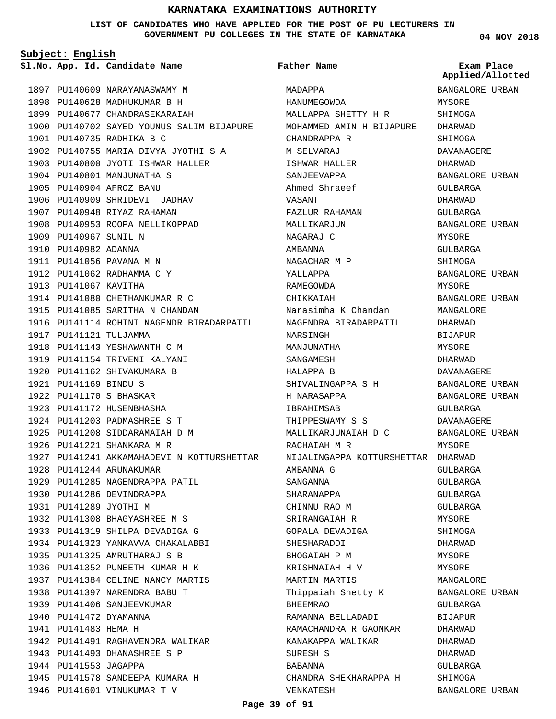**LIST OF CANDIDATES WHO HAVE APPLIED FOR THE POST OF PU LECTURERS IN GOVERNMENT PU COLLEGES IN THE STATE OF KARNATAKA**

**Subject: English**

**App. Id. Candidate Name Sl.No. Exam Place**

1901 PU140735 RADHIKA B C

1904 PU140801 MANJUNATHA S 1905 PU140904 AFROZ BANU

1909 PU140967 SUNIL N 1910 PU140982 ADANNA 1911 PU141056 PAVANA M N 1912 PU141062 RADHAMMA C Y

1913 PU141067 KAVITHA

1917 PU141121 TULJAMMA

PU141169 BINDU S 1921 PU141170 S BHASKAR 1922 1923 PU141172 HUSENBHASHA 1924 PU141203 PADMASHREE S T 1925 PU141208 SIDDARAMAIAH D M 1926 PU141221 SHANKARA M R

1928 PU141244 ARUNAKUMAR

1930 PU141286 DEVINDRAPPA 1931 PU141289 JYOTHI M

1929 PU141285 NAGENDRAPPA PATIL

1932 PU141308 BHAGYASHREE M S 1933 PU141319 SHILPA DEVADIGA G 1934 PU141323 YANKAVVA CHAKALABBI

1935 PU141325 AMRUTHARAJ S B 1936 PU141352 PUNEETH KUMAR H K 1937 PU141384 CELINE NANCY MARTIS 1938 PU141397 NARENDRA BABU T 1939 PU141406 SANJEEVKUMAR 1940 PU141472 DYAMANNA 1941 PU141483 HEMA H

1942 PU141491 RAGHAVENDRA WALIKAR

1945 PU141578 SANDEEPA KUMARA H 1946 PU141601 VINUKUMAR T V

1943 PU141493 DHANASHREE S P

1944 PU141553 JAGAPPA

1906 PU140909 SHRIDEVI JADHAV 1907 PU140948 RIYAZ RAHAMAN 1908 PU140953 ROOPA NELLIKOPPAD

1914 PU141080 CHETHANKUMAR R C 1915 PU141085 SARITHA N CHANDAN

1918 PU141143 YESHAWANTH C M 1919 PU141154 TRIVENI KALYANI 1920 PU141162 SHIVAKUMARA B

1916 PU141114 ROHINI NAGENDR BIRADARPATIL

1927 PU141241 AKKAMAHADEVI N KOTTURSHETTAR

1897 PU140609 NARAYANASWAMY M 1898 PU140628 MADHUKUMAR B H 1899 PU140677 CHANDRASEKARAIAH

1900 PU140702 SAYED YOUNUS SALIM BIJAPURE

1902 PU140755 MARIA DIVYA JYOTHI S A 1903 PU140800 JYOTI ISHWAR HALLER

**Father Name**

MADAPPA HANUMEGOWDA MALLAPPA SHETTY H R MOHAMMED AMIN H BIJAPURE DHARWAD CHANDRAPPA R M SELVARAJ ISHWAR HALLER SANJEEVAPPA Ahmed Shraeef VASANT FAZLUR RAHAMAN MALLIKARJUN NAGARAJ C AMBANNA NAGACHAR M P YALLAPPA RAMEGOWDA CHIKKAIAH Narasimha K Chandan NAGENDRA BIRADARPATIL NARSINGH MANJUNATHA SANGAMESH HALAPPA B SHIVALINGAPPA S H H NARASAPPA IBRAHIMSAB THIPPESWAMY S S MALLIKARJUNAIAH D C RACHAIAH M R NIJALINGAPPA KOTTURSHETTAR DHARWAD AMBANNA G SANGANNA SHARANAPPA CHINNU RAO M SRIRANGAIAH R GOPALA DEVADIGA SHESHARADDI BHOGAIAH P M KRISHNAIAH H V MARTIN MARTIS Thippaiah Shetty K BHEEMRAO RAMANNA BELLADADI RAMACHANDRA R GAONKAR KANAKAPPA WALIKAR SURESH S BABANNA CHANDRA SHEKHARAPPA H VENKATESH

**04 NOV 2018**

**Applied/Allotted**

BANGALORE URBAN

## MYSORE SHIMOGA SHIMOGA DAVANAGERE DHARWAD BANGALORE URBAN GULBARGA DHARWAD GULBARGA BANGALORE URBAN MYSORE GULBARGA SHIMOGA BANGALORE URBAN MYSORE BANGALORE URBAN MANGALORE DHARWAD BIJAPUR MYSORE DHARWAD DAVANAGERE BANGALORE URBAN BANGALORE URBAN GULBARGA DAVANAGERE BANGALORE URBAN MYSORE GULBARGA GULBARGA GULBARGA GULBARGA MYSORE SHIMOGA DHARWAD MYSORE MYSORE MANGALORE BANGALORE URBAN GULBARGA **BIJAPUR** DHARWAD DHARWAD DHARWAD GULBARGA SHIMOGA BANGALORE URBAN

### **Page 39 of 91**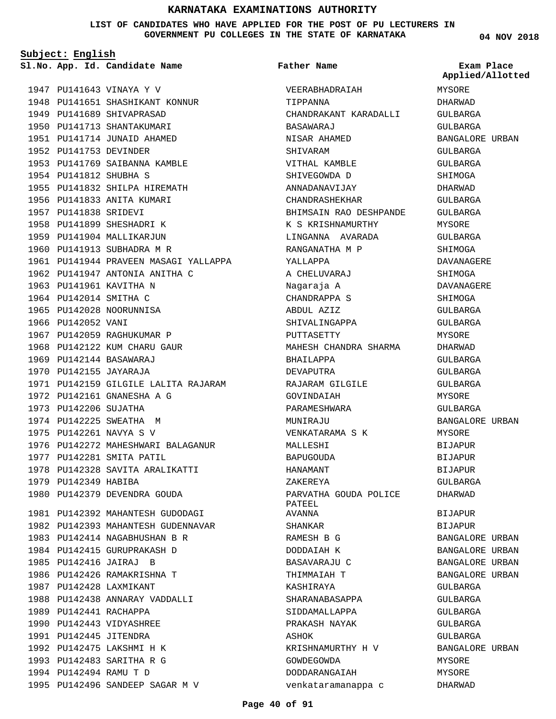**LIST OF CANDIDATES WHO HAVE APPLIED FOR THE POST OF PU LECTURERS IN GOVERNMENT PU COLLEGES IN THE STATE OF KARNATAKA**

**Subject: English**

1947 PU141643 VINAYA Y V 1948 PU141651 SHASHIKANT KONNUR 1949 PU141689 SHIVAPRASAD 1950 PU141713 SHANTAKUMARI 1951 PU141714 JUNAID AHAMED 1952 PU141753 DEVINDER 1954 PU141812 SHUBHA S

1953 PU141769 SAIBANNA KAMBLE 1955 PU141832 SHILPA HIREMATH 1956 PU141833 ANITA KUMARI 1957 PU141838 SRIDEVI 1958 PU141899 SHESHADRI K 1959 PU141904 MALLIKARJUN 1960 PU141913 SUBHADRA M R 1961 PU141944 PRAVEEN MASAGI YALLAPPA 1962 PU141947 ANTONIA ANITHA C 1963 PU141961 KAVITHA N 1964 PU142014 SMITHA C 1965 PU142028 NOORUNNISA 1966 PU142052 VANI 1967 PU142059 RAGHUKUMAR P 1968 PU142122 KUM CHARU GAUR PU142144 BASAWARAJ 1969 1970 PU142155 JAYARAJA 1971 PU142159 GILGILE LALITA RAJARAM 1972 PU142161 GNANESHA A G 1973 PU142206 SUJATHA 1974 PU142225 SWEATHA M 1975 PU142261 NAVYA S V 1976 PU142272 MAHESHWARI BALAGANUR 1977 PU142281 SMITA PATIL 1978 PU142328 SAVITA ARALIKATTI 1979 PU142349 HABIBA 1980 PU142379 DEVENDRA GOUDA PU142392 MAHANTESH GUDODAGI 1981 1982 PU142393 MAHANTESH GUDENNAVAR 1983 PU142414 NAGABHUSHAN B R 1984 PU142415 GURUPRAKASH D PU142416 JAIRAJ B 1985 1986 PU142426 RAMAKRISHNA T 1987 PU142428 LAXMIKANT 1988 PU142438 ANNARAY VADDALLI 1989 PU142441 RACHAPPA 1990 PU142443 VIDYASHREE 1991 PU142445 JITENDRA 1992 PU142475 LAKSHMI H K 1993 PU142483 SARITHA R G PU142494 RAMU T D 1994 PU142496 SANDEEP SAGAR M V 1995

#### **App. Id. Candidate Name Sl.No. Exam Place** VEERABHADRAIAH TIPPANNA CHANDRAKANT KARADALLI BASAWARAJ NISAR AHAMED SHIVARAM VITHAL KAMBLE SHIVEGOWDA D ANNADANAVIJAY CHANDRASHEKHAR BHIMSAIN RAO DESHPANDE K S KRISHNAMURTHY LINGANNA AVARADA RANGANATHA M P YALLAPPA A CHELUVARAJ Nagaraja A CHANDRAPPA S ABDUL AZIZ SHIVALINGAPPA PUTTASETTY MAHESH CHANDRA SHARMA BHAILAPPA DEVAPUTRA RAJARAM GILGILE GOVINDAIAH PARAMESHWARA MUNIR AJU VENKATARAMA S K MALLESHI BAPUGOUDA HANAMANT ZAKEREYA PARVATHA GOUDA POLICE PATEEL AVANNA SHANKAR RAMESH B G DODDAIAH K BASAVARAJU C THIMMAIAH T KASHIRAYA SHARANABASAPPA SIDDAMALLAPPA PRAKASH NAYAK ASHOK KRISHNAMURTHY H V GOWDEGOWDA DODDARANGAIAH venkataramanappa c **Father Name** MYSORE DHARWAD GULBARGA GULBARGA BANGALORE URBAN GULBARGA GULBARGA SHIMOGA DHARWAD GULBARGA GULBARGA MYSORE GULBARGA SHIMOGA DAVANAGERE SHIMOGA DAVANAGERE **SHIMOGA** GULBARGA GULBARGA MYSORE DHARWAD GULBARGA GULBARGA GULBARGA MYSORE  $CITIRARCA$ BANGALORE URBAN MYSORE BIJAPUR BIJAPUR BIJAPUR GULBARGA DHARWAD BIJAPUR BIJAPUR BANGALORE URBAN BANGALORE URBAN BANGALORE URBAN BANGALORE URBAN GULBARGA GULBARGA GULBARGA GULBARGA GULBARGA BANGALORE URBAN MYSORE MYSORE DHARWAD **Applied/Allotted**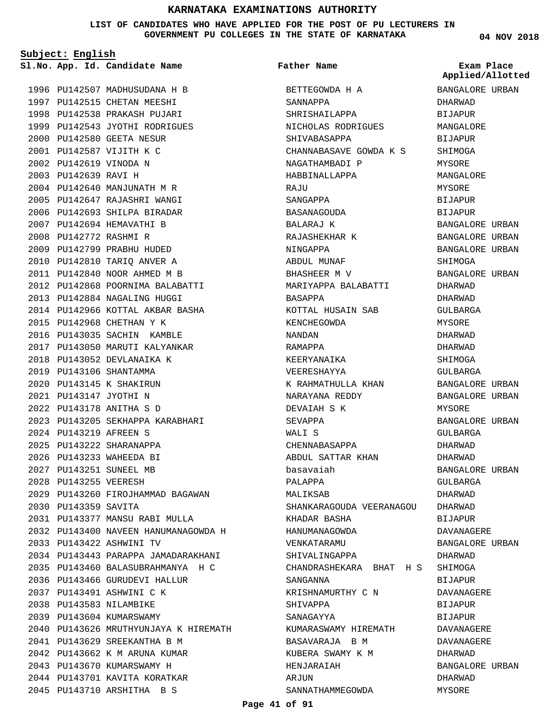**LIST OF CANDIDATES WHO HAVE APPLIED FOR THE POST OF PU LECTURERS IN GOVERNMENT PU COLLEGES IN THE STATE OF KARNATAKA**

**Subject: English**

**App. Id. Candidate Name Sl.No. Exam Place**

1996 PU142507 MADHUSUDANA H B 1997 PU142515 CHETAN MEESHI 1998 PU142538 PRAKASH PUJARI 1999 PU142543 JYOTHI RODRIGUES 2000 PU142580 GEETA NESUR PU142587 VIJITH K C 2001 2002 PU142619 VINODA N 2003 PU142639 RAVI H PU142640 MANJUNATH M R 2004 2005 PU142647 RAJASHRI WANGI 2006 PU142693 SHILPA BIRADAR 2007 PU142694 HEMAVATHI B PU142772 RASHMI R 2008 PU142799 PRABHU HUDED 2009 PU142810 TARIQ ANVER A 2010 2011 PU142840 NOOR AHMED M B PU142868 POORNIMA BALABATTI 2012 2013 PU142884 NAGALING HUGGI PU142966 KOTTAL AKBAR BASHA 2014 2015 PU142968 CHETHAN Y K 2016 PU143035 SACHIN KAMBLE 2017 PU143050 MARUTI KALYANKAR 2018 PU143052 DEVLANAIKA K PU143106 SHANTAMMA 2019 PU143145 K SHAKIRUN 2020 PU143147 JYOTHI N 2021 PU143178 ANITHA S D 2022 PU143205 SEKHAPPA KARABHARI 2023 PU143219 AFREEN S 2024 PU143222 SHARANAPPA 2025 2026 PU143233 WAHEEDA BI 2027 PU143251 SUNEEL MB 2028 PU143255 VEERESH 2029 PU143260 FIROJHAMMAD BAGAWAN 2030 PU143359 SAVITA PU143377 MANSU RABI MULLA 2031 PU143400 NAVEEN HANUMANAGOWDA H 2032 PU143422 ASHWINI TV 2033 2034 PU143443 PARAPPA JAMADARAKHANI PU143460 BALASUBRAHMANYA H C 2035 2036 PU143466 GURUDEVI HALLUR PU143491 ASHWINI C K 2037 2038 PU143583 NILAMBIKE 2039 PU143604 KUMARSWAMY PU143626 MRUTHYUNJAYA K HIREMATH 2040 PU143629 SREEKANTHA B M 2041 2042 PU143662 K M ARUNA KUMAR 2043 PU143670 KUMARSWAMY H 2044 PU143701 KAVITA KORATKAR PU143710 ARSHITHA B S 2045

**Father Name**

BETTEGOWDA H A SANNAPPA SHRISHAILAPPA NICHOLAS RODRIGUES SHIVABASAPPA CHANNABASAVE GOWDA K S NAGATHAMBADI P HABBINALLAPPA **RATIT** SANGAPPA BASANAGOUDA BALARAJ K RAJASHEKHAR K NINGAPPA ABDUL MUNAF BHASHEER M V MARIYAPPA BALABATTI BASAPPA KOTTAL HUSAIN SAB KENCHEGOWDA NANDAN RAMAPPA KEERYANAIKA VEERESHAYYA K RAHMATHULLA KHAN NARAYANA REDDY DEVAIAH S K SEVAPPA WALI S CHENNABASAPPA ABDUL SATTAR KHAN basavaiah PALAPPA MALIKSAB SHANKARAGOUDA VEERANAGOU KHADAR BASHA HANUMANAGOWDA VENKATARAMU SHIVALINGAPPA CHANDRASHEKARA BHAT H S SANGANNA KRISHNAMURTHY C N SHIVAPPA SANAGAYYA KUMARASWAMY HIREMATH BASAVARAJA B M KUBERA SWAMY K M HENJARAIAH ARJUN SANNATHAMMEGOWDA

**04 NOV 2018**

**Applied/Allotted**

BANGALORE URBAN

## DHARWAD **BIJAPUR** MANGALORE BIJAPUR SHIMOGA MYSORE MANGALORE MYSORE BIJAPUR BIJAPUR BANGALORE URBAN BANGALORE URBAN BANGALORE URBAN SHIMOGA BANGALORE URBAN DHARWAD DHARWAD GULBARGA MYSORE DHARWAD DHARWAD SHIMOGA GULBARGA BANGALORE URBAN BANGALORE URBAN MYSORE BANGALORE URBAN GULBARGA DHARWAD DHARWAD BANGALORE URBAN GULBARGA DHARWAD DHARWAD BIJAPUR DAVANAGERE BANGALORE URBAN DHARWAD SHIMOGA **BIJAPUR** DAVANAGERE BIJAPUR **BIJAPUR** DAVANAGERE DAVANAGERE DHARWAD BANGALORE URBAN DHARWAD MYSORE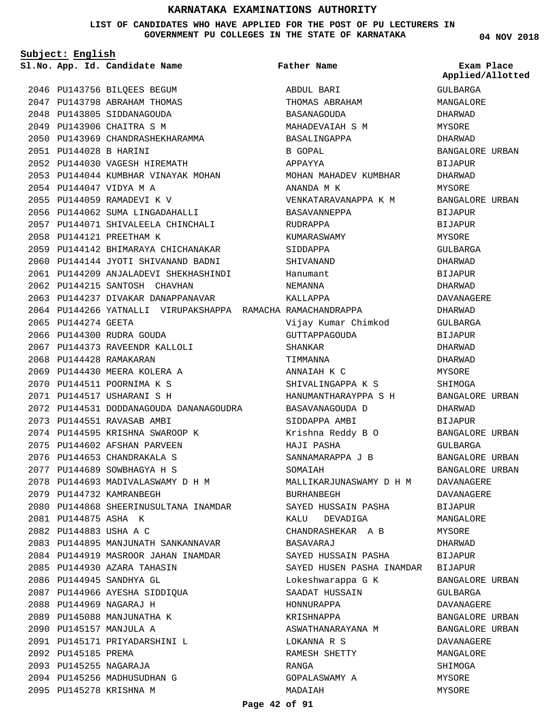### **LIST OF CANDIDATES WHO HAVE APPLIED FOR THE POST OF PU LECTURERS IN GOVERNMENT PU COLLEGES IN THE STATE OF KARNATAKA**

**Subject: English**

**04 NOV 2018**

|                        | Sl.No. App. Id. Candidate Name                                  | <b>Father Name</b>        | Exam Place       |
|------------------------|-----------------------------------------------------------------|---------------------------|------------------|
|                        |                                                                 |                           | Applied/Allotted |
|                        | 2046 PU143756 BILQEES BEGUM                                     | ABDUL BARI                | GULBARGA         |
|                        | 2047 PU143798 ABRAHAM THOMAS                                    | THOMAS ABRAHAM            | MANGALORE        |
|                        | 2048 PU143805 SIDDANAGOUDA                                      | BASANAGOUDA               | DHARWAD          |
|                        | 2049 PU143906 CHAITRA S M                                       | MAHADEVAIAH S M           | MYSORE           |
|                        | 2050 PU143969 CHANDRASHEKHARAMMA                                | BASALINGAPPA              | DHARWAD          |
| 2051 PU144028 B HARINI |                                                                 | B GOPAL                   | BANGALORE URBAN  |
|                        | 2052 PU144030 VAGESH HIREMATH                                   | APPAYYA                   | BIJAPUR          |
|                        | 2053 PU144044 KUMBHAR VINAYAK MOHAN NARAN MOHAN MAHADEV KUMBHAR |                           | DHARWAD          |
|                        | 2054 PU144047 VIDYA M A                                         | ANANDA M K                | MYSORE           |
|                        | 2055 PU144059 RAMADEVI K V                                      | VENKATARAVANAPPA K M      | BANGALORE URBAN  |
|                        | 2056 PU144062 SUMA LINGADAHALLI                                 | BASAVANNEPPA              | BIJAPUR          |
|                        | 2057 PU144071 SHIVALEELA CHINCHALI                              | RUDRAPPA                  | <b>BIJAPUR</b>   |
|                        | 2058 PU144121 PREETHAM K                                        | KUMARASWAMY               | MYSORE           |
|                        | 2059 PU144142 BHIMARAYA CHICHANAKAR                             | SIDDAPPA                  | GULBARGA         |
|                        | 2060 PU144144 JYOTI SHIVANAND BADNI               SHIVANAND     |                           | DHARWAD          |
|                        | 2061 PU144209 ANJALADEVI SHEKHASHINDI Hanumant                  |                           | <b>BIJAPUR</b>   |
|                        | 2062 PU144215 SANTOSH CHAVHAN                                   | NEMANNA                   | DHARWAD          |
|                        | 2063 PU144237 DIVAKAR DANAPPANAVAR                              | KALLAPPA                  | DAVANAGERE       |
|                        | 2064 PU144266 YATNALLI VIRUPAKSHAPPA RAMACHA RAMACHANDRAPPA     |                           | DHARWAD          |
| 2065 PU144274 GEETA    |                                                                 | Vijay Kumar Chimkod       | GULBARGA         |
|                        | 2066 PU144300 RUDRA GOUDA                                       | GUTTAPPAGOUDA             | BIJAPUR          |
|                        | 2067 PU144373 RAVEENDR KALLOLI                                  | SHANKAR                   | DHARWAD          |
|                        | 2068 PU144428 RAMAKARAN                                         | TIMMANNA                  | DHARWAD          |
|                        | 2069 PU144430 MEERA KOLERA A                                    | ANNAIAH K C               | MYSORE           |
|                        | 2070 PU144511 POORNIMA K S                                      | SHIVALINGAPPA K S         | SHIMOGA          |
|                        | 2071 PU144517 USHARANI S H                                      | HANUMANTHARAYPPA S H      | BANGALORE URBAN  |
|                        | 2072 PU144531 DODDANAGOUDA DANANAGOUDRA                         | BASAVANAGOUDA D           | DHARWAD          |
|                        | 2073 PU144551 RAVASAB AMBI                                      | SIDDAPPA AMBI             | BIJAPUR          |
|                        | 2074 PU144595 KRISHNA SWAROOP K                                 | Krishna Reddy B O         | BANGALORE URBAN  |
|                        | 2075 PU144602 AFSHAN PARVEEN                                    | HAJI PASHA                | GULBARGA         |
|                        | 2076 PU144653 CHANDRAKALA S                                     | SANNAMARAPPA J B          | BANGALORE URBAN  |
|                        | 2077 PU144689 SOWBHAGYA H S                                     | SOMAIAH                   | BANGALORE URBAN  |
|                        | 2078 PU144693 MADIVALASWAMY D H M                               | MALLIKARJUNASWAMY D H M   | DAVANAGERE       |
|                        | 2079 PU144732 KAMRANBEGH                                        | BURHANBEGH                | DAVANAGERE       |
|                        | 2080 PU144868 SHEERINUSULTANA INAMDAR                           | SAYED HUSSAIN PASHA       | BIJAPUR          |
| 2081 PU144875 ASHA K   |                                                                 | KALU<br>DEVADIGA          | MANGALORE        |
| 2082 PU144883 USHA A C |                                                                 | CHANDRASHEKAR A B         | MYSORE           |
|                        | 2083 PU144895 MANJUNATH SANKANNAVAR                             | BASAVARAJ                 | DHARWAD          |
|                        | 2084 PU144919 MASROOR JAHAN INAMDAR                             | SAYED HUSSAIN PASHA       | BIJAPUR          |
|                        | 2085 PU144930 AZARA TAHASIN                                     | SAYED HUSEN PASHA INAMDAR | BIJAPUR          |
|                        | 2086 PU144945 SANDHYA GL                                        | Lokeshwarappa G K         | BANGALORE URBAN  |
|                        | 2087 PU144966 AYESHA SIDDIOUA                                   | SAADAT HUSSAIN            | GULBARGA         |
|                        | 2088 PU144969 NAGARAJ H                                         | HONNURAPPA                | DAVANAGERE       |
|                        | 2089 PU145088 MANJUNATHA K                                      | KRISHNAPPA                | BANGALORE URBAN  |
|                        | 2090 PU145157 MANJULA A                                         | ASWATHANARAYANA M         | BANGALORE URBAN  |
|                        | 2091 PU145171 PRIYADARSHINI L                                   | LOKANNA R S               | DAVANAGERE       |
| 2092 PU145185 PREMA    |                                                                 | RAMESH SHETTY             | MANGALORE        |
|                        | 2093 PU145255 NAGARAJA                                          | RANGA                     | SHIMOGA          |
|                        | 2094 PU145256 MADHUSUDHAN G                                     | GOPALASWAMY A             | MYSORE           |
|                        | 2095 PU145278 KRISHNA M                                         | MADAIAH                   | MYSORE           |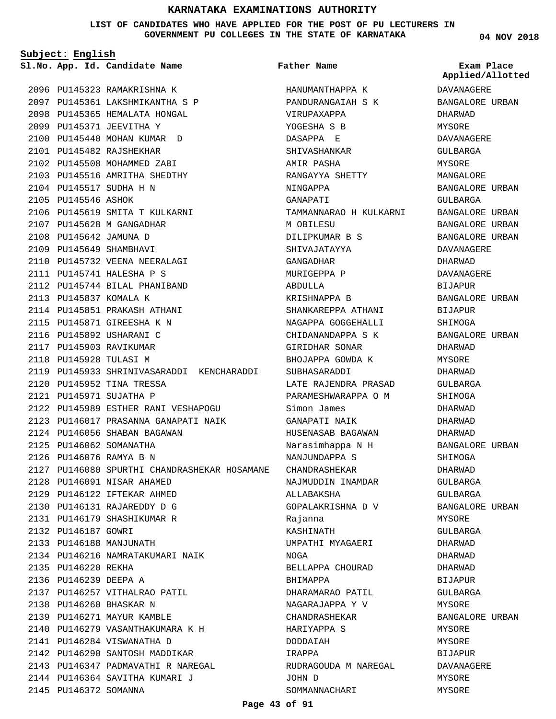**LIST OF CANDIDATES WHO HAVE APPLIED FOR THE POST OF PU LECTURERS IN GOVERNMENT PU COLLEGES IN THE STATE OF KARNATAKA**

**Subject: English**

**App. Id. Candidate Name Sl.No. Exam Place**

2096 PU145323 RAMAKRISHNA K PU145361 LAKSHMIKANTHA S P 2097 2098 PU145365 HEMALATA HONGAL 2099 PU145371 JEEVITHA Y 2100 PU145440 MOHAN KUMAR D PU145482 RAJSHEKHAR 2101 2102 PU145508 MOHAMMED ZABI 2103 PU145516 AMRITHA SHEDTHY PU145517 SUDHA H N 2104 2105 PU145546 ASHOK 2106 PU145619 SMITA T KULKARNI 2107 PU145628 M GANGADHAR PU145642 JAMUNA D 2108 2109 PU145649 SHAMBHAVI 2110 PU145732 VEENA NEERALAGI PU145741 HALESHA P S 2111 2112 PU145744 BILAL PHANIBAND 2113 PU145837 KOMALA K 2114 PU145851 PRAKASH ATHANI 2115 PU145871 GIREESHA K N 2116 PU145892 USHARANI C 2117 PU145903 RAVIKUMAR 2118 PU145928 TULASI M 2119 PU145933 SHRINIVASARADDI KENCHARADDI 2120 PU145952 TINA TRESSA PU145971 SUJATHA P 2121 2122 PU145989 ESTHER RANI VESHAPOGU PU146017 PRASANNA GANAPATI NAIK 2123 2124 PU146056 SHABAN BAGAWAN 2125 PU146062 SOMANATHA PU146076 RAMYA B N 2126 PU146080 SPURTHI CHANDRASHEKAR HOSAMANE 2127 PU146091 NISAR AHAMED 2128 PU146122 IFTEKAR AHMED 2129 PU146131 RAJAREDDY D G 2130 PU146179 SHASHIKUMAR R 2131 2132 PU146187 GOWRI 2133 PU146188 MANJUNATH 2134 PU146216 NAMRATAKUMARI NAIK 2135 PU146220 REKHA 2136 PU146239 DEEPA A 2137 PU146257 VITHALRAO PATIL PU146260 BHASKAR N 2138 2139 PU146271 MAYUR KAMBLE 2140 PU146279 VASANTHAKUMARA K H 2141 PU146284 VISWANATHA D 2142 PU146290 SANTOSH MADDIKAR 2143 PU146347 PADMAVATHI R NAREGAL 2144 PU146364 SAVITHA KUMARI J

2145 PU146372 SOMANNA

HANUMANTHAPPA K PANDURANGAIAH S K VIRUPAXAPPA YOGESHA S B DASAPPA E SHIVASHANKAR AMIR PASHA RANGAYYA SHETTY NINGAPPA GANAPATI TAMMANNARAO H KULKARNI M OBILESU DILIPKUMAR B S SHIVAJATAYYA GANGADHAR MURIGEPPA P ABDULLA KRISHNAPPA B SHANKAREPPA ATHANI **Father Name**

NAGAPPA GOGGEHALLI CHIDANANDAPPA S K GIRIDHAR SONAR BHOJAPPA GOWDA K

LATE RAJENDRA PRASAD PARAMESHWARAPPA O M

HUSENASAB BAGAWAN Narasimhappa N H NANJUNDAPPA S CHANDRASHEKAR

NAJMUDDIN INAMDAR

GOPALAKRISHNA D V

UMPATHI MYAGAERI

BELLAPPA CHOURAD

DHARAMARAO PATIL NAGARAJAPPA Y V CHANDRASHEKAR HARIYAPPA S DODDAIAH IRAPPA

RUDRAGOUDA M NAREGAL

SOMMANNACHARI

SUBHASARADDI

Simon James GANAPATI NAIK

ALLABAKSHA

Rajanna KASHINATH

BHIMAPPA

JOHN D

NOGA

**04 NOV 2018**

**Applied/Allotted**

DAVANAGERE BANGALORE URBAN DHARWAD MYSORE DAVANAGERE GULBARGA MYSORE MANGALORE BANGALORE URBAN GULBARGA BANGALORE URBAN BANGALORE URBAN BANGALORE URBAN DAVANAGERE DHARWAD DAVANAGERE BIJAPUR BANGALORE URBAN BIJAPUR SHIMOGA BANGALORE URBAN DHARWAD MYSORE DHARWAD GULBARGA SHIMOGA DHARWAD DHARWAD DHARWAD BANGALORE URBAN SHIMOGA DHARWAD GULBARGA GULBARGA BANGALORE URBAN MYSORE GULBARGA DHARWAD DHARWAD DHARWAD BIJAPUR GULBARGA MYSORE BANGALORE URBAN MYSORE MYSORE BIJAPUR DAVANAGERE MYSORE MYSORE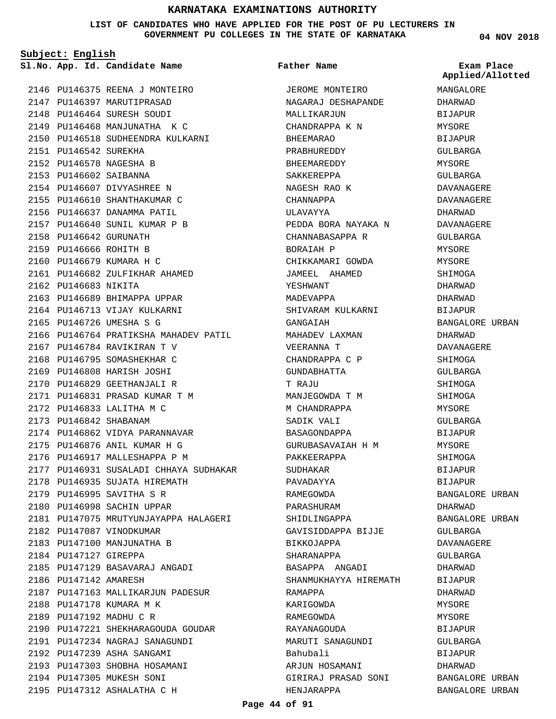**LIST OF CANDIDATES WHO HAVE APPLIED FOR THE POST OF PU LECTURERS IN GOVERNMENT PU COLLEGES IN THE STATE OF KARNATAKA**

**Subject: English**

**App. Id. Candidate Name Sl.No. Exam Place**

**Father Name**

2146 PU146375 REENA J MONTEIRO 2147 PU146397 MARUTIPRASAD PU146464 SURESH SOUDI 2148 2149 PU146468 MANJUNATHA K C 2150 PU146518 SUDHEENDRA KULKARNI 2151 PU146542 SUREKHA 2152 PU146578 NAGESHA B PU146602 SAIBANNA 2153 2154 PU146607 DIVYASHREE N 2155 PU146610 SHANTHAKUMAR C 2156 PU146637 DANAMMA PATIL PU146640 SUNIL KUMAR P B 2157 2158 PU146642 GURUNATH 2159 PU146666 ROHITH B PU146679 PU146682 2162 PU146683 NIKITA 2163 PU146689 BHIMAPPA UPPAR 2164 PU146713 VIJAY KULKARNI 2165 PU146726 UMESHA S G 2166 PU146764 PRATIKSHA MAHADEV PATIL PU146784 RAVIKIRAN T V 2167 2168 PU146795 SOMASHEKHAR C 2169 PU146808 HARISH JOSHI 2170 PU146829 GEETHANJALI R PU146831 PRASAD KUMAR T M 2171 2172 PU146833 LALITHA M C PU146842 PU146862 2175 PU146876 ANIL KUMAR H G 2176 PU146917 MALLESHAPPA P M 2177 PU146931 SUSALADI CHHAYA SUDHAKAR 2178 PU146935 SUJATA HIREMATH 2179 PU146995 SAVITHA S R 2180 PU146998 SACHIN UPPAR 2181 PU147075 MRUTYUNJAYAPPA HALAGERI 2182 PU147087 VINODKUMAR 2183 PU147100 MANJUNATHA B 2184 PU147127 GIREPPA 2185 PU147129 BASAVARAJ ANGADI 2186 PU147142 AMARESH 2187 PU147163 MALLIKARJUN PADESUR 2188 PU147178 KUMARA M K 2189 PU147192 MADHU C R 2190 PU147221 SHEKHARAGOUDA GOUDAR PU147234 NAGRAJ SANAGUNDI 2191 2192 PU147239 ASHA SANGAMI 2193 PU147303 SHOBHA HOSAMANI 2194 PU147305 MUKESH SONI PU147312 ASHALATHA C H 2195 KUMARA H C ZULFIKHAR AHAMED SHABANAM VIDYA PARANNAVAR 2160 2161 2173 2174

JEROME MONTEIRO NAGARAJ DESHAPANDE MALLIKARJUN CHANDRAPPA K N BHEEMARAO PRABHUREDDY BHEEMAREDDY SAKKEREPPA NAGESH RAO K CHANNAPPA ULAVAYYA PEDDA BORA NAYAKA N CHANNABASAPPA R BORAIAH P CHIKKAMARI GOWDA JAMEEL AHAMED YESHWANT MADEVAPPA SHIVARAM KULKARNI GANGAIAH MAHADEV LAXMAN VEERANNA T CHANDRAPPA C P GUNDABHATTA T RAJU MANJEGOWDA T M M CHANDRAPPA SADIK VALI BASAGONDAPPA GURUBASAVAIAH H M PAKKEERAPPA SUDHAKAR PAVADAYYA RAMEGOWDA PARASHURAM SHIDLINGAPPA GAVISIDDAPPA BIJJE BIKKOJAPPA SHARANAPPA BASAPPA ANGADI SHANMUKHAYYA HIREMATH RAMAPPA KARIGOWDA RAMEGOWDA RAYANAGOUDA MARUTI SANAGUNDI Bahubali ARJUN HOSAMANI GIRIRAJ PRASAD SONI HENJARAPPA

**04 NOV 2018**

MANGALORE DHARWAD BIJAPUR **Applied/Allotted**

MYSORE BIJAPUR GULBARGA MYSORE GULBARGA DAVANAGERE DAVANAGERE DHARWAD DAVANAGERE GULBARGA MYSORE MYSORE SHIMOGA DHARWAD DHARWAD BIJAPUR BANGALORE URBAN DHARWAD DAVANAGERE SHIMOGA GULBARGA SHIMOGA SHIMOGA MYSORE GULBARGA BIJAPUR MYSORE SHIMOGA BIJAPUR BIJAPUR BANGALORE URBAN DHARWAD BANGALORE URBAN GULBARGA DAVANAGERE GULBARGA DHARWAD **BIJAPUR** DHARWAD MYSORE **MYSORE** BIJAPUR GULBARGA BIJAPUR DHARWAD BANGALORE URBAN BANGALORE URBAN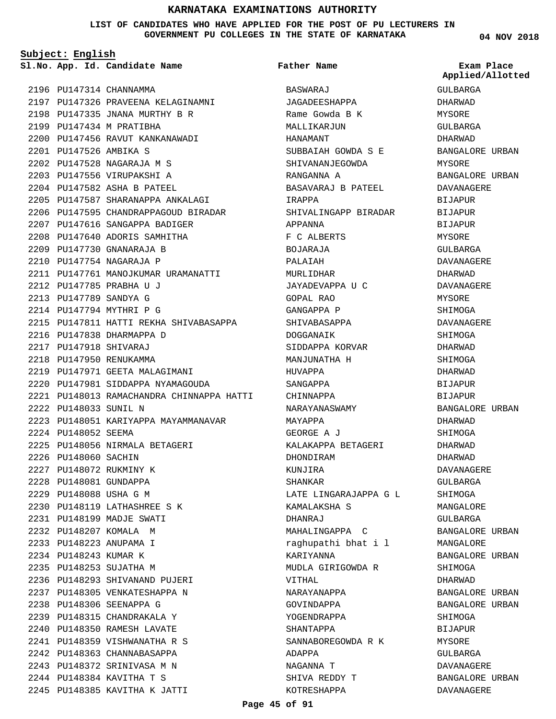### **LIST OF CANDIDATES WHO HAVE APPLIED FOR THE POST OF PU LECTURERS IN GOVERNMENT PU COLLEGES IN THE STATE OF KARNATAKA**

**Subject: English**

2196 PU147314 CHANNAMMA 2197 PU147326 PRAVEENA KELAGINAMNI 2198 PU147335 JNANA MURTHY B R 2199 PU147434 M PRATIBHA 2200 PU147456 RAVUT KANKANAWADI PU147526 AMBIKA S 2201 PU147528 NAGARAJA M S 2202 PU147556 VIRUPAKSHI A 2203 PU147582 ASHA B PATEEL 2204 2205 PU147587 SHARANAPPA ANKALAGI 2206 PU147595 CHANDRAPPAGOUD BIRADAR 2207 PU147616 SANGAPPA BADIGER 2208 PU147640 ADORIS SAMHITHA PU147730 GNANARAJA B 2209 2210 PU147754 NAGARAJA P PU147761 MANOJKUMAR URAMANATTI 2211 PU147785 PRABHA U J 2212 PU147789 SANDYA G 2213 2214 PU147794 MYTHRI P G 2215 PU147811 HATTI REKHA SHIVABASAPPA 2216 PU147838 DHARMAPPA D PU147918 SHIVARAJ 2217 2218 PU147950 RENUKAMMA 2219 PU147971 GEETA MALAGIMANI 2220 PU147981 SIDDAPPA NYAMAGOUDA PU148013 RAMACHANDRA CHINNAPPA HATTI CHINNAPPA 2221 2222 PU148033 SUNIL N 2223 PU148051 KARIYAPPA MAYAMMANAVAR 2224 PU148052 SEEMA 2225 PU148056 NIRMALA BETAGERI 2226 PU148060 SACHIN 2227 PU148072 RUKMINY K 2228 PU148081 GUNDAPPA PU148088 USHA G M 2229 PU148119 LATHASHREE S K 2230 PU148199 MADJE SWATI 2231 2232 PU148207 KOMALA M PU148223 ANUPAMA I 2233 2234 PU148243 KUMAR K 2235 PU148253 SUJATHA M PU148293 PU148305 2238 PU148306 SEENAPPA G PU148315 CHANDRAKALA Y 2239 PU148350 RAMESH LAVATE 2240 PU148359 VISHWANATHA R S 2241 2242 PU148363 CHANNABASAPPA PU148372 SRINIVASA M N 2243 PU148384 KAVITHA T S 2244 2245 PU148385 KAVITHA K JATTI SHIVANAND PUJERI VENKATESHAPPA N 2236 2237

**App. Id. Candidate Name Sl.No. Exam Place** BASWARAJ JAGADEESHAPPA Rame Gowda B K MALLIKARJUN HANAMANT SUBBAIAH GOWDA S E SHIVANANJEGOWDA RANGANNA A BASAVARAJ B PATEEL IRAPPA SHIVALINGAPP BIRADAR APPANNA F C ALBERTS BOJARAJA PALAIAH MURLIDHAR JAYADEVAPPA U C GOPAL RAO GANGAPPA P SHIVABASAPPA DOGGANAIK SIDDAPPA KORVAR MANJUNATHA H HUVAPPA SANGAPPA NARAYANASWAMY MAYAPPA GEORGE A J KALAKAPPA BETAGERI DHONDIRAM KUNJIRA SHANKAR LATE LINGARAJAPPA G L KAMALAKSHA S DHANRAJ MAHALINGAPPA C raghupathi bhat i l KARIYANNA MUDLA GIRIGOWDA R VITHAL NARAYANAPPA GOVINDAPPA YOGENDRAPPA SHANTAPPA SANNABOREGOWDA R K ADAPPA NAGANNA T SHIVA REDDY T KOTRESHAPPA **Father Name**

**04 NOV 2018**

GULBARGA DHARWAD MYSORE GULBARGA DHARWAD BANGALORE URBAN MYSORE BANGALORE URBAN DAVANAGERE BIJAPUR BIJAPUR **BIJAPUR** MYSORE GULBARGA DAVANAGERE DHARWAD DAVANAGERE **MYSORE** SHIMOGA DAVANAGERE SHIMOGA DHARWAD SHIMOGA DHARWAD BIJAPUR BIJAPUR BANGALORE URBAN DHARWAD SHIMOGA DHARWAD DHARWAD DAVANAGERE GULBARGA SHIMOGA MANGALORE GULBARGA BANGALORE URBAN MANGALORE BANGALORE URBAN SHIMOGA DHARWAD BANGALORE URBAN BANGALORE URBAN SHIMOGA BIJAPUR MYSORE GULBARGA DAVANAGERE BANGALORE URBAN DAVANAGERE **Applied/Allotted**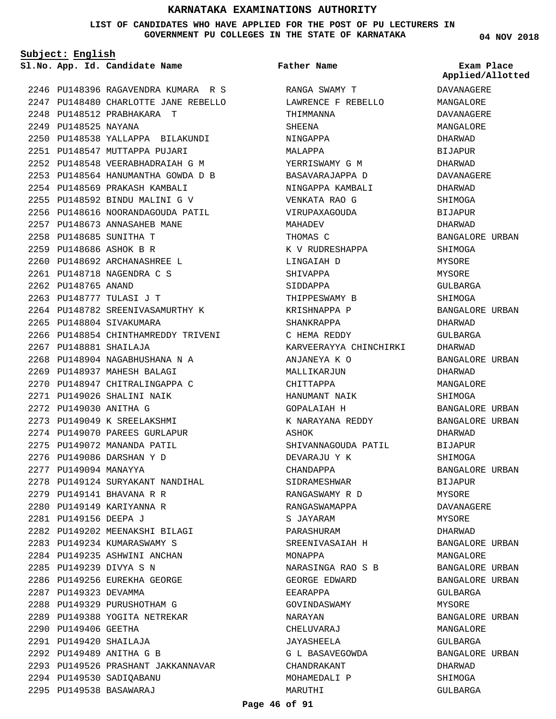### **LIST OF CANDIDATES WHO HAVE APPLIED FOR THE POST OF PU LECTURERS IN GOVERNMENT PU COLLEGES IN THE STATE OF KARNATAKA**

**Subject: English**

**App. Id. Candidate Name Sl.No. Exam Place**

PU148396 RAGAVENDRA KUMARA R S 2246 PU148480 CHARLOTTE JANE REBELLO 2247 PU148512 PRABHAKARA T 2248 2249 PU148525 NAYANA PU148538 YALLAPPA BILAKUNDI 2250 2251 PU148547 MUTTAPPA PUJARI PU148548 VEERABHADRAIAH G M 2252 PU148564 HANUMANTHA GOWDA D B 2253 2254 PU148569 PRAKASH KAMBALI PU148592 BINDU MALINI G V 2255 2256 PU148616 NOORANDAGOUDA PATIL 2257 PU148673 ANNASAHEB MANE PU148685 SUNITHA T 2258 PU148686 ASHOK B R 2259 2260 PU148692 ARCHANASHREE L PU148718 NAGENDRA C S 2261 2262 PU148765 ANAND PU148777 TULASI J T 2263 2264 PU148782 SREENIVASAMURTHY K 2265 PU148804 SIVAKUMARA 2266 PU148854 CHINTHAMREDDY TRIVENI PU148881 SHAILAJA 2267 PU148904 NAGABHUSHANA N A 2268 2269 PU148937 MAHESH BALAGI 2270 PU148947 CHITRALINGAPPA C PU149026 SHALINI NAIK 2271 PU149030 ANITHA G 2272 2273 PU149049 K SREELAKSHMI 2274 PU149070 PAREES GURLAPUR 2275 PU149072 MANANDA PATIL 2276 PU149086 DARSHAN Y D 2277 PU149094 MANAYYA 2278 PU149124 SURYAKANT NANDIHAL 2279 PU149141 BHAVANA R R 2280 PU149149 KARIYANNA R PU149156 DEEPA J 2281 2282 PU149202 MEENAKSHI BILAGI 2283 PU149234 KUMARASWAMY S 2284 PU149235 ASHWINI ANCHAN PU149239 DIVYA S N 2285 2286 PU149256 EUREKHA GEORGE 2287 PU149323 DEVAMMA 2288 PU149329 PURUSHOTHAM G 2289 PU149388 YOGITA NETREKAR 2290 PU149406 GEETHA PU149420 SHAILAJA 2291 PU149489 ANITHA G B 2292 2293 PU149526 PRASHANT JAKKANNAVAR 2294 PU149530 SADIQABANU PU149538 BASAWARAJ 2295

## **Father Name**

RANGA SWAMY T LAWRENCE F REBELLO THIMMANNA SHEENA NINGAPPA MALAPPA YERRISWAMY G M BASAVARAJAPPA D NINGAPPA KAMBALI VENKATA RAO G VIRUPAXAGOUDA MAHADEV THOMAS C K V RUDRESHAPPA LINGAIAH D SHIVAPPA SIDDAPPA THIPPESWAMY B KRISHNAPPA P SHANKRAPPA C HEMA REDDY KARVEERAYYA CHINCHIRKI ANJANEYA K O MALLIKARJUN CHITTAPPA HANUMANT NAIK GOPALAIAH H K NARAYANA REDDY ASHOK SHIVANNAGOUDA PATIL DEVARAJU Y K CHANDAPPA SIDRAMESHWAR RANGASWAMY R D RANGASWAMAPPA S JAYARAM PARASHURAM SREENIVASAIAH H MONAPPA NARASINGA RAO S B GEORGE EDWARD EEARAPPA GOVINDASWAMY NARAYAN CHELUVARAJ JAYASHEELA G L BASAVEGOWDA CHANDRAKANT MOHAMEDALI P MARUTHI

**04 NOV 2018**

**Applied/Allotted**

DAVANAGERE MANGALORE DAVANAGERE MANGALORE DHARWAD BIJAPUR DHARWAD DAVANAGERE DHARWAD SHIMOGA **BIJAPUR** DHARWAD BANGALORE URBAN SHIMOGA MYSORE MYSORE GULBARGA **SHIMOGA** BANGALORE URBAN DHARWAD GULBARGA DHARWAD BANGALORE URBAN DHARWAD MANGALORE SHIMOGA BANGALORE URBAN BANGALORE URBAN DHARWAD BIJAPUR SHIMOGA BANGALORE URBAN BIJAPUR MYSORE DAVANAGERE MYSORE DHARWAD BANGALORE URBAN MANGALORE BANGALORE URBAN BANGALORE URBAN GULBARGA MYSORE BANGALORE URBAN MANGALORE GULBARGA BANGALORE URBAN DHARWAD SHIMOGA

GULBARGA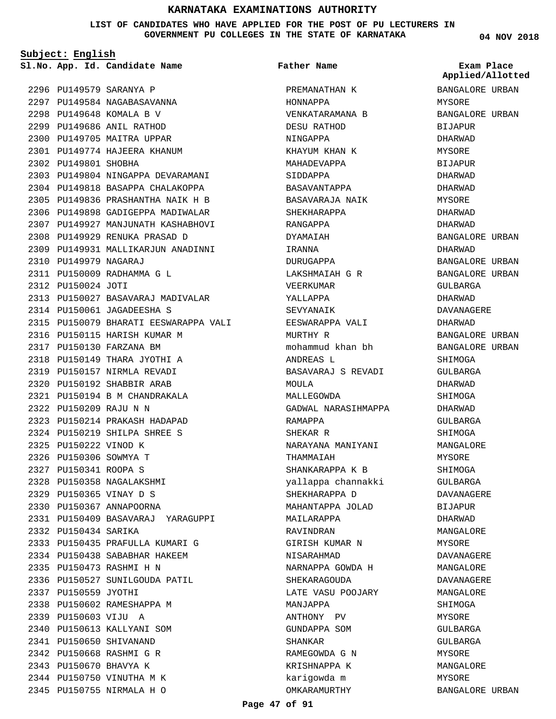**LIST OF CANDIDATES WHO HAVE APPLIED FOR THE POST OF PU LECTURERS IN GOVERNMENT PU COLLEGES IN THE STATE OF KARNATAKA**

**Subject: English**

**App. Id. Candidate Name Sl.No. Exam Place**

**Father Name**

2296 PU149579 SARANYA P 2297 PU149584 NAGABASAVANNA 2298 PU149648 KOMALA B V 2299 PU149686 ANIL RATHOD 2300 PU149705 MAITRA UPPAR 2301 PU149774 HAJEERA KHANUM 2302 PU149801 SHOBHA 2303 PU149804 NINGAPPA DEVARAMANI 2304 PU149818 BASAPPA CHALAKOPPA PU149836 PRASHANTHA NAIK H B 2305 2306 PU149898 GADIGEPPA MADIWALAR 2307 PU149927 MANJUNATH KASHABHOVI PU149929 RENUKA PRASAD D 2308 2309 PU149931 MALLIKARJUN ANADINNI 2310 PU149979 NAGARAJ PU150009 RADHAMMA G L 2311 2312 PU150024 JOTI 2313 PU150027 BASAVARAJ MADIVALAR PU150061 JAGADEESHA S 2314 2315 PU150079 BHARATI EESWARAPPA VALI 2316 PU150115 HARISH KUMAR M 2317 PU150130 FARZANA BM 2318 PU150149 THARA JYOTHI A PU150157 NIRMLA REVADI 2319 PU150192 SHABBIR ARAB 2320 PU150194 B M CHANDRAKALA 2321 PU150209 RAJU N N 2322 2323 PU150214 PRAKASH HADAPAD 2324 PU150219 SHILPA SHREE S 2325 PU150222 VINOD K 2326 PU150306 SOWMYA T PU150341 ROOPA S 2327 2328 PU150358 NAGALAKSHMI PU150365 VINAY D S 2329 2330 PU150367 ANNAPOORNA PU150409 BASAVARAJ YARAGUPPI 2331 2332 PU150434 SARIKA 2333 PU150435 PRAFULLA KUMARI G 2334 PU150438 SABABHAR HAKEEM PU150473 RASHMI H N 2335 2336 PU150527 SUNILGOUDA PATIL 2337 PU150559 JYOTHI 2338 PU150602 RAMESHAPPA M 2339 PU150603 VIJU A 2340 PU150613 KALLYANI SOM PU150650 SHIVANAND 2341 2342 PU150668 RASHMI G R 2343 PU150670 BHAVYA K 2344 PU150750 VINUTHA M K PU150755 NIRMALA H O 2345

PREMANATHAN K HONNAPPA VENKATARAMANA B DESU RATHOD NINGAPPA KHAYUM KHAN K MAHADEVAPPA SIDDAPPA BASAVANTAPPA BASAVARAJA NAIK SHEKHARAPPA RANGAPPA DYAMAIAH IRANNA DURUGAPPA LAKSHMAIAH G R VEERKUMAR YALLAPPA **SEVYANAIK** EESWARAPPA VALI MURTHY R mohammud khan bh ANDREAS L BASAVARAJ S REVADI MOULA MALLEGOWDA GADWAL NARASIHMAPPA RAMAPPA SHEKAR R NARAYANA MANIYANI THAMMAIAH SHANKARAPPA K B yallappa channakki SHEKHARAPPA D MAHANTAPPA JOLAD MAILARAPPA RAVINDRAN GIRISH KUMAR N NISARAHMAD NARNAPPA GOWDA H **SHEKARAGOUDA** LATE VASU POOJARY MANJAPPA ANTHONY PV GUNDAPPA SOM SHANKAR RAMEGOWDA G N KRISHNAPPA K karigowda m OMKARAMURTHY

**04 NOV 2018**

BANGALORE URBAN MYSORE BANGALORE URBAN BIJAPUR DHARWAD MYSORE BIJAPUR DHARWAD DHARWAD MYSORE DHARWAD DHARWAD BANGALORE URBAN DHARWAD BANGALORE URBAN BANGALORE URBAN GULBARGA DHARWAD DAVANAGERE DHARWAD BANGALORE URBAN BANGALORE URBAN SHIMOGA GULBARGA DHARWAD SHIMOGA DHARWAD GULBARGA SHIMOGA MANGALORE MYSORE SHIMOGA GULBARGA DAVANAGERE BIJAPUR DHARWAD MANGALORE MYSORE DAVANAGERE MANGALORE DAVANAGERE MANGALORE SHIMOGA MYSORE GULBARGA GULBARGA MYSORE MANGALORE MYSORE BANGALORE URBAN **Applied/Allotted**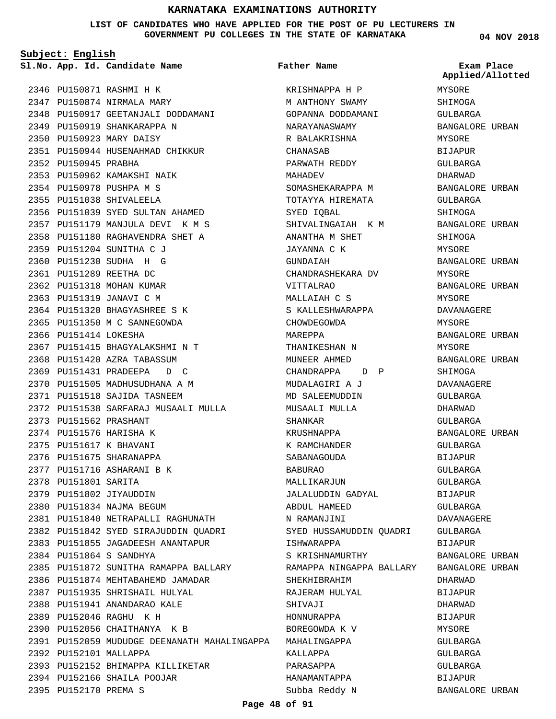**LIST OF CANDIDATES WHO HAVE APPLIED FOR THE POST OF PU LECTURERS IN GOVERNMENT PU COLLEGES IN THE STATE OF KARNATAKA**

**Subject: English**

**App. Id. Candidate Name Sl.No. Exam Place**

```
Father Name
```
2346 PU150871 RASHMI H K 2347 PU150874 NIRMALA MARY 2348 PU150917 GEETANJALI DODDAMANI 2349 PU150919 SHANKARAPPA N 2350 PU150923 MARY DAISY PU150944 HUSENAHMAD CHIKKUR 2351 2352 PU150945 PRABHA 2353 PU150962 KAMAKSHI NAIK 2354 PU150978 PUSHPA M S PU151038 SHIVALEELA 2355 2356 PU151039 SYED SULTAN AHAMED PU151179 MANJULA DEVI K M S 2357 PU151180 RAGHAVENDRA SHET A 2358 PU151204 SUNITHA C J 2359 PU151230 SUDHA H G 2360 PU151289 REETHA DC 2361 2362 PU151318 MOHAN KUMAR 2363 PU151319 JANAVI C M 2364 PU151320 BHAGYASHREE S K 2365 PU151350 M C SANNEGOWDA 2366 PU151414 LOKESHA PU151415 BHAGYALAKSHMI N T 2367 2368 PU151420 AZRA TABASSUM 2369 PU151431 PRADEEPA D C 2370 PU151505 MADHUSUDHANA A M 2371 PU151518 SAJIDA TASNEEM PU151538 SARFARAJ MUSAALI MULLA 2372 PU151562 PRASHANT 2373 2374 PU151576 HARISHA K PU151617 K BHAVANI 2375 2376 PU151675 SHARANAPPA PU151716 ASHARANI B K 2377 2378 PU151801 SARITA 2379 PU151802 JIYAUDDIN 2380 PU151834 NAJMA BEGUM PU151840 NETRAPALLI RAGHUNATH 2381 2382 PU151842 SYED SIRAJUDDIN QUADRI 2383 PU151855 JAGADEESH ANANTAPUR PU151864 S SANDHYA 2384 2385 PU151872 SUNITHA RAMAPPA BALLARY 2386 PU151874 MEHTABAHEMD JAMADAR 2387 PU151935 SHRISHAIL HULYAL 2388 PU151941 ANANDARAO KALE PU152046 RAGHU K H 2389 2390 PU152056 CHAITHANYA K B PU152059 MUDUDGE DEENANATH MAHALINGAPPA MAHALINGAPPA 2391 2392 PU152101 MALLAPPA 2393 PU152152 BHIMAPPA KILLIKETAR 2394 PU152166 SHAILA POOJAR 2395 PU152170 PREMA S

KRISHNAPPA H P M ANTHONY SWAMY GOPANNA DODDAMANI NARAYANASWAMY R BALAKRISHNA CHANASAB PARWATH REDDY MAHADEV SOMASHEKARAPPA M TOTAYYA HIREMATA SYED IQBAL SHIVALINGAIAH K M ANANTHA M SHET JAYANNA C K GUNDAIAH CHANDRASHEKARA DV VITTALRAO MALLAIAH C S S KALLESHWARAPPA CHOWDEGOWDA MAREPPA THANIKESHAN N MUNEER AHMED CHANDRAPPA D P MUDALAGIRI A J MD SALEEMUDDIN MUSAALI MULLA SHANKAR KRUSHNAPPA K RAMCHANDER SABANAGOUDA BABURAO MALLIKARJUN JALALUDDIN GADYAL ABDUL HAMEED N RAMANJINI SYED HUSSAMUDDIN QUADRI ISHWARAPPA S KRISHNAMURTHY RAMAPPA NINGAPPA BALLARY BANGALORE URBAN SHEKHIBRAHIM RAJERAM HULYAL SHIVAJI HONNURAPPA BOREGOWDA K V KALLAPPA PARASAPPA HANAMANTAPPA Subba Reddy N

**04 NOV 2018**

MYSORE SHIMOGA GULBARGA BANGALORE URBAN MYSORE BIJAPUR GULBARGA DHARWAD BANGALORE URBAN GULBARGA SHIMOGA BANGALORE URBAN SHIMOGA MYSORE BANGALORE URBAN MYSORE BANGALORE URBAN MYSORE DAVANAGERE MYSORE BANGALORE URBAN MYSORE BANGALORE URBAN SHIMOGA DAVANAGERE GULBARGA DHARWAD GULBARGA BANGALORE URBAN GULBARGA BIJAPUR GULBARGA GULBARGA BIJAPUR GULBARGA DAVANAGERE GULBARGA BIJAPUR BANGALORE URBAN DHARWAD BIJAPUR DHARWAD **BIJAPUR MYSORE** GULBARGA GULBARGA GULBARGA BIJAPUR BANGALORE URBAN **Applied/Allotted**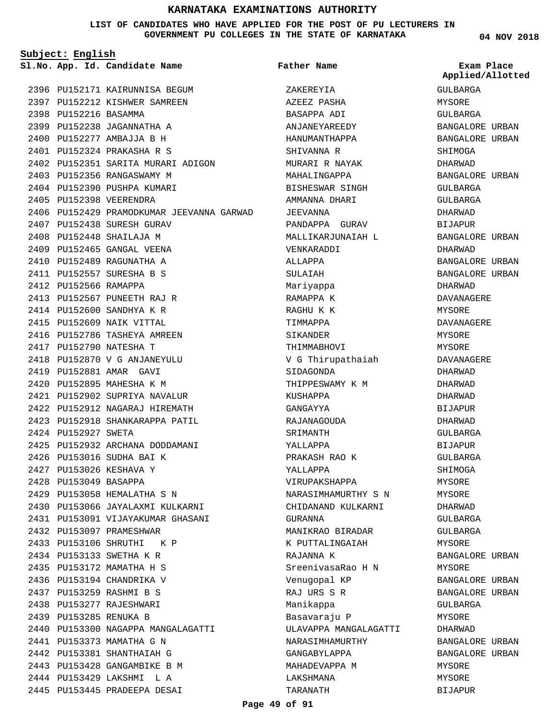### **LIST OF CANDIDATES WHO HAVE APPLIED FOR THE POST OF PU LECTURERS IN GOVERNMENT PU COLLEGES IN THE STATE OF KARNATAKA**

**Subject: English**

**App. Id. Candidate Name Sl.No. Exam Place**

```
Father Name
```
2396 PU152171 KAIRUNNISA BEGUM 2397 PU152212 KISHWER SAMREEN 2398 PU152216 BASAMMA PU152238 JAGANNATHA A 2399 PU152277 AMBAJJA B H 2400 PU152324 PRAKASHA R S 2401 2402 PU152351 SARITA MURARI ADIGON 2403 PU152356 RANGASWAMY M 2404 PU152390 PUSHPA KUMARI 2405 PU152398 VEERENDRA 2406 PU152429 PRAMODKUMAR JEEVANNA GARWAD 2407 PU152438 SURESH GURAV 2408 PU152448 SHAILAJA M 2409 PU152465 GANGAL VEENA 2410 PU152489 RAGUNATHA A 2411 PU152557 SURESHA B S 2412 PU152566 RAMAPPA 2413 PU152567 PUNEETH RAJ R 2414 PU152600 SANDHYA K R 2415 PU152609 NAIK VITTAL 2416 PU152786 TASHEYA AMREEN 2417 PU152790 NATESHA T 2418 PU152870 V G ANJANEYULU 2419 PU152881 AMAR GAVI 2420 PU152895 MAHESHA K M 2421 PU152902 SUPRIYA NAVALUR 2422 PU152912 NAGARAJ HIREMATH 2423 PU152918 SHANKARAPPA PATIL 2424 PU152927 SWETA 2425 PU152932 ARCHANA DODDAMANI 2426 PU153016 SUDHA BAI K 2427 PU153026 KESHAVA Y 2428 PU153049 BASAPPA PU153058 HEMALATHA S N 2429 PU153066 JAYALAXMI KULKARNI 2430 PU153091 VIJAYAKUMAR GHASANI 2431 2432 PU153097 PRAMESHWAR 2433 PU153106 SHRUTHI K P PU153133 SWETHA K R 2434 PU153172 MAMATHA H S 2435 2436 PU153194 CHANDRIKA V PU153259 RASHMI B S 2437 2438 PU153277 RAJESHWARI PU153285 RENUKA B 2439 2440 PU153300 NAGAPPA MANGALAGATTI 2441 PU153373 MAMATHA G N 2442 PU153381 SHANTHAIAH G 2443 PU153428 GANGAMBIKE B M 2444 PU153429 LAKSHMI L A 2445 PU153445 PRADEEPA DESAI

ZAKEREYIA AZEEZ PASHA BASAPPA ADI ANJANEYAREEDY HANUMANTHAPPA SHIVANNA R MURARI R NAYAK MAHALINGAPPA BISHESWAR SINGH AMMANNA DHARI JEEVANNA PANDAPPA GURAV MALLIKARJUNAIAH L VENKARADDI ALLAPPA SULAIAH Mariyappa RAMAPPA K RAGHU K K TIMMAPPA SIKANDER THIMMABHOVI V G Thirupathaiah SIDAGONDA THIPPESWAMY K M KUSHAPPA GANGAYYA RAJANAGOUDA SRIMANTH YALLAPPA PRAKASH RAO K YALLAPPA VIRUPAKSHAPPA NARASIMHAMURTHY S N CHIDANAND KULKARNI GURANNA MANIKRAO BIRADAR K PUTTALINGAIAH RAJANNA K SreenivasaRao H N Venugopal KP RAJ URS S R Manikappa Basavaraju P ULAVAPPA MANGALAGATTI NARASIMHAMURTHY GANGABYLAPPA MAHADEVAPPA M LAKSHMANA TARANATH

**04 NOV 2018**

GULBARGA MYSORE GULBARGA BANGALORE URBAN BANGALORE URBAN SHIMOGA DHARWAD BANGALORE URBAN GULBARGA GULBARGA DHARWAD BIJAPUR BANGALORE URBAN DHARWAD BANGALORE URBAN BANGALORE URBAN DHARWAD DAVANAGERE MYSORE DAVANAGERE MYSORE MYSORE DAVANAGERE DHARWAD DHARWAD DHARWAD BIJAPUR DHARWAD GULBARGA BIJAPUR GULBARGA SHIMOGA MYSORE MYSORE DHARWAD GULBARGA GULBARGA MYSORE BANGALORE URBAN MYSORE BANGALORE URBAN BANGALORE URBAN GULBARGA **MYSORE** DHARWAD BANGALORE URBAN BANGALORE URBAN MYSORE MYSORE BIJAPUR **Applied/Allotted**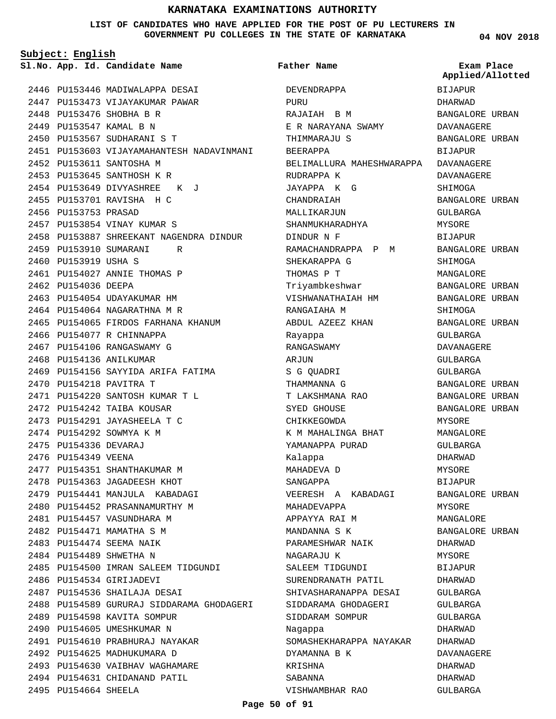**LIST OF CANDIDATES WHO HAVE APPLIED FOR THE POST OF PU LECTURERS IN GOVERNMENT PU COLLEGES IN THE STATE OF KARNATAKA**

**Subject: English**

2446 PU153446 MADIWALAPPA DESAI 2447 PU153473 VIJAYAKUMAR PAWAR 2448 PU153476 SHOBHA B R 2449 PU153547 KAMAL B N PU153567 SUDHARANI S T 2450 2451 PU153603 VIJAYAMAHANTESH NADAVINMANI 2452 PU153611 SANTOSHA M 2453 PU153645 SANTHOSH K R 2454 PU153649 DIVYASHREE K J PU153701 RAVISHA H C 2455 2456 PU153753 PRASAD 2457 PU153854 VINAY KUMAR S 2458 PU153887 SHREEKANT NAGENDRA DINDUR 2459 PU153910 SUMARANI R 2460 PU153919 USHA S 2461 PU154027 ANNIE THOMAS P 2462 PU154036 DEEPA 2463 PU154054 UDAYAKUMAR HM 2464 PU154064 NAGARATHNA M R 2465 PU154065 FIRDOS FARHANA KHANUM 2466 PU154077 R CHINNAPPA 2467 PU154106 RANGASWAMY G 2468 PU154136 ANILKUMAR 2469 PU154156 SAYYIDA ARIFA FATIMA PU154218 PAVITRA T 2470 PU154220 SANTOSH KUMAR T L 2471 2472 PU154242 TAIBA KOUSAR PU154291 JAYASHEELA T C 2473 2474 PU154292 SOWMYA K M 2475 PU154336 DEVARAJ 2476 PU154349 VEENA 2477 PU154351 SHANTHAKUMAR M 2478 PU154363 JAGADEESH KHOT PU154441 MANJULA KABADAGI 2479 2480 PU154452 PRASANNAMURTHY M 2481 PU154457 VASUNDHARA M 2482 PU154471 MAMATHA S M 2483 PU154474 SEEMA NAIK 2484 PU154489 SHWETHA N 2485 PU154500 IMRAN SALEEM TIDGUNDI 2486 PU154534 GIRIJADEVI 2487 PU154536 SHAILAJA DESAI 2488 PU154589 GURURAJ SIDDARAMA GHODAGERI 2489 PU154598 KAVITA SOMPUR 2490 PU154605 UMESHKUMAR N PU154610 PRABHURAJ NAYAKAR 2491 2492 PU154625 MADHUKUMARA D 2493 PU154630 VAIBHAV WAGHAMARE 2494 PU154631 CHIDANAND PATIL 2495 PU154664 SHEELA

**App. Id. Candidate Name Sl.No. Exam Place** DEVENDRAPPA PURU RAJAIAH B M E R NARAYANA SWAMY THIMMARAJU S BEERAPPA BELIMALLURA MAHESHWARAPPA DAVANAGERE RUDRAPPA K JAYAPPA K G CHANDRAIAH MALLIKARJUN SHANMUKHARADHYA DINDUR N F RAMACHANDRAPPA P M SHEKARAPPA G THOMAS P T Triyambkeshwar VISHWANATHAIAH HM RANGAIAHA M ABDUL AZEEZ KHAN Rayappa RANGASWAMY ARJUN S G QUADRI THAMMANNA G T LAKSHMANA RAO SYED GHOUSE CHIKKEGOWDA K M MAHALINGA BHAT YAMANAPPA PURAD Kalappa MAHADEVA D SANGAPPA VEERESH A KABADAGI MAHADEVAPPA APPAYYA RAI M MANDANNA S K PARAMESHWAR NAIK NAGARAJU K SALEEM TIDGUNDI SURENDRANATH PATIL SHIVASHARANAPPA DESAI SIDDARAMA GHODAGERI SIDDARAM SOMPUR Nagappa SOMASHEKHARAPPA NAYAKAR DYAMANNA B K KRISHNA SABANNA **Father Name** BIJAPUR DHARWAD

**04 NOV 2018**

**Applied/Allotted**

## BANGALORE URBAN DAVANAGERE BANGALORE URBAN BIJAPUR DAVANAGERE SHIMOGA BANGALORE URBAN GULBARGA MYSORE BIJAPUR BANGALORE URBAN SHIMOGA MANGALORE BANGALORE URBAN BANGALORE URBAN SHIMOGA BANGALORE URBAN GULBARGA DAVANAGERE GULBARGA GULBARGA BANGALORE URBAN BANGALORE URBAN BANGALORE URBAN MYSORE MANGALORE GULBARGA DHARWAD MYSORE BIJAPUR BANGALORE URBAN MYSORE MANGALORE BANGALORE URBAN DHARWAD MYSORE BIJAPUR DHARWAD GULBARGA GULBARGA GULBARGA DHARWAD DHARWAD DAVANAGERE DHARWAD DHARWAD GULBARGA

### **Page 50 of 91**

VISHWAMBHAR RAO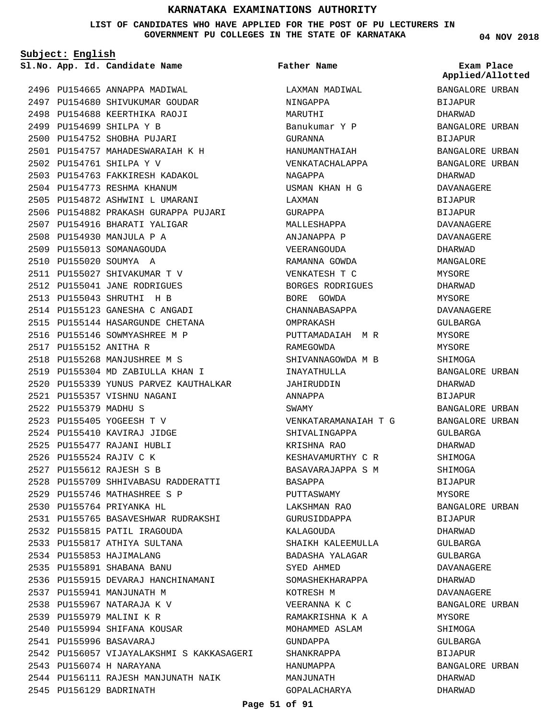**LIST OF CANDIDATES WHO HAVE APPLIED FOR THE POST OF PU LECTURERS IN GOVERNMENT PU COLLEGES IN THE STATE OF KARNATAKA**

**Subject: English**

**App. Id. Candidate Name Sl.No. Exam Place**

2543 PU156074 H NARAYANA

2545 PU156129 BADRINATH

2544 PU156111 RAJESH MANJUNATH NAIK

2496 PU154665 ANNAPPA MADIWAL 2497 PU154680 SHIVUKUMAR GOUDAR 2498 PU154688 KEERTHIKA RAOJI 2499 PU154699 SHILPA Y B 2500 PU154752 SHOBHA PUJARI PU154757 MAHADESWARAIAH K H 2501 PU154761 SHILPA Y V 2502 2503 PU154763 FAKKIRESH KADAKOL 2504 PU154773 RESHMA KHANUM PU154872 ASHWINI L UMARANI 2505 2506 PU154882 PRAKASH GURAPPA PUJARI 2507 PU154916 BHARATI YALIGAR 2508 PU154930 MANJULA P A 2509 PU155013 SOMANAGOUDA 2510 PU155020 SOUMYA A 2511 PU155027 SHIVAKUMAR T V 2512 PU155041 JANE RODRIGUES PU155043 SHRUTHI H B 2513 2514 PU155123 GANESHA C ANGADI 2515 PU155144 HASARGUNDE CHETANA 2516 PU155146 SOWMYASHREE M P 2517 PU155152 ANITHA R 2518 PU155268 MANJUSHREE M S PU155304 MD ZABIULLA KHAN I 2519 2520 PU155339 YUNUS PARVEZ KAUTHALKAR 2521 PU155357 VISHNU NAGANI 2522 PU155379 MADHU S PU155405 YOGEESH T V 2523 PU155410 KAVIRAJ JIDGE 2524 2525 PU155477 RAJANI HUBLI 2526 PU155524 RAJIV C K PU155612 RAJESH S B 2527 2528 PU155709 SHHIVABASU RADDERATTI 2529 PU155746 MATHASHREE S P 2530 PU155764 PRIYANKA HL 2531 PU155765 BASAVESHWAR RUDRAKSHI 2532 PU155815 PATIL IRAGOUDA 2533 PU155817 ATHIYA SULTANA 2534 PU155853 HAJIMALANG 2535 PU155891 SHABANA BANU 2536 PU155915 DEVARAJ HANCHINAMANI 2537 PU155941 MANJUNATH M 2538 PU155967 NATARAJA K V 2539 PU155979 MALINI K R 2540 PU155994 SHIFANA KOUSAR PU155996 BASAVARAJ 2541 2542 PU156057 VIJAYALAKSHMI S KAKKASAGERI

LAXMAN MADIWAL NINGAPPA MARUTHI Banukumar Y P GURANNA HANUMANTHAIAH VENKATACHALAPPA NAGAPPA USMAN KHAN H G LAXMAN GURAPPA MALLESHAPPA ANJANAPPA P VEERANGOUDA RAMANNA GOWDA VENKATESH T C BORGES RODRIGUES BORE GOWDA CHANNABASAPPA OMPRAKASH PUTTAMADAIAH M R RAMEGOWDA SHIVANNAGOWDA M B INAYATHULLA JAHIRUDDIN ANNAPPA SWAMY VENKATARAMANAIAH T G SHIVALINGAPPA KRISHNA RAO KESHAVAMURTHY C R BASAVARAJAPPA S M BASAPPA PUTTASWAMY LAKSHMAN RAO GURUSIDDAPPA KALAGOUDA SHAIKH KALEEMULLA BADASHA YALAGAR SYED AHMED SOMASHEKHARAPPA KOTRESH M VEERANNA K C RAMAKRISHNA K A MOHAMMED ASLAM GUNDAPPA SHANKRAPPA HANUMAPPA MANJUNATH GOPALACHARYA **Father Name**

**04 NOV 2018**

BANGALORE URBAN BIJAPUR DHARWAD BANGALORE URBAN BIJAPUR BANGALORE URBAN BANGALORE URBAN DHARWAD DAVANAGERE BIJAPUR **BIJAPUR** DAVANAGERE DAVANAGERE DHARWAD MANGALORE MYSORE DHARWAD MYSORE DAVANAGERE GULBARGA MYSORE MYSORE SHIMOGA BANGALORE URBAN DHARWAD BIJAPUR BANGALORE URBAN BANGALORE URBAN GULBARGA DHARWAD SHIMOGA SHIMOGA BIJAPUR MYSORE BANGALORE URBAN BIJAPUR DHARWAD GULBARGA GULBARGA DAVANAGERE DHARWAD DAVANAGERE BANGALORE URBAN **MYSORE** SHIMOGA GULBARGA **BIJAPUR** BANGALORE URBAN DHARWAD DHARWAD **Applied/Allotted**

**Page 51 of 91**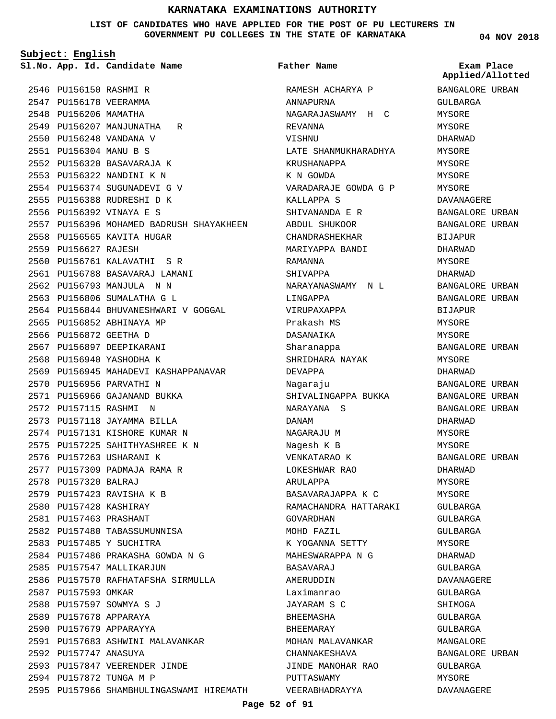**LIST OF CANDIDATES WHO HAVE APPLIED FOR THE POST OF PU LECTURERS IN GOVERNMENT PU COLLEGES IN THE STATE OF KARNATAKA**

**Subject: English**

**App. Id. Candidate Name Sl.No. Exam Place**

**Father Name**

2546 PU156150 RASHMI R 2547 PU156178 VEERAMMA 2548 PU156206 MAMATHA 2549 PU156207 MANJUNATHA R 2550 PU156248 VANDANA V PU156304 MANU B S 2551 2552 PU156320 BASAVARAJA K 2553 PU156322 NANDINI K N 2554 PU156374 SUGUNADEVI G V PU156388 RUDRESHI D K 2555 2556 PU156392 VINAYA E S 2557 PU156396 MOHAMED BADRUSH SHAYAKHEEN 2558 PU156565 KAVITA HUGAR 2559 PU156627 RAJESH PU156761 KALAVATHI S R 2560 2561 PU156788 BASAVARAJ LAMANI 2562 PU156793 MANJULA N N PU156806 SUMALATHA G L 2563 2564 PU156844 BHUVANESHWARI V GOGGAL 2565 PU156852 ABHINAYA MP 2566 PU156872 GEETHA D 2567 PU156897 DEEPIKARANI 2568 PU156940 YASHODHA K 2569 PU156945 MAHADEVI KASHAPPANAVAR 2570 PU156956 PARVATHI N 2571 PU156966 GAJANAND BUKKA 2572 PU157115 RASHMI N 2573 PU157118 JAYAMMA BILLA 2574 PU157131 KISHORE KUMAR N PU157225 SAHITHYASHREE K N 2575 2576 PU157263 USHARANI K 2577 PU157309 PADMAJA RAMA R PU157320 BALRAJ 2578 2579 PU157423 RAVISHA K B 2580 PU157428 KASHIRAY PU157463 PRASHANT 2581 2582 PU157480 TABASSUMUNNISA 2583 PU157485 Y SUCHITRA PU157486 PRAKASHA GOWDA N G 2584 2585 PU157547 MALLIKARJUN 2586 PU157570 RAFHATAFSHA SIRMULLA 2587 PU157593 OMKAR 2588 PU157597 SOWMYA S J 2589 PU157678 APPARAYA 2590 PU157679 APPARAYYA 2591 PU157683 ASHWINI MALAVANKAR 2592 PU157747 ANASUYA 2593 PU157847 VEERENDER JINDE 2594 PU157872 TUNGA M P 2595 PU157966 SHAMBHULINGASWAMI HIREMATH DANAM

RAMESH ACHARYA P ANNAPURNA NAGARAJASWAMY H C REVANNA VISHNU LATE SHANMUKHARADHYA KRUSHANAPPA K N GOWDA VARADARAJE GOWDA G P KALLAPPA S SHIVANANDA E R ABDUL SHUKOOR CHANDRASHEKHAR MARIYAPPA BANDI RAMANNA SHIVAPPA NARAYANASWAMY N L LINGAPPA VIRUPAXAPPA Prakash MS DASANAIKA Sharanappa SHRIDHARA NAYAK DEVAPPA Nagaraju SHIVALINGAPPA BUKKA NARAYANA S NAGARAJU M Nagesh K B VENKATARAO K LOKESHWAR RAO ARULAPPA BASAVARAJAPPA K C RAMACHANDRA HATTARAKI GOVARDHAN MOHD FAZIL K YOGANNA SETTY MAHESWARAPPA N G BASAVARAJ AMERUDDIN Laximanrao JAYARAM S C **BHEEMASHA BHEEMARAY** MOHAN MALAVANKAR CHANNAKESHAVA JINDE MANOHAR RAO PUTTASWAMY VEERABHADRAYYA

**04 NOV 2018**

**Applied/Allotted**

BANGALORE URBAN GULBARGA MYSORE MYSORE DHARWAD MYSORE MYSORE MYSORE **MYSORE** DAVANAGERE BANGALORE URBAN BANGALORE URBAN BIJAPUR DHARWAD MYSORE DHARWAD BANGALORE URBAN BANGALORE URBAN BIJAPUR MYSORE MYSORE BANGALORE URBAN MYSORE DHARWAD BANGALORE URBAN BANGALORE URBAN BANGALORE URBAN DHARWAD MYSORE MYSORE BANGALORE URBAN DHARWAD MYSORE MYSORE GULBARGA GULBARGA GULBARGA MYSORE DHARWAD GULBARGA DAVANAGERE GULBARGA SHIMOGA GULBARGA GULBARGA MANGALORE BANGALORE URBAN GULBARGA MYSORE DAVANAGERE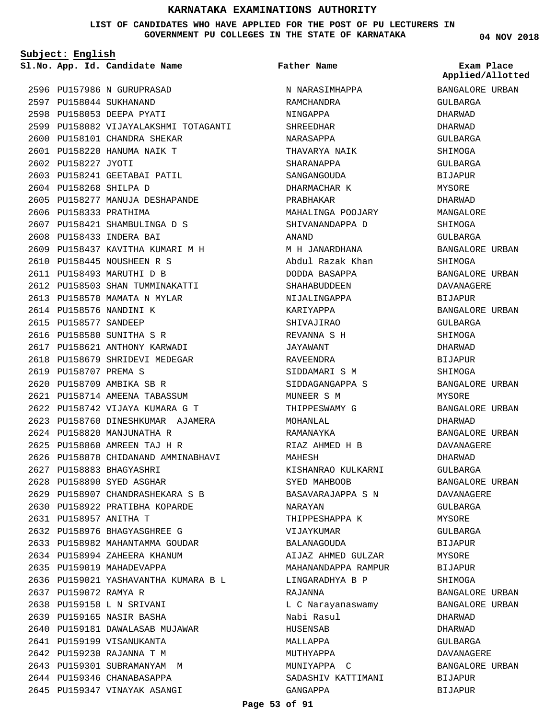### **LIST OF CANDIDATES WHO HAVE APPLIED FOR THE POST OF PU LECTURERS IN GOVERNMENT PU COLLEGES IN THE STATE OF KARNATAKA**

**Subject: English**

**App. Id. Candidate Name Sl.No. Exam Place**

**Father Name**

2596 PU157986 N GURUPRASAD 2597 PU158044 SUKHANAND 2598 PU158053 DEEPA PYATI 2599 PU158082 VIJAYALAKSHMI TOTAGANTI 2600 PU158101 CHANDRA SHEKAR PU158220 HANUMA NAIK T 2601 2602 PU158227 JYOTI 2603 PU158241 GEETABAI PATIL PU158268 SHILPA D 2604 2605 PU158277 MANUJA DESHAPANDE 2606 PU158333 PRATHIMA 2607 PU158421 SHAMBULINGA D S 2608 PU158433 INDERA BAI 2609 PU158437 KAVITHA KUMARI M H PU158445 NOUSHEEN R S 2610 2611 PU158493 MARUTHI D B 2612 PU158503 SHAN TUMMINAKATTI 2613 PU158570 MAMATA N MYLAR 2614 PU158576 NANDINI K 2615 PU158577 SANDEEP 2616 PU158580 SUNITHA S R 2617 PU158621 ANTHONY KARWADI 2618 PU158679 SHRIDEVI MEDEGAR 2619 PU158707 PREMA S PU158709 AMBIKA SB R 2620 2621 PU158714 AMEENA TABASSUM PU158742 VIJAYA KUMARA G T 2622 2623 PU158760 DINESHKUMAR AJAMERA 2624 PU158820 MANJUNATHA R PU158860 AMREEN TAJ H R 2625 2626 PU158878 CHIDANAND AMMINABHAVI 2627 PU158883 BHAGYASHRI 2628 PU158890 SYED ASGHAR PU158907 CHANDRASHEKARA S B 2629 2630 PU158922 PRATIBHA KOPARDE PU158957 ANITHA T 2631 2632 PU158976 BHAGYASGHREE G 2633 PU158982 MAHANTAMMA GOUDAR 2634 PU158994 ZAHEERA KHANUM 2635 PU159019 MAHADEVAPPA 2636 PU159021 YASHAVANTHA KUMARA B L 2637 PU159072 RAMYA R 2638 PU159158 L N SRIVANI 2639 PU159165 NASIR BASHA 2640 PU159181 DAWALASAB MUJAWAR 2641 PU159199 VISANUKANTA 2642 PU159230 RAJANNA T M 2643 PU159301 SUBRAMANYAM M 2644 PU159346 CHANABASAPPA 2645 PU159347 VINAYAK ASANGI

N NARASIMHAPPA RAMCHANDRA NINGAPPA SHREEDHAR NARASAPPA THAVARYA NAIK SHARANAPPA SANGANGOUDA DHARMACHAR K PRABHAKAR MAHALINGA POOJARY SHIVANANDAPPA D ANAND M H JANARDHANA Abdul Razak Khan DODDA BASAPPA SHAHABUDDEEN NIJALINGAPPA KARIYAPPA SHIVAJIRAO REVANNA S H JAYAWANT RAVEENDRA SIDDAMARI S M SIDDAGANGAPPA S MUNEER S M THIPPESWAMY G MOHANLAL RAMANAYKA RIAZ AHMED H B MAHESH KISHANRAO KULKARNI SYED MAHBOOB BASAVARAJAPPA S N NARAYAN THIPPESHAPPA K VIJAYKUMAR BALANAGOUDA AIJAZ AHMED GULZAR MAHANANDAPPA RAMPUR LINGARADHYA B P RAJANNA L C Narayanaswamy Nabi Rasul HUSENSAR MALLAPPA MUTHYAPPA MUNIYAPPA C SADASHIV KATTIMANI GANGAPPA

**04 NOV 2018**

**Applied/Allotted**

BANGALORE URBAN GULBARGA DHARWAD DHARWAD GULBARGA SHIMOGA GULBARGA BIJAPUR MYSORE DHARWAD MANGALORE SHIMOGA GULBARGA BANGALORE URBAN SHIMOGA BANGALORE URBAN DAVANAGERE BIJAPUR BANGALORE URBAN GULBARGA SHIMOGA DHARWAD BIJAPUR SHIMOGA BANGALORE URBAN MYSORE BANGALORE URBAN DHARWAD BANGALORE URBAN DAVANAGERE DHARWAD GULBARGA BANGALORE URBAN DAVANAGERE GULBARGA MYSORE GULBARGA BIJAPUR **MYSORE** BIJAPUR SHIMOGA BANGALORE URBAN BANGALORE URBAN DHARWAD DHARWAD GULBARGA DAVANAGERE BANGALORE URBAN BIJAPUR

BIJAPUR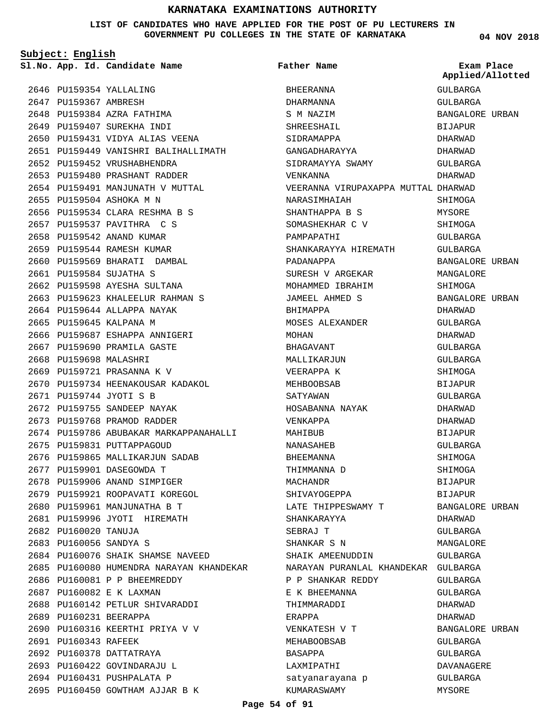### **LIST OF CANDIDATES WHO HAVE APPLIED FOR THE POST OF PU LECTURERS IN GOVERNMENT PU COLLEGES IN THE STATE OF KARNATAKA**

**Subject: English**

**04 NOV 2018**

|                       | Sl.No. App. Id. Candidate Name           | Father Name                         | Exam Place<br>Applied/Allotted |
|-----------------------|------------------------------------------|-------------------------------------|--------------------------------|
|                       | 2646 PU159354 YALLALING                  | BHEERANNA                           | GULBARGA                       |
| 2647 PU159367 AMBRESH |                                          | DHARMANNA                           | GULBARGA                       |
|                       | 2648 PU159384 AZRA FATHIMA               | S M NAZIM                           | BANGALORE URBAN                |
|                       | 2649 PU159407 SUREKHA INDI               | SHREESHAIL                          | BIJAPUR                        |
|                       | 2650 PU159431 VIDYA ALIAS VEENA          | SIDRAMAPPA                          | DHARWAD                        |
|                       |                                          |                                     | DHARWAD                        |
|                       | 2652 PU159452 VRUSHABHENDRA              | SIDRAMAYYA SWAMY                    | GULBARGA                       |
|                       | 2653 PU159480 PRASHANT RADDER            | VENKANNA                            | DHARWAD                        |
|                       | 2654 PU159491 MANJUNATH V MUTTAL         | VEERANNA VIRUPAXAPPA MUTTAL DHARWAD |                                |
|                       | 2655 PU159504 ASHOKA M N                 | NARASIMHAIAH                        | SHIMOGA                        |
|                       | 2656 PU159534 CLARA RESHMA B S           | SHANTHAPPA B S                      | MYSORE                         |
|                       | 2657 PU159537 PAVITHRA C S               | SOMASHEKHAR C V                     | SHIMOGA                        |
|                       | 2658 PU159542 ANAND KUMAR                | PAMPAPATHI                          | GULBARGA                       |
|                       | 2659 PU159544 RAMESH KUMAR               | SHANKARAYYA HIREMATH                | GULBARGA                       |
|                       | 2660 PU159569 BHARATI DAMBAL             | PADANAPPA                           | BANGALORE URBAN                |
|                       | 2661 PU159584 SUJATHA S                  | SURESH V ARGEKAR                    | MANGALORE                      |
|                       | 2662 PU159598 AYESHA SULTANA             | MOHAMMED IBRAHIM                    | SHIMOGA                        |
|                       | 2663 PU159623 KHALEELUR RAHMAN S         | JAMEEL AHMED S                      | BANGALORE URBAN                |
|                       | 2664 PU159644 ALLAPPA NAYAK              | BHIMAPPA                            | DHARWAD                        |
|                       | 2665 PU159645 KALPANA M                  | MOSES ALEXANDER                     | GULBARGA                       |
|                       | 2666 PU159687 ESHAPPA ANNIGERI           | MOHAN                               | DHARWAD                        |
|                       | 2667 PU159690 PRAMILA GASTE              | BHAGAVANT                           | GULBARGA                       |
|                       | 2668 PU159698 MALASHRI                   | MALLIKARJUN                         | GULBARGA                       |
|                       | 2669 PU159721 PRASANNA K V               | VEERAPPA K                          | SHIMOGA                        |
|                       | 2670 PU159734 HEENAKOUSAR KADAKOL        | MEHBOOBSAB                          | BIJAPUR                        |
|                       | 2671 PU159744 JYOTI S B                  | SATYAWAN                            | GULBARGA                       |
|                       | 2672 PU159755 SANDEEP NAYAK              | HOSABANNA NAYAK                     | DHARWAD                        |
|                       | 2673 PU159768 PRAMOD RADDER              | VENKAPPA                            | DHARWAD                        |
|                       | 2674 PU159786 ABUBAKAR MARKAPPANAHALLI   | MAHIBUB                             | BIJAPUR                        |
|                       | 2675 PU159831 PUTTAPPAGOUD               | NANASAHEB                           | GULBARGA                       |
|                       | 2676 PU159865 MALLIKARJUN SADAB          | BHEEMANNA                           | SHIMOGA                        |
|                       | 2677 PU159901 DASEGOWDA T                | THIMMANNA D                         | SHIMOGA                        |
|                       | 2678 PU159906 ANAND SIMPIGER             | MACHANDR                            | BIJAPUR                        |
|                       | 2679 PU159921 ROOPAVATI KOREGOL          | SHIVAYOGEPPA                        | BIJAPUR                        |
|                       | 2680 PU159961 MANJUNATHA B T             | LATE THIPPESWAMY T                  | BANGALORE URBAN                |
|                       | 2681 PU159996 JYOTI HIREMATH             | SHANKARAYYA                         | DHARWAD                        |
| 2682 PU160020 TANUJA  |                                          | SEBRAJ T                            | GULBARGA                       |
|                       | 2683 PU160056 SANDYA S                   | SHANKAR S N                         | MANGALORE                      |
|                       | 2684 PU160076 SHAIK SHAMSE NAVEED        | SHAIK AMEENUDDIN                    | GULBARGA                       |
|                       | 2685 PU160080 HUMENDRA NARAYAN KHANDEKAR | NARAYAN PURANLAL KHANDEKAR GULBARGA |                                |
|                       | 2686 PU160081 P P BHEEMREDDY             | P P SHANKAR REDDY                   | GULBARGA                       |
|                       | 2687 PU160082 E K LAXMAN                 | E K BHEEMANNA                       | GULBARGA                       |
|                       | 2688 PU160142 PETLUR SHIVARADDI          | THIMMARADDI                         | DHARWAD                        |
|                       | 2689 PU160231 BEERAPPA                   | ERAPPA                              | DHARWAD                        |
|                       | 2690 PU160316 KEERTHI PRIYA V V          | VENKATESH V T                       | BANGALORE URBAN                |
| 2691 PU160343 RAFEEK  |                                          | MEHABOOBSAB                         | GULBARGA                       |
|                       | 2692 PU160378 DATTATRAYA                 | BASAPPA                             | GULBARGA                       |
|                       | 2693 PU160422 GOVINDARAJU L              | LAXMIPATHI                          | DAVANAGERE                     |
|                       | 2694 PU160431 PUSHPALATA P               | satyanarayana p                     | GULBARGA                       |
|                       | 2695 PU160450 GOWTHAM AJJAR B K          | KUMARASWAMY                         | MYSORE                         |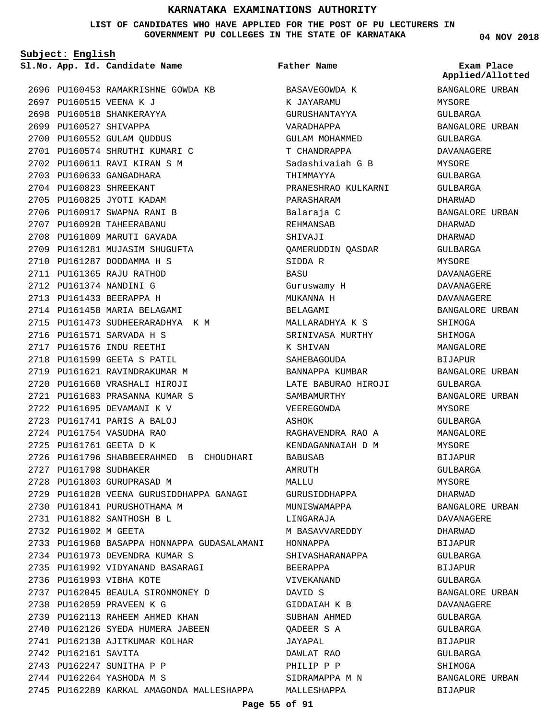**LIST OF CANDIDATES WHO HAVE APPLIED FOR THE POST OF PU LECTURERS IN GOVERNMENT PU COLLEGES IN THE STATE OF KARNATAKA**

**Subject: English**

**App. Id. Candidate Name Sl.No. Exam Place**

2696 PU160453 RAMAKRISHNE GOWDA KB 2697 PU160515 VEENA K J 2698 PU160518 SHANKERAYYA 2699 PU160527 SHIVAPPA 2700 PU160552 GULAM QUDDUS 2701 PU160574 SHRUTHI KUMARI C 2702 PU160611 RAVI KIRAN S M 2703 PU160633 GANGADHARA 2704 PU160823 SHREEKANT 2705 PU160825 JYOTI KADAM 2706 PU160917 SWAPNA RANI B 2707 PU160928 TAHEERABANU 2708 PU161009 MARUTI GAVADA 2709 PU161281 MUJASIM SHUGUFTA PU161287 DODDAMMA H S 2710 2711 PU161365 RAJU RATHOD 2712 PU161374 NANDINI G 2713 PU161433 BEERAPPA H 2714 PU161458 MARIA BELAGAMI 2715 PU161473 SUDHEERARADHYA K M 2716 PU161571 SARVADA H S 2717 PU161576 INDU REETHI 2718 PU161599 GEETA S PATIL 2719 PU161621 RAVINDRAKUMAR M 2720 PU161660 VRASHALI HIROJI PU161683 PRASANNA KUMAR S 2721 2722 PU161695 DEVAMANI K V PU161741 PARIS A BALOJ 2723 PU161754 VASUDHA RAO 2724 2725 PU161761 GEETA D K 2726 PU161796 SHABBEERAHMED B CHOUDHARI 2727 PU161798 SUDHAKER 2728 PU161803 GURUPRASAD M 2729 PU161828 VEENA GURUSIDDHAPPA GANAGI 2730 PU161841 PURUSHOTHAMA M PU161882 SANTHOSH B L 2731 2732 PU161902 M GEETA 2733 PU161960 BASAPPA HONNAPPA GUDASALAMANI 2734 PU161973 DEVENDRA KUMAR S 2735 PU161992 VIDYANAND BASARAGI 2736 PU161993 VIBHA KOTE PU162045 BEAULA SIRONMONEY D 2737 2738 PU162059 PRAVEEN K G 2739 PU162113 RAHEEM AHMED KHAN 2740 PU162126 SYEDA HUMERA JABEEN 2741 PU162130 AJITKUMAR KOLHAR 2742 PU162161 SAVITA 2743 PU162247 SUNITHA P P 2744 PU162264 YASHODA M S 2745 PU162289 KARKAL AMAGONDA MALLESHAPPA

BASAVEGOWDA K K JAYARAMU GURUSHANTAYYA VARADHAPPA GULAM MOHAMMED T CHANDRAPPA Sadashivaiah G B THIMMAYYA PRANESHRAO KULKARNI PARASHARAM Balaraja C REHMANSAB SHIVAJI QAMERUDDIN QASDAR SIDDA R BASU Guruswamy H MUKANNA H BELAGAMI MALLARADHYA K S SRINIVASA MURTHY K SHIVAN SAHEBAGOUDA BANNAPPA KUMBAR LATE BABURAO HIROJI SAMBAMURTHY VEEREGOWDA **A**SHOK RAGHAVENDRA RAO A KENDAGANNAIAH D M BABUSAB AMRUTH MALLU GURUSIDDHAPPA MUNISWAMAPPA LINGARAJA M BASAVVAREDDY HONNAPPA SHIVASHARANAPPA BEERAPPA VIVEKANAND DAVID S GIDDAIAH K B SUBHAN AHMED QADEER S A JAYAPAL DAWLAT RAO PHILIP P P SIDRAMAPPA M N MALLESHAPPA **Father Name**

**04 NOV 2018**

**Applied/Allotted**

BANGALORE URBAN MYSORE GULBARGA BANGALORE URBAN GULBARGA DAVANAGERE MYSORE GULBARGA GULBARGA DHARWAD BANGALORE URBAN DHARWAD DHARWAD GULBARGA MYSORE DAVANAGERE DAVANAGERE DAVANAGERE BANGALORE URBAN SHIMOGA SHIMOGA MANGALORE BIJAPUR BANGALORE URBAN GULBARGA BANGALORE URBAN MYSORE GULBARGA MANGALORE MYSORE BIJAPUR GULBARGA MYSORE DHARWAD BANGALORE URBAN DAVANAGERE DHARWAD BIJAPUR GULBARGA BIJAPUR GULBARGA BANGALORE URBAN DAVANAGERE GULBARGA GULBARGA BIJAPUR GULBARGA SHIMOGA BANGALORE URBAN BIJAPUR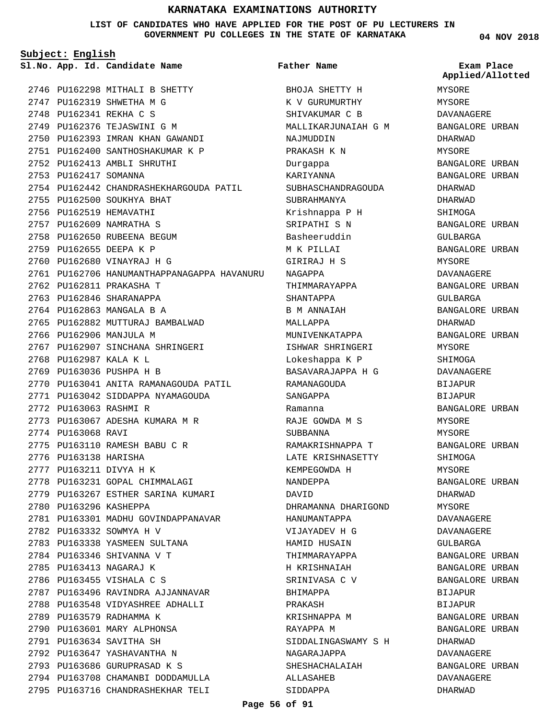**LIST OF CANDIDATES WHO HAVE APPLIED FOR THE POST OF PU LECTURERS IN GOVERNMENT PU COLLEGES IN THE STATE OF KARNATAKA**

**Subject: English**

2746 PU162298 MITHALI B SHETTY 2747 PU162319 SHWETHA M G PU162341 REKHA C S 2748 2749 PU162376 TEJASWINI G M 2750 PU162393 IMRAN KHAN GAWANDI PU162400 SANTHOSHAKUMAR K P 2751 2752 PU162413 AMBLI SHRUTHI 2753 PU162417 SOMANNA 2754 PU162442 CHANDRASHEKHARGOUDA PATIL 2755 PU162500 SOUKHYA BHAT 2756 PU162519 HEMAVATHI 2757 PU162609 NAMRATHA S 2758 PU162650 RUBEENA BEGUM 2759 PU162655 DEEPA K P 2760 PU162680 VINAYRAJ H G 2761 PU162706 HANUMANTHAPPANAGAPPA HAVANURU 2762 PU162811 PRAKASHA T 2763 PU162846 SHARANAPPA 2764 PU162863 MANGALA B A 2765 PU162882 MUTTURAJ BAMBALWAD 2766 PU162906 MANJULA M 2767 PU162907 SINCHANA SHRINGERI 2768 PU162987 KALA K L 2769 PU163036 PUSHPA H B 2770 PU163041 ANITA RAMANAGOUDA PATIL 2771 PU163042 SIDDAPPA NYAMAGOUDA 2772 PU163063 RASHMI R PU163067 ADESHA KUMARA M R 2773 2774 PU163068 RAVI PU163110 RAMESH BABU C R 2775 2776 PU163138 HARISHA PU163211 DIVYA H K 2777 2778 PU163231 GOPAL CHIMMALAGI 2779 PU163267 ESTHER SARINA KUMARI 2780 PU163296 KASHEPPA 2781 PU163301 MADHU GOVINDAPPANAVAR 2782 PU163332 SOWMYA H V 2783 PU163338 YASMEEN SULTANA 2784 PU163346 SHIVANNA V T 2785 PU163413 NAGARAJ K 2786 PU163455 VISHALA C S 2787 PU163496 RAVINDRA AJJANNAVAR 2788 PU163548 VIDYASHREE ADHALLI 2789 PU163579 RADHAMMA K 2790 PU163601 MARY ALPHONSA PU163634 SAVITHA SH 2791 2792 PU163647 YASHAVANTHA N 2793 PU163686 GURUPRASAD K S 2794 PU163708 CHAMANBI DODDAMULLA 2795 PU163716 CHANDRASHEKHAR TELI **App. Id. Candidate Name Sl.No. Exam Place**

BHOJA SHETTY H K V GURUMURTHY SHIVAKUMAR C B MALLIKARJUNAIAH G M NAJMUDDIN PRAKASH K N Durgappa KARIYANNA SUBHASCHANDRAGOUDA SUBRAHMANYA Krishnappa P H SRIPATHI S N Basheeruddin M K PILLAI GIRIRAJ H S NAGAPPA THIMMARAYAPPA SHANTAPPA B M ANNAIAH MALLAPPA MUNIVENKATAPPA ISHWAR SHRINGERI Lokeshappa K P BASAVARAJAPPA H G RAMANAGOUDA SANGAPPA Ramanna RAJE GOWDA M S SUBBANNA RAMAKRISHNAPPA T LATE KRISHNASETTY KEMPEGOWDA H NANDEPPA DAVID DHRAMANNA DHARIGOND HANUMANTAPPA VIJAYADEV H G HAMID HUSAIN THIMMARAYAPPA H KRISHNAIAH SRINIVASA C V BHIMAPPA PRAKASH KRISHNAPPA M RAYAPPA M SIDDALINGASWAMY S H NAGARAJAPPA SHESHACHALAIAH ALLASAHEB SIDDAPPA **Father Name**

**04 NOV 2018**

MYSORE MYSORE DAVANAGERE BANGALORE URBAN DHARWAD MYSORE BANGALORE URBAN BANGALORE URBAN DHARWAD DHARWAD SHIMOGA BANGALORE URBAN GULBARGA BANGALORE URBAN MYSORE DAVANAGERE BANGALORE URBAN GULBARGA BANGALORE URBAN DHARWAD BANGALORE URBAN MYSORE SHIMOGA DAVANAGERE BIJAPUR BIJAPUR BANGALORE URBAN MYSORE MYSORE BANGALORE URBAN SHIMOGA MYSORE BANGALORE URBAN DHARWAD MYSORE DAVANAGERE DAVANAGERE GULBARGA BANGALORE URBAN BANGALORE URBAN BANGALORE URBAN BIJAPUR BIJAPUR BANGALORE URBAN BANGALORE URBAN DHARWAD DAVANAGERE BANGALORE URBAN DAVANAGERE DHARWAD **Applied/Allotted**

### **Page 56 of 91**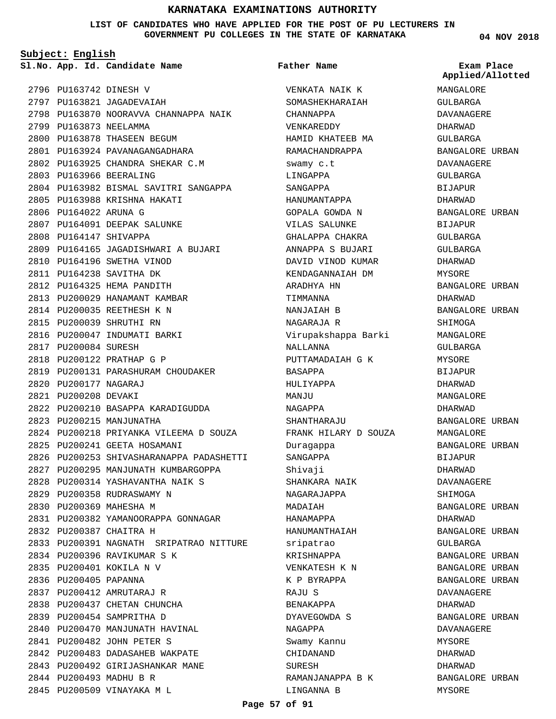**LIST OF CANDIDATES WHO HAVE APPLIED FOR THE POST OF PU LECTURERS IN GOVERNMENT PU COLLEGES IN THE STATE OF KARNATAKA**

VENKATA NAIK K

**Father Name**

**Subject: English**

**App. Id. Candidate Name Sl.No. Exam Place**

2796 PU163742 DINESH V 2797 PU163821 JAGADEVAIAH 2798 PU163870 NOORAVVA CHANNAPPA NAIK 2799 PU163873 NEELAMMA 2800 PU163878 THASEEN BEGUM 2801 PU163924 PAVANAGANGADHARA PU163925 CHANDRA SHEKAR C.M 2802 2803 PU163966 BEERALING 2804 PU163982 BISMAL SAVITRI SANGAPPA 2805 PU163988 KRISHNA HAKATI 2806 PU164022 ARUNA G 2807 PU164091 DEEPAK SALUNKE 2808 PU164147 SHIVAPPA 2809 PU164165 JAGADISHWARI A BUJARI 2810 PU164196 SWETHA VINOD 2811 PU164238 SAVITHA DK 2812 PU164325 HEMA PANDITH 2813 PU200029 HANAMANT KAMBAR 2814 PU200035 REETHESH K N 2815 PU200039 SHRUTHI RN 2816 PU200047 INDUMATI BARKI 2817 PU200084 SURESH 2818 PU200122 PRATHAP G P 2819 PU200131 PARASHURAM CHOUDAKER PU200177 NAGARAJ 2820 2821 PU200208 DEVAKI PU200210 BASAPPA KARADIGUDDA 2822 2823 PU200215 MANJUNATHA PU200218 PRIYANKA VILEEMA D SOUZA 2824 2825 PU200241 GEETA HOSAMANI PU200253 SHIVASHARANAPPA PADASHETTI 2826 2827 PU200295 MANJUNATH KUMBARGOPPA PU200314 YASHAVANTHA NAIK S 2828 2829 PU200358 RUDRASWAMY N 2830 PU200369 MAHESHA M 2831 PU200382 YAMANOORAPPA GONNAGAR PU200387 CHAITRA H 2832 2833 PU200391 NAGNATH SRIPATRAO NITTURE 2834 PU200396 RAVIKUMAR S K PU200401 KOKILA N V 2835 2836 PU200405 PAPANNA 2837 PU200412 AMRUTARAJ R 2838 PU200437 CHETAN CHUNCHA PU200454 SAMPRITHA D 2839 2840 PU200470 MANJUNATH HAVINAL PU200482 JOHN PETER S 2841 PU200483 DADASAHEB WAKPATE 2842 2843 PU200492 GIRIJASHANKAR MANE 2844 PU200493 MADHU B R 2845 PU200509 VINAYAKA M L

SOMASHEKHARAIAH CHANNAPPA VENKAREDDY HAMID KHATEEB MA RAMACHANDRAPPA swamy c.t LINGAPPA SANGAPPA HANUMANTAPPA GOPALA GOWDA N VILAS SALUNKE GHALAPPA CHAKRA ANNAPPA S BUJARI DAVID VINOD KUMAR KENDAGANNAIAH DM ARADHYA HN TIMMANNA NANJAIAH B NAGARAJA R Virupakshappa Barki NALLANNA PUTTAMADAIAH G K BASAPPA HULIYAPPA MANJU NAGAPPA SHANTHARAJU FRANK HILARY D SOUZA Duragappa SANGAPPA Shivaji SHANKARA NAIK NAGARAJAPPA MADAIAH HANAMAPPA HANUMANTHAIAH sripatrao KRISHNAPPA VENKATESH K N K P BYRAPPA RAJU S BENAKAPPA DYAVEGOWDA S NAGAPPA Swamy Kannu CHIDANAND **SURESH** RAMANJANAPPA B K LINGANNA B

**04 NOV 2018**

**Applied/Allotted**

## MANGALORE GULBARGA DAVANAGERE DHARWAD GULBARGA BANGALORE URBAN DAVANAGERE GULBARGA **BIJAPUR** DHARWAD BANGALORE URBAN BIJAPUR GULBARGA GULBARGA DHARWAD MYSORE BANGALORE URBAN DHARWAD BANGALORE URBAN SHIMOGA MANGALORE GULBARGA MYSORE BIJAPUR DHARWAD MANGALORE DHARWAD BANGALORE URBAN MANGALORE BANGALORE URBAN BIJAPUR DHARWAD DAVANAGERE SHIMOGA BANGALORE URBAN DHARWAD BANGALORE URBAN GULBARGA BANGALORE URBAN BANGALORE URBAN BANGALORE URBAN DAVANAGERE DHARWAD BANGALORE URBAN DAVANAGERE MYSORE DHARWAD DHARWAD BANGALORE URBAN MYSORE

**Page 57 of 91**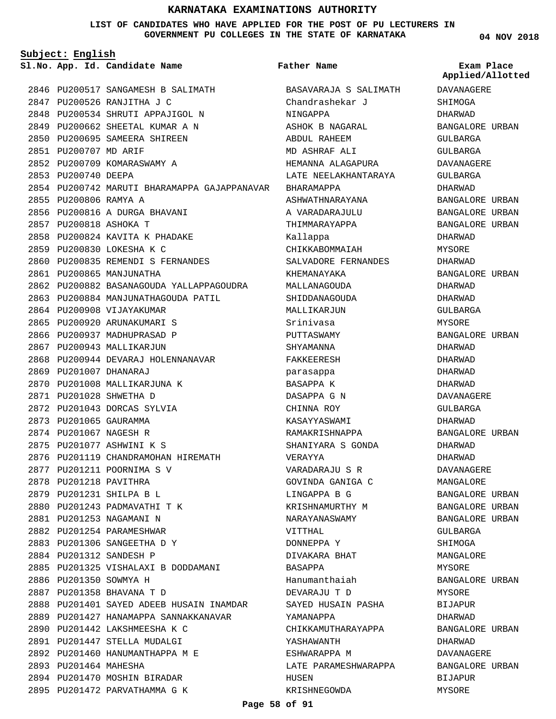**LIST OF CANDIDATES WHO HAVE APPLIED FOR THE POST OF PU LECTURERS IN GOVERNMENT PU COLLEGES IN THE STATE OF KARNATAKA**

**Subject: English**

**App. Id. Candidate Name Sl.No. Exam Place**

2846 PU200517 SANGAMESH B SALIMATH PU200526 RANJITHA J C 2847 2848 PU200534 SHRUTI APPAJIGOL N PU200662 SHEETAL KUMAR A N 2849 2850 PU200695 SAMEERA SHIREEN 2851 PU200707 MD ARIF 2852 PU200709 KOMARASWAMY A 2853 PU200740 DEEPA 2854 PU200742 MARUTI BHARAMAPPA GAJAPPANAVAR 2855 PU200806 RAMYA A 2856 PU200816 A DURGA BHAVANI 2857 PU200818 ASHOKA T 2858 PU200824 KAVITA K PHADAKE PU200830 LOKESHA K C 2859 2860 PU200835 REMENDI S FERNANDES 2861 PU200865 MANJUNATHA 2862 PU200882 BASANAGOUDA YALLAPPAGOUDRA 2863 PU200884 MANJUNATHAGOUDA PATIL 2864 PU200908 VIJAYAKUMAR 2865 PU200920 ARUNAKUMARI S 2866 PU200937 MADHUPRASAD P 2867 PU200943 MALLIKARJUN 2868 PU200944 DEVARAJ HOLENNANAVAR 2869 PU201007 DHANARAJ 2870 PU201008 MALLIKARJUNA K 2871 PU201028 SHWETHA D PU201043 DORCAS SYLVIA 2872 2873 PU201065 GAURAMMA 2874 PU201067 NAGESH R PU201077 ASHWINI K S 2875 2876 PU201119 CHANDRAMOHAN HIREMATH 2877 PU201211 POORNIMA S V 2878 PU201218 PAVITHRA PU201231 SHILPA B L 2879 2880 PU201243 PADMAVATHI T K 2881 PU201253 NAGAMANI N 2882 PU201254 PARAMESHWAR 2883 PU201306 SANGEETHA D Y 2884 PU201312 SANDESH P 2885 PU201325 VISHALAXI B DODDAMANI 2886 PU201350 SOWMYA H PU201358 BHAVANA T D 2887 2888 PU201401 SAYED ADEEB HUSAIN INAMDAR 2889 PU201427 HANAMAPPA SANNAKKANAVAR PU201442 LAKSHMEESHA K C 2890 2891 PU201447 STELLA MUDALGI PU201460 HANUMANTHAPPA M E 2892 2893 PU201464 MAHESHA 2894 PU201470 MOSHIN BIRADAR 2895 PU201472 PARVATHAMMA G K

#### **Father Name**

BASAVARAJA S SALIMATH Chandrashekar J NINGAPPA ASHOK B NAGARAL ABDUL RAHEEM MD ASHRAF ALI HEMANNA ALAGAPURA LATE NEELAKHANTARAYA BHARAMAPPA ASHWATHNARAYANA A VARADARAJULU THIMMARAYAPPA Kallappa CHIKKABOMMAIAH SALVADORE FERNANDES KHEMANAYAKA MALLANAGOUDA SHIDDANAGOUDA MALLIKARJUN Srinivasa PUTTASWAMY SHYAMANNA FAKKEERESH parasappa BASAPPA K DASAPPA G N CHINNA ROY KASAYYASWAMI RAMAKRISHNAPPA SHANIYARA S GONDA VERAYYA VARADARAJU S R GOVINDA GANIGA C LINGAPPA B G KRISHNAMURTHY M NARAYANASWAMY VITTHAL DONNEPPA Y DIVAKARA BHAT BASAPPA Hanumanthaiah DEVARAJU T D SAYED HUSAIN PASHA YAMANAPPA CHIKKAMUTHARAYAPPA YASHAWANTH ESHWARAPPA M LATE PARAMESHWARAPPA HUSEN KRISHNEGOWDA

**04 NOV 2018**

**Applied/Allotted**

DAVANAGERE **SHIMOGA** DHARWAD BANGALORE URBAN GULBARGA GULBARGA DAVANAGERE GULBARGA DHARWAD BANGALORE URBAN BANGALORE URBAN BANGALORE URBAN DHARWAD MYSORE DHARWAD BANGALORE URBAN DHARWAD DHARWAD GULBARGA MYSORE BANGALORE URBAN DHARWAD DHARWAD DHARWAD DHARWAD DAVANAGERE GULBARGA DHARWAD BANGALORE URBAN DHARWAD DHARWAD DAVANAGERE MANGALORE BANGALORE URBAN BANGALORE URBAN BANGALORE URBAN GULBARGA SHIMOGA MANGALORE MYSORE BANGALORE URBAN MYSORE BIJAPUR DHARWAD BANGALORE URBAN DHARWAD DAVANAGERE BANGALORE URBAN BIJAPUR

MYSORE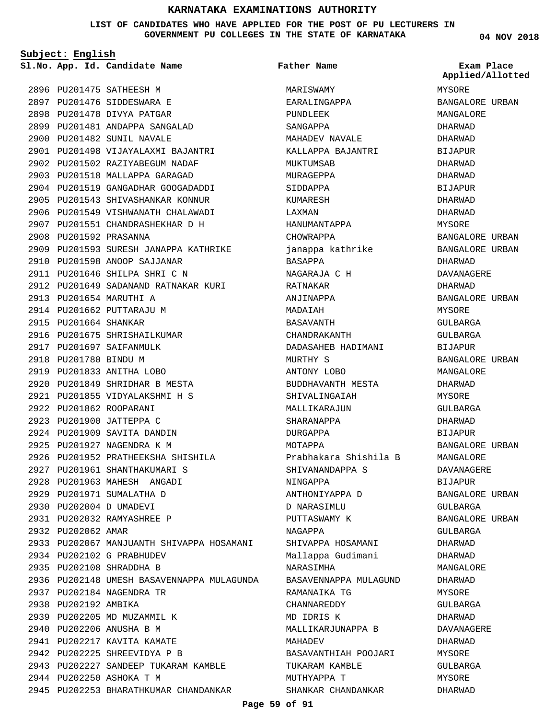### **LIST OF CANDIDATES WHO HAVE APPLIED FOR THE POST OF PU LECTURERS IN GOVERNMENT PU COLLEGES IN THE STATE OF KARNATAKA**

**Subject: English**

2896 PU201475 SATHEESH M PU201476 SIDDESWARA E 2897 2898 PU201478 DIVYA PATGAR 2899 PU201481 ANDAPPA SANGALAD

2900 PU201482 SUNIL NAVALE 2901 PU201498 VIJAYALAXMI BAJANTRI 2902 PU201502 RAZIYABEGUM NADAF 2903 PU201518 MALLAPPA GARAGAD 2904 PU201519 GANGADHAR GOOGADADDI 2905 PU201543 SHIVASHANKAR KONNUR 2906 PU201549 VISHWANATH CHALAWADI PU201551 CHANDRASHEKHAR D H 2907 2908 PU201592 PRASANNA 2909 PU201593 SURESH JANAPPA KATHRIKE 2910 PU201598 ANOOP SAJJANAR PU201646 SHILPA SHRI C N 2911 2912 PU201649 SADANAND RATNAKAR KURI 2913 PU201654 MARUTHI A 2914 PU201662 PUTTARAJU M 2915 PU201664 SHANKAR 2916 PU201675 SHRISHAILKUMAR 2917 PU201697 SAIFANMULK 2918 PU201780 BINDU M 2919 PU201833 ANITHA LOBO 2920 PU201849 SHRIDHAR B MESTA PU201855 VIDYALAKSHMI H S 2921 2922 PU201862 ROOPARANI 2923 PU201900 JATTEPPA C 2924 PU201909 SAVITA DANDIN 2925 PU201927 NAGENDRA K M 2926 PU201952 PRATHEEKSHA SHISHILA 2927 PU201961 SHANTHAKUMARI S 2928 PU201963 MAHESH ANGADI 2929 PU201971 SUMALATHA D 2930 PU202004 D UMADEVI PU202032 RAMYASHREE P 2931 2932 PU202062 AMAR 2933 PU202067 MANJUANTH SHIVAPPA HOSAMANI 2934 PU202102 G PRABHUDEV 2935 PU202108 SHRADDHA B 2936 PU202148 UMESH BASAVENNAPPA MULAGUNDA 2937 PU202184 NAGENDRA TR 2938 PU202192 AMBIKA 2939 PU202205 MD MUZAMMIL K 2940 PU202206 ANUSHA B M 2941 PU202217 KAVITA KAMATE 2942 PU202225 SHREEVIDYA P B 2943 PU202227 SANDEEP TUKARAM KAMBLE 2944 PU202250 ASHOKA T M 2945 PU202253 BHARATHKUMAR CHANDANKAR

**App. Id. Candidate Name Sl.No. Exam Place** MARISWAMY EARALINGAPPA PUNDLEEK SANGAPPA MAHADEV NAVALE KALLAPPA BAJANTRI MUKTUMSAB MURAGEPPA SIDDAPPA KUMARESH LAXMAN HANUMANTAPPA CHOWRAPPA janappa kathrike BASAPPA NAGARAJA C H RATNAKAR ANJINAPPA MADAIAH BASAVANTH CHANDRAKANTH DADASAHEB HADIMANI MURTHY S ANTONY LOBO BUDDHAVANTH MESTA SHIVALINGAIAH MALLIKARAJUN SHARANAPPA DURGAPPA MOTAPPA Prabhakara Shishila B SHIVANANDAPPA S NINGAPPA ANTHONIYAPPA D D NARASIMLU PUTTASWAMY K NAGAPPA SHIVAPPA HOSAMANI Mallappa Gudimani NARASIMHA BASAVENNAPPA MULAGUND RAMANAIKA TG CHANNAREDDY MD IDRIS K MALLIKARJUNAPPA B MAHADEV BASAVANTHIAH POOJARI TUKARAM KAMBLE MUTHYAPPA T SHANKAR CHANDANKAR **Father Name**

**04 NOV 2018**

MYSORE BANGALORE URBAN MANGALORE DHARWAD DHARWAD **BIJAPUR** DHARWAD DHARWAD **BIJAPUR** DHARWAD DHARWAD MYSORE BANGALORE URBAN BANGALORE URBAN DHARWAD DAVANAGERE DHARWAD BANGALORE URBAN MYSORE GULBARGA GULBARGA BIJAPUR BANGALORE URBAN MANGALORE DHARWAD MYSORE CIILBARGA DHARWAD BIJAPUR BANGALORE URBAN MANGALORE DAVANAGERE BIJAPUR BANGALORE URBAN GULBARGA BANGALORE URBAN GULBARGA DHARWAD DHARWAD MANGALORE DHARWAD MYSORE GULBARGA DHARWAD DAVANAGERE DHARWAD MYSORE GULBARGA MYSORE DHARWAD **Applied/Allotted**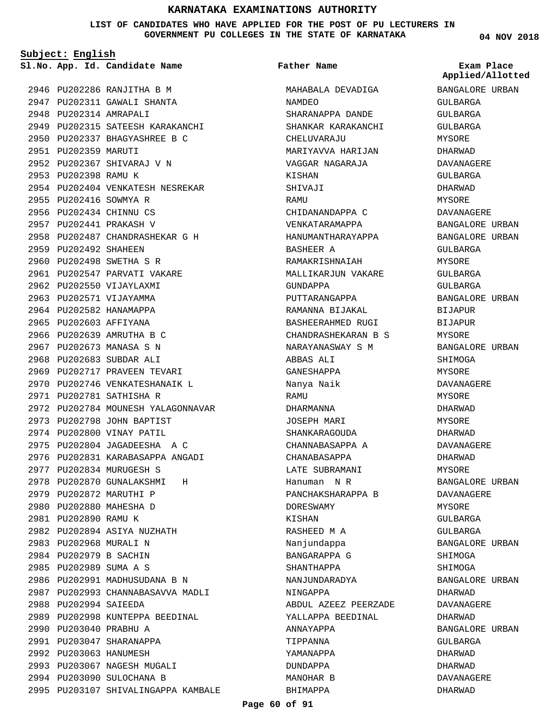**LIST OF CANDIDATES WHO HAVE APPLIED FOR THE POST OF PU LECTURERS IN GOVERNMENT PU COLLEGES IN THE STATE OF KARNATAKA**

**Subject: English**

**App. Id. Candidate Name Sl.No. Exam Place**

2946 PU202286 RANJITHA B M 2947 PU202311 GAWALI SHANTA 2948 PU202314 AMRAPALI 2949 PU202315 SATEESH KARAKANCHI PU202337 BHAGYASHREE B C 2950 2951 PU202359 MARUTI 2952 PU202367 SHIVARAJ V N 2953 PU202398 RAMU K 2954 PU202404 VENKATESH NESREKAR 2955 PU202416 SOWMYA R 2956 PU202434 CHINNU CS 2957 PU202441 PRAKASH V PU202487 CHANDRASHEKAR G H 2958 2959 PU202492 SHAHEEN PU202498 SWETHA S R 2960 2961 PU202547 PARVATI VAKARE 2962 PU202550 VIJAYLAXMI 2963 PU202571 VIJAYAMMA 2964 PU202582 HANAMAPPA 2965 PU202603 AFFIYANA 2966 PU202639 AMRUTHA B C 2967 PU202673 MANASA S N 2968 PU202683 SUBDAR ALI 2969 PU202717 PRAVEEN TEVARI 2970 PU202746 VENKATESHANAIK L 2971 PU202781 SATHISHA R 2972 PU202784 MOUNESH YALAGONNAVAR 2973 PU202798 JOHN BAPTIST 2974 PU202800 VINAY PATIL PU202804 JAGADEESHA A C 2975 2976 PU202831 KARABASAPPA ANGADI 2977 PU202834 MURUGESH S 2978 PU202870 GUNALAKSHMI H 2979 PU202872 MARUTHI P 2980 PU202880 MAHESHA D 2981 PU202890 RAMU K 2982 PU202894 ASIYA NUZHATH 2983 PU202968 MURALI N 2984 PU202979 B SACHIN 2985 PU202989 SUMA A S 2986 PU202991 MADHUSUDANA B N 2987 PU202993 CHANNABASAVVA MADLI 2988 PU202994 SAIEEDA 2989 PU202998 KUNTEPPA BEEDINAL 2990 PU203040 PRABHU A 2991 PU203047 SHARANAPPA 2992 PU203063 HANUMESH 2993 PU203067 NAGESH MUGALI 2994 PU203090 SULOCHANA B 2995 PU203107 SHIVALINGAPPA KAMBALE

### **Father Name**

MAHABALA DEVADIGA NAMDEO SHARANAPPA DANDE SHANKAR KARAKANCHI CHELUVARAJU MARIYAVVA HARIJAN VAGGAR NAGARAJA KISHAN SHIVAJI **RAMIT** CHIDANANDAPPA C VENKATARAMAPPA HANUMANTHARAYAPPA BASHEER A RAMAKRISHNAIAH MALLIKARJUN VAKARE GUNDAPPA PUTTARANGAPPA RAMANNA BIJAKAL BASHEERAHMED RUGI CHANDRASHEKARAN B S NARAYANASWAY S M ABBAS ALI GANESHAPPA Nanya Naik RAMU DHARMANNA JOSEPH MARI **SHANKARAGOUDA** CHANNABASAPPA A CHANABASAPPA LATE SUBRAMANI Hanuman N R PANCHAKSHARAPPA B DORESWAMY **KISHAN** RASHEED M A Nanjundappa BANGARAPPA G SHANTHAPPA NANJUNDARADYA NINGAPPA ABDUL AZEEZ PEERZADE YALLAPPA BEEDINAL ANNAYAPPA TIPPANNA YAMANAPPA DUNDAPPA MANOHAR B BHIMAPPA

**04 NOV 2018**

**Applied/Allotted**

BANGALORE URBAN GULBARGA GULBARGA GULBARGA MYSORE DHARWAD DAVANAGERE GULBARGA DHARWAD MYSORE DAVANAGERE BANGALORE URBAN BANGALORE URBAN GULBARGA MYSORE GULBARGA GULBARGA BANGALORE URBAN BIJAPUR BIJAPUR **MYSORE** BANGALORE URBAN SHIMOGA MYSORE DAVANAGERE MYSORE DHARWAD MYSORE DHARWAD DAVANAGERE DHARWAD MYSORE BANGALORE URBAN DAVANAGERE MYSORE GULBARGA GULBARGA BANGALORE URBAN SHIMOGA SHIMOGA BANGALORE URBAN DHARWAD DAVANAGERE DHARWAD BANGALORE URBAN GULBARGA DHARWAD DHARWAD DAVANAGERE

DHARWAD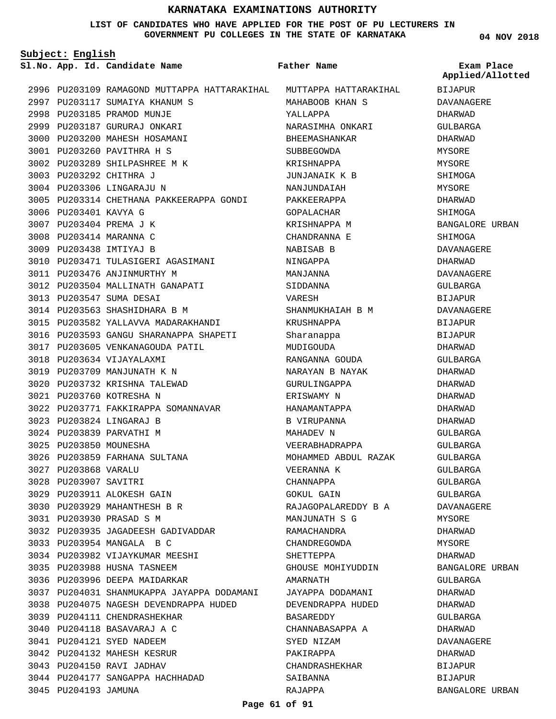**LIST OF CANDIDATES WHO HAVE APPLIED FOR THE POST OF PU LECTURERS IN GOVERNMENT PU COLLEGES IN THE STATE OF KARNATAKA**

**04 NOV 2018**

| Subject: English       |                                                                    |                      |                                |  |  |
|------------------------|--------------------------------------------------------------------|----------------------|--------------------------------|--|--|
|                        | Sl.No. App. Id. Candidate Name                                     | Father Name          | Exam Place<br>Applied/Allotted |  |  |
|                        | 2996 PU203109 RAMAGOND MUTTAPPA HATTARAKIHAL MUTTAPPA HATTARAKIHAL |                      | <b>BIJAPUR</b>                 |  |  |
|                        | 2997 PU203117 SUMAIYA KHANUM S                                     | MAHABOOB KHAN S      | <b>DAVANAGERE</b>              |  |  |
|                        | 2998 PU203185 PRAMOD MUNJE                                         | YALLAPPA             | DHARWAD                        |  |  |
|                        | 2999 PU203187 GURURAJ ONKARI                                       | NARASIMHA ONKARI     | GULBARGA                       |  |  |
|                        | 3000 PU203200 MAHESH HOSAMANI                                      | BHEEMASHANKAR        | DHARWAD                        |  |  |
|                        | 3001 PU203260 PAVITHRA H S                                         | SUBBEGOWDA           | MYSORE                         |  |  |
|                        | 3002 PU203289 SHILPASHREE M K                                      | KRISHNAPPA           | MYSORE                         |  |  |
|                        | 3003 PU203292 CHITHRA J                                            | JUNJANAIK K B        | SHIMOGA                        |  |  |
|                        | 3004 PU203306 LINGARAJU N                                          | NANJUNDAIAH          | MYSORE                         |  |  |
|                        | 3005 PU203314 CHETHANA PAKKEERAPPA GONDI                           | PAKKEERAPPA          | DHARWAD                        |  |  |
| 3006 PU203401 KAVYA G  |                                                                    | GOPALACHAR           | SHIMOGA                        |  |  |
|                        | 3007 PU203404 PREMA J K                                            | KRISHNAPPA M         | BANGALORE URBAN                |  |  |
|                        | 3008 PU203414 MARANNA C                                            | CHANDRANNA E         | SHIMOGA                        |  |  |
|                        | 3009 PU203438 IMTIYAJ B                                            | NABISAB B            | DAVANAGERE                     |  |  |
|                        | 3010 PU203471 TULASIGERI AGASIMANI                                 | NINGAPPA             | DHARWAD                        |  |  |
|                        | 3011 PU203476 ANJINMURTHY M                                        | MANJANNA             | DAVANAGERE                     |  |  |
|                        | 3012 PU203504 MALLINATH GANAPATI                                   | SIDDANNA             | GULBARGA                       |  |  |
|                        | 3013 PU203547 SUMA DESAI                                           | VARESH               | BIJAPUR                        |  |  |
|                        | 3014 PU203563 SHASHIDHARA B M                                      | SHANMUKHAIAH B M     | DAVANAGERE                     |  |  |
|                        | 3015 PU203582 YALLAVVA MADARAKHANDI                                | KRUSHNAPPA           | <b>BIJAPUR</b>                 |  |  |
|                        | 3016 PU203593 GANGU SHARANAPPA SHAPETI                             | Sharanappa           | <b>BIJAPUR</b>                 |  |  |
|                        | 3017 PU203605 VENKANAGOUDA PATIL                                   | MUDIGOUDA            | DHARWAD                        |  |  |
|                        | 3018 PU203634 VIJAYALAXMI                                          | RANGANNA GOUDA       | GULBARGA                       |  |  |
|                        | 3019 PU203709 MANJUNATH K N                                        | NARAYAN B NAYAK      | DHARWAD                        |  |  |
|                        | 3020 PU203732 KRISHNA TALEWAD                                      | GURULINGAPPA         | DHARWAD                        |  |  |
|                        | 3021 PU203760 KOTRESHA N                                           | ERISWAMY N           | DHARWAD                        |  |  |
|                        | 3022 PU203771 FAKKIRAPPA SOMANNAVAR                                | HANAMANTAPPA         | DHARWAD                        |  |  |
|                        | 3023 PU203824 LINGARAJ B                                           | B VIRUPANNA          | DHARWAD                        |  |  |
|                        | 3024 PU203839 PARVATHI M                                           | MAHADEV N            | <b>GULBARGA</b>                |  |  |
| 3025 PU203850 MOUNESHA |                                                                    | VEERABHADRAPPA       | GULBARGA                       |  |  |
|                        | 3026 PU203859 FARHANA SULTANA                                      | MOHAMMED ABDUL RAZAK | <b>GULBARGA</b>                |  |  |
| 3027 PU203868 VARALU   |                                                                    | VEERANNA K           | GULBARGA                       |  |  |
| 3028 PU203907 SAVITRI  |                                                                    | CHANNAPPA            | GULBARGA                       |  |  |
|                        | 3029 PU203911 ALOKESH GAIN                                         | GOKUL GAIN           | GULBARGA                       |  |  |
|                        | 3030 PU203929 MAHANTHESH B R                                       | RAJAGOPALAREDDY B A  | DAVANAGERE                     |  |  |
|                        | 3031 PU203930 PRASAD S M                                           | MANJUNATH S G        | MYSORE                         |  |  |
|                        | 3032 PU203935 JAGADEESH GADIVADDAR                                 | RAMACHANDRA          | DHARWAD                        |  |  |
|                        | 3033 PU203954 MANGALA B C                                          | CHANDREGOWDA         | MYSORE                         |  |  |
|                        | 3034 PU203982 VIJAYKUMAR MEESHI                                    | SHETTEPPA            | DHARWAD                        |  |  |
|                        | 3035 PU203988 HUSNA TASNEEM                                        | GHOUSE MOHIYUDDIN    | BANGALORE URBAN                |  |  |
|                        | 3036 PU203996 DEEPA MAIDARKAR                                      | AMARNATH             | GULBARGA                       |  |  |
|                        | 3037 PU204031 SHANMUKAPPA JAYAPPA DODAMANI                         | JAYAPPA DODAMANI     | DHARWAD                        |  |  |
|                        | 3038 PU204075 NAGESH DEVENDRAPPA HUDED                             | DEVENDRAPPA HUDED    | DHARWAD                        |  |  |
|                        | 3039 PU204111 CHENDRASHEKHAR                                       | BASAREDDY            | GULBARGA                       |  |  |
|                        | 3040 PU204118 BASAVARAJ A C                                        | CHANNABASAPPA A      | DHARWAD                        |  |  |
|                        | 3041 PU204121 SYED NADEEM                                          | SYED NIZAM           | DAVANAGERE                     |  |  |
|                        | 3042 PU204132 MAHESH KESRUR                                        | PAKIRAPPA            | DHARWAD                        |  |  |
|                        | 3043 PU204150 RAVI JADHAV                                          | CHANDRASHEKHAR       | BIJAPUR                        |  |  |
|                        | 3044 PU204177 SANGAPPA HACHHADAD                                   | SAIBANNA             | BIJAPUR                        |  |  |
| 3045 PU204193 JAMUNA   |                                                                    | RAJAPPA              | BANGALORE URBAN                |  |  |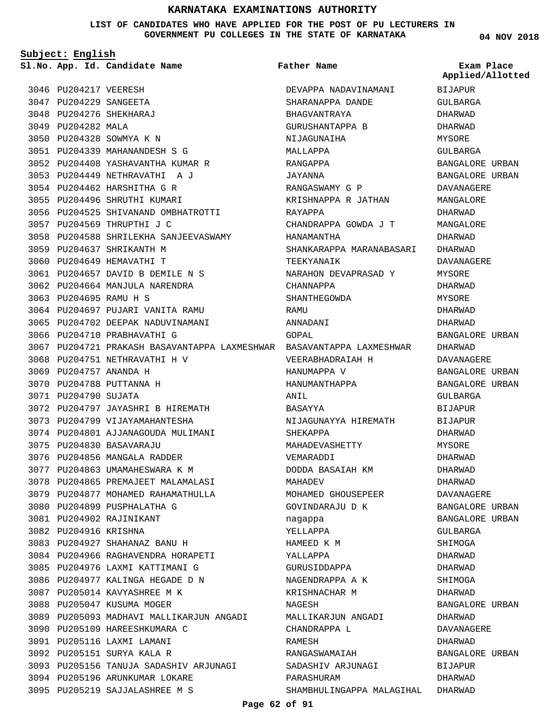**LIST OF CANDIDATES WHO HAVE APPLIED FOR THE POST OF PU LECTURERS IN GOVERNMENT PU COLLEGES IN THE STATE OF KARNATAKA**

**Subject: English**

3046 PU204217 VEERESH 3047 PU204229 SANGEETA 3048 PU204276 SHEKHARAJ 3049 PU204282 MALA 3050 PU204328 SOWMYA K N PU204339 MAHANANDESH S G 3051 3052 PU204408 YASHAVANTHA KUMAR R PU204449 NETHRAVATHI A J 3053 PU204462 HARSHITHA G R 3054 3055 PU204496 SHRUTHI KUMARI 3056 PU204525 SHIVANAND OMBHATROTTI 3057 PU204569 THRUPTHI J C PU204588 SHRILEKHA SANJEEVASWAMY 3058 3059 PU204637 SHRIKANTH M 3060 PU204649 HEMAVATHI T PU204657 DAVID B DEMILE N S 3061 3062 PU204664 MANJULA NARENDRA PU204695 RAMU H S 3063 3064 PU204697 PUJARI VANITA RAMU 3065 PU204702 DEEPAK NADUVINAMANI 3066 PU204710 PRABHAVATHI G 3067 PU204721 PRAKASH BASAVANTAPPA LAXMESHWAR BASAVANTAPPA LAXMESHWAR 3068 PU204751 NETHRAVATHI H V 3069 PU204757 ANANDA H 3070 PU204788 PUTTANNA H 3071 PU204790 SUJATA PU204797 JAYASHRI B HIREMATH 3072 3073 PU204799 VIJAYAMAHANTESHA 3074 PU204801 AJJANAGOUDA MULIMANI PU204830 BASAVARAJU 3075 3076 PU204856 MANGALA RADDER 3077 PU204863 UMAMAHESWARA K M 3078 PU204865 PREMAJEET MALAMALASI 3079 PU204877 MOHAMED RAHAMATHULLA 3080 PU204899 PUSPHALATHA G PU204902 RAJINIKANT 3081 3082 PU204916 KRISHNA PU204927 SHAHANAZ BANU H 3083 3084 PU204966 RAGHAVENDRA HORAPETI 3085 PU204976 LAXMI KATTIMANI G 3086 PU204977 KALINGA HEGADE D N 3087 PU205014 KAVYASHREE M K 3088 PU205047 KUSUMA MOGER 3089 PU205093 MADHAVI MALLIKARJUN ANGADI 3090 PU205109 HAREESHKUMARA C 3091 PU205116 LAXMI LAMANI 3092 PU205151 SURYA KALA R 3093 PU205156 TANUJA SADASHIV ARJUNAGI

3094 PU205196 ARUNKUMAR LOKARE PU205219 SAJJALASHREE M S 3095

DEVAPPA NADAVINAMANI SHARANAPPA DANDE BHAGVANTRAYA GURUSHANTAPPA B NIJAGUNAIHA MALLAPPA RANGAPPA JAYANNA RANGASWAMY G P KRISHNAPPA R JATHAN RAYAPPA CHANDRAPPA GOWDA J T HANAMANTHA SHANKARAPPA MARANABASARI TEEKYANAIK NARAHON DEVAPRASAD Y CHANNAPPA SHANTHEGOWDA **RAMIT** ANNADANI GOPAL VEERABHADRAIAH H HANUMAPPA V HANUMANTHAPPA ANIL BASAYYA NIJAGUNAYYA HIREMATH SHEKAPPA MAHADEVASHETTY VEMARADDI DODDA BASAIAH KM MAHADEV MOHAMED GHOUSEPEER GOVINDARAJU D K nagappa YELLAPPA HAMEED K M YALLAPPA GURUSIDDAPPA NAGENDRAPPA A K KRISHNACHAR M NAGESH MALLIKARJUN ANGADI CHANDRAPPA L RAMESH RANGASWAMAIAH SADASHIV ARJUNAGI PARASHURAM **Father Name**

**04 NOV 2018**

**App. Id. Candidate Name Sl.No. Exam Place** SHAMBHULINGAPPA MALAGIHAL DHARWAD BIJAPUR GULBARGA DHARWAD DHARWAD MYSORE GULBARGA BANGALORE URBAN BANGALORE URBAN DAVANAGERE MANGALORE DHARWAD MANGALORE DHARWAD DHARWAD DAVANAGERE MYSORE DHARWAD MYSORE DHARWAD DHARWAD BANGALORE URBAN DHARWAD DAVANAGERE BANGALORE URBAN BANGALORE URBAN GULBARGA BIJAPUR **BIJAPUR** DHARWAD MYSORE DHARWAD DHARWAD DHARWAD DAVANAGERE BANGALORE URBAN BANGALORE URBAN GULBARGA SHIMOGA DHARWAD DHARWAD SHIMOGA DHARWAD BANGALORE URBAN DHARWAD DAVANAGERE DHARWAD BANGALORE URBAN BIJAPUR DHARWAD **Applied/Allotted**

### **Page 62 of 91**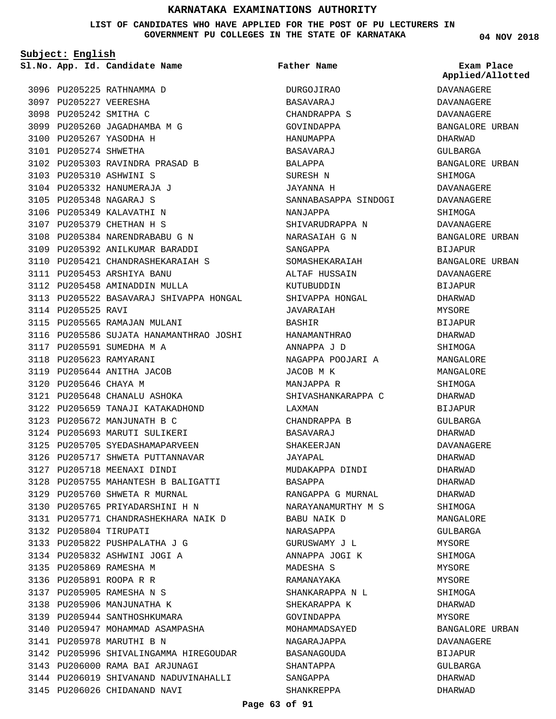**LIST OF CANDIDATES WHO HAVE APPLIED FOR THE POST OF PU LECTURERS IN GOVERNMENT PU COLLEGES IN THE STATE OF KARNATAKA**

**Subject: English**

**04 NOV 2018**

BANGALORE URBAN

**Applied/Allotted**

BANGALORE URBAN

BANGALORE URBAN

BANGALORE URBAN DAVANAGERE BIJAPUR DHARWAD MYSORE BIJAPUR DHARWAD SHIMOGA MANGALORE MANGALORE SHIMOGA DHARWAD BIJAPUR GULBARGA DHARWAD DAVANAGERE DHARWAD DHARWAD DHARWAD DHARWAD SHIMOGA MANGALORE GULBARGA MYSORE SHIMOGA MYSORE MYSORE SHIMOGA DHARWAD MYSORE

BANGALORE URBAN

|                       | Sl.No. App. Id. Candidate Name          | Father Name          | Exam Place<br>Applied/Allot |
|-----------------------|-----------------------------------------|----------------------|-----------------------------|
|                       | 3096 PU205225 RATHNAMMA D               | DURGOJIRAO           | DAVANAGERE                  |
|                       | 3097 PU205227 VEERESHA                  | BASAVARAJ            | DAVANAGERE                  |
|                       | 3098 PU205242 SMITHA C                  | CHANDRAPPA S         | DAVANAGERE                  |
|                       | 3099 PU205260 JAGADHAMBA M G            | GOVINDAPPA           | BANGALORE URBA              |
|                       | 3100 PU205267 YASODHA H                 | HANUMAPPA            | DHARWAD                     |
| 3101 PU205274 SHWETHA |                                         | BASAVARAJ            | GULBARGA                    |
|                       | 3102 PU205303 RAVINDRA PRASAD B         | BALAPPA              | <b>BANGALORE URBA</b>       |
|                       | 3103 PU205310 ASHWINI S                 | SURESH N             | SHIMOGA                     |
|                       | 3104 PU205332 HANUMERAJA J              | JAYANNA H            | DAVANAGERE                  |
|                       | 3105 PU205348 NAGARAJ S                 | SANNABASAPPA SINDOGI | DAVANAGERE                  |
|                       | 3106 PU205349 KALAVATHI N               | NANJAPPA             | SHIMOGA                     |
|                       | 3107 PU205379 CHETHAN H S               | SHIVARUDRAPPA N      | DAVANAGERE                  |
|                       | 3108 PU205384 NARENDRABABU G N          | NARASAIAH G N        | BANGALORE URBA              |
|                       | 3109 PU205392 ANILKUMAR BARADDI         | SANGAPPA             | BIJAPUR                     |
|                       | 3110 PU205421 CHANDRASHEKARAIAH S       | SOMASHEKARAIAH       | <b>BANGALORE URBA</b>       |
|                       | 3111 PU205453 ARSHIYA BANU              | ALTAF HUSSAIN        | DAVANAGERE                  |
|                       | 3112 PU205458 AMINADDIN MULLA           | KUTUBUDDIN           | BIJAPUR                     |
|                       | 3113 PU205522 BASAVARAJ SHIVAPPA HONGAL | SHIVAPPA HONGAL      | DHARWAD                     |
| 3114 PU205525 RAVI    |                                         | JAVARAIAH            | MYSORE                      |
|                       | 3115 PU205565 RAMAJAN MULANI            | BASHIR               | BIJAPUR                     |
|                       | 3116 PU205586 SUJATA HANAMANTHRAO JOSHI | HANAMANTHRAO         | DHARWAD                     |
|                       | 3117 PU205591 SUMEDHA M A               | ANNAPPA J D          | SHIMOGA                     |
|                       | 3118 PU205623 RAMYARANI                 | NAGAPPA POOJARI A    | MANGALORE                   |
|                       | 3119 PU205644 ANITHA JACOB              | JACOB M K            | MANGALORE                   |
| 3120 PU205646 CHAYA M |                                         | MANJAPPA R           | SHIMOGA                     |
|                       | 3121 PU205648 CHANALU ASHOKA            | SHIVASHANKARAPPA C   | DHARWAD                     |
|                       | 3122 PU205659 TANAJI KATAKADHOND        | LAXMAN               | <b>BIJAPUR</b>              |
|                       | 3123 PU205672 MANJUNATH B C             | CHANDRAPPA B         | GULBARGA                    |
|                       | 3124 PU205693 MARUTI SULIKERI           | BASAVARAJ            | DHARWAD                     |
|                       | 3125 PU205705 SYEDASHAMAPARVEEN         | SHAKEERJAN           | <b>DAVANAGERE</b>           |
|                       | 3126 PU205717 SHWETA PUTTANNAVAR        | JAYAPAL              | DHARWAD                     |
|                       | 3127 PU205718 MEENAXI DINDI             | MUDAKAPPA DINDI      | DHARWAD                     |
|                       | 3128 PU205755 MAHANTESH B BALIGATTI     | BASAPPA              | DHARWAD                     |
|                       | 3129 PU205760 SHWETA R MURNAL           | RANGAPPA G MURNAL    | DHARWAD                     |
|                       | 3130 PU205765 PRIYADARSHINI H N         | NARAYANAMURTHY M S   | SHIMOGA                     |
|                       | 3131 PU205771 CHANDRASHEKHARA NAIK D    | BABU NAIK D          | MANGALORE                   |
|                       | 3132 PU205804 TIRUPATI                  | NARASAPPA            | GULBARGA                    |
|                       | 3133 PU205822 PUSHPALATHA J G           | GURUSWAMY J L        | MYSORE                      |
|                       | 3134 PU205832 ASHWINI JOGI A            | ANNAPPA JOGI K       | SHIMOGA                     |
|                       | 3135 PU205869 RAMESHA M                 | MADESHA S            | MYSORE                      |
|                       | 3136 PU205891 ROOPA R R                 | RAMANAYAKA           | MYSORE                      |
|                       | 3137 PU205905 RAMESHA N S               | SHANKARAPPA N L      | SHIMOGA                     |
|                       | 3138 PU205906 MANJUNATHA K              | SHEKARAPPA K         | DHARWAD                     |
|                       | 3139 PU205944 SANTHOSHKUMARA            | GOVINDAPPA           | MYSORE                      |
|                       | 3140 PU205947 MOHAMMAD ASAMPASHA        | MOHAMMADSAYED        | BANGALORE URBA              |
|                       | 3141 PU205978 MARUTHI B N               | NAGARAJAPPA          | DAVANAGERE                  |
|                       | 3142 PU205996 SHIVALINGAMMA HIREGOUDAR  | BASANAGOUDA          | BIJAPUR                     |
|                       | 3143 PU206000 RAMA BAI ARJUNAGI         | SHANTAPPA            | GULBARGA                    |
|                       | 3144 PU206019 SHIVANAND NADUVINAHALLI   | SANGAPPA             | DHARWAD                     |
|                       | 3145 PU206026 CHIDANAND NAVI            | SHANKREPPA           | DHARWAD                     |

#### **Page 63 of 91**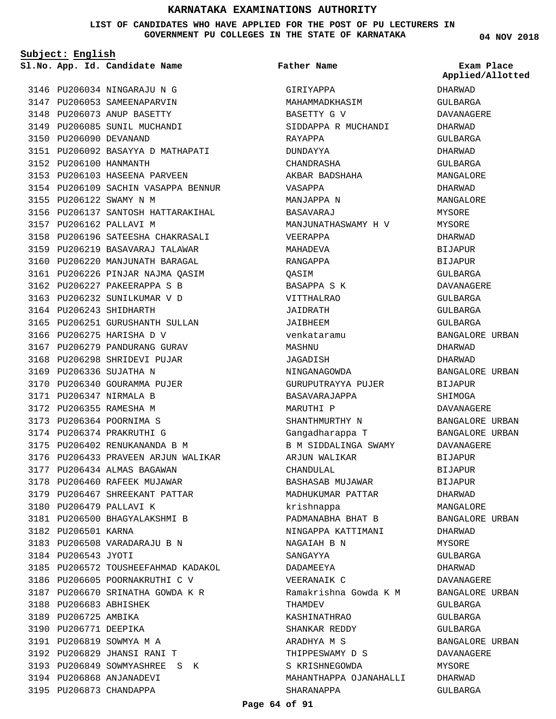**LIST OF CANDIDATES WHO HAVE APPLIED FOR THE POST OF PU LECTURERS IN GOVERNMENT PU COLLEGES IN THE STATE OF KARNATAKA**

**Subject: English**

**App. Id. Candidate Name Sl.No. Exam Place**

**Father Name**

3146 PU206034 NINGARAJU N G 3147 PU206053 SAMEENAPARVIN 3148 PU206073 ANUP BASETTY 3149 PU206085 SUNIL MUCHANDI 3150 PU206090 DEVANAND 3151 PU206092 BASAYYA D MATHAPATI 3152 PU206100 HANMANTH 3153 PU206103 HASEENA PARVEEN 3154 PU206109 SACHIN VASAPPA BENNUR 3155 PU206122 SWAMY N M 3156 PU206137 SANTOSH HATTARAKIHAL 3157 PU206162 PALLAVI M 3158 PU206196 SATEESHA CHAKRASALI 3159 PU206219 BASAVARAJ TALAWAR 3160 PU206220 MANJUNATH BARAGAL 3161 PU206226 PINJAR NAJMA QASIM 3162 PU206227 PAKEERAPPA S B 3163 PU206232 SUNILKUMAR V D 3164 PU206243 SHIDHARTH 3165 PU206251 GURUSHANTH SULLAN 3166 PU206275 HARISHA D V 3167 PU206279 PANDURANG GURAV 3168 PU206298 SHRIDEVI PUJAR 3169 PU206336 SUJATHA N 3170 PU206340 GOURAMMA PUJER PU206347 NIRMALA B 3171 3172 PU206355 RAMESHA M 3173 PU206364 POORNIMA S 3174 PU206374 PRAKRUTHI G 3175 PU206402 RENUKANANDA B M 3176 PU206433 PRAVEEN ARJUN WALIKAR 3177 PU206434 ALMAS BAGAWAN 3178 PU206460 RAFEEK MUJAWAR 3179 PU206467 SHREEKANT PATTAR 3180 PU206479 PALLAVI K 3181 PU206500 BHAGYALAKSHMI B 3182 PU206501 KARNA 3183 PU206508 VARADARAJU B N 3184 PU206543 JYOTI 3185 PU206572 TOUSHEEFAHMAD KADAKOL 3186 PU206605 POORNAKRUTHI C V 3187 PU206670 SRINATHA GOWDA K R 3188 PU206683 ABHISHEK 3189 PU206725 AMBIKA 3190 PU206771 DEEPIKA 3191 PU206819 SOWMYA M A PU206829 JHANSI RANI T 3192 3193 PU206849 SOWMYASHREE S K 3194 PU206868 ANJANADEVI 3195 PU206873 CHANDAPPA

GIRIYAPPA MAHAMMADKHASIM BASETTY G V SIDDAPPA R MUCHANDI RAYAPPA DUNDAYYA CHANDRASHA AKBAR BADSHAHA VASAPPA MANJAPPA N BASAVARAJ MANJUNATHASWAMY H V VEERAPPA MAHADEVA RANGAPPA QASIM BASAPPA S K VITTHALRAO JAIDRATH JAIBHEEM venkataramu MASHNU JAGADISH NINGANAGOWDA GURUPUTRAYYA PUJER BASAVARAJAPPA MARUTHI P SHANTHMURTHY N Gangadharappa T B M SIDDALINGA SWAMY ARJUN WALIKAR CHANDULAL BASHASAB MUJAWAR MADHUKUMAR PATTAR krishnappa PADMANABHA BHAT B NINGAPPA KATTIMANI NAGAIAH B N SANGAYYA DADAMEEYA VEERANAIK C Ramakrishna Gowda K M THAMDEV KASHINATHRAO SHANKAR REDDY ARADHYA M S THIPPESWAMY D S S KRISHNEGOWDA MAHANTHAPPA OJANAHALLI SHARANAPPA

**04 NOV 2018**

**Applied/Allotted**

DHARWAD GULBARGA DAVANAGERE DHARWAD GULBARGA DHARWAD GULBARGA MANGALORE DHARWAD MANGALORE MYSORE MYSORE DHARWAD BIJAPUR BIJAPUR GULBARGA DAVANAGERE GULBARGA GULBARGA GULBARGA BANGALORE URBAN DHARWAD DHARWAD BANGALORE URBAN BIJAPUR SHIMOGA DAVANAGERE BANGALORE URBAN BANGALORE URBAN DAVANAGERE BIJAPUR BIJAPUR BIJAPUR DHARWAD MANGALORE BANGALORE URBAN DHARWAD MYSORE GULBARGA DHARWAD DAVANAGERE BANGALORE URBAN GULBARGA GULBARGA CIILBARGA BANGALORE URBAN DAVANAGERE MYSORE DHARWAD

GULBARGA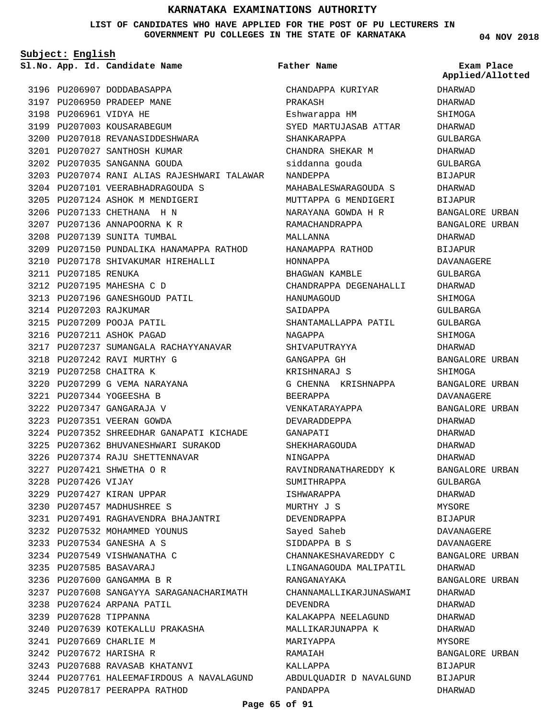### **LIST OF CANDIDATES WHO HAVE APPLIED FOR THE POST OF PU LECTURERS IN GOVERNMENT PU COLLEGES IN THE STATE OF KARNATAKA**

**Subject: English**

3196 PU206907 DODDABASAPPA 3197 PU206950 PRADEEP MANE 3198 PU206961 VIDYA HE 3199 PU207003 KOUSARABEGUM 3200 PU207018 REVANASIDDESHWARA 3201 PU207027 SANTHOSH KUMAR 3202 PU207035 SANGANNA GOUDA 3203 PU207074 RANI ALIAS RAJESHWARI TALAWAR PU207101 VEERABHADRAGOUDA S 3204 3205 PU207124 ASHOK M MENDIGERI 3206 PU207133 CHETHANA H N 3207 PU207136 ANNAPOORNA K R 3208 PU207139 SUNITA TUMBAL 3209 PU207150 PUNDALIKA HANAMAPPA RATHOD 3210 PU207178 SHIVAKUMAR HIREHALLI 3211 PU207185 RENUKA 3212 PU207195 MAHESHA C D 3213 PU207196 GANESHGOUD PATIL 3214 PU207203 RAJKUMAR 3215 PU207209 POOJA PATIL 3216 PU207211 ASHOK PAGAD 3217 PU207237 SUMANGALA RACHAYYANAVAR 3218 PU207242 RAVI MURTHY G 3219 PU207258 CHAITRA K 3220 PU207299 G VEMA NARAYANA PU207344 YOGEESHA B 3221 PU207347 GANGARAJA V 3222 3223 PU207351 VEERAN GOWDA PU207352 SHREEDHAR GANAPATI KICHADE 3224 PU207362 BHUVANESHWARI SURAKOD 3225 3226 PU207374 RAJU SHETTENNAVAR PU207421 SHWETHA O R 3227 3228 PU207426 VIJAY 3229 PU207427 KIRAN UPPAR PU207457 MADHUSHREE S 3230 PU207491 RAGHAVENDRA BHAJANTRI 3231 3232 PU207532 MOHAMMED YOUNUS PU207534 GANESHA A S 3233 3234 PU207549 VISHWANATHA C PU207585 BASAVARAJ 3235 3236 PU207600 GANGAMMA B R PU207608 SANGAYYA SARAGANACHARIMATH 3237 3238 PU207624 ARPANA PATIL 3239 PU207628 TIPPANNA 3240 PU207639 KOTEKALLU PRAKASHA 3241 PU207669 CHARLIE M 3242 PU207672 HARISHA R PU207688 RAVASAB KHATANVI 3243 3244 PU207761 HALEEMAFIRDOUS A NAVALAGUND 3245 PU207817 PEERAPPA RATHOD **App. Id. Candidate Name Sl.No. Exam Place**

CHANDAPPA KURIYAR PRAKASH Eshwarappa HM SYED MARTUJASAB ATTAR SHANKARAPPA CHANDRA SHEKAR M siddanna gouda NANDEPPA MAHABALESWARAGOUDA S MUTTAPPA G MENDIGERI NARAYANA GOWDA H R RAMACHANDRAPPA MALLANNA HANAMAPPA RATHOD HONNAPPA BHAGWAN KAMBLE CHANDRAPPA DEGENAHALLI HANIIMAGOIID SAIDAPPA SHANTAMALLAPPA PATIL NAGAPPA SHIVAPUTRAYYA GANGAPPA GH KRISHNARAJ S G CHENNA KRISHNAPPA BEERAPPA VENKATARAYAPPA DEVARADDEPPA GANAPATI SHEKHARAGOUDA NINGAPPA RAVINDRANATHAREDDY K SUMITHRAPPA ISHWARAPPA MURTHY J S DEVENDRAPPA Sayed Saheb SIDDAPPA B S CHANNAKESHAVAREDDY C LINGANAGOUDA MALIPATIL RANGANAYAKA CHANNAMALLIKARJUNASWAMI DEVENDRA KALAKAPPA NEELAGUND MALLIKARJUNAPPA K MARIYAPPA RAMAIAH KALLAPPA ABDULQUADIR D NAVALGUND PANDAPPA **Father Name**

**04 NOV 2018**

**Applied/Allotted**

DHARWAD DHARWAD SHIMOGA

## DHARWAD GULBARGA DHARWAD GULBARGA BIJAPUR DHARWAD BIJAPUR BANGALORE URBAN BANGALORE URBAN DHARWAD BIJAPUR DAVANAGERE GULBARGA DHARWAD **SHIMOGA** GULBARGA GULBARGA SHIMOGA DHARWAD BANGALORE URBAN SHIMOGA BANGALORE URBAN DAVANAGERE BANGALORE URBAN DHARWAD DHARWAD DHARWAD DHARWAD BANGALORE URBAN GULBARGA DHARWAD MYSORE BIJAPUR DAVANAGERE DAVANAGERE BANGALORE URBAN DHARWAD BANGALORE URBAN DHARWAD DHARWAD DHARWAD DHARWAD MYSORE BANGALORE URBAN BIJAPUR BIJAPUR DHARWAD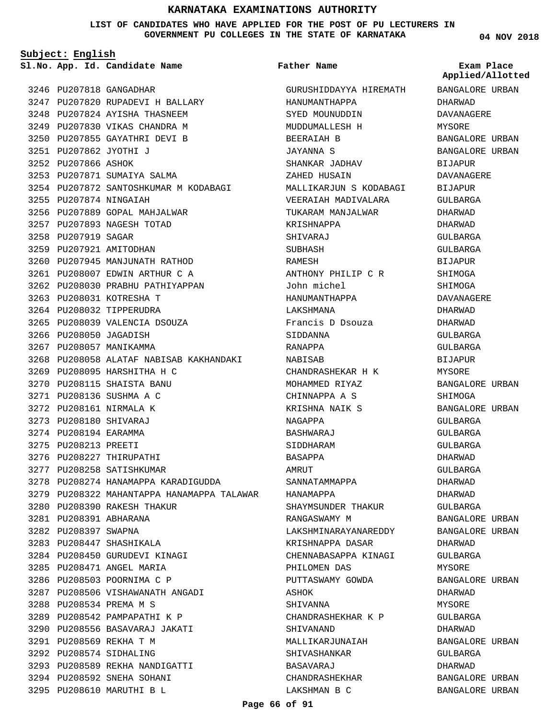**LIST OF CANDIDATES WHO HAVE APPLIED FOR THE POST OF PU LECTURERS IN GOVERNMENT PU COLLEGES IN THE STATE OF KARNATAKA**

**Subject: English**

**App. Id. Candidate Name Sl.No. Exam Place**

3246 PU207818 GANGADHAR 3247 PU207820 RUPADEVI H BALLARY 3248 PU207824 AYISHA THASNEEM 3249 PU207830 VIKAS CHANDRA M 3250 PU207855 GAYATHRI DEVI B PU207862 JYOTHI J 3251 3252 PU207866 ASHOK 3253 PU207871 SUMAIYA SALMA 3254 PU207872 SANTOSHKUMAR M KODABAGI 3255 PU207874 NINGAIAH 3256 PU207889 GOPAL MAHJALWAR 3257 PU207893 NAGESH TOTAD 3258 PU207919 SAGAR 3259 PU207921 AMITODHAN 3260 PU207945 MANJUNATH RATHOD PU208007 EDWIN ARTHUR C A 3261 3262 PU208030 PRABHU PATHIYAPPAN 3263 PU208031 KOTRESHA T 3264 PU208032 TIPPERUDRA 3265 PU208039 VALENCIA DSOUZA 3266 PU208050 JAGADISH 3267 PU208057 MANIKAMMA 3268 PU208058 ALATAF NABISAB KAKHANDAKI 3269 PU208095 HARSHITHA H C PU208115 SHAISTA BANU 3270 PU208136 SUSHMA A C 3271 3272 PU208161 NIRMALA K PU208180 SHIVARAJ 3273 3274 PU208194 EARAMMA 3275 PU208213 PREETI 3276 PU208227 THIRUPATHI 3277 PU208258 SATISHKUMAR 3278 PU208274 HANAMAPPA KARADIGUDDA 3279 PU208322 MAHANTAPPA HANAMAPPA TALAWAR 3280 PU208390 RAKESH THAKUR 3281 PU208391 ABHARANA 3282 PU208397 SWAPNA 3283 PU208447 SHASHIKALA 3284 PU208450 GURUDEVI KINAGI 3285 PU208471 ANGEL MARIA 3286 PU208503 POORNIMA C P 3287 PU208506 VISHAWANATH ANGADI 3288 PU208534 PREMA M S 3289 PU208542 PAMPAPATHI K P 3290 PU208556 BASAVARAJ JAKATI PU208569 REKHA T M 3291 3292 PU208574 SIDHALING 3293 PU208589 REKHA NANDIGATTI 3294 PU208592 SNEHA SOHANI 3295 PU208610 MARUTHI B L

#### **Father Name**

GURUSHIDDAYYA HIREMATH HANUMANTHAPPA SYED MOUNUDDIN MUDDUMALLESH H BEERAIAH B JAYANNA S SHANKAR JADHAV ZAHED HUSAIN MALLIKARJUN S KODABAGI VEERAIAH MADIVALARA TUKARAM MANJALWAR KRISHNAPPA SHIVARAJ SUBHASH RAMESH ANTHONY PHILIP C R John michel HANUMANTHAPPA LAKSHMANA Francis D Dsouza SIDDANNA RANAPPA NABISAB CHANDRASHEKAR H K MOHAMMED RIYAZ CHINNAPPA A S KRISHNA NAIK S NAGAPPA BASHWARAJ SIDDHARAM BASAPPA AMRUT SANNATAMMAPPA HANAMAPPA SHAYMSUNDER THAKUR RANGASWAMY M LAKSHMINARAYANAREDDY KRISHNAPPA DASAR CHENNABASAPPA KINAGI PHILOMEN DAS PUTTASWAMY GOWDA ASHOK SHIVANNA CHANDRASHEKHAR K P SHIVANAND MALLIKARJUNAIAH SHIVASHANKAR BASAVARAJ CHANDRASHEKHAR LAKSHMAN B C

**04 NOV 2018**

BANGALORE URBAN DHARWAD DAVANAGERE MYSORE BANGALORE URBAN BANGALORE URBAN BIJAPUR DAVANAGERE BIJAPUR GULBARGA DHARWAD DHARWAD GULBARGA GULBARGA **BIJAPUR** SHIMOGA SHIMOGA DAVANAGERE DHARWAD DHARWAD GULBARGA GULBARGA BIJAPUR MYSORE BANGALORE URBAN SHIMOGA BANGALORE URBAN GULBARGA GULBARGA GULBARGA DHARWAD GULBARGA DHARWAD DHARWAD GULBARGA BANGALORE URBAN BANGALORE URBAN DHARWAD GULBARGA MYSORE BANGALORE URBAN DHARWAD MYSORE GULBARGA DHARWAD BANGALORE URBAN GULBARGA DHARWAD BANGALORE URBAN BANGALORE URBAN **Applied/Allotted**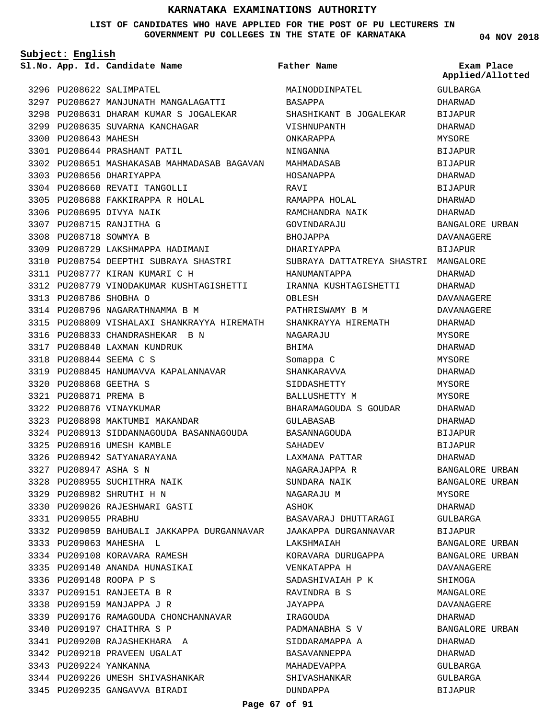### **LIST OF CANDIDATES WHO HAVE APPLIED FOR THE POST OF PU LECTURERS IN GOVERNMENT PU COLLEGES IN THE STATE OF KARNATAKA**

**Subject: English**

**App. Id. Candidate Name Sl.No. Exam Place**

3297 PU208627 MANJUNATH MANGALAGATTI 3298 PU208631 DHARAM KUMAR S JOGALEKAR

3302 PU208651 MASHAKASAB MAHMADASAB BAGAVAN

3299 PU208635 SUVARNA KANCHAGAR

3301 PU208644 PRASHANT PATIL

3304 PU208660 REVATI TANGOLLI 3305 PU208688 FAKKIRAPPA R HOLAL

3309 PU208729 LAKSHMAPPA HADIMANI 3310 PU208754 DEEPTHI SUBRAYA SHASTRI

3312 PU208779 VINODAKUMAR KUSHTAGISHETTI

3315 PU208809 VISHALAXI SHANKRAYYA HIREMATH SHANKRAYYA HIREMATH

PU208777 KIRAN KUMARI C H 3311

3314 PU208796 NAGARATHNAMMA B M

PU208833 CHANDRASHEKAR B N 3316 3317 PU208840 LAXMAN KUNDRUK

3323 PU208898 MAKTUMBI MAKANDAR

3325 PU208916 UMESH KAMBLE 3326 PU208942 SATYANARAYANA

3328 PU208955 SUCHITHRA NAIK PU208982 SHRUTHI H N 3329

3330 PU209026 RAJESHWARI GASTI

3334 PU209108 KORAVARA RAMESH 3335 PU209140 ANANDA HUNASIKAI

PU208947 ASHA S N 3327

3331 PU209055 PRABHU

3333 PU209063 MAHESHA L

PU209148 ROOPA P S 3336 PU209151 RANJEETA B R 3337 3338 PU209159 MANJAPPA J R

3340 PU209197 CHAITHRA S P PU209200 RAJASHEKHARA A 3341 3342 PU209210 PRAVEEN UGALAT

3343 PU209224 YANKANNA

3319 PU208845 HANUMAVVA KAPALANNAVAR

PU208913 SIDDANNAGOUDA BASANNAGOUDA 3324

3332 PU209059 BAHUBALI JAKKAPPA DURGANNAVAR

3339 PU209176 RAMAGOUDA CHONCHANNAVAR

3344 PU209226 UMESH SHIVASHANKAR 3345 PU209235 GANGAVVA BIRADI

3303 PU208656 DHARIYAPPA

3306 PU208695 DIVYA NAIK 3307 PU208715 RANJITHA G 3308 PU208718 SOWMYA B

PU208786 SHOBHA O 3313

PU208844 SEEMA C S 3318

PU208868 GEETHA S 3320 PU208871 PREMA B 3321 3322 PU208876 VINAYKUMAR

3296 PU208622 SALIMPATEL

3300 PU208643 MAHESH

**Father Name**

BASAPPA

MAINODDINPATEL

VISHNUPANTH ONKARAPPA NINGANNA MAHMADASAB HOSANAPPA RAVI

RAMAPPA HOLAL RAMCHANDRA NAIK GOVINDARAJU

HANUMANTAPPA

PATHRISWAMY B M

IRANNA KUSHTAGISHETTI

BHARAMAGOUDA S GOUDAR

BASAVARAJ DHUTTARAGI JAAKAPPA DURGANNAVAR

KORAVARA DURUGAPPA

BHOJAPPA DHARIYAPPA

OBLESH

NAGARAJU BHIMA Somappa C SHANKARAVVA SIDDASHETTY BALLUSHETTY M

GULABASAB BASANNAGOUDA SAHADEV

ASHOK

LAKSHMAIAH

VENKATAPPA H SADASHIVAIAH P K

RAVINDRA B S JAYAPPA **TRAGOUDA** 

PADMANABHA S V SIDDARAMAPPA A BASAVANNEPPA MAHADEVAPPA SHIVASHANKAR DUNDAPPA

LAXMANA PATTAR NAGARAJAPPA R SUNDARA NAIK NAGARAJU M

SHASHIKANT B JOGALEKAR

SUBRAYA DATTATREYA SHASTRI MANGALORE GULBARGA DHARWAD BIJAPUR DHARWAD MYSORE **BIJAPUR** BIJAPUR DHARWAD BIJAPUR DHARWAD DHARWAD BANGALORE URBAN DAVANAGERE BIJAPUR DHARWAD DHARWAD DAVANAGERE DAVANAGERE DHARWAD MYSORE DHARWAD MYSORE DHARWAD MYSORE MYSORE DHARWAD DHARWAD BIJAPUR BIJAPUR DHARWAD BANGALORE URBAN BANGALORE URBAN MYSORE DHARWAD GULBARGA BIJAPUR BANGALORE URBAN BANGALORE URBAN DAVANAGERE **SHIMOGA** MANGALORE DAVANAGERE DHARWAD BANGALORE URBAN DHARWAD DHARWAD GULBARGA **Applied/Allotted**

> GULBARGA BIJAPUR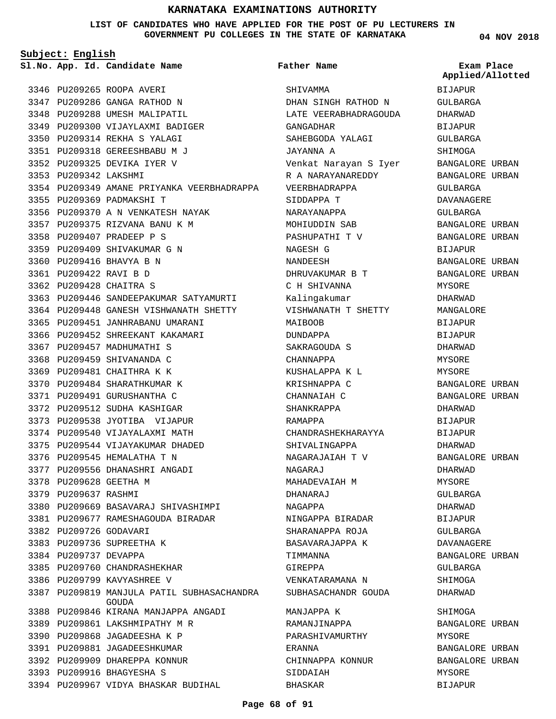**LIST OF CANDIDATES WHO HAVE APPLIED FOR THE POST OF PU LECTURERS IN GOVERNMENT PU COLLEGES IN THE STATE OF KARNATAKA**

**Subject: English**

**App. Id. Candidate Name Sl.No. Exam Place**

3346 PU209265 ROOPA AVERI 3347 PU209286 GANGA RATHOD N 3348 PU209288 UMESH MALIPATIL 3349 PU209300 VIJAYLAXMI BADIGER 3350 PU209314 REKHA S YALAGI PU209318 GEREESHBABU M J 3351 PU209325 DEVIKA IYER V 3352 3353 PU209342 LAKSHMI 3354 PU209349 AMANE PRIYANKA VEERBHADRAPPA 3355 PU209369 PADMAKSHI T 3356 PU209370 A N VENKATESH NAYAK 3357 PU209375 RIZVANA BANU K M 3358 PU209407 PRADEEP P S 3359 PU209409 SHIVAKUMAR G N 3360 PU209416 BHAVYA B N PU209422 RAVI B D 3361 PU209428 CHAITRA S 3362 3363 PU209446 SANDEEPAKUMAR SATYAMURTI PU209448 GANESH VISHWANATH SHETTY 3364 3365 PU209451 JANHRABANU UMARANI 3366 PU209452 SHREEKANT KAKAMARI 3367 PU209457 MADHUMATHI S 3368 PU209459 SHIVANANDA C 3369 PU209481 CHAITHRA K K 3370 PU209484 SHARATHKUMAR K 3371 PU209491 GURUSHANTHA C 3372 PU209512 SUDHA KASHIGAR 3373 PU209538 JYOTIBA VIJAPUR 3374 PU209540 VIJAYALAXMI MATH 3375 PU209544 VIJAYAKUMAR DHADED 3376 PU209545 HEMALATHA T N 3377 PU209556 DHANASHRI ANGADI 3378 PU209628 GEETHA M 3379 PU209637 RASHMI 3380 PU209669 BASAVARAJ SHIVASHIMPI PU209677 RAMESHAGOUDA BIRADAR 3381 3382 PU209726 GODAVARI 3383 PU209736 SUPREETHA K 3384 PU209737 DEVAPPA 3385 PU209760 CHANDRASHEKHAR 3386 PU209799 KAVYASHREE V 3387 PU209819 MANJULA PATIL SUBHASACHANDRA 3388 PU209846 KIRANA MANJAPPA ANGADI 3389 PU209861 LAKSHMIPATHY M R 3390 PU209868 JAGADEESHA K P 3391 PU209881 JAGADEESHKUMAR 3392 PU209909 DHAREPPA KONNUR 3393 PU209916 BHAGYESHA S 3394 PU209967 VIDYA BHASKAR BUDIHAL GOUDA

**SHIVAMMA** DHAN SINGH RATHOD N LATE VEERABHADRAGOUDA GANGADHAR SAHEBGODA YALAGI JAYANNA A Venkat Narayan S Iyer R A NARAYANAREDDY VEERBHADRAPPA SIDDAPPA T NARAYANAPPA MOHIUDDIN SAB PASHUPATHI T V NAGESH G NANDEESH DHRUVAKUMAR B T C H SHIVANNA Kalingakumar VISHWANATH T SHETTY MAIBOOB DUNDAPPA SAKRAGOUDA S CHANNAPPA KUSHALAPPA K L KRISHNAPPA C CHANNAIAH C SHANKRAPPA RAMAPPA CHANDRASHEKHARAYYA SHIVALINGAPPA NAGARAJAIAH T V NAGARAJ MAHADEVAIAH M DHANARAJ NAGAPPA NINGAPPA BIRADAR SHARANAPPA ROJA BASAVARAJAPPA K TIMMANNA GIREPPA VENKATARAMANA N SUBHASACHANDR GOUDA MANJAPPA K RAMANJINAPPA PARASHIVAMURTHY ERANNA **Father Name**

**04 NOV 2018**

**Applied/Allotted**

BIJAPUR GULBARGA

## DHARWAD BIJAPUR GULBARGA SHIMOGA BANGALORE URBAN BANGALORE URBAN GULBARGA DAVANAGERE GULBARGA BANGALORE URBAN BANGALORE URBAN BIJAPUR BANGALORE URBAN BANGALORE URBAN MYSORE DHARWAD MANGALORE BIJAPUR BIJAPUR DHARWAD MYSORE MYSORE BANGALORE URBAN BANGALORE URBAN DHARWAD **BIJAPUR** BIJAPUR DHARWAD BANGALORE URBAN DHARWAD MYSORE GULBARGA DHARWAD BIJAPUR GULBARGA DAVANAGERE BANGALORE URBAN GULBARGA SHIMOGA DHARWAD SHIMOGA BANGALORE URBAN MYSORE BANGALORE URBAN BANGALORE URBAN MYSORE

BIJAPUR

CHINNAPPA KONNUR

SIDDAIAH BHASKAR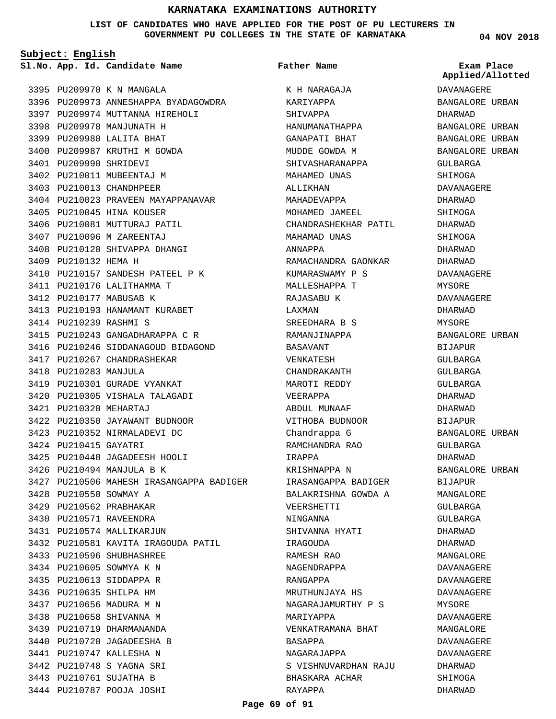**LIST OF CANDIDATES WHO HAVE APPLIED FOR THE POST OF PU LECTURERS IN GOVERNMENT PU COLLEGES IN THE STATE OF KARNATAKA**

**Subject: English**

**App. Id. Candidate Name Sl.No. Exam Place**

3395 PU209970 K N MANGALA 3396 PU209973 ANNESHAPPA BYADAGOWDRA 3397 PU209974 MUTTANNA HIREHOLI 3398 PU209978 MANJUNATH H 3399 PU209980 LALITA BHAT 3400 PU209987 KRUTHI M GOWDA 3401 PU209990 SHRIDEVI 3402 PU210011 MUBEENTAJ M 3403 PU210013 CHANDHPEER 3404 PU210023 PRAVEEN MAYAPPANAVAR 3405 PU210045 HINA KOUSER 3406 PU210081 MUTTURAJ PATIL 3407 PU210096 M ZAREENTAJ 3408 PU210120 SHIVAPPA DHANGI 3409 PU210132 HEMA H 3410 PU210157 SANDESH PATEEL P K 3411 PU210176 LALITHAMMA T 3412 PU210177 MABUSAB K 3413 PU210193 HANAMANT KURABET 3414 PU210239 RASHMI S PU210243 GANGADHARAPPA C R 3415 3416 PU210246 SIDDANAGOUD BIDAGOND 3417 PU210267 CHANDRASHEKAR 3418 PU210283 MANJULA 3419 PU210301 GURADE VYANKAT 3420 PU210305 VISHALA TALAGADI PU210320 MEHARTAJ 3421 3422 PU210350 JAYAWANT BUDNOOR 3423 PU210352 NIRMALADEVI DC 3424 PU210415 GAYATRI 3425 PU210448 JAGADEESH HOOLI 3426 PU210494 MANJULA B K 3427 PU210506 MAHESH IRASANGAPPA BADIGER 3428 PU210550 SOWMAY A 3429 PU210562 PRABHAKAR 3430 PU210571 RAVEENDRA 3431 PU210574 MALLIKARJUN 3432 PU210581 KAVITA IRAGOUDA PATIL 3433 PU210596 SHUBHASHREE 3434 PU210605 SOWMYA K N 3435 PU210613 SIDDAPPA R 3436 PU210635 SHILPA HM 3437 PU210656 MADURA M N 3438 PU210658 SHIVANNA M 3439 PU210719 DHARMANANDA 3440 PU210720 JAGADEESHA B 3441 PU210747 KALLESHA N PU210748 S YAGNA SRI 3442 3443 PU210761 SUJATHA B 3444 PU210787 POOJA JOSHI

K H NARAGAJA KARIYAPPA SHIVAPPA HANUMANATHAPPA GANAPATI BHAT MUDDE GOWDA M SHIVASHARANAPPA MAHAMED UNAS ALLITKHAN MAHADEVAPPA MOHAMED JAMEEL CHANDRASHEKHAR PATIL MAHAMAD UNAS ANNAPPA RAMACHANDRA GAONKAR KUMARASWAMY P S MALLESHAPPA T RAJASABU K LAXMAN SREEDHARA B S RAMANJINAPPA BASAVANT VENKATESH CHANDRAKANTH MAROTI REDDY VEERAPPA ABDUL MUNAAF VITHOBA BUDNOOR Chandrappa G RAMCHANDRA RAO IRAPPA KRISHNAPPA N IRASANGAPPA BADIGER BALAKRISHNA GOWDA A VEERSHETTI NINGANNA SHIVANNA HYATI IRAGOUDA RAMESH RAO NAGENDRAPPA RANGAPPA MRUTHUNJAYA HS NAGARAJAMURTHY P S MARIYAPPA VENKATRAMANA BHAT BASAPPA NAGARAJAPPA S VISHNUVARDHAN RAJU BHASKARA ACHAR RAYAPPA **Father Name**

**04 NOV 2018**

DAVANAGERE BANGALORE URBAN DHARWAD BANGALORE URBAN BANGALORE URBAN BANGALORE URBAN GULBARGA SHIMOGA DAVANAGERE DHARWAD SHIMOGA DHARWAD SHIMOGA DHARWAD DHARWAD DAVANAGERE MYSORE DAVANAGERE DHARWAD MYSORE BANGALORE URBAN BIJAPUR GULBARGA GULBARGA GULBARGA DHARWAD DHARWAD BIJAPUR BANGALORE URBAN GULBARGA DHARWAD BANGALORE URBAN BIJAPUR MANGALORE GULBARGA GULBARGA DHARWAD DHARWAD MANGALORE DAVANAGERE DAVANAGERE DAVANAGERE MYSORE DAVANAGERE MANGALORE DAVANAGERE DAVANAGERE DHARWAD SHIMOGA DHARWAD **Applied/Allotted**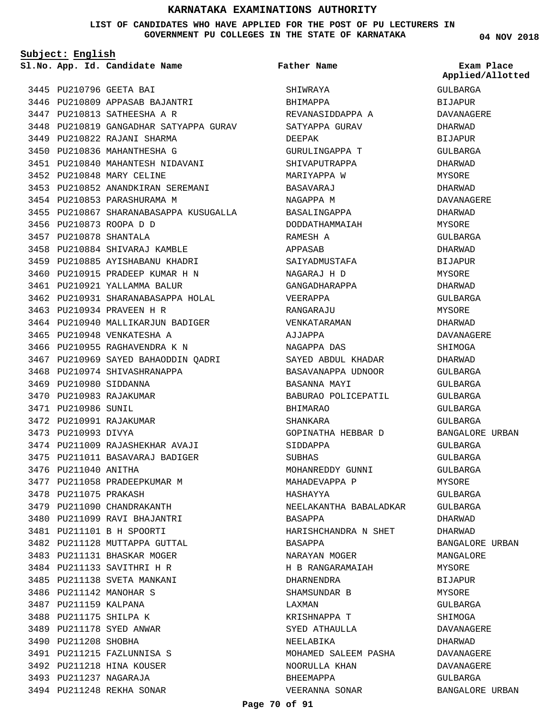### **LIST OF CANDIDATES WHO HAVE APPLIED FOR THE POST OF PU LECTURERS IN GOVERNMENT PU COLLEGES IN THE STATE OF KARNATAKA**

**Subject: English**

**App. Id. Candidate Name Sl.No. Exam Place**

3446 PU210809 APPASAB BAJANTRI

3445 PU210796 GEETA BAI

PU210813 SATHEESHA A R 3447 3448 PU210819 GANGADHAR SATYAPPA GURAV 3449 PU210822 RAJANI SHARMA 3450 PU210836 MAHANTHESHA G PU210840 MAHANTESH NIDAVANI 3451 3452 PU210848 MARY CELINE 3453 PU210852 ANANDKIRAN SEREMANI 3454 PU210853 PARASHURAMA M 3455 PU210867 SHARANABASAPPA KUSUGALLA PU210873 ROOPA D D 3456 3457 PU210878 SHANTALA 3458 PU210884 SHIVARAJ KAMBLE 3459 PU210885 AYISHABANU KHADRI 3460 PU210915 PRADEEP KUMAR H N 3461 PU210921 YALLAMMA BALUR 3462 PU210931 SHARANABASAPPA HOLAL 3463 PU210934 PRAVEEN H R 3464 PU210940 MALLIKARJUN BADIGER 3465 PU210948 VENKATESHA A 3466 PU210955 RAGHAVENDRA K N 3467 PU210969 SAYED BAHAODDIN QADRI 3468 PU210974 SHIVASHRANAPPA 3469 PU210980 SIDDANNA 3470 PU210983 RAJAKUMAR 3471 PU210986 SUNIL 3472 PU210991 RAJAKUMAR 3473 PU210993 DIVYA 3474 PU211009 RAJASHEKHAR AVAJI 3475 PU211011 BASAVARAJ BADIGER 3476 PU211040 ANITHA 3477 PU211058 PRADEEPKUMAR M 3478 PU211075 PRAKASH 3479 PU211090 CHANDRAKANTH 3480 PU211099 RAVI BHAJANTRI PU211101 B H SPOORTI 3481 3482 PU211128 MUTTAPPA GUTTAL 3483 PU211131 BHASKAR MOGER 3484 PU211133 SAVITHRI H R 3485 PU211138 SVETA MANKANI 3486 PU211142 MANOHAR S 3487 PU211159 KALPANA 3488 PU211175 SHILPA K 3489 PU211178 SYED ANWAR 3490 PU211208 SHOBHA PU211215 FAZLUNNISA S 3491 3492 PU211218 HINA KOUSER 3493 PU211237 NAGARAJA 3494 PU211248 REKHA SONAR

SHIWRAYA BHIMAPPA REVANASIDDAPPA A SATYAPPA GURAV DEEPAK GURULINGAPPA T SHIVAPUTRAPPA MARIYAPPA W BASAVARAJ NAGAPPA M BASALINGAPPA DODDATHAMMAIAH RAMESH A APPASAB SAIYADMUSTAFA NAGARAJ H D GANGADHARAPPA VEERAPPA RANGARAJU VENKATARAMAN AJJAPPA NAGAPPA DAS SAYED ABDUL KHADAR BASAVANAPPA UDNOOR BASANNA MAYI BABURAO POLICEPATIL BHIMARAO SHANKARA GOPINATHA HEBBAR D SIDDAPPA SUBHAS MOHANREDDY GUNNI MAHADEVAPPA P HASHAYYA NEELAKANTHA BABALADKAR BASAPPA HARISHCHANDRA N SHET BASAPPA NARAYAN MOGER H B RANGARAMAIAH DHARNENDRA SHAMSUNDAR B LAXMAN KRISHNAPPA T SYED ATHAULLA NEELABIKA MOHAMED SALEEM PASHA NOORULLA KHAN BHEEMAPPA VEERANNA SONAR **Father Name**

**04 NOV 2018**

**Applied/Allotted**

GULBARGA BIJAPUR DAVANAGERE DHARWAD BIJAPUR GULBARGA DHARWAD MYSORE DHARWAD DAVANAGERE DHARWAD MYSORE GULBARGA DHARWAD BIJAPUR MYSORE DHARWAD GULBARGA MYSORE DHARWAD DAVANAGERE SHIMOGA DHARWAD GULBARGA GULBARGA GULBARGA GULBARGA GULBARGA BANGALORE URBAN GULBARGA GULBARGA GULBARGA MYSORE GULBARGA GULBARGA DHARWAD DHARWAD BANGALORE URBAN MANGALORE MYSORE BIJAPUR MYSORE GULBARGA SHIMOGA DAVANAGERE DHARWAD DAVANAGERE DAVANAGERE GULBARGA BANGALORE URBAN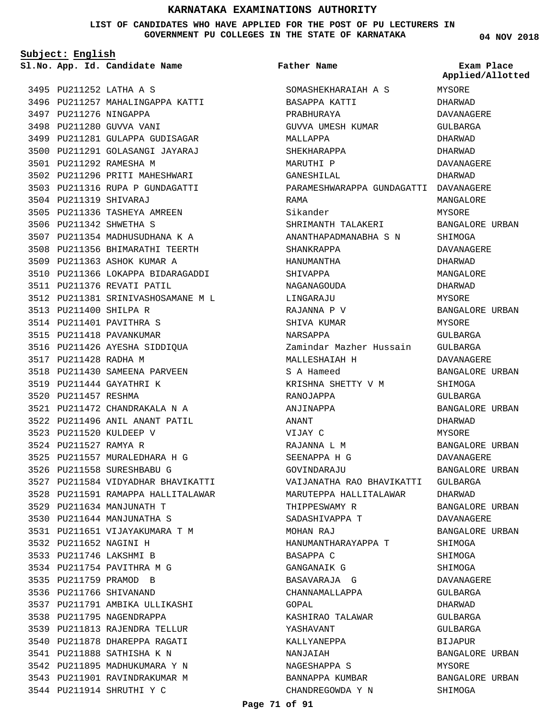**LIST OF CANDIDATES WHO HAVE APPLIED FOR THE POST OF PU LECTURERS IN GOVERNMENT PU COLLEGES IN THE STATE OF KARNATAKA**

**Subject: English**

**App. Id. Candidate Name Sl.No. Exam Place**

PU211252 LATHA A S 3495 3496 PU211257 MAHALINGAPPA KATTI 3497 PU211276 NINGAPPA 3498 PU211280 GUVVA VANI 3499 PU211281 GULAPPA GUDISAGAR 3500 PU211291 GOLASANGI JAYARAJ PU211292 RAMESHA M 3501 3502 PU211296 PRITI MAHESHWARI 3503 PU211316 RUPA P GUNDAGATTI 3504 PU211319 SHIVARAJ 3505 PU211336 TASHEYA AMREEN 3506 PU211342 SHWETHA S 3507 PU211354 MADHUSUDHANA K A 3508 PU211356 BHIMARATHI TEERTH 3509 PU211363 ASHOK KUMAR A 3510 PU211366 LOKAPPA BIDARAGADDI 3511 PU211376 REVATI PATIL PU211381 SRINIVASHOSAMANE M L 3512 3513 PU211400 SHILPA R 3514 PU211401 PAVITHRA S 3515 PU211418 PAVANKUMAR 3516 PU211426 AYESHA SIDDIQUA 3517 PU211428 RADHA M 3518 PU211430 SAMEENA PARVEEN 3519 PU211444 GAYATHRI K 3520 PU211457 RESHMA PU211472 CHANDRAKALA N A 3521 3522 PU211496 ANIL ANANT PATIL 3523 PU211520 KULDEEP V 3524 PU211527 RAMYA R 3525 PU211557 MURALEDHARA H G 3526 PU211558 SURESHBABU G 3527 PU211584 VIDYADHAR BHAVIKATTI 3528 PU211591 RAMAPPA HALLITALAWAR 3529 PU211634 MANJUNATH T 3530 PU211644 MANJUNATHA S PU211651 VIJAYAKUMARA T M 3531 3532 PU211652 NAGINI H 3533 PU211746 LAKSHMI B 3534 PU211754 PAVITHRA M G PU211759 PRAMOD B 3535 3536 PU211766 SHIVANAND 3537 PU211791 AMBIKA ULLIKASHI 3538 PU211795 NAGENDRAPPA 3539 PU211813 RAJENDRA TELLUR 3540 PU211878 DHAREPPA RAGATI PU211888 SATHISHA K N 3541 3542 PU211895 MADHUKUMARA Y N 3543 PU211901 RAVINDRAKUMAR M 3544 PU211914 SHRUTHI Y C

# SOMASHEKHARAIAH A S BASAPPA KATTI PRABHURAYA GUVVA UMESH KUMAR MALLAPPA SHEKHARAPPA MARUTHI P GANESHILAL PARAMESHWARAPPA GUNDAGATTI DAVANAGERE RAMA **Father Name**

Sikander SHRIMANTH TALAKERI ANANTHAPADMANABHA S N SHANKRAPPA HANUMANTHA SHIVAPPA NAGANAGOUDA LINGARAJU RAJANNA P V SHIVA KUMAR NARSAPPA Zamindar Mazher Hussain MALLESHAIAH H S A Hameed KRISHNA SHETTY V M RANOJAPPA ANJINAPPA ANANT VIJAY C RAJANNA L M SEENAPPA H G GOVINDARAJU VAIJANATHA RAO BHAVIKATTI GULBARGA MARUTEPPA HALLITALAWAR THIPPESWAMY R SADASHIVAPPA T MOHAN RAJ HANUMANTHARAYAPPA T BASAPPA C GANGANAIK G BASAVARAJA G CHANNAMALLAPPA GOPAL KASHIRAO TALAWAR YASHAVANT KALLYANEPPA NANJAIAH NAGESHAPPA S BANNAPPA KUMBAR CHANDREGOWDA Y N

**04 NOV 2018**

MYSORE DHARWAD DAVANAGERE GULBARGA DHARWAD DHARWAD DAVANAGERE DHARWAD MANGALORE MYSORE BANGALORE URBAN SHIMOGA DAVANAGERE DHARWAD MANGALORE DHARWAD MYSORE BANGALORE URBAN MYSORE GULBARGA GULBARGA DAVANAGERE BANGALORE URBAN SHIMOGA GULBARGA BANGALORE URBAN DHARWAD MYSORE BANGALORE URBAN DAVANAGERE BANGALORE URBAN DHARWAD BANGALORE URBAN DAVANAGERE BANGALORE URBAN SHIMOGA SHIMOGA SHIMOGA DAVANAGERE GULBARGA DHARWAD GULBARGA GULBARGA **BIJAPUR** BANGALORE URBAN MYSORE BANGALORE URBAN SHIMOGA **Applied/Allotted**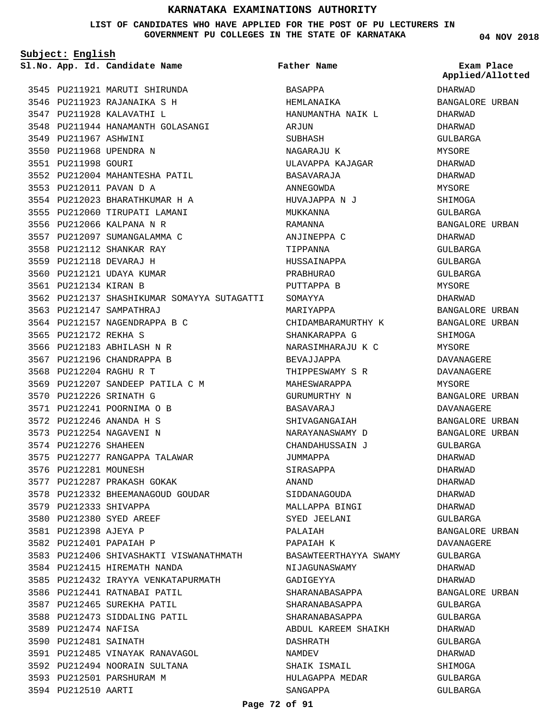### **LIST OF CANDIDATES WHO HAVE APPLIED FOR THE POST OF PU LECTURERS IN GOVERNMENT PU COLLEGES IN THE STATE OF KARNATAKA**

**Subject: English**

3545 PU211921 MARUTI SHIRUNDA PU211923 RAJANAIKA S H 3546 3547 PU211928 KALAVATHI L 3548 PU211944 HANAMANTH GOLASANGI 3549 PU211967 ASHWINI 3550 PU211968 UPENDRA N 3551 PU211998 GOURI 3552 PU212004 MAHANTESHA PATIL PU212011 PAVAN D A 3553 3554 PU212023 BHARATHKUMAR H A 3555 PU212060 TIRUPATI LAMANI 3556 PU212066 KALPANA N R 3557 PU212097 SUMANGALAMMA C 3558 PU212112 SHANKAR RAY 3559 PU212118 DEVARAJ H 3560 PU212121 UDAYA KUMAR 3561 PU212134 KIRAN B 3562 PU212137 SHASHIKUMAR SOMAYYA SUTAGATTI 3563 PU212147 SAMPATHRAJ 3564 PU212157 NAGENDRAPPA B C 3565 PU212172 REKHA S 3566 PU212183 ABHILASH N R 3567 PU212196 CHANDRAPPA B 3568 PU212204 RAGHU R T 3569 PU212207 SANDEEP PATILA C M 3570 PU212226 SRINATH G PU212241 POORNIMA O B 3571 PU212246 ANANDA H S 3572 3573 PU212254 NAGAVENI N 3574 PU212276 SHAHEEN 3575 PU212277 RANGAPPA TALAWAR 3576 PU212281 MOUNESH 3577 PU212287 PRAKASH GOKAK 3578 PU212332 BHEEMANAGOUD GOUDAR 3579 PU212333 SHIVAPPA PU212380 SYED AREEF 3580 PU212398 AJEYA P 3581 3582 PU212401 PAPAIAH P 3583 PU212406 SHIVASHAKTI VISWANATHMATH 3584 PU212415 HIREMATH NANDA 3585 PU212432 IRAYYA VENKATAPURMATH 3586 PU212441 RATNABAI PATIL 3587 PU212465 SUREKHA PATIL 3588 PU212473 SIDDALING PATIL 3589 PU212474 NAFISA 3590 PU212481 SAINATH 3591 PU212485 VINAYAK RANAVAGOL 3592 PU212494 NOORAIN SULTANA 3593 PU212501 PARSHURAM M 3594 PU212510 AARTI

**App. Id. Candidate Name Sl.No. Exam Place** BASAPPA HEMLANAIKA HANUMANTHA NAIK L ARJUN SUBHASH NAGARAJU K ULAVAPPA KAJAGAR BASAVARAJA ANNEGOWDA HUVAJAPPA N J MUKKANNA RAMANNA ANJINEPPA C TIPPANNA HUSSAINAPPA PRABHURAO PUTTAPPA B **SOMAYYA** MARIYAPPA CHIDAMBARAMURTHY K SHANKARAPPA G NARASIMHARAJU K C BEVAJJAPPA THIPPESWAMY S R MAHESWARAPPA GURUMURTHY N BASAVARAJ SHIVAGANGAIAH NARAYANASWAMY D CHANDAHUSSAIN J JUMMAPPA SIRASAPPA ANAND SIDDANAGOUDA MALLAPPA BINGI SYED JEELANI PALAIAH PAPAIAH K BASAWTEERTHAYYA SWAMY NIJAGUNASWAMY GADIGEYYA SHARANABASAPPA SHARANABASAPPA SHARANABASAPPA ABDUL KAREEM SHAIKH DASHRATH NAMDEV SHAIK ISMAIL HULAGAPPA MEDAR SANGAPPA **Father Name**

**04 NOV 2018**

DHARWAD BANGALORE URBAN DHARWAD DHARWAD GULBARGA MYSORE DHARWAD DHARWAD **MYSORE** SHIMOGA GULBARGA BANGALORE URBAN DHARWAD GULBARGA GULBARGA GULBARGA MYSORE DHARWAD BANGALORE URBAN BANGALORE URBAN SHIMOGA MYSORE DAVANAGERE DAVANAGERE MYSORE BANGALORE URBAN DAVANAGERE BANGALORE URBAN BANGALORE URBAN GULBARGA DHARWAD DHARWAD DHARWAD DHARWAD DHARWAD GULBARGA BANGALORE URBAN DAVANAGERE GULBARGA DHARWAD DHARWAD BANGALORE URBAN GULBARGA GULBARGA DHARWAD GULBARGA DHARWAD SHIMOGA GULBARGA GULBARGA **Applied/Allotted**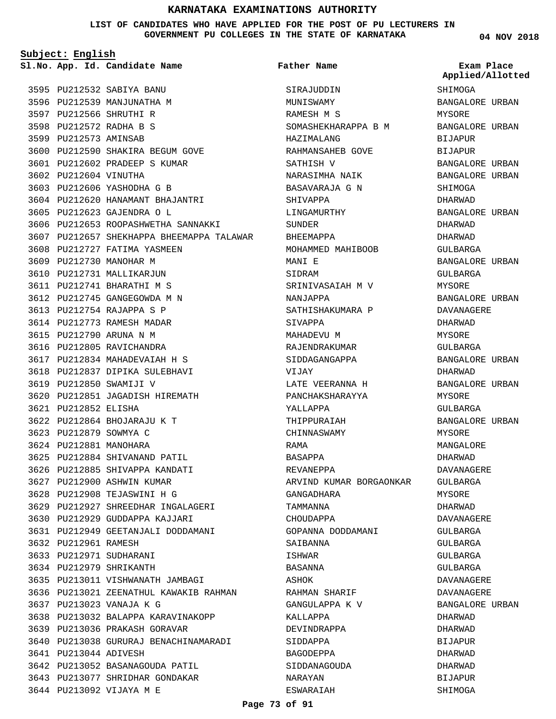**LIST OF CANDIDATES WHO HAVE APPLIED FOR THE POST OF PU LECTURERS IN GOVERNMENT PU COLLEGES IN THE STATE OF KARNATAKA**

**Subject: English**

**App. Id. Candidate Name Sl.No. Exam Place**

PU212532 SABIYA BANU 3595 3596 PU212539 MANJUNATHA M 3597 PU212566 SHRUTHI R PU212572 RADHA B S 3598 3599 PU212573 AMINSAB

3602 PU212604 VINUTHA

3603 PU212606 YASHODHA G B

PU212623 GAJENDRA O L 3605

3608 PU212727 FATIMA YASMEEN

3609 PU212730 MANOHAR M 3610 PU212731 MALLIKARJUN PU212741 BHARATHI M S 3611 3612 PU212745 GANGEGOWDA M N PU212754 RAJAPPA S P 3613 3614 PU212773 RAMESH MADAR PU212790 ARUNA N M 3615 3616 PU212805 RAVICHANDRA 3617 PU212834 MAHADEVAIAH H S 3618 PU212837 DIPIKA SULEBHAVI

3619 PU212850 SWAMIJI V

PU212852 ELISHA 3621

3632 PU212961 RAMESH 3633 PU212971 SUDHARANI 3634 PU212979 SHRIKANTH

3637 PU213023 VANAJA K G

3641 PU213044 ADIVESH

3644 PU213092 VIJAYA M E

3623 PU212879 SOWMYA C 3624 PU212881 MANOHARA

3620 PU212851 JAGADISH HIREMATH

PU212864 BHOJARAJU K T 3622

3625 PU212884 SHIVANAND PATIL 3626 PU212885 SHIVAPPA KANDATI 3627 PU212900 ASHWIN KUMAR PU212908 TEJASWINI H G 3628

3629 PU212927 SHREEDHAR INGALAGERI 3630 PU212929 GUDDAPPA KAJJARI 3631 PU212949 GEETANJALI DODDAMANI

3635 PU213011 VISHWANATH JAMBAGI

3638 PU213032 BALAPPA KARAVINAKOPP

3639 PU213036 PRAKASH GORAVAR

3642 PU213052 BASANAGOUDA PATIL 3643 PU213077 SHRIDHAR GONDAKAR

3636 PU213021 ZEENATHUL KAWAKIB RAHMAN

3640 PU213038 GURURAJ BENACHINAMARADI

3600 PU212590 SHAKIRA BEGUM GOVE 3601 PU212602 PRADEEP S KUMAR

3604 PU212620 HANAMANT BHAJANTRI

3606 PU212653 ROOPASHWETHA SANNAKKI

3607 PU212657 SHEKHAPPA BHEEMAPPA TALAWAR

**Father Name**

SIRAJUDDIN **MUNISWAMY** RAMESH M S SOMASHEKHARAPPA B M HAZIMALANG RAHMANSAHEB GOVE SATHISH V NARASIMHA NAIK BASAVARAJA G N SHIVAPPA LINGAMURTHY SUNDER BHEEMAPPA MOHAMMED MAHIBOOB MANI E SIDRAM SRINIVASAIAH M V NANJAPPA SATHISHAKUMARA P **SIVAPPA** MAHADEVU M RAJENDRAKUMAR SIDDAGANGAPPA VIJAY LATE VEERANNA H PANCHAKSHARAYYA YALLAPPA THIPPURAIAH CHINNASWAMY RAMA BASAPPA REVANEPPA ARVIND KUMAR BORGAONKAR GANGADHARA TAMMANNA CHOUDA PPA GOPANNA DODDAMANI SAIBANNA ISHWAR BASANNA ASHOK RAHMAN SHARIF GANGULAPPA K V KALLAPPA DEVINDRAPPA SIDDAPPA BAGODEPPA SIDDANAGOUDA NARAYAN ESWARAIAH

**04 NOV 2018**

**SHIMOGA** 

MYSORE

BIJAPUR BIJAPUR

**SHIMOGA** DHARWAD

DHARWAD DHARWAD GULBARGA

GULBARGA MYSORE

DHARWAD

MYSORE GULBARGA

MYSORE MANGALORE DHARWAD DAVANAGERE GULBARGA MYSORE DHARWAD DAVANAGERE GULBARGA GULBARGA GULBARGA GULBARGA DAVANAGERE DAVANAGERE BANGALORE URBAN

DHARWAD DHARWAD BIJAPUR DHARWAD DHARWAD BIJAPUR SHIMOGA

BANGALORE URBAN

**Applied/Allotted**

BANGALORE URBAN

BANGALORE URBAN BANGALORE URBAN

BANGALORE URBAN

BANGALORE URBAN

BANGALORE URBAN DAVANAGERE DHARWAD MYSORE GULBARGA

BANGALORE URBAN

BANGALORE URBAN

BANGALORE URBAN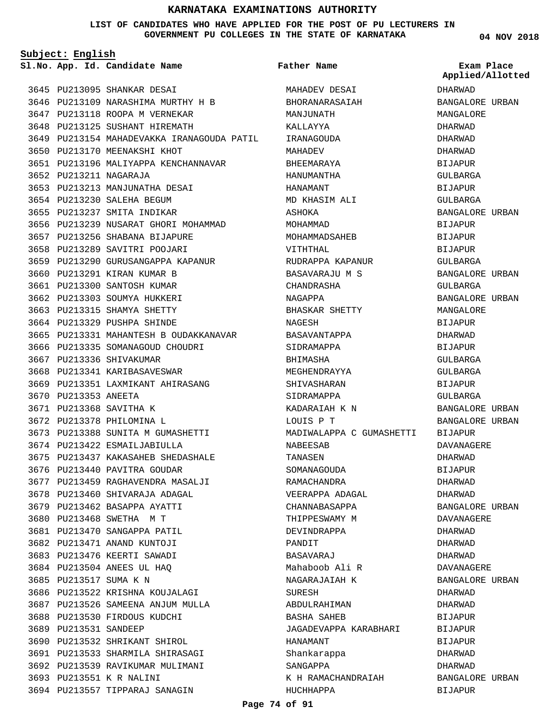#### **LIST OF CANDIDATES WHO HAVE APPLIED FOR THE POST OF PU LECTURERS IN GOVERNMENT PU COLLEGES IN THE STATE OF KARNATAKA**

**Subject: English**

3645 PU213095 SHANKAR DESAI

3646 PU213109 NARASHIMA MURTHY H B 3647 PU213118 ROOPA M VERNEKAR 3648 PU213125 SUSHANT HIREMATH 3649 PU213154 MAHADEVAKKA IRANAGOUDA PATIL 3650 PU213170 MEENAKSHI KHOT 3651 PU213196 MALIYAPPA KENCHANNAVAR 3652 PU213211 NAGARAJA 3653 PU213213 MANJUNATHA DESAI 3654 PU213230 SALEHA BEGUM 3655 PU213237 SMITA INDIKAR 3656 PU213239 NUSARAT GHORI MOHAMMAD 3657 PU213256 SHABANA BIJAPURE 3658 PU213289 SAVITRI POOJARI 3659 PU213290 GURUSANGAPPA KAPANUR 3660 PU213291 KIRAN KUMAR B 3661 PU213300 SANTOSH KUMAR 3662 PU213303 SOUMYA HUKKERI 3663 PU213315 SHAMYA SHETTY 3664 PU213329 PUSHPA SHINDE 3665 PU213331 MAHANTESH B OUDAKKANAVAR 3666 PU213335 SOMANAGOUD CHOUDRI 3667 PU213336 SHIVAKUMAR 3668 PU213341 KARIBASAVESWAR 3669 PU213351 LAXMIKANT AHIRASANG 3670 PU213353 ANEETA 3671 PU213368 SAVITHA K 3672 PU213378 PHILOMINA L 3673 PU213388 SUNITA M GUMASHETTI 3674 PU213422 ESMAILJABIULLA 3675 PU213437 KAKASAHEB SHEDASHALE 3676 PU213440 PAVITRA GOUDAR 3677 PU213459 RAGHAVENDRA MASALJI 3678 PU213460 SHIVARAJA ADAGAL 3679 PU213462 BASAPPA AYATTI 3680 PU213468 SWETHA M T 3681 PU213470 SANGAPPA PATIL 3682 PU213471 ANAND KUNTOJI 3683 PU213476 KEERTI SAWADI 3684 PU213504 ANEES UL HAQ 3685 PU213517 SUMA K N 3686 PU213522 KRISHNA KOUJALAGI 3687 PU213526 SAMEENA ANJUM MULLA 3688 PU213530 FIRDOUS KUDCHI 3689 PU213531 SANDEEP 3690 PU213532 SHRIKANT SHIROL PU213533 SHARMILA SHIRASAGI 3691 3692 PU213539 RAVIKUMAR MULIMANI 3693 PU213551 K R NALINI 3694 PU213557 TIPPARAJ SANAGIN

**App. Id. Candidate Name Sl.No. Exam Place** MAHADEV DESAI BHORANARASAIAH MANJUNATH KALLAYYA IRANAGOUDA MAHADEV BHEEMARAYA HANUMANTHA HANAMANT MD KHASIM ALI ASHOKA MOHAMMAD MOHAMMADSAHEB VITHTHAL RUDRAPPA KAPANUR BASAVARAJU M S CHANDRASHA NAGAPPA BHASKAR SHETTY NAGESH BASAVANTAPPA SIDRAMAPPA BHIMASHA MEGHENDRAYYA SHIVASHARAN SIDRAMAPPA KADARAIAH K N LOUIS P T MADIWALAPPA C GUMASHETTI NABEESAB TANASEN SOMANAGOUDA RAMACHANDRA VEERAPPA ADAGAL CHANNABASAPPA THIPPESWAMY M DEVINDRAPPA PANDIT BASAVARAJ Mahaboob Ali R NAGARAJAIAH K SURESH ABDULRAHIMAN BASHA SAHEB JAGADEVAPPA KARABHARI HANAMANT Shankarappa SANGAPPA K H RAMACHANDRAIAH HUCHHAPPA **Father Name** DHARWAD BANGALORE URBAN MANGALORE DHARWAD DHARWAD DHARWAD BIJAPUR GULBARGA **BIJAPUR** GULBARGA BANGALORE URBAN BIJAPUR BIJAPUR BIJAPUR GULBARGA BANGALORE URBAN GULBARGA BANGALORE URBAN MANGALORE BIJAPUR DHARWAD BIJAPUR GULBARGA GULBARGA BIJAPUR GULBARGA BANGALORE URBAN BANGALORE URBAN BIJAPUR DAVANAGERE DHARWAD BIJAPUR DHARWAD DHARWAD BANGALORE URBAN DAVANAGERE DHARWAD DHARWAD DHARWAD DAVANAGERE BANGALORE URBAN DHARWAD DHARWAD **BIJAPUR** BIJAPUR BIJAPUR DHARWAD DHARWAD BANGALORE URBAN BIJAPUR **Applied/Allotted**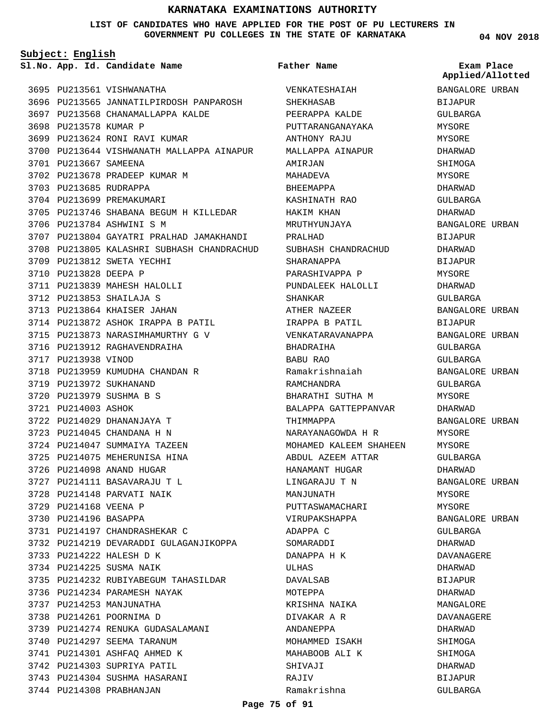#### **LIST OF CANDIDATES WHO HAVE APPLIED FOR THE POST OF PU LECTURERS IN GOVERNMENT PU COLLEGES IN THE STATE OF KARNATAKA**

**Subject: English**

**App. Id. Candidate Name Sl.No. Exam Place**

3695 PU213561 VISHWANATHA 3696 PU213565 JANNATILPIRDOSH PANPAROSH 3697 PU213568 CHANAMALLAPPA KALDE 3698 PU213578 KUMAR P 3699 PU213624 RONI RAVI KUMAR 3700 PU213644 VISHWANATH MALLAPPA AINAPUR 3701 PU213667 SAMEENA 3702 PU213678 PRADEEP KUMAR M 3703 PU213685 RUDRAPPA 3704 PU213699 PREMAKUMARI 3705 PU213746 SHABANA BEGUM H KILLEDAR 3706 PU213784 ASHWINI S M 3707 PU213804 GAYATRI PRALHAD JAMAKHANDI 3708 PU213805 KALASHRI SUBHASH CHANDRACHUD 3709 PU213812 SWETA YECHHI 3710 PU213828 DEEPA P 3711 PU213839 MAHESH HALOLLI PU213853 SHAILAJA S 3712 3713 PU213864 KHAISER JAHAN 3714 PU213872 ASHOK IRAPPA B PATIL 3715 PU213873 NARASIMHAMURTHY G V 3716 PU213912 RAGHAVENDRAIHA 3717 PU213938 VINOD 3718 PU213959 KUMUDHA CHANDAN R 3719 PU213972 SUKHANAND PU213979 SUSHMA B S 3720 3721 PU214003 ASHOK 3722 PU214029 DHANANJAYA T 3723 PU214045 CHANDANA H N 3724 PU214047 SUMMAIYA TAZEEN 3725 PU214075 MEHERUNISA HINA 3726 PU214098 ANAND HUGAR 3727 PU214111 BASAVARAJU T L 3728 PU214148 PARVATI NAIK 3729 PU214168 VEENA P 3730 PU214196 BASAPPA 3731 PU214197 CHANDRASHEKAR C 3732 PU214219 DEVARADDI GULAGANJIKOPPA 3733 PU214222 HALESH D K 3734 PU214225 SUSMA NAIK 3735 PU214232 RUBIYABEGUM TAHASILDAR 3736 PU214234 PARAMESH NAYAK 3737 PU214253 MANJUNATHA 3738 PU214261 POORNIMA D 3739 PU214274 RENUKA GUDASALAMANI 3740 PU214297 SEEMA TARANUM 3741 PU214301 ASHFAQ AHMED K 3742 PU214303 SUPRIYA PATIL 3743 PU214304 SUSHMA HASARANI 3744 PU214308 PRABHANJAN

VENKATESHAIAH SHEKHASAB PEERAPPA KALDE PUTTARANGANAYAKA ANTHONY RAJU MALLAPPA AINAPUR AMIRJAN MAHADEVA **BHEEMAPPA** KASHINATH RAO HAKIM KHAN MRUTHYUNJAYA PRALHAD SUBHASH CHANDRACHUD SHARANAPPA PARASHIVAPPA P PUNDALEEK HALOLLI SHANKAR ATHER NAZEER IRAPPA B PATIL VENKATARAVANAPPA BHADRAIHA BABU RAO Ramakrishnaiah RAMCHANDRA BHARATHI SUTHA M BALAPPA GATTEPPANVAR THIMMAPPA NARAYANAGOWDA H R MOHAMED KALEEM SHAHEEN ABDUL AZEEM ATTAR HANAMANT HUGAR LINGARAJU T N MANJUNATH PUTTASWAMACHARI VIRUPAKSHAPPA ADAPPA C SOMARADDI DANAPPA H K ULHAS DAVALSAB MOTEPPA KRISHNA NAIKA DIVAKAR A R ANDANEPPA MOHAMMED ISAKH MAHABOOB ALI K SHIVAJI RAJIV Ramakrishna **Father Name**

**04 NOV 2018**

**Applied/Allotted**

BANGALORE URBAN

# **BIJAPUR** GULBARGA MYSORE MYSORE DHARWAD SHIMOGA MYSORE DHARWAD GULBARGA DHARWAD BANGALORE URBAN BIJAPUR DHARWAD **BIJAPUR** MYSORE DHARWAD GULBARGA BANGALORE URBAN BIJAPUR BANGALORE URBAN GULBARGA GULBARGA BANGALORE URBAN GULBARGA MYSORE DHARWAD BANGALORE URBAN MYSORE MYSORE GULBARGA DHARWAD BANGALORE URBAN MYSORE MYSORE BANGALORE URBAN GULBARGA DHARWAD DAVANAGERE DHARWAD BIJAPUR DHARWAD MANGALORE DAVANAGERE DHARWAD SHIMOGA SHIMOGA DHARWAD BIJAPUR

GULBARGA

#### **Page 75 of 91**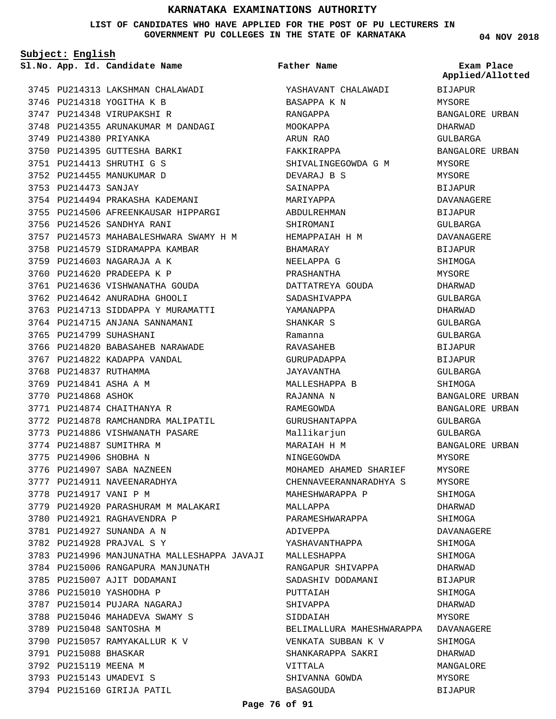#### **LIST OF CANDIDATES WHO HAVE APPLIED FOR THE POST OF PU LECTURERS IN GOVERNMENT PU COLLEGES IN THE STATE OF KARNATAKA**

**Subject: English**

**App. Id. Candidate Name Sl.No. Exam Place**

3745 PU214313 LAKSHMAN CHALAWADI 3746 PU214318 YOGITHA K B 3747 PU214348 VIRUPAKSHI R 3748 PU214355 ARUNAKUMAR M DANDAGI 3749 PU214380 PRIYANKA 3750 PU214395 GUTTESHA BARKI PU214413 SHRUTHI G S 3751 3752 PU214455 MANUKUMAR D 3753 PU214473 SANJAY 3754 PU214494 PRAKASHA KADEMANI 3755 PU214506 AFREENKAUSAR HIPPARGI 3756 PU214526 SANDHYA RANI PU214573 PU214579 3759 PU214603 NAGARAJA A K 3760 PU214620 PRADEEPA K P 3761 PU214636 VISHWANATHA GOUDA 3762 PU214642 ANURADHA GHOOLI 3763 PU214713 SIDDAPPA Y MURAMATTI 3764 PU214715 ANJANA SANNAMANI 3765 PU214799 SUHASHANI 3766 PU214820 BABASAHEB NARAWADE 3767 PU214822 KADAPPA VANDAL 3768 PU214837 RUTHAMMA 3769 PU214841 ASHA A M 3770 PU214868 ASHOK 3771 PU214874 CHAITHANYA R 3772 PU214878 RAMCHANDRA MALIPATIL PU214886 PU214887 3775 PU214906 SHOBHA N 3776 PU214907 SABA NAZNEEN 3777 PU214911 NAVEENARADHYA 3778 PU214917 VANI P M 3779 PU214920 PARASHURAM M MALAKARI 3780 PU214921 RAGHAVENDRA P 3781 PU214927 SUNANDA A N PU214928 PRAJVAL S Y 3782 3783 PU214996 MANJUNATHA MALLESHAPPA JAVAJI MALLESHAPPA 3784 PU215006 RANGAPURA MANJUNATH 3785 PU215007 AJIT DODAMANI 3786 PU215010 YASHODHA P 3787 PU215014 PUJARA NAGARAJ 3788 PU215046 MAHADEVA SWAMY S 3789 PU215048 SANTOSHA M 3790 PU215057 RAMYAKALLUR K V 3791 PU215088 BHASKAR 3792 PU215119 MEENA M 3793 PU215143 UMADEVI S 3794 PU215160 GIRIJA PATIL MAHABALESHWARA SWAMY H M SIDRAMAPPA KAMBAR VISHWANATH PASARE SUMITHRA M 3757 3758 3773 3774

YASHAVANT CHALAWADI BASAPPA K N RANGAPPA MOOKAPPA ARUN RAO FAKKIRAPPA SHIVALINGEGOWDA G M DEVARAJ B S SAINAPPA MARIYAPPA ABDULREHMAN SHIROMANI HEMAPPAIAH H M BHAMARAY DINATI<br>NEELAPPA G<br>TITT PRASHANTHA DATTATREYA GOUDA SADASHIVAPPA YAMANAPPA SHANKAR S Ramanna RAVASAHEB GURUPADAPPA JAYAVANTHA MALLESHAPPA B RAJANNA N RAMEGOWDA GURUSHANTAPPA Mallikarjun MARAIAH H M NINGEGOWDA MOHAMED AHAMED SHARIEF CHENNAVEERANNARADHYA S MAHESHWARAPPA P MALLAPPA PARAMESHWARAPPA ADIVEPPA YASHAVANTHAPPA RANGAPUR SHIVAPPA SADASHIV DODAMANI PUTTAIAH SHIVAPPA SIDDAIAH BELIMALLURA MAHESHWARAPPA DAVANAGERE VENKATA SUBBAN K V SHANKARAPPA SAKRI VITTALA SHIVANNA GOWDA BASAGOUDA **Father Name**

**04 NOV 2018**

**Applied/Allotted**

BIJAPUR

# MYSORE BANGALORE URBAN DHARWAD GULBARGA BANGALORE URBAN MYSORE MYSORE **BIJAPUR** DAVANAGERE **BIJAPUR** GULBARGA DAVANAGERE BIJAPUR SHIMOGA MYSORE DHARWAD GULBARGA DHARWAD GULBARGA GULBARGA BIJAPUR BIJAPUR GULBARGA SHIMOGA BANGALORE URBAN BANGALORE URBAN GULBARGA GULBARGA BANGALORE URBAN MYSORE MYSORE MYSORE SHIMOGA DHARWAD **SHIMOGA** DAVANAGERE SHIMOGA SHIMOGA DHARWAD **BIJAPUR** SHIMOGA DHARWAD **MYSORE** SHIMOGA DHARWAD MANGALORE MYSORE BIJAPUR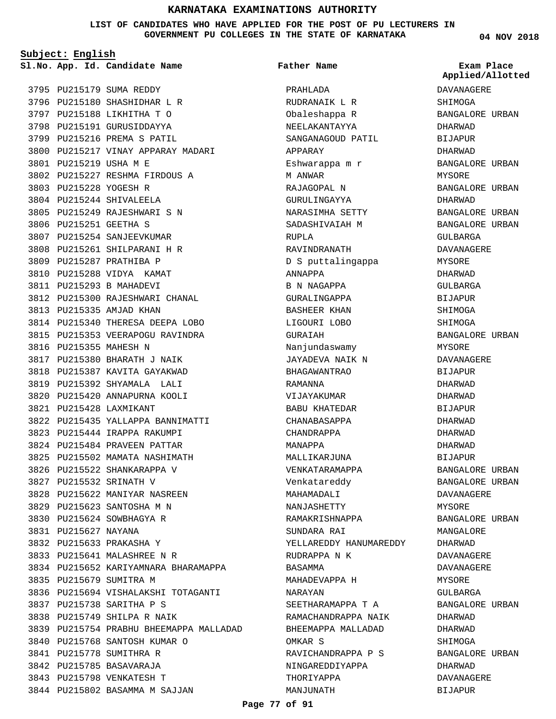**LIST OF CANDIDATES WHO HAVE APPLIED FOR THE POST OF PU LECTURERS IN GOVERNMENT PU COLLEGES IN THE STATE OF KARNATAKA**

**Subject: English**

**Father Name**

3795 PU215179 SUMA REDDY 3796 PU215180 SHASHIDHAR L R 3797 PU215188 LIKHITHA T O 3798 PU215191 GURUSIDDAYYA 3799 PU215216 PREMA S PATIL 3800 PU215217 VINAY APPARAY MADARI PU215219 USHA M E 3801 3802 PU215227 RESHMA FIRDOUS A 3803 PU215228 YOGESH R 3804 PU215244 SHIVALEELA 3805 PU215249 RAJESHWARI S N 3806 PU215251 GEETHA S 3807 PU215254 SANJEEVKUMAR 3808 PU215261 SHILPARANI H R 3809 PU215287 PRATHIBA P 3810 PU215288 VIDYA KAMAT 3811 PU215293 B MAHADEVI 3812 PU215300 RAJESHWARI CHANAL 3813 PU215335 AMJAD KHAN 3814 PU215340 THERESA DEEPA LOBO 3815 PU215353 VEERAPOGU RAVINDRA 3816 PU215355 MAHESH N 3817 PU215380 BHARATH J NAIK 3818 PU215387 KAVITA GAYAKWAD 3819 PU215392 SHYAMALA LALI 3820 PU215420 ANNAPURNA KOOLI PU215428 LAXMIKANT 3821 3822 PU215435 YALLAPPA BANNIMATTI 3823 PU215444 IRAPPA RAKUMPI 3824 PU215484 PRAVEEN PATTAR 3825 PU215502 MAMATA NASHIMATH 3826 PU215522 SHANKARAPPA V 3827 PU215532 SRINATH V 3828 PU215622 MANIYAR NASREEN PU215623 SANTOSHA M N 3829 3830 PU215624 SOWBHAGYA R 3831 PU215627 NAYANA PU215633 PRAKASHA Y 3832 PU215641 MALASHREE N R 3833 3834 PU215652 KARIYAMNARA BHARAMAPPA 3835 PU215679 SUMITRA M 3836 PU215694 VISHALAKSHI TOTAGANTI PU215738 SARITHA P S 3837 3838 PU215749 SHILPA R NAIK 3839 PU215754 PRABHU BHEEMAPPA MALLADAD 3840 PU215768 SANTOSH KUMAR O 3841 PU215778 SUMITHRA R 3842 PU215785 BASAVARAJA 3843 PU215798 VENKATESH T 3844 PU215802 BASAMMA M SAJJAN **App. Id. Candidate Name Sl.No. Exam Place** PRAHLADA RUDRANAIK L R Obaleshappa R NEELAKANTAYYA APPARAY M ANWAR RAJAGOPAL N GURULINGAYYA RUPLA RAVINDRANATH ANNAPPA B N NAGAPPA GURALINGAPPA BASHEER KHAN LIGOURI LOBO GURAIAH Nanjundaswamy BHAGAWANTRAO RAMANNA VIJAYAKUMAR BABU KHATEDAR CHANABASAPPA CHANDRAPPA MANAPPA MALLIKARJUNA Venkatareddy MAHAMADALI NANJASHETTY SUNDARA RAI RUDRAPPA N K BASAMMA MAHADEVAPPA H NARAYAN OMKAR S THORIYAPPA MANJUNATH

SANGANAGOUD PATIL Eshwarappa m r NARASIMHA SETTY SADASHIVAIAH M D S puttalingappa JAYADEVA NAIK N VENKATARAMAPPA RAMAKRISHNAPPA YELLAREDDY HANUMAREDDY SEETHARAMAPPA T A RAMACHANDRAPPA NAIK BHEEMAPPA MALLADAD RAVICHANDRAPPA P S NINGAREDDIYAPPA DAVANAGERE SHIMOGA BANGALORE URBAN DHARWAD BIJAPUR

**04 NOV 2018**

**Applied/Allotted**

DHARWAD BANGALORE URBAN MYSORE BANGALORE URBAN DHARWAD BANGALORE URBAN BANGALORE URBAN GULBARGA DAVANAGERE MYSORE DHARWAD GULBARGA **BIJAPUR** SHIMOGA SHIMOGA BANGALORE URBAN MYSORE DAVANAGERE BIJAPUR DHARWAD DHARWAD BIJAPUR DHARWAD DHARWAD DHARWAD BIJAPUR BANGALORE URBAN BANGALORE URBAN DAVANAGERE MYSORE BANGALORE URBAN MANGALORE DHARWAD DAVANAGERE DAVANAGERE MYSORE GULBARGA BANGALORE URBAN DHARWAD DHARWAD SHIMOGA BANGALORE URBAN DHARWAD DAVANAGERE BIJAPUR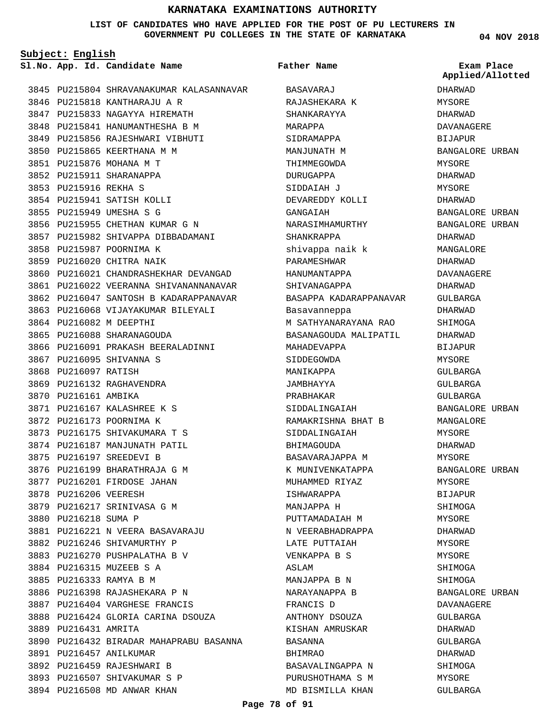#### **LIST OF CANDIDATES WHO HAVE APPLIED FOR THE POST OF PU LECTURERS IN GOVERNMENT PU COLLEGES IN THE STATE OF KARNATAKA**

**Subject: English**

**App. Id. Candidate Name Sl.No. Exam Place**

**Father Name**

3845 PU215804 SHRAVANAKUMAR KALASANNAVAR 3846 PU215818 KANTHARAJU A R 3847 PU215833 NAGAYYA HIREMATH 3848 PU215841 HANUMANTHESHA B M 3849 PU215856 RAJESHWARI VIBHUTI 3850 PU215865 KEERTHANA M M 3851 PU215876 MOHANA M T 3852 PU215911 SHARANAPPA 3853 PU215916 REKHA S 3854 PU215941 SATISH KOLLI 3855 PU215949 UMESHA S G 3856 PU215955 CHETHAN KUMAR G N 3857 PU215982 SHIVAPPA DIBBADAMANI 3858 PU215987 POORNIMA K 3859 PU216020 CHITRA NAIK 3860 PU216021 CHANDRASHEKHAR DEVANGAD 3861 PU216022 VEERANNA SHIVANANNANAVAR 3862 PU216047 SANTOSH B KADARAPPANAVAR 3863 PU216068 VIJAYAKUMAR BILEYALI 3864 PU216082 M DEEPTHI 3865 PU216088 SHARANAGOUDA 3866 PU216091 PRAKASH BEERALADINNI 3867 PU216095 SHIVANNA S 3868 PU216097 RATISH 3869 PU216132 RAGHAVENDRA 3870 PU216161 AMBIKA PU216167 KALASHREE K S 3871 3872 PU216173 POORNIMA K 3873 PU216175 SHIVAKUMARA T S 3874 PU216187 MANJUNATH PATIL 3875 PU216197 SREEDEVI B 3876 PU216199 BHARATHRAJA G M 3877 PU216201 FIRDOSE JAHAN 3878 PU216206 VEERESH 3879 PU216217 SRINIVASA G M 3880 PU216218 SUMA P PU216221 N VEERA BASAVARAJU 3881 3882 PU216246 SHIVAMURTHY P 3883 PU216270 PUSHPALATHA B V 3884 PU216315 MUZEEB S A 3885 PU216333 RAMYA B M 3886 PU216398 RAJASHEKARA P N 3887 PU216404 VARGHESE FRANCIS 3888 PU216424 GLORIA CARINA DSOUZA 3889 PU216431 AMRITA 3890 PU216432 BIRADAR MAHAPRABU BASANNA 3891 PU216457 ANILKUMAR 3892 PU216459 RAJESHWARI B 3893 PU216507 SHIVAKUMAR S P 3894 PU216508 MD ANWAR KHAN

BASAVARAJ RAJASHEKARA K SHANKARAYYA MARAPPA SIDRAMAPPA MANJUNATH M THIMMEGOWDA DURUGAPPA SIDDAIAH J DEVAREDDY KOLLI GANGAIAH NARASIMHAMURTHY SHANKRAPPA shivappa naik k PARAMESHWAR HANUMANTAPPA SHIVANAGAPPA BASAPPA KADARAPPANAVAR Basavanneppa M SATHYANARAYANA RAO BASANAGOUDA MALIPATIL MAHADEVAPPA SIDDEGOWDA MANIKAPPA JAMBHAYYA PRABHAKAR SIDDALINGAIAH RAMAKRISHNA BHAT B SIDDALINGAIAH BHIMAGOUDA BASAVARAJAPPA M K MUNIVENKATAPPA MUHAMMED RIYAZ ISHWARAPPA MANJAPPA H PUTTAMADAIAH M N VEERABHADRAPPA LATE PUTTAIAH VENKAPPA B S ASLAM MANJAPPA B N NARAYANAPPA B FRANCIS D ANTHONY DSOUZA KISHAN AMRUSKAR BASANNA BHIMRAO BASAVALINGAPPA N PURUSHOTHAMA S M MD BISMILLA KHAN

**04 NOV 2018**

DHARWAD MYSORE DHARWAD DAVANAGERE BIJAPUR BANGALORE URBAN MYSORE DHARWAD MYSORE DHARWAD BANGALORE URBAN BANGALORE URBAN DHARWAD MANGALORE DHARWAD DAVANAGERE DHARWAD GULBARGA DHARWAD SHIMOGA DHARWAD BIJAPUR MYSORE GULBARGA GULBARGA GULBARGA BANGALORE URBAN MANGALORE MYSORE DHARWAD MYSORE BANGALORE URBAN MYSORE BIJAPUR SHIMOGA MYSORE DHARWAD MYSORE MYSORE SHIMOGA SHIMOGA BANGALORE URBAN DAVANAGERE GULBARGA DHARWAD GULBARGA DHARWAD SHIMOGA MYSORE GULBARGA **Applied/Allotted**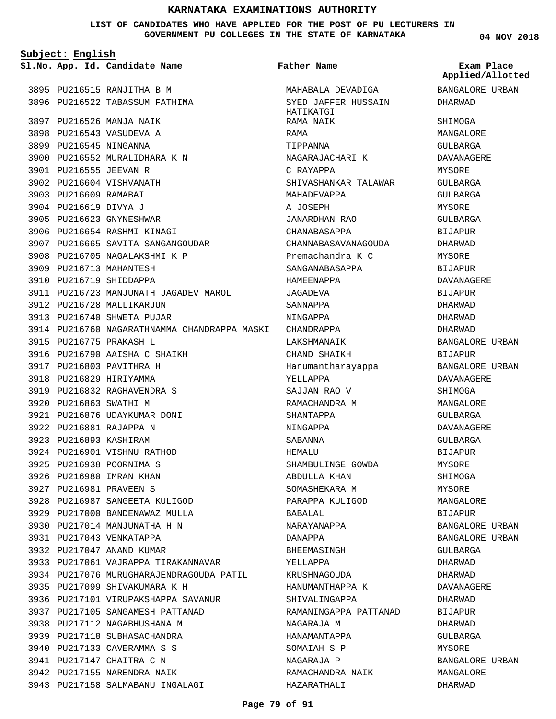**LIST OF CANDIDATES WHO HAVE APPLIED FOR THE POST OF PU LECTURERS IN GOVERNMENT PU COLLEGES IN THE STATE OF KARNATAKA**

**Father Name**

**Subject: English**

3895 PU216515 RANJITHA B M 3896 PU216522 TABASSUM FATHIMA 3897 PU216526 MANJA NAIK 3898 PU216543 VASUDEVA A 3899 PU216545 NINGANNA 3900 PU216552 MURALIDHARA K N 3901 PU216555 JEEVAN R 3902 PU216604 VISHVANATH 3903 PU216609 RAMABAI 3904 PU216619 DIVYA J 3905 PU216623 GNYNESHWAR 3906 PU216654 RASHMI KINAGI 3907 PU216665 SAVITA SANGANGOUDAR 3908 PU216705 NAGALAKSHMI K P 3909 PU216713 MAHANTESH 3910 PU216719 SHIDDAPPA 3911 PU216723 MANJUNATH JAGADEV MAROL 3912 PU216728 MALLIKARJUN 3913 PU216740 SHWETA PUJAR 3914 PU216760 NAGARATHNAMMA CHANDRAPPA MASKI 3915 PU216775 PRAKASH L 3916 PU216790 AAISHA C SHAIKH 3917 PU216803 PAVITHRA H 3918 PU216829 HIRIYAMMA PU216832 RAGHAVENDRA S 3919 3920 PU216863 SWATHI M 3921 PU216876 UDAYKUMAR DONI 3922 PU216881 RAJAPPA N 3923 PU216893 KASHIRAM 3924 PU216901 VISHNU RATHOD 3925 PU216938 POORNIMA S 3926 PU216980 IMRAN KHAN 3927 PU216981 PRAVEEN S 3928 PU216987 SANGEETA KULIGOD 3929 PU217000 BANDENAWAZ MULLA 3930 PU217014 MANJUNATHA H N 3931 PU217043 VENKATAPPA 3932 PU217047 ANAND KUMAR 3933 PU217061 VAJRAPPA TIRAKANNAVAR 3934 PU217076 MURUGHARAJENDRAGOUDA PATIL 3935 PU217099 SHIVAKUMARA K H 3936 PU217101 VIRUPAKSHAPPA SAVANUR 3937 PU217105 SANGAMESH PATTANAD 3938 PU217112 NAGABHUSHANA M 3939 PU217118 SUBHASACHANDRA 3940 PU217133 CAVERAMMA S S 3941 PU217147 CHAITRA C N 3942 PU217155 NARENDRA NAIK 3943 PU217158 SALMABANU INGALAGI **App. Id. Candidate Name Sl.No. Exam Place**

MAHABALA DEVADIGA SYED JAFFER HUSSAIN HATIKATGI RAMA NAIK RAMA TIPPANNA NAGARAJACHARI K C RAYAPPA SHIVASHANKAR TALAWAR MAHADEVAPPA A JOSEPH JANARDHAN RAO CHANABASAPPA CHANNABASAVANAGOUDA Premachandra K C SANGANABASAPPA HAMEENAPPA JAGADEVA SANNAPPA NINGAPPA CHANDRAPPA LAKSHMANAIK CHAND SHAIKH Hanumantharayappa YELLAPPA SAJJAN RAO V RAMACHANDRA M SHANTAPPA NINGAPPA SABANNA HEMALU SHAMBULINGE GOWDA ABDULLA KHAN SOMASHEKARA M PARAPPA KULIGOD BABALAL NARAYANAPPA DANAPPA BHEEMASINGH YELLAPPA KRUSHNAGOUDA HANUMANTHAPPA K SHIVALINGAPPA RAMANINGAPPA PATTANAD NAGARAJA M HANAMANTAPPA SOMAIAH S P NAGARAJA P RAMACHANDRA NAIK HAZARATHALI

**04 NOV 2018**

**Applied/Allotted**

BANGALORE URBAN DHARWAD

SHIMOGA MANGALORE GULBARGA DAVANAGERE MYSORE GULBARGA GULBARGA MYSORE GULBARGA BIJAPUR DHARWAD MYSORE BIJAPUR DAVANAGERE **BIJAPUR** DHARWAD DHARWAD DHARWAD BANGALORE URBAN BIJAPUR BANGALORE URBAN DAVANAGERE SHIMOGA MANGALORE GULBARGA DAVANAGERE GULBARGA BIJAPUR MYSORE SHIMOGA MYSORE MANGALORE BIJAPUR BANGALORE URBAN BANGALORE URBAN GULBARGA DHARWAD DHARWAD DAVANAGERE DHARWAD BIJAPUR DHARWAD GULBARGA MYSORE BANGALORE URBAN MANGALORE DHARWAD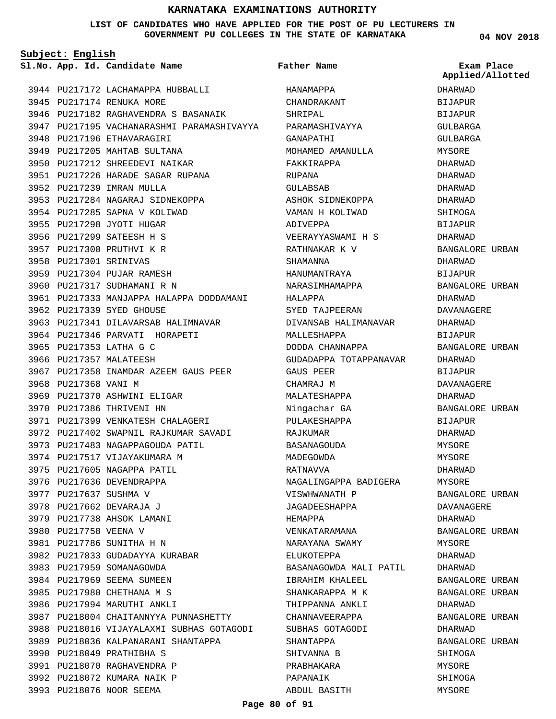#### **LIST OF CANDIDATES WHO HAVE APPLIED FOR THE POST OF PU LECTURERS IN GOVERNMENT PU COLLEGES IN THE STATE OF KARNATAKA**

**Subject: English**

3944 PU217172 LACHAMAPPA HUBBALLI 3945 PU217174 RENUKA MORE 3946 PU217182 RAGHAVENDRA S BASANAIK 3947 PU217195 VACHANARASHMI PARAMASHIVAYYA 3948 PU217196 ETHAVARAGIRI 3949 PU217205 MAHTAB SULTANA 3950 PU217212 SHREEDEVI NAIKAR 3951 PU217226 HARADE SAGAR RUPANA 3952 PU217239 IMRAN MULLA PU217284 NAGARAJ SIDNEKOPPA 3953 3954 PU217285 SAPNA V KOLIWAD 3955 PU217298 JYOTI HUGAR 3956 PU217299 SATEESH H S 3957 PU217300 PRUTHVI K R 3958 PU217301 SRINIVAS 3959 PU217304 PUJAR RAMESH 3960 PU217317 SUDHAMANI R N 3961 PU217333 MANJAPPA HALAPPA DODDAMANI 3962 PU217339 SYED GHOUSE 3963 PU217341 DILAVARSAB HALIMNAVAR 3964 PU217346 PARVATI HORAPETI 3965 PU217353 LATHA G C 3966 PU217357 MALATEESH 3967 PU217358 INAMDAR AZEEM GAUS PEER 3968 PU217368 VANI M 3969 PU217370 ASHWINI ELIGAR 3970 PU217386 THRIVENI HN 3971 PU217399 VENKATESH CHALAGERI 3972 PU217402 SWAPNIL RAJKUMAR SAVADI 3973 PU217483 NAGAPPAGOUDA PATIL 3974 PU217517 VIJAYAKUMARA M 3975 PU217605 NAGAPPA PATIL 3976 PU217636 DEVENDRAPPA 3977 PU217637 SUSHMA V 3978 PU217662 DEVARAJA J 3979 PU217738 AHSOK LAMANI 3980 PU217758 VEENA V 3981 PU217786 SUNITHA H N 3982 PU217833 GUDADAYYA KURABAR 3983 PU217959 SOMANAGOWDA 3984 PU217969 SEEMA SUMEEN 3985 PU217980 CHETHANA M S 3986 PU217994 MARUTHI ANKLI 3987 PU218004 CHAITANNYYA PUNNASHETTY 3988 PU218016 VIJAYALAXMI SUBHAS GOTAGODI 3989 PU218036 KALPANARANI SHANTAPPA 3990 PU218049 PRATHIBHA S 3991 PU218070 RAGHAVENDRA P 3992 PU218072 KUMARA NAIK P 3993 PU218076 NOOR SEEMA

**App. Id. Candidate Name Sl.No. Exam Place** HANAMAPPA CHANDRAKANT SHRIPAL PARAMASHIVAYYA GANAPATHI MOHAMED AMANULLA FAKKIRAPPA RUPANA GULABSAB ASHOK SIDNEKOPPA VAMAN H KOLIWAD ADIVEPPA VEERAYYASWAMI H S RATHNAKAR K V SHAMANNA HANUMANTRAYA NARASIMHAMAPPA HALAPPA SYED TAJPEERAN DIVANSAB HALIMANAVAR MALLESHAPPA DODDA CHANNAPPA GUDADAPPA TOTAPPANAVAR GAUS PEER CHAMRAJ M MALATESHAPPA Ningachar GA PULAKESHAPPA RAJKUMAR BASANAGOUDA MADEGOWDA RATNAVVA NAGALINGAPPA BADIGERA VISWHWANATH P JAGADEESHAPPA HEMAPPA VENKATARAMANA NARAYANA SWAMY ELUKOTEPPA BASANAGOWDA MALI PATIL IBRAHIM KHALEEL SHANKARAPPA M K THIPPANNA ANKLI CHANNAVEERAPPA SUBHAS GOTAGODI SHANTAPPA SHIVANNA B PRABHAKARA PAPANAIK ABDUL BASITH **Father Name** DHARWAD **BIJAPUR** BIJAPUR **Applied/Allotted**

**04 NOV 2018**

# GULBARGA GULBARGA MYSORE DHARWAD DHARWAD DHARWAD DHARWAD SHIMOGA BIJAPUR DHARWAD BANGALORE URBAN DHARWAD BIJAPUR BANGALORE URBAN DHARWAD DAVANAGERE DHARWAD BIJAPUR BANGALORE URBAN DHARWAD BIJAPUR DAVANAGERE DHARWAD BANGALORE URBAN **BIJAPUR** DHARWAD MYSORE MYSORE DHARWAD MYSORE BANGALORE URBAN DAVANAGERE DHARWAD BANGALORE URBAN MYSORE DHARWAD DHARWAD BANGALORE URBAN BANGALORE URBAN DHARWAD BANGALORE URBAN DHARWAD BANGALORE URBAN SHIMOGA MYSORE SHIMOGA MYSORE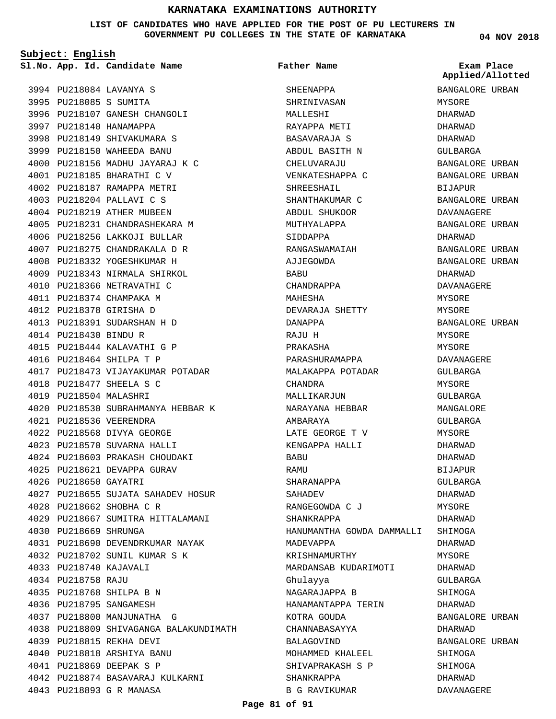**LIST OF CANDIDATES WHO HAVE APPLIED FOR THE POST OF PU LECTURERS IN GOVERNMENT PU COLLEGES IN THE STATE OF KARNATAKA**

**Subject: English**

**App. Id. Candidate Name Sl.No. Exam Place**

**Father Name**

PU218084 LAVANYA S 3994 3995 PU218085 S SUMITA 3996 PU218107 GANESH CHANGOLI 3997 PU218140 HANAMAPPA 3998 PU218149 SHIVAKUMARA S 3999 PU218150 WAHEEDA BANU PU218156 MADHU JAYARAJ K C 4000 PU218185 BHARATHI C V 4001 4002 PU218187 RAMAPPA METRI PU218204 PALLAVI C S 4003 4004 PU218219 ATHER MUBEEN PU218231 CHANDRASHEKARA M 4005 4006 PU218256 LAKKOJI BULLAR PU218275 CHANDRAKALA D R 4007 PU218332 YOGESHKUMAR H 4008 4009 PU218343 NIRMALA SHIRKOL 4010 PU218366 NETRAVATHI C 4011 PU218374 CHAMPAKA M PU218378 GIRISHA D 4012 PU218391 SUDARSHAN H D 4013 4014 PU218430 BINDU R PU218444 KALAVATHI G P 4015 PU218464 SHILPA T P 4016 4017 PU218473 VIJAYAKUMAR POTADAR PU218477 SHEELA S C 4018 PU218504 MALASHRI 4019 PU218530 SUBRAHMANYA HEBBAR K 4020 PU218536 VEERENDRA 4021 PU218568 DIVYA GEORGE 4022 4023 PU218570 SUVARNA HALLI PU218603 PRAKASH CHOUDAKI 4024 4025 PU218621 DEVAPPA GURAV 4026 PU218650 GAYATRI 4027 PU218655 SUJATA SAHADEV HOSUR PU218662 SHOBHA C R 4028 4029 PU218667 SUMITRA HITTALAMANI 4030 PU218669 SHRUNGA PU218690 DEVENDRKUMAR NAYAK 4031 4032 PU218702 SUNIL KUMAR S K PU218740 KAJAVALI 4033 PU218758 RAJU 4034 PU218768 SHILPA B N 4035 4036 PU218795 SANGAMESH PU218800 MANJUNATHA G 4037 PU218809 SHIVAGANGA BALAKUNDIMATH 4038 PU218815 REKHA DEVI 4039 PU218818 ARSHIYA BANU 4040 PU218869 DEEPAK S P 4041 PU218874 BASAVARAJ KULKARNI 4042 PU218893 G R MANASA 4043

SHEENAPPA SHRINIVASAN MALLESHI RAYAPPA METI BASAVARAJA S ABDUL BASITH N CHELUVARAJU VENKATESHAPPA C SHREESHAIL SHANTHAKUMAR C ABDUL SHUKOOR MUTHYALAPPA SIDDAPPA RANGASWAMAIAH AJJEGOWDA BABU CHANDRAPPA MAHESHA DEVARAJA SHETTY DANAPPA RAJU H PRAKASHA PARASHURAMAPPA MALAKAPPA POTADAR CHANDRA MALLIKARJUN NARAYANA HEBBAR AMBARAYA LATE GEORGE T V KENGAPPA HALLI BABU RAMU SHARANAPPA SAHADEV RANGEGOWDA C J SHANKRAPPA HANUMANTHA GOWDA DAMMALLI SHIMOGA MADEVAPPA KRISHNAMURTHY MARDANSAB KUDARIMOTI Ghulayya NAGARAJAPPA B HANAMANTAPPA TERIN KOTRA GOUDA CHANNABASAYYA BALAGOVIND MOHAMMED KHALEEL SHIVAPRAKASH S P SHANKRAPPA B G RAVIKUMAR

**04 NOV 2018**

BANGALORE URBAN MYSORE DHARWAD DHARWAD DHARWAD GULBARGA BANGALORE URBAN BANGALORE URBAN BIJAPUR BANGALORE URBAN DAVANAGERE BANGALORE URBAN DHARWAD BANGALORE URBAN BANGALORE URBAN DHARWAD DAVANAGERE MYSORE MYSORE BANGALORE URBAN MYSORE MYSORE DAVANAGERE GULBARGA MYSORE GULBARGA MANGALORE GULBARGA MYSORE DHARWAD DHARWAD BIJAPUR GULBARGA DHARWAD MYSORE DHARWAD DHARWAD MYSORE. DHARWAD GULBARGA SHIMOGA DHARWAD BANGALORE URBAN DHARWAD BANGALORE URBAN SHIMOGA SHIMOGA DHARWAD DAVANAGERE **Applied/Allotted**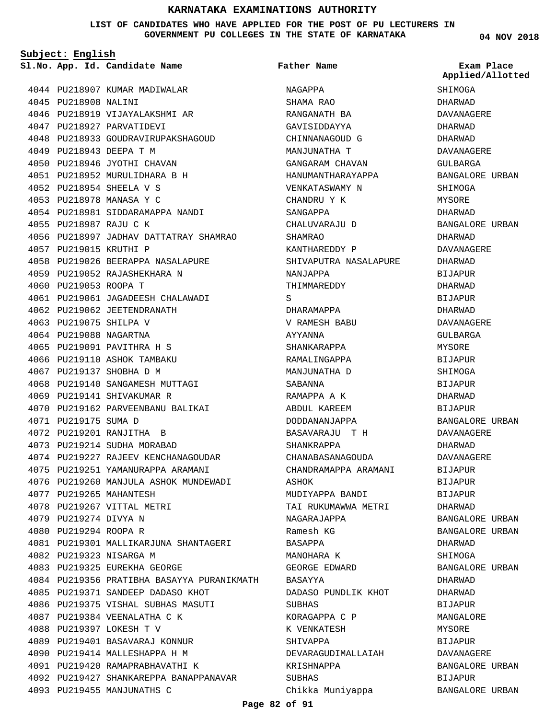#### **LIST OF CANDIDATES WHO HAVE APPLIED FOR THE POST OF PU LECTURERS IN GOVERNMENT PU COLLEGES IN THE STATE OF KARNATAKA**

**Subject: English**

**App. Id. Candidate Name Sl.No. Exam Place**

```
Father Name
```
4044 PU218907 KUMAR MADIWALAR 4045 PU218908 NALINI 4046 PU218919 VIJAYALAKSHMI AR 4047 PU218927 PARVATIDEVI 4048 PU218933 GOUDRAVIRUPAKSHAGOUD PU218943 DEEPA T M 4049 4050 PU218946 JYOTHI CHAVAN PU218952 MURULIDHARA B H 4051 PU218954 SHEELA V S 4052 4053 PU218978 MANASA Y C 4054 PU218981 SIDDARAMAPPA NANDI PU218987 RAJU C K 4055 PU218997 JADHAV DATTATRAY SHAMRAO 4056 4057 PU219015 KRUTHI P 4058 PU219026 BEERAPPA NASALAPURE 4059 PU219052 RAJASHEKHARA N 4060 PU219053 ROOPA T PU219061 JAGADEESH CHALAWADI 4061 4062 PU219062 JEETENDRANATH PU219075 SHILPA V 4063 4064 PU219088 NAGARTNA 4065 PU219091 PAVITHRA H S 4066 PU219110 ASHOK TAMBAKU 4067 PU219137 SHOBHA D M PU219140 SANGAMESH MUTTAGI 4068 4069 PU219141 SHIVAKUMAR R 4070 PU219162 PARVEENBANU BALIKAI 4071 PU219175 SUMA D PU219201 RANJITHA B 4072 4073 PU219214 SUDHA MORABAD 4074 PU219227 RAJEEV KENCHANAGOUDAR 4075 PU219251 YAMANURAPPA ARAMANI 4076 PU219260 MANJULA ASHOK MUNDEWADI 4077 PU219265 MAHANTESH 4078 PU219267 VITTAL METRI 4079 PU219274 DIVYA N 4080 PU219294 ROOPA R PU219301 MALLIKARJUNA SHANTAGERI 4081 PU219323 NISARGA M 4082 4083 PU219325 EUREKHA GEORGE 4084 PU219356 PRATIBHA BASAYYA PURANIKMATH 4085 PU219371 SANDEEP DADASO KHOT 4086 PU219375 VISHAL SUBHAS MASUTI 4087 PU219384 VEENALATHA C K PU219397 LOKESH T V 4088 4089 PU219401 BASAVARAJ KONNUR 4090 PU219414 MALLESHAPPA H M PU219420 RAMAPRABHAVATHI K 4091 4092 PU219427 SHANKAREPPA BANAPPANAVAR 4093 PU219455 MANJUNATHS C

NAGAPPA SHAMA RAO RANGANATH BA GAVISIDDAYYA CHINNANAGOUD G MANJUNATHA T GANGARAM CHAVAN HANUMANTHARAYAPPA VENKATASWAMY N CHANDRU Y K SANGAPPA CHALUVARAJU D SHAMRAO KANTHAREDDY P SHIVAPUTRA NASALAPURE NANJAPPA THIMMAREDDY  $\mathbf{C}$ DHARAMAPPA V RAMESH BABU AYYANNA SHANKARAPPA RAMALINGAPPA MANJUNATHA D SABANNA RAMAPPA A K ABDUL KAREEM DODDANANJAPPA BASAVARAJU T H SHANKRAPPA CHANABASANAGOUDA CHANDRAMAPPA ARAMANI ASHOK MUDIYAPPA BANDI TAI RUKUMAWWA METRI NAGARAJAPPA Ramesh KG BASAPPA MANOHARA K GEORGE EDWARD BASAYYA DADASO PUNDLIK KHOT SUBHAS KORAGAPPA C P K VENKATESH SHIVAPPA DEVARAGUDIMALLAIAH KRISHNAPPA SUBHAS Chikka Muniyappa

**04 NOV 2018**

**SHIMOGA** DHARWAD DAVANAGERE DHARWAD DHARWAD DAVANAGERE GULBARGA BANGALORE URBAN **SHIMOGA** MYSORE DHARWAD BANGALORE URBAN DHARWAD DAVANAGERE DHARWAD BIJAPUR DHARWAD **BIJAPUR** DHARWAD DAVANAGERE GULBARGA MYSORE BIJAPUR SHIMOGA BIJAPUR DHARWAD BIJAPUR BANGALORE URBAN DAVANAGERE DHARWAD DAVANAGERE BIJAPUR BIJAPUR BIJAPUR DHARWAD BANGALORE URBAN BANGALORE URBAN DHARWAD SHIMOGA BANGALORE URBAN DHARWAD DHARWAD BIJAPUR MANGALORE MYSORE **BIJAPUR** DAVANAGERE BANGALORE URBAN BIJAPUR BANGALORE URBAN **Applied/Allotted**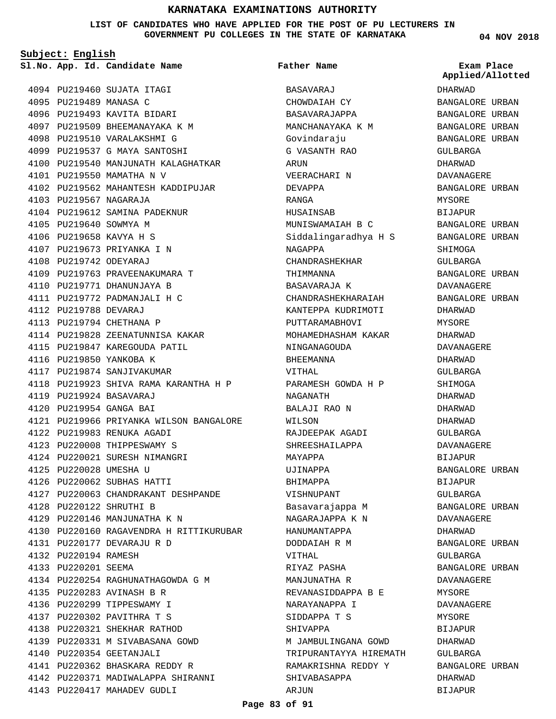**LIST OF CANDIDATES WHO HAVE APPLIED FOR THE POST OF PU LECTURERS IN GOVERNMENT PU COLLEGES IN THE STATE OF KARNATAKA**

**Subject: English**

PU219460 SUJATA ITAGI 4094 4095 PU219489 MANASA C 4096 PU219493 KAVITA BIDARI 4097 PU219509 BHEEMANAYAKA K M 4098 PU219510 VARALAKSHMI G PU219537 G MAYA SANTOSHI 4099 4100 PU219540 MANJUNATH KALAGHATKAR PU219550 MAMATHA N V 4101 4102 PU219562 MAHANTESH KADDIPUJAR PU219567 NAGARAJA 4103 4104 PU219612 SAMINA PADEKNUR 4105 PU219640 SOWMYA M PU219658 KAVYA H S 4106 4107 PU219673 PRIYANKA I N PU219742 ODEYARAJ 4108 4109 PU219763 PRAVEENAKUMARA T 4110 PU219771 DHANUNJAYA B 4111 PU219772 PADMANJALI H C PU219788 DEVARAJ 4112 4113 PU219794 CHETHANA P 4114 PU219828 ZEENATUNNISA KAKAR 4115 PU219847 KAREGOUDA PATIL 4116 PU219850 YANKOBA K 4117 PU219874 SANJIVAKUMAR 4118 PU219923 SHIVA RAMA KARANTHA H P PU219924 BASAVARAJ 4119 PU219954 GANGA BAI 4120 4121 PU219966 PRIYANKA WILSON BANGALORE PU219983 RENUKA AGADI 4122 4123 PU220008 THIPPESWAMY S 4124 PU220021 SURESH NIMANGRI 4125 PU220028 UMESHA U PU220062 SUBHAS HATTI 4126 PU220063 CHANDRAKANT DESHPANDE 4127 PU220122 SHRUTHI B 4128 4129 PU220146 MANJUNATHA K N 4130 PU220160 RAGAVENDRA H RITTIKURUBAR PU220177 DEVARAJU R D 4131 4132 PU220194 RAMESH 4133 PU220201 SEEMA PU220254 RAGHUNATHAGOWDA G M 4134 PU220283 AVINASH B R 4135 4136 PU220299 TIPPESWAMY I PU220302 PAVITHRA T S 4137 4138 PU220321 SHEKHAR RATHOD 4139 PU220331 M SIVABASANA GOWD 4140 PU220354 GEETANJALI PU220362 BHASKARA REDDY R 4141 4142 PU220371 MADIWALAPPA SHIRANNI 4143 PU220417 MAHADEV GUDLI

**App. Id. Candidate Name Sl.No. Exam Place** BASAVARAJ CHOWDAIAH CY BASAVARAJAPPA MANCHANAYAKA K M Govindaraju G VASANTH RAO **ARIN** VEERACHARI N DEVAPPA RANGA HUSAINSAB MUNISWAMAIAH B C Siddalingaradhya H S NAGAPPA CHANDRASHEKHAR THIMMANNA BASAVARAJA K CHANDRASHEKHARAIAH KANTEPPA KUDRIMOTI PUTTARAMABHOVI MOHAMEDHASHAM KAKAR NINGANAGOUDA BHEEMANNA VITHAL PARAMESH GOWDA H P NAGANATH BALAJI RAO N WILSON RAJDEEPAK AGADI SHREESHAILAPPA MAYAPPA UJINAPPA BHIMAPPA VISHNUPANT Basavarajappa M NAGARAJAPPA K N HANUMANTAPPA DODDAIAH R M VITHAL RIYAZ PASHA MANJUNATHA R REVANASIDDAPPA B E NARAYANAPPA I SIDDAPPA T S SHIVAPPA M JAMBULINGANA GOWD TRIPURANTAYYA HIREMATH RAMAKRISHNA REDDY Y SHIVABASAPPA ARJUN **Father Name**

**04 NOV 2018**

DHARWAD BANGALORE URBAN BANGALORE URBAN BANGALORE URBAN BANGALORE URBAN GULBARGA DHARWAD DAVANAGERE BANGALORE URBAN MYSORE BIJAPUR BANGALORE URBAN BANGALORE URBAN SHIMOGA GULBARGA BANGALORE URBAN DAVANAGERE BANGALORE URBAN DHARWAD MYSORE DHARWAD DAVANAGERE DHARWAD GULBARGA SHIMOGA DHARWAD DHARWAD DHARWAD GULBARGA DAVANAGERE BIJAPUR BANGALORE URBAN BIJAPUR GULBARGA BANGALORE URBAN DAVANAGERE DHARWAD BANGALORE URBAN GULBARGA BANGALORE URBAN DAVANAGERE MYSORE DAVANAGERE MYSORE BIJAPUR DHARWAD GULBARGA BANGALORE URBAN DHARWAD BIJAPUR **Applied/Allotted**

#### **Page 83 of 91**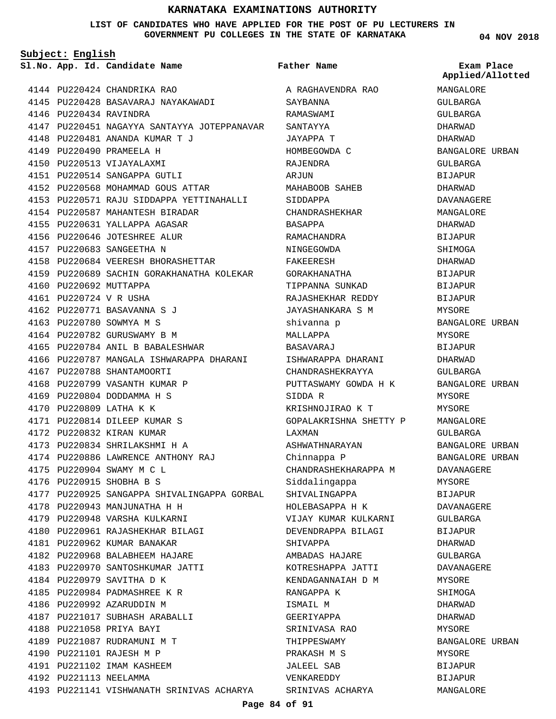#### **LIST OF CANDIDATES WHO HAVE APPLIED FOR THE POST OF PU LECTURERS IN GOVERNMENT PU COLLEGES IN THE STATE OF KARNATAKA**

**Subject: English**

**App. Id. Candidate Name Sl.No. Exam Place**

4144 PU220424 CHANDRIKA RAO PU220428 BASAVARAJ NAYAKAWADI 4145 4146 PU220434 RAVINDRA 4147 PU220451 NAGAYYA SANTAYYA JOTEPPANAVAR 4148 PU220481 ANANDA KUMAR T J 4149 PU220490 PRAMEELA H 4150 PU220513 VIJAYALAXMI 4151 PU220514 SANGAPPA GUTLI 4152 PU220568 MOHAMMAD GOUS ATTAR 4153 PU220571 RAJU SIDDAPPA YETTINAHALLI PU220587 MAHANTESH BIRADAR 4154 4155 PU220631 YALLAPPA AGASAR 4156 PU220646 JOTESHREE ALUR 4157 PU220683 SANGEETHA N PU220684 VEERESH BHORASHETTAR 4158 4159 PU220689 SACHIN GORAKHANATHA KOLEKAR 4160 PU220692 MUTTAPPA PU220724 V R USHA 4161 PU220771 BASAVANNA S J 4162 4163 PU220780 SOWMYA M S 4164 PU220782 GURUSWAMY B M PU220784 ANIL B BABALESHWAR 4165 4166 PU220787 MANGALA ISHWARAPPA DHARANI 4167 PU220788 SHANTAMOORTI 4168 PU220799 VASANTH KUMAR P PU220804 DODDAMMA H S 4169 4170 PU220809 LATHA K K PU220814 DILEEP KUMAR S 4171 4172 PU220832 KIRAN KUMAR PU220834 SHRILAKSHMI H A 4173 PU220886 LAWRENCE ANTHONY RAJ 4174 4175 PU220904 SWAMY M C L 4176 PU220915 SHOBHA B S 4177 PU220925 SANGAPPA SHIVALINGAPPA GORBAL 4178 PU220943 MANJUNATHA H H 4179 PU220948 VARSHA KULKARNI PU220961 RAJASHEKHAR BILAGI 4180 4181 PU220962 KUMAR BANAKAR PU220968 BALABHEEM HAJARE 4182 PU220970 SANTOSHKUMAR JATTI 4183 4184 PU220979 SAVITHA D K PU220984 PADMASHREE K R 4185 4186 PU220992 AZARUDDIN M 4187 PU221017 SUBHASH ARABALLI PU221058 PRIYA BAYI 4188 PU221087 RUDRAMUNI M T 4189 4190 PU221101 RAJESH M P 4191 PU221102 IMAM KASHEEM PU221113 NEELAMMA 4192 4193 PU221141 VISHWANATH SRINIVAS ACHARYA SRINIVAS ACHARYA

A RAGHAVENDRA RAO SAYBANNA RAMASWAMI SANTAYYA JAYAPPA T HOMBEGOWDA C RAJENDRA ARJUN MAHABOOB SAHEB SIDDAPPA CHANDRASHEKHAR BASAPPA RAMACHANDRA NINGEGOWDA FAKEERESH GORAKHANATHA TIPPANNA SUNKAD RAJASHEKHAR REDDY JAYASHANKARA S M shivanna p MALLAPPA BASAVARAJ ISHWARAPPA DHARANI CHANDRASHEKRAYYA PUTTASWAMY GOWDA H K SIDDA R KRISHNOJIRAO K T GOPALAKRISHNA SHETTY P LAXMAN ASHWATHNARAYAN Chinnappa P CHANDRASHEKHARAPPA M Siddalingappa SHIVALINGAPPA HOLEBASAPPA H K VIJAY KUMAR KULKARNI DEVENDRAPPA BILAGI SHIVAPPA AMBADAS HAJARE KOTRESHAPPA JATTI KENDAGANNAIAH D M RANGAPPA K ISMAIL M GEERIYAPPA SRINIVASA RAO THIPPESWAMY PRAKASH M S JALEEL SAB VENKAREDDY **Father Name**

**04 NOV 2018**

**Applied/Allotted**

MANGALORE GIILBARGA GULBARGA DHARWAD DHARWAD BANGALORE URBAN GULBARGA BIJAPUR DHARWAD DAVANAGERE MANGALORE DHARWAD BIJAPUR SHIMOGA DHARWAD BIJAPUR BIJAPUR BIJAPUR MYSORE BANGALORE URBAN MYSORE BIJAPUR DHARWAD GULBARGA BANGALORE URBAN MYSORE **MYSORE** MANGALORE GULBARGA BANGALORE URBAN BANGALORE URBAN DAVANAGERE MYSORE BIJAPUR DAVANAGERE GULBARGA BIJAPUR DHARWAD GULBARGA DAVANAGERE MYSORE SHIMOGA DHARWAD DHARWAD **MYSORE** BANGALORE URBAN MYSORE BIJAPUR BIJAPUR

MANGALORE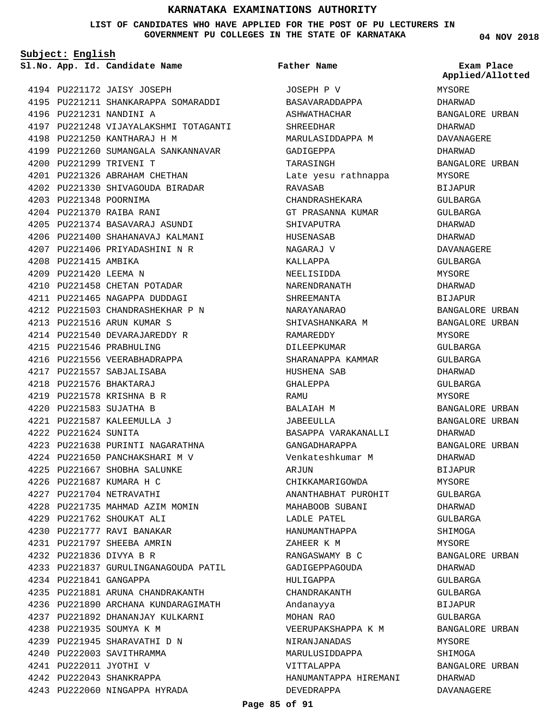#### **LIST OF CANDIDATES WHO HAVE APPLIED FOR THE POST OF PU LECTURERS IN GOVERNMENT PU COLLEGES IN THE STATE OF KARNATAKA**

**Father Name**

**Subject: English**

**App. Id. Candidate Name Sl.No. Exam Place**

4194 PU221172 JAISY JOSEPH PU221211 SHANKARAPPA SOMARADDI 4195 4196 PU221231 NANDINI A 4197 PU221248 VIJAYALAKSHMI TOTAGANTI PU221250 KANTHARAJ H M 4198 4199 PU221260 SUMANGALA SANKANNAVAR PU221299 TRIVENI T 4200 4201 PU221326 ABRAHAM CHETHAN PU221330 SHIVAGOUDA BIRADAR 4202 PU221348 POORNIMA 4203 PU221370 RAIBA RANI 4204 PU221374 BASAVARAJ ASUNDI 4205 PU221400 SHAHANAVAJ KALMANI 4206 4207 PU221406 PRIYADASHINI N R 4208 PU221415 AMBIKA 4209 PU221420 LEEMA N 4210 PU221458 CHETAN POTADAR 4211 PU221465 NAGAPPA DUDDAGI PU221503 CHANDRASHEKHAR P N 4212 PU221516 ARUN KUMAR S 4213 4214 PU221540 DEVARAJAREDDY R 4215 PU221546 PRABHULING 4216 PU221556 VEERABHADRAPPA 4217 PU221557 SABJALISABA PU221576 BHAKTARAJ 4218 PU221578 KRISHNA B R 4219 PU221583 SUJATHA B 4220 PU221587 KALEEMULLA J 4221 PU221624 SUNITA 4222 PU221638 PURINTI NAGARATHNA 4223 PU221650 PANCHAKSHARI M V 4224 4225 PU221667 SHOBHA SALUNKE 4226 PU221687 KUMARA H C 4227 PU221704 NETRAVATHI 4228 PU221735 MAHMAD AZIM MOMIN PU221762 SHOUKAT ALI 4229 PU221777 RAVI BANAKAR 4230 PU221797 SHEEBA AMRIN 4231 PU221836 DIVYA B R 4232 4233 PU221837 GURULINGANAGOUDA PATIL PU221841 GANGAPPA 4234 PU221881 ARUNA CHANDRAKANTH 4235 4236 PU221890 ARCHANA KUNDARAGIMATH PU221892 DHANANJAY KULKARNI 4237 4238 PU221935 SOUMYA K M 4239 PU221945 SHARAVATHI D N 4240 PU222003 SAVITHRAMMA PU222011 JYOTHI V 4241 PU222043 SHANKRAPPA 4242 4243 PU222060 NINGAPPA HYRADA

JOSEPH P V BASAVARADDAPPA ASHWATHACHAR SHREEDHAR MARULASIDDAPPA M GADIGEPPA TARASINGH Late yesu rathnappa RAVASAB CHANDRASHEKARA GT PRASANNA KUMAR SHIVAPUTRA HUSENASAB NAGARAJ V KALLAPPA NEELISIDDA NARENDRANATH SHREEMANTA NARAYANARAO SHIVASHANKARA M RAMAREDDY DILEEPKUMAR SHARANAPPA KAMMAR HUSHENA SAB GHALEPPA RAMU BALAIAH M JABEEULLA BASAPPA VARAKANALLI GANGADHARAPPA Venkateshkumar M ARJUN CHIKKAMARIGOWDA ANANTHABHAT PUROHIT MAHABOOB SUBANI LADLE PATEL HANUMANTHAPPA ZAHEER K M RANGASWAMY B C GADIGEPPAGOUDA HULIGAPPA CHANDRAKANTH Andanayya MOHAN RAO VEERUPAKSHAPPA K M NIRANJANADAS MARULUSIDDAPPA VITTALAPPA HANUMANTAPPA HIREMANI DEVEDRAPPA

**04 NOV 2018**

MYSORE DHARWAD BANGALORE URBAN DHARWAD DAVANAGERE DHARWAD BANGALORE URBAN MYSORE **BIJAPUR** GULBARGA GULBARGA DHARWAD DHARWAD DAVANAGERE GULBARGA MYSORE DHARWAD **BIJAPUR** BANGALORE URBAN BANGALORE URBAN MYSORE GULBARGA GULBARGA DHARWAD GULBARGA MYSORE BANGALORE URBAN BANGALORE URBAN DHARWAD BANGALORE URBAN DHARWAD BIJAPUR MYSORE. GULBARGA DHARWAD GULBARGA SHIMOGA MYSORE BANGALORE URBAN DHARWAD GULBARGA GULBARGA BIJAPUR GULBARGA BANGALORE URBAN MYSORE SHIMOGA BANGALORE URBAN DHARWAD DAVANAGERE **Applied/Allotted**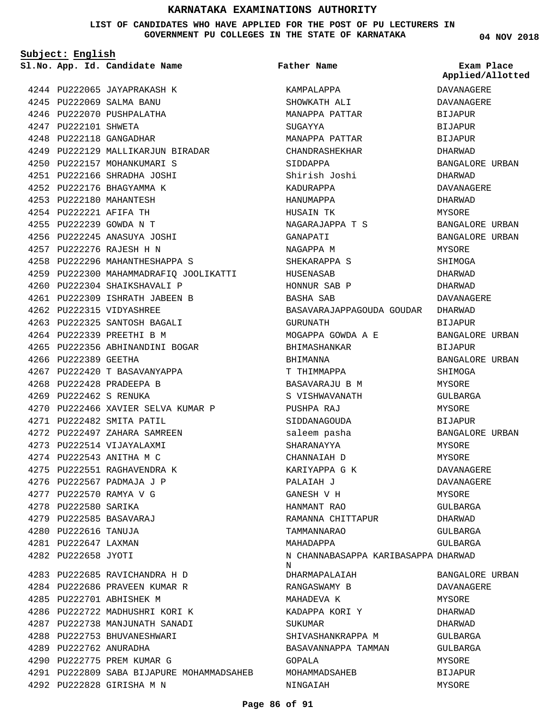#### **LIST OF CANDIDATES WHO HAVE APPLIED FOR THE POST OF PU LECTURERS IN GOVERNMENT PU COLLEGES IN THE STATE OF KARNATAKA**

**Subject: English**

**04 NOV 2018**

|                        | Sl.No. App. Id. Candidate Name            | Father Name                              | Exam Place<br>Applied/Allotted |
|------------------------|-------------------------------------------|------------------------------------------|--------------------------------|
|                        | 4244 PU222065 JAYAPRAKASH K               | KAMPALAPPA                               | DAVANAGERE                     |
|                        | 4245 PU222069 SALMA BANU                  | SHOWKATH ALI                             | DAVANAGERE                     |
|                        | 4246 PU222070 PUSHPALATHA                 | MANAPPA PATTAR                           | BIJAPUR                        |
| 4247 PU222101 SHWETA   |                                           | SUGAYYA                                  | BIJAPUR                        |
|                        | 4248 PU222118 GANGADHAR                   | MANAPPA PATTAR                           | BIJAPUR                        |
|                        | 4249 PU222129 MALLIKARJUN BIRADAR         | CHANDRASHEKHAR                           | DHARWAD                        |
|                        | 4250 PU222157 MOHANKUMARI S               | SIDDAPPA                                 | BANGALORE URBAN                |
|                        | 4251 PU222166 SHRADHA JOSHI               | Shirish Joshi                            | DHARWAD                        |
|                        | 4252 PU222176 BHAGYAMMA K                 | KADURAPPA                                | DAVANAGERE                     |
|                        | 4253 PU222180 MAHANTESH                   | HANUMAPPA                                | DHARWAD                        |
| 4254 PU222221 AFIFA TH |                                           | HUSAIN TK                                | MYSORE                         |
|                        | 4255 PU222239 GOWDA N T                   | NAGARAJAPPA T S                          | BANGALORE URBAN                |
|                        | 4256 PU222245 ANASUYA JOSHI               | GANAPATI                                 | BANGALORE URBAN                |
|                        | 4257 PU222276 RAJESH H N                  | NAGAPPA M                                | MYSORE                         |
|                        | 4258 PU222296 MAHANTHESHAPPA S            | SHEKARAPPA S                             | SHIMOGA                        |
|                        | 4259 PU222300 MAHAMMADRAFIQ JOOLIKATTI    | HUSENASAB                                | DHARWAD                        |
|                        | 4260 PU222304 SHAIKSHAVALI P              |                                          |                                |
|                        |                                           | HONNUR SAB P                             | DHARWAD                        |
|                        | 4261 PU222309 ISHRATH JABEEN B            | BASHA SAB                                | DAVANAGERE                     |
|                        | 4262 PU222315 VIDYASHREE                  | BASAVARAJAPPAGOUDA GOUDAR                | DHARWAD                        |
|                        | 4263 PU222325 SANTOSH BAGALI              | GURUNATH                                 | <b>BIJAPUR</b>                 |
|                        | 4264 PU222339 PREETHI B M                 | MOGAPPA GOWDA A E                        | BANGALORE URBAN                |
|                        | 4265 PU222356 ABHINANDINI BOGAR           | BHIMASHANKAR                             | BIJAPUR                        |
| 4266 PU222389 GEETHA   |                                           | BHIMANNA                                 | BANGALORE URBAN                |
|                        | 4267 PU222420 T BASAVANYAPPA              | T THIMMAPPA                              | SHIMOGA                        |
|                        | 4268 PU222428 PRADEEPA B                  | BASAVARAJU B M                           | MYSORE                         |
| 4269 PU222462 S RENUKA |                                           | S VISHWAVANATH                           | GULBARGA                       |
|                        | 4270 PU222466 XAVIER SELVA KUMAR P        | PUSHPA RAJ                               | MYSORE                         |
|                        | 4271 PU222482 SMITA PATIL                 | SIDDANAGOUDA                             | BIJAPUR                        |
|                        | 4272 PU222497 ZAHARA SAMREEN              | saleem pasha                             | BANGALORE URBAN                |
|                        | 4273 PU222514 VIJAYALAXMI                 | SHARANAYYA                               | MYSORE                         |
|                        | 4274 PU222543 ANITHA M C                  | CHANNAIAH D                              | MYSORE                         |
|                        | 4275 PU222551 RAGHAVENDRA K               | KARIYAPPA G K                            | DAVANAGERE                     |
|                        | 4276 PU222567 PADMAJA J P                 | PALAIAH J                                | DAVANAGERE                     |
|                        | 4277 PU222570 RAMYA V G                   | GANESH V H                               | MYSORE                         |
| 4278 PU222580 SARIKA   |                                           | HANMANT RAO                              | GULBARGA                       |
|                        | 4279 PU222585 BASAVARAJ                   | RAMANNA CHITTAPUR                        | DHARWAD                        |
| 4280 PU222616 TANUJA   |                                           | TAMMANNARAO                              | GULBARGA                       |
| 4281 PU222647 LAXMAN   |                                           | MAHADAPPA                                | GULBARGA                       |
| 4282 PU222658 JYOTI    |                                           | N CHANNABASAPPA KARIBASAPPA DHARWAD<br>N |                                |
|                        | 4283 PU222685 RAVICHANDRA H D             | DHARMAPALAIAH                            | BANGALORE URBAN                |
|                        | 4284 PU222686 PRAVEEN KUMAR R             | RANGASWAMY B                             | DAVANAGERE                     |
|                        | 4285 PU222701 ABHISHEK M                  | MAHADEVA K                               | MYSORE                         |
|                        | 4286 PU222722 MADHUSHRI KORI K            | KADAPPA KORI Y                           | DHARWAD                        |
|                        | 4287 PU222738 MANJUNATH SANADI            | SUKUMAR                                  | DHARWAD                        |
|                        | 4288 PU222753 BHUVANESHWARI               | SHIVASHANKRAPPA M                        | GULBARGA                       |
|                        | 4289 PU222762 ANURADHA                    | BASAVANNAPPA TAMMAN                      | GULBARGA                       |
|                        | 4290 PU222775 PREM KUMAR G                | GOPALA                                   | MYSORE                         |
|                        | 4291 PU222809 SABA BIJAPURE MOHAMMADSAHEB | MOHAMMADSAHEB                            | BIJAPUR                        |
|                        | 4292 PU222828 GIRISHA M N                 | NINGAIAH                                 | MYSORE                         |

#### **Page 86 of 91**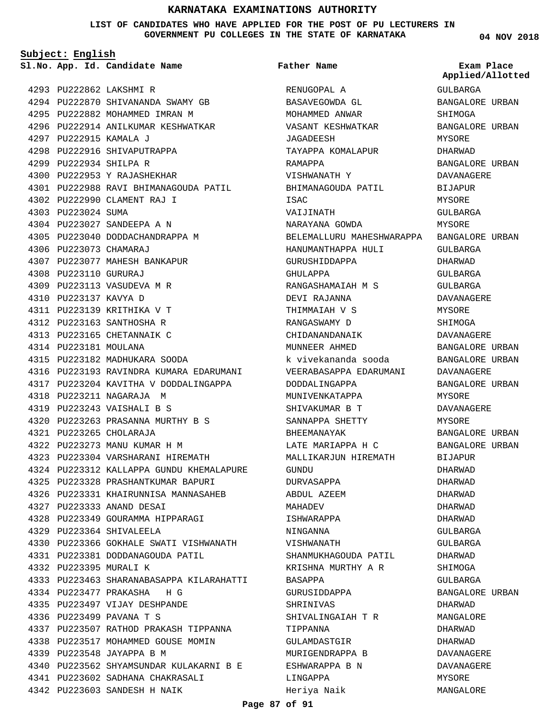**LIST OF CANDIDATES WHO HAVE APPLIED FOR THE POST OF PU LECTURERS IN GOVERNMENT PU COLLEGES IN THE STATE OF KARNATAKA**

**Subject: English**

**App. Id. Candidate Name Sl.No. Exam Place**

PU222862 LAKSHMI R 4293 4294 PU222870 SHIVANANDA SWAMY GB 4295 PU222882 MOHAMMED IMRAN M 4296 PU222914 ANILKUMAR KESHWATKAR PU222915 KAMALA J 4297 4298 PU222916 SHIVAPUTRAPPA PU222934 SHILPA R 4299 PU222953 Y RAJASHEKHAR 4300 PU222988 RAVI BHIMANAGOUDA PATIL 4301 PU222990 CLAMENT RAJ I 4302 4303 PU223024 SUMA PU223027 SANDEEPA A N 4304 4305 PU223040 DODDACHANDRAPPA M PU223073 CHAMARAJ 4306 4307 PU223077 MAHESH BANKAPUR PU223110 GURURAJ 4308 4309 PU223113 VASUDEVA M R 4310 PU223137 KAVYA D PU223139 KRITHIKA V T 4311 PU223163 SANTHOSHA R 4312 4313 PU223165 CHETANNAIK C 4314 PU223181 MOULANA PU223182 MADHUKARA SOODA 4315 4316 PU223193 RAVINDRA KUMARA EDARUMANI 4317 PU223204 KAVITHA V DODDALINGAPPA PU223211 NAGARAJA M 4318 PU223243 VAISHALI B S 4319 PU223263 PRASANNA MURTHY B S 4320 PU223265 CHOLARAJA 4321 4322 PU223273 MANU KUMAR H M PU223304 VARSHARANI HIREMATH 4323 PU223312 KALLAPPA GUNDU KHEMALAPURE 4324 PU223328 PRASHANTKUMAR BAPURI 4325 PU223331 KHAIRUNNISA MANNASAHEB 4326 PU223333 ANAND DESAI 4327 PU223349 GOURAMMA HIPPARAGI 4328 PU223364 SHIVALEELA 4329 PU223366 GOKHALE SWATI VISHWANATH 4330 PU223381 DODDANAGOUDA PATIL 4331 4332 PU223395 MURALI K PU223463 SHARANABASAPPA KILARAHATTI 4333 PU223477 PRAKASHA H G 4334 4335 PU223497 VIJAY DESHPANDE PU223499 PAVANA T S 4336 PU223507 RATHOD PRAKASH TIPPANNA 4337 4338 PU223517 MOHAMMED GOUSE MOMIN PU223548 JAYAPPA B M 4339 PU223562 SHYAMSUNDAR KULAKARNI B E 4340 PU223602 SADHANA CHAKRASALI 4341 PU223603 SANDESH H NAIK 4342

**Father Name**

RENUGOPAL A BASAVEGOWDA GL MOHAMMED ANWAR VASANT KESHWATKAR JAGADEESH TAYAPPA KOMALAPUR RAMAPPA VISHWANATH Y BHIMANAGOUDA PATIL ISAC VAIJINATH NARAYANA GOWDA BELEMALLURU MAHESHWARAPPA BANGALORE URBAN HANUMANTHAPPA HULI GURUSHIDDAPPA GHULAPPA RANGASHAMAIAH M S DEVI RAJANNA THIMMAIAH V S RANGASWAMY D CHIDANANDANAIK MUNNEER AHMED k vivekananda sooda VEERABASAPPA EDARUMANI DODDALINGAPPA MUNIVENKATAPPA SHIVAKUMAR B T SANNAPPA SHETTY BHEEMANAYAK LATE MARIAPPA H C MALLIKARJUN HIREMATH GUNDU DURVASAPPA ABDUL AZEEM MAHADEV ISHWARAPPA NINGANNA VISHWANATH SHANMUKHAGOUDA PATIL KRISHNA MURTHY A R BASAPPA GURUSIDDAPPA SHRINIVAS SHIVALINGAIAH T R TIPPANNA GULAMDASTGIR MURIGENDRAPPA B ESHWARAPPA B N LINGAPPA Heriya Naik

**04 NOV 2018**

GULBARGA BANGALORE URBAN SHIMOGA BANGALORE URBAN MYSORE DHARWAD BANGALORE URBAN DAVANAGERE BIJAPUR MYSORE GULBARGA MYSORE GULBARGA DHARWAD GULBARGA GULBARGA DAVANAGERE MYSORE SHIMOGA DAVANAGERE BANGALORE URBAN BANGALORE URBAN DAVANAGERE BANGALORE URBAN MYSORE DAVANAGERE MYSORE BANGALORE URBAN BANGALORE URBAN BIJAPUR DHARWAD DHARWAD DHARWAD DHARWAD DHARWAD GULBARGA GULBARGA DHARWAD SHIMOGA GULBARGA BANGALORE URBAN DHARWAD MANGALORE DHARWAD DHARWAD DAVANAGERE DAVANAGERE MYSORE MANGALORE **Applied/Allotted**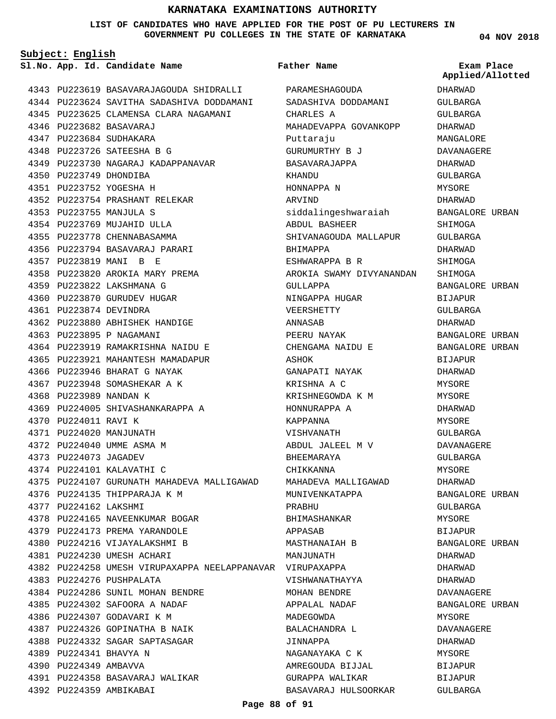**LIST OF CANDIDATES WHO HAVE APPLIED FOR THE POST OF PU LECTURERS IN GOVERNMENT PU COLLEGES IN THE STATE OF KARNATAKA**

**Subject: English**

**App. Id. Candidate Name Sl.No. Exam Place**

PU223619 BASAVARAJAGOUDA SHIDRALLI 4343 4344 PU223624 SAVITHA SADASHIVA DODDAMANI PU223625 CLAMENSA CLARA NAGAMANI 4345 PU223682 BASAVARAJ 4346 PU223684 SUDHAKARA 4347 PU223726 SATEESHA B G 4348 4349 PU223730 NAGARAJ KADAPPANAVAR 4350 PU223749 DHONDIBA PU223752 YOGESHA H 4351 PU223754 PRASHANT RELEKAR 4352 PU223755 MANJULA S 4353 PU223769 MUJAHID ULLA 4354 4355 PU223778 CHENNABASAMMA 4356 PU223794 BASAVARAJ PARARI PU223819 MANI B E 4357 4358 PU223820 AROKIA MARY PREMA PU223822 LAKSHMANA G 4359 4360 PU223870 GURUDEV HUGAR PU223874 DEVINDRA 4361 PU223880 ABHISHEK HANDIGE 4362 4363 PU223895 P NAGAMANI PU223919 RAMAKRISHNA NAIDU E 4364 4365 PU223921 MAHANTESH MAMADAPUR 4366 PU223946 BHARAT G NAYAK 4367 PU223948 SOMASHEKAR A K 4368 PU223989 NANDAN K 4369 PU224005 SHIVASHANKARAPPA A 4370 PU224011 RAVI K 4371 PU224020 MANJUNATH 4372 PU224040 UMME ASMA M PU224073 JAGADEV 4373 4374 PU224101 KALAVATHI C 4375 PU224107 GURUNATH MAHADEVA MALLIGAWAD 4376 PU224135 THIPPARAJA K M 4377 PU224162 LAKSHMI 4378 PU224165 NAVEENKUMAR BOGAR 4379 PU224173 PREMA YARANDOLE 4380 PU224216 VIJAYALAKSHMI B PU224230 UMESH ACHARI 4381 PU224258 UMESH VIRUPAXAPPA NEELAPPANAVAR VIRUPAXAPPA 4382 4383 PU224276 PUSHPALATA PU224286 SUNIL MOHAN BENDRE 4384 PU224302 SAFOORA A NADAF 4385 4386 PU224307 GODAVARI K M 4387 PU224326 GOPINATHA B NAIK 4388 PU224332 SAGAR SAPTASAGAR PU224341 BHAVYA N 4389 4390 PU224349 AMBAVVA PU224358 BASAVARAJ WALIKAR 4391 PU224359 AMBIKABAI 4392

### **Father Name**

PARAMESHAGOUDA SADASHIVA DODDAMANI CHARLES A MAHADEVAPPA GOVANKOPP Puttaraju GURUMURTHY B J BASAVARAJAPPA KHANDU HONNAPPA N ARVIND siddalingeshwaraiah ABDUL BASHEER SHIVANAGOUDA MALLAPUR BHIMAPPA ESHWARAPPA B R AROKIA SWAMY DIVYANANDAN SHIMOGA GULLAPPA NINGAPPA HUGAR VEERSHETTY ANNASAB PEERU NAYAK CHENGAMA NAIDU E ASHOK GANAPATI NAYAK KRISHNA A C KRISHNEGOWDA K M HONNURAPPA A KAPPANNA VISHVANATH ABDUL JALEEL M V BHEEMARAYA CHIKKANNA MAHADEVA MALLIGAWAD MUNIVENKATAPPA PRABHU BHIMASHANKAR APPASAB MASTHANAIAH B MANJUNATH VISHWANATHAYYA MOHAN BENDRE APPALAL NADAF MADEGOWDA BALACHANDRA L JINNAPPA NAGANAYAKA C K AMREGOUDA BIJJAL GURAPPA WALIKAR BASAVARAJ HULSOORKAR

#### **04 NOV 2018**

**Applied/Allotted**

DHARWAD GULBARGA GULBARGA DHARWAD MANGALORE DAVANAGERE DHARWAD GULBARGA MYSORE DHARWAD BANGALORE URBAN SHIMOGA GULBARGA DHARWAD SHIMOGA BANGALORE URBAN **BIJAPUR** GULBARGA DHARWAD BANGALORE URBAN BANGALORE URBAN BIJAPUR DHARWAD MYSORE MYSORE DHARWAD MYSORE GULBARGA DAVANAGERE GULBARGA MYSORE DHARWAD BANGALORE URBAN GULBARGA **MYSORE** BIJAPUR BANGALORE URBAN DHARWAD DHARWAD DHARWAD DAVANAGERE BANGALORE URBAN **MYSORE** DAVANAGERE DHARWAD MYSORE BIJAPUR BIJAPUR

GULBARGA

#### **Page 88 of 91**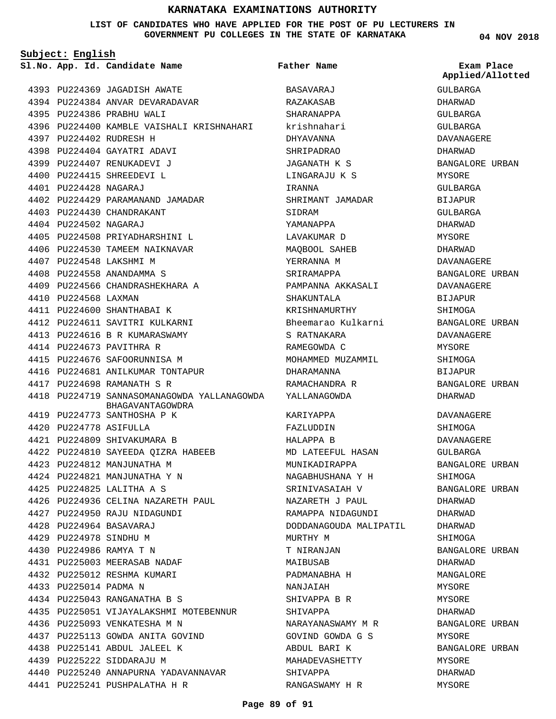#### **LIST OF CANDIDATES WHO HAVE APPLIED FOR THE POST OF PU LECTURERS IN GOVERNMENT PU COLLEGES IN THE STATE OF KARNATAKA**

**Subject: English**

**App. Id. Candidate Name Sl.No. Exam Place**

**Father Name**

4393 PU224369 JAGADISH AWATE 4394 PU224384 ANVAR DEVARADAVAR PU224386 PRABHU WALI 4395 4396 PU224400 KAMBLE VAISHALI KRISHNAHARI PU224402 RUDRESH H 4397 PU224404 GAYATRI ADAVI 4398 4399 PU224407 RENUKADEVI J 4400 PU224415 SHREEDEVI L PU224428 NAGARAJ 4401 PU224429 PARAMANAND JAMADAR 4402 4403 PU224430 CHANDRAKANT PU224502 NAGARAJ 4404 4405 PU224508 PRIYADHARSHINI L 4406 PU224530 TAMEEM NAIKNAVAR 4407 PU224548 LAKSHMI M PU224558 ANANDAMMA S 4408 PU224566 CHANDRASHEKHARA A 4409 4410 PU224568 LAXMAN 4411 PU224600 SHANTHABAI K 4412 PU224611 SAVITRI KULKARNI PU224616 B R KUMARASWAMY 4413 4414 PU224673 PAVITHRA R 4415 PU224676 SAFOORUNNISA M 4416 PU224681 ANILKUMAR TONTAPUR PU224698 RAMANATH S R 4417 4418 PU224719 SANNASOMANAGOWDA YALLANAGOWDA 4419 PU224773 SANTHOSHA P K PU224778 ASIFULLA 4420 PU224809 SHIVAKUMARA B 4421 PU224810 SAYEEDA QIZRA HABEEB 4422 PU224812 MANJUNATHA M 4423 4424 PU224821 MANJUNATHA Y N PU224825 LALITHA A S 4425 4426 PU224936 CELINA NAZARETH PAUL 4427 PU224950 RAJU NIDAGUNDI PU224964 BASAVARAJ 4428 PU224978 SINDHU M 4429 PU224986 RAMYA T N 4430 PU225003 MEERASAB NADAF 4431 4432 PU225012 RESHMA KUMARI 4433 PU225014 PADMA N 4434 PU225043 RANGANATHA B S 4435 PU225051 VIJAYALAKSHMI MOTEBENNUR 4436 PU225093 VENKATESHA M N 4437 PU225113 GOWDA ANITA GOVIND 4438 PU225141 ABDUL JALEEL K PU225222 SIDDARAJU M 4439 4440 PU225240 ANNAPURNA YADAVANNAVAR 4441 PU225241 PUSHPALATHA H R BHAGAVANTAGOWDRA

BASAVARAJ RAZAKASAB SHARANAPPA krishnahari DHYAVANNA SHRIPADRAO JAGANATH K S LINGARAJU K S IRANNA SHRIMANT JAMADAR SIDRAM YAMANAPPA LAVAKUMAR D MAQBOOL SAHEB YERRANNA M SRIRAMAPPA PAMPANNA AKKASALI SHAKUNTALA KRISHNAMURTHY Bheemarao Kulkarni S RATNAKARA RAMEGOWDA C MOHAMMED MUZAMMIL DHARAMANNA RAMACHANDRA R YALLANAGOWDA KARIYAPPA FAZLUDDIN HALAPPA B MD LATEEFUL HASAN MUNIKADIRAPPA NAGABHUSHANA Y H SRINIVASAIAH V NAZARETH J PAUL RAMAPPA NIDAGUNDI DODDANAGOUDA MALIPATIL MURTHY M T NIRANJAN MAIBUSAB PADMANABHA H NANJAIAH SHIVAPPA B R SHIVAPPA NARAYANASWAMY M R GOVIND GOWDA G S ABDUL BARI K MAHADEVASHETTY SHIVAPPA RANGASWAMY H R

**04 NOV 2018**

GULBARGA DHARWAD GULBARGA GULBARGA DAVANAGERE DHARWAD BANGALORE URBAN MYSORE GULBARGA **BIJAPUR** GULBARGA DHARWAD MYSORE DHARWAD DAVANAGERE BANGALORE URBAN DAVANAGERE BIJAPUR SHIMOGA BANGALORE URBAN DAVANAGERE MYSORE SHIMOGA BIJAPUR BANGALORE URBAN DHARWAD DAVANAGERE SHIMOGA DAVANAGERE GULBARGA BANGALORE URBAN SHIMOGA BANGALORE URBAN DHARWAD DHARWAD DHARWAD SHIMOGA BANGALORE URBAN DHARWAD MANGALORE MYSORE MYSORE DHARWAD BANGALORE URBAN MYSORE BANGALORE URBAN MYSORE DHARWAD MYSORE **Applied/Allotted**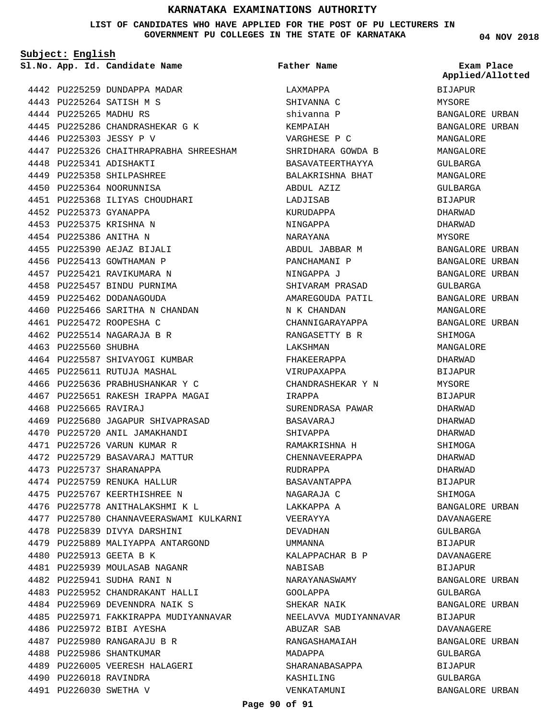#### **LIST OF CANDIDATES WHO HAVE APPLIED FOR THE POST OF PU LECTURERS IN GOVERNMENT PU COLLEGES IN THE STATE OF KARNATAKA**

**Subject: English**

**04 NOV 2018**

|                       | Sl.No. App. Id. Candidate Name          | Father Name           | Exam Place       |
|-----------------------|-----------------------------------------|-----------------------|------------------|
|                       |                                         |                       | Applied/Allotted |
|                       | 4442 PU225259 DUNDAPPA MADAR            | LAXMAPPA              | <b>BIJAPUR</b>   |
|                       | 4443 PU225264 SATISH M S                | SHIVANNA C            | MYSORE           |
|                       | 4444 PU225265 MADHU RS                  | shivanna P            | BANGALORE URBAN  |
|                       | 4445 PU225286 CHANDRASHEKAR G K         | KEMPAIAH              | BANGALORE URBAN  |
|                       | 4446 PU225303 JESSY P V                 | VARGHESE P C          | MANGALORE        |
|                       | 4447 PU225326 CHAITHRAPRABHA SHREESHAM  | SHRIDHARA GOWDA B     | MANGALORE        |
|                       | 4448 PU225341 ADISHAKTI                 | BASAVATEERTHAYYA      | GULBARGA         |
|                       | 4449 PU225358 SHILPASHREE               | BALAKRISHNA BHAT      | MANGALORE        |
|                       | 4450 PU225364 NOORUNNISA                | ABDUL AZIZ            | GULBARGA         |
|                       | 4451 PU225368 ILIYAS CHOUDHARI          | LADJISAB              | BIJAPUR          |
|                       | 4452 PU225373 GYANAPPA                  | KURUDAPPA             | DHARWAD          |
|                       | 4453 PU225375 KRISHNA N                 | NINGAPPA              | DHARWAD          |
|                       | 4454 PU225386 ANITHA N                  | NARAYANA              | MYSORE           |
|                       | 4455 PU225390 AEJAZ BIJALI              | ABDUL JABBAR M        | BANGALORE URBAN  |
|                       | 4456 PU225413 GOWTHAMAN P               | PANCHAMANI P          | BANGALORE URBAN  |
|                       | 4457 PU225421 RAVIKUMARA N              | NINGAPPA J            | BANGALORE URBAN  |
|                       | 4458 PU225457 BINDU PURNIMA             | SHIVARAM PRASAD       | GULBARGA         |
|                       | 4459 PU225462 DODANAGOUDA               | AMAREGOUDA PATIL      | BANGALORE URBAN  |
|                       | 4460 PU225466 SARITHA N CHANDAN         | N K CHANDAN           | MANGALORE        |
|                       | 4461 PU225472 ROOPESHA C                | CHANNIGARAYAPPA       | BANGALORE URBAN  |
|                       | 4462 PU225514 NAGARAJA B R              | RANGASETTY B R        | SHIMOGA          |
| 4463 PU225560 SHUBHA  |                                         | LAKSHMAN              | MANGALORE        |
|                       | 4464 PU225587 SHIVAYOGI KUMBAR          | FHAKEERAPPA           | DHARWAD          |
|                       | 4465 PU225611 RUTUJA MASHAL             | VIRUPAXAPPA           | BIJAPUR          |
|                       | 4466 PU225636 PRABHUSHANKAR Y C         | CHANDRASHEKAR Y N     | MYSORE           |
|                       | 4467 PU225651 RAKESH IRAPPA MAGAI       | IRAPPA                | BIJAPUR          |
| 4468 PU225665 RAVIRAJ |                                         | SURENDRASA PAWAR      | DHARWAD          |
|                       | 4469 PU225680 JAGAPUR SHIVAPRASAD       | BASAVARAJ             | DHARWAD          |
|                       | 4470 PU225720 ANIL JAMAKHANDI           | SHIVAPPA              | DHARWAD          |
|                       | 4471 PU225726 VARUN KUMAR R             | RAMAKRISHNA H         | SHIMOGA          |
|                       | 4472 PU225729 BASAVARAJ MATTUR          | CHENNAVEERAPPA        | DHARWAD          |
|                       | 4473 PU225737 SHARANAPPA                | <b>RUDRAPPA</b>       | DHARWAD          |
|                       | 4474 PU225759 RENUKA HALLUR             | BASAVANTAPPA          | BIJAPUR          |
|                       | 4475 PU225767 KEERTHISHREE N            | NAGARAJA C            | SHIMOGA          |
|                       | 4476 PU225778 ANITHALAKSHMI K L         | LAKKAPPA A            | BANGALORE URBAN  |
|                       | 4477 PU225780 CHANNAVEERASWAMI KULKARNI | VEERAYYA              | DAVANAGERE       |
|                       | 4478 PU225839 DIVYA DARSHINI            | DEVADHAN              | GULBARGA         |
|                       | 4479 PU225889 MALIYAPPA ANTARGOND       | UMMANNA               | BIJAPUR          |
|                       | 4480 PU225913 GEETA B K                 | KALAPPACHAR B P       | DAVANAGERE       |
|                       | 4481 PU225939 MOULASAB NAGANR           | NABISAB               | BIJAPUR          |
|                       | 4482 PU225941 SUDHA RANI N              | NARAYANASWAMY         | BANGALORE URBAN  |
|                       | 4483 PU225952 CHANDRAKANT HALLI         | GOOLAPPA              | GULBARGA         |
|                       | 4484 PU225969 DEVENNDRA NAIK S          | SHEKAR NAIK           | BANGALORE URBAN  |
|                       | 4485 PU225971 FAKKIRAPPA MUDIYANNAVAR   | NEELAVVA MUDIYANNAVAR | BIJAPUR          |
|                       | 4486 PU225972 BIBI AYESHA               | ABUZAR SAB            | DAVANAGERE       |
|                       | 4487 PU225980 RANGARAJU B R             | RANGASHAMAIAH         | BANGALORE URBAN  |
|                       | 4488 PU225986 SHANTKUMAR                | MADAPPA               | GULBARGA         |
|                       | 4489 PU226005 VEERESH HALAGERI          | SHARANABASAPPA        | BIJAPUR          |
|                       | 4490 PU226018 RAVINDRA                  | KASHILING             | GULBARGA         |
|                       | 4491 PU226030 SWETHA V                  | VENKATAMUNI           | BANGALORE URBAN  |